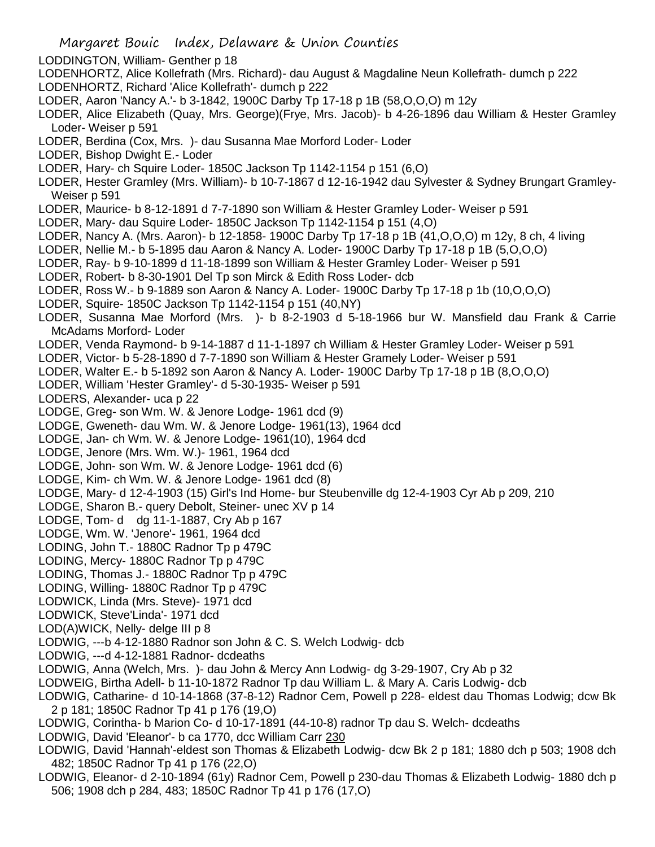- LODDINGTON, William- Genther p 18
- LODENHORTZ, Alice Kollefrath (Mrs. Richard)- dau August & Magdaline Neun Kollefrath- dumch p 222 LODENHORTZ, Richard 'Alice Kollefrath'- dumch p 222
- LODER, Aaron 'Nancy A.'- b 3-1842, 1900C Darby Tp 17-18 p 1B (58,O,O,O) m 12y
- LODER, Alice Elizabeth (Quay, Mrs. George)(Frye, Mrs. Jacob)- b 4-26-1896 dau William & Hester Gramley Loder- Weiser p 591
- LODER, Berdina (Cox, Mrs. )- dau Susanna Mae Morford Loder- Loder
- LODER, Bishop Dwight E.- Loder
- LODER, Hary- ch Squire Loder- 1850C Jackson Tp 1142-1154 p 151 (6,O)
- LODER, Hester Gramley (Mrs. William)- b 10-7-1867 d 12-16-1942 dau Sylvester & Sydney Brungart Gramley-Weiser p 591
- LODER, Maurice- b 8-12-1891 d 7-7-1890 son William & Hester Gramley Loder- Weiser p 591
- LODER, Mary- dau Squire Loder- 1850C Jackson Tp 1142-1154 p 151 (4,O)
- LODER, Nancy A. (Mrs. Aaron)- b 12-1858- 1900C Darby Tp 17-18 p 1B (41,O,O,O) m 12y, 8 ch, 4 living
- LODER, Nellie M.- b 5-1895 dau Aaron & Nancy A. Loder- 1900C Darby Tp 17-18 p 1B (5,O,O,O)
- LODER, Ray- b 9-10-1899 d 11-18-1899 son William & Hester Gramley Loder- Weiser p 591
- LODER, Robert- b 8-30-1901 Del Tp son Mirck & Edith Ross Loder- dcb
- LODER, Ross W.- b 9-1889 son Aaron & Nancy A. Loder- 1900C Darby Tp 17-18 p 1b (10,O,O,O)
- LODER, Squire- 1850C Jackson Tp 1142-1154 p 151 (40,NY)
- LODER, Susanna Mae Morford (Mrs. )- b 8-2-1903 d 5-18-1966 bur W. Mansfield dau Frank & Carrie McAdams Morford- Loder
- LODER, Venda Raymond- b 9-14-1887 d 11-1-1897 ch William & Hester Gramley Loder- Weiser p 591
- LODER, Victor- b 5-28-1890 d 7-7-1890 son William & Hester Gramely Loder- Weiser p 591
- LODER, Walter E.- b 5-1892 son Aaron & Nancy A. Loder- 1900C Darby Tp 17-18 p 1B (8,O,O,O)
- LODER, William 'Hester Gramley'- d 5-30-1935- Weiser p 591
- LODERS, Alexander- uca p 22
- LODGE, Greg- son Wm. W. & Jenore Lodge- 1961 dcd (9)
- LODGE, Gweneth- dau Wm. W. & Jenore Lodge- 1961(13), 1964 dcd
- LODGE, Jan- ch Wm. W. & Jenore Lodge- 1961(10), 1964 dcd
- LODGE, Jenore (Mrs. Wm. W.)- 1961, 1964 dcd
- LODGE, John- son Wm. W. & Jenore Lodge- 1961 dcd (6)
- LODGE, Kim- ch Wm. W. & Jenore Lodge- 1961 dcd (8)
- LODGE, Mary- d 12-4-1903 (15) Girl's Ind Home- bur Steubenville dg 12-4-1903 Cyr Ab p 209, 210
- LODGE, Sharon B.- query Debolt, Steiner- unec XV p 14
- LODGE, Tom- d dg 11-1-1887, Cry Ab p 167
- LODGE, Wm. W. 'Jenore'- 1961, 1964 dcd
- LODING, John T.- 1880C Radnor Tp p 479C
- LODING, Mercy- 1880C Radnor Tp p 479C
- LODING, Thomas J.- 1880C Radnor Tp p 479C
- LODING, Willing- 1880C Radnor Tp p 479C
- LODWICK, Linda (Mrs. Steve)- 1971 dcd
- LODWICK, Steve'Linda'- 1971 dcd
- LOD(A)WICK, Nelly- delge III p 8
- LODWIG, ---b 4-12-1880 Radnor son John & C. S. Welch Lodwig- dcb
- LODWIG, ---d 4-12-1881 Radnor- dcdeaths
- LODWIG, Anna (Welch, Mrs. )- dau John & Mercy Ann Lodwig- dg 3-29-1907, Cry Ab p 32
- LODWEIG, Birtha Adell- b 11-10-1872 Radnor Tp dau William L. & Mary A. Caris Lodwig- dcb
- LODWIG, Catharine- d 10-14-1868 (37-8-12) Radnor Cem, Powell p 228- eldest dau Thomas Lodwig; dcw Bk 2 p 181; 1850C Radnor Tp 41 p 176 (19,O)
- LODWIG, Corintha- b Marion Co- d 10-17-1891 (44-10-8) radnor Tp dau S. Welch- dcdeaths
- LODWIG, David 'Eleanor'- b ca 1770, dcc William Carr 230
- LODWIG, David 'Hannah'-eldest son Thomas & Elizabeth Lodwig- dcw Bk 2 p 181; 1880 dch p 503; 1908 dch 482; 1850C Radnor Tp 41 p 176 (22,O)
- LODWIG, Eleanor- d 2-10-1894 (61y) Radnor Cem, Powell p 230-dau Thomas & Elizabeth Lodwig- 1880 dch p 506; 1908 dch p 284, 483; 1850C Radnor Tp 41 p 176 (17,O)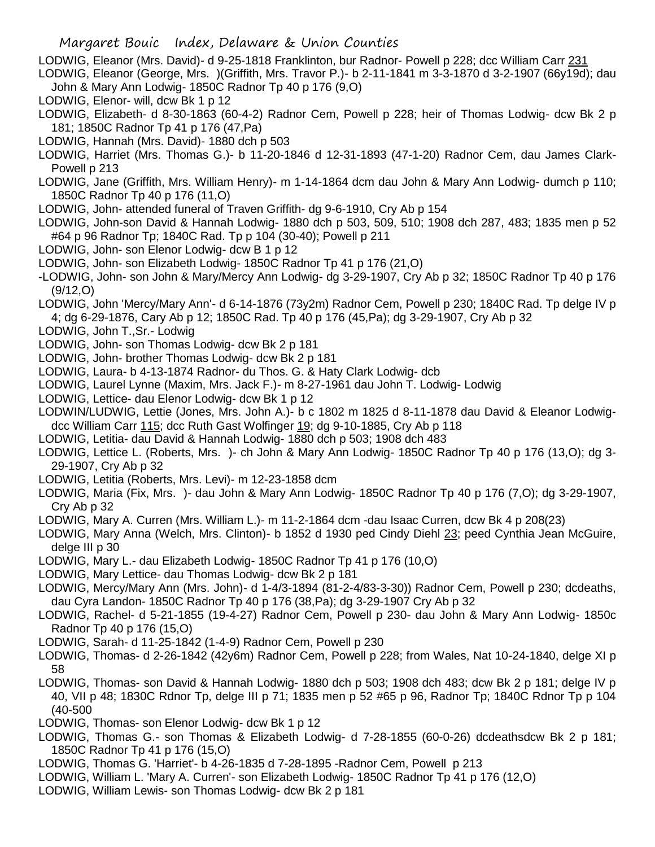LODWIG, Eleanor (Mrs. David)- d 9-25-1818 Franklinton, bur Radnor- Powell p 228; dcc William Carr 231

- LODWIG, Eleanor (George, Mrs. )(Griffith, Mrs. Travor P.)- b 2-11-1841 m 3-3-1870 d 3-2-1907 (66y19d); dau John & Mary Ann Lodwig- 1850C Radnor Tp 40 p 176 (9,O)
- LODWIG, Elenor- will, dcw Bk 1 p 12
- LODWIG, Elizabeth- d 8-30-1863 (60-4-2) Radnor Cem, Powell p 228; heir of Thomas Lodwig- dcw Bk 2 p 181; 1850C Radnor Tp 41 p 176 (47,Pa)
- LODWIG, Hannah (Mrs. David)- 1880 dch p 503
- LODWIG, Harriet (Mrs. Thomas G.)- b 11-20-1846 d 12-31-1893 (47-1-20) Radnor Cem, dau James Clark-Powell p 213
- LODWIG, Jane (Griffith, Mrs. William Henry)- m 1-14-1864 dcm dau John & Mary Ann Lodwig- dumch p 110; 1850C Radnor Tp 40 p 176 (11,O)
- LODWIG, John- attended funeral of Traven Griffith- dg 9-6-1910, Cry Ab p 154
- LODWIG, John-son David & Hannah Lodwig- 1880 dch p 503, 509, 510; 1908 dch 287, 483; 1835 men p 52 #64 p 96 Radnor Tp; 1840C Rad. Tp p 104 (30-40); Powell p 211
- LODWIG, John- son Elenor Lodwig- dcw B 1 p 12
- LODWIG, John- son Elizabeth Lodwig- 1850C Radnor Tp 41 p 176 (21,O)
- -LODWIG, John- son John & Mary/Mercy Ann Lodwig- dg 3-29-1907, Cry Ab p 32; 1850C Radnor Tp 40 p 176 (9/12,O)
- LODWIG, John 'Mercy/Mary Ann'- d 6-14-1876 (73y2m) Radnor Cem, Powell p 230; 1840C Rad. Tp delge IV p 4; dg 6-29-1876, Cary Ab p 12; 1850C Rad. Tp 40 p 176 (45,Pa); dg 3-29-1907, Cry Ab p 32
- LODWIG, John T.,Sr.- Lodwig
- LODWIG, John- son Thomas Lodwig- dcw Bk 2 p 181
- LODWIG, John- brother Thomas Lodwig- dcw Bk 2 p 181
- LODWIG, Laura- b 4-13-1874 Radnor- du Thos. G. & Haty Clark Lodwig- dcb
- LODWIG, Laurel Lynne (Maxim, Mrs. Jack F.)- m 8-27-1961 dau John T. Lodwig- Lodwig
- LODWIG, Lettice- dau Elenor Lodwig- dcw Bk 1 p 12
- LODWIN/LUDWIG, Lettie (Jones, Mrs. John A.)- b c 1802 m 1825 d 8-11-1878 dau David & Eleanor Lodwigdcc William Carr 115; dcc Ruth Gast Wolfinger 19; dg 9-10-1885, Cry Ab p 118
- LODWIG, Letitia- dau David & Hannah Lodwig- 1880 dch p 503; 1908 dch 483
- LODWIG, Lettice L. (Roberts, Mrs. )- ch John & Mary Ann Lodwig- 1850C Radnor Tp 40 p 176 (13,O); dg 3- 29-1907, Cry Ab p 32
- LODWIG, Letitia (Roberts, Mrs. Levi)- m 12-23-1858 dcm
- LODWIG, Maria (Fix, Mrs. )- dau John & Mary Ann Lodwig- 1850C Radnor Tp 40 p 176 (7,O); dg 3-29-1907, Cry Ab p 32
- LODWIG, Mary A. Curren (Mrs. William L.)- m 11-2-1864 dcm -dau Isaac Curren, dcw Bk 4 p 208(23)
- LODWIG, Mary Anna (Welch, Mrs. Clinton)- b 1852 d 1930 ped Cindy Diehl 23; peed Cynthia Jean McGuire, delge III p 30
- LODWIG, Mary L.- dau Elizabeth Lodwig- 1850C Radnor Tp 41 p 176 (10,O)
- LODWIG, Mary Lettice- dau Thomas Lodwig- dcw Bk 2 p 181
- LODWIG, Mercy/Mary Ann (Mrs. John)- d 1-4/3-1894 (81-2-4/83-3-30)) Radnor Cem, Powell p 230; dcdeaths, dau Cyra Landon- 1850C Radnor Tp 40 p 176 (38,Pa); dg 3-29-1907 Cry Ab p 32
- LODWIG, Rachel- d 5-21-1855 (19-4-27) Radnor Cem, Powell p 230- dau John & Mary Ann Lodwig- 1850c Radnor Tp 40 p 176 (15,O)
- LODWIG, Sarah- d 11-25-1842 (1-4-9) Radnor Cem, Powell p 230
- LODWIG, Thomas- d 2-26-1842 (42y6m) Radnor Cem, Powell p 228; from Wales, Nat 10-24-1840, delge XI p 58
- LODWIG, Thomas- son David & Hannah Lodwig- 1880 dch p 503; 1908 dch 483; dcw Bk 2 p 181; delge IV p 40, VII p 48; 1830C Rdnor Tp, delge III p 71; 1835 men p 52 #65 p 96, Radnor Tp; 1840C Rdnor Tp p 104 (40-500
- LODWIG, Thomas- son Elenor Lodwig- dcw Bk 1 p 12
- LODWIG, Thomas G.- son Thomas & Elizabeth Lodwig- d 7-28-1855 (60-0-26) dcdeathsdcw Bk 2 p 181; 1850C Radnor Tp 41 p 176 (15,O)
- LODWIG, Thomas G. 'Harriet'- b 4-26-1835 d 7-28-1895 -Radnor Cem, Powell p 213
- LODWIG, William L. 'Mary A. Curren'- son Elizabeth Lodwig- 1850C Radnor Tp 41 p 176 (12,O)
- LODWIG, William Lewis- son Thomas Lodwig- dcw Bk 2 p 181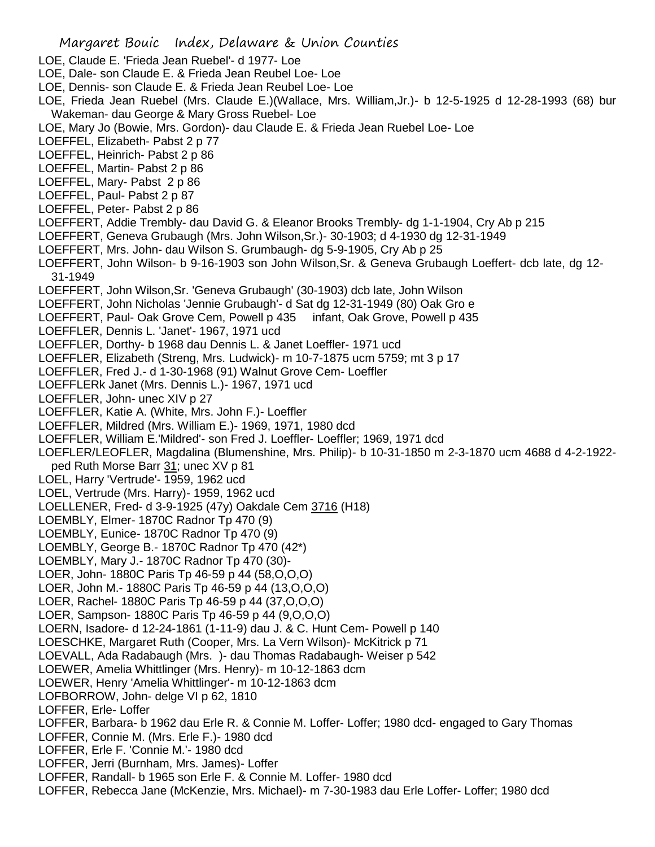- LOE, Claude E. 'Frieda Jean Ruebel'- d 1977- Loe
- LOE, Dale- son Claude E. & Frieda Jean Reubel Loe- Loe
- LOE, Dennis- son Claude E. & Frieda Jean Reubel Loe- Loe
- LOE, Frieda Jean Ruebel (Mrs. Claude E.)(Wallace, Mrs. William,Jr.)- b 12-5-1925 d 12-28-1993 (68) bur Wakeman- dau George & Mary Gross Ruebel- Loe
- LOE, Mary Jo (Bowie, Mrs. Gordon)- dau Claude E. & Frieda Jean Ruebel Loe- Loe
- LOEFFEL, Elizabeth- Pabst 2 p 77
- LOEFFEL, Heinrich- Pabst 2 p 86
- LOEFFEL, Martin- Pabst 2 p 86
- LOEFFEL, Mary- Pabst 2 p 86
- LOEFFEL, Paul- Pabst 2 p 87
- LOEFFEL, Peter- Pabst 2 p 86
- LOEFFERT, Addie Trembly- dau David G. & Eleanor Brooks Trembly- dg 1-1-1904, Cry Ab p 215
- LOEFFERT, Geneva Grubaugh (Mrs. John Wilson,Sr.)- 30-1903; d 4-1930 dg 12-31-1949
- LOEFFERT, Mrs. John- dau Wilson S. Grumbaugh- dg 5-9-1905, Cry Ab p 25
- LOEFFERT, John Wilson- b 9-16-1903 son John Wilson,Sr. & Geneva Grubaugh Loeffert- dcb late, dg 12- 31-1949
- LOEFFERT, John Wilson,Sr. 'Geneva Grubaugh' (30-1903) dcb late, John Wilson
- LOEFFERT, John Nicholas 'Jennie Grubaugh'- d Sat dg 12-31-1949 (80) Oak Gro e
- LOEFFERT, Paul- Oak Grove Cem, Powell p 435 infant, Oak Grove, Powell p 435
- LOEFFLER, Dennis L. 'Janet'- 1967, 1971 ucd
- LOEFFLER, Dorthy- b 1968 dau Dennis L. & Janet Loeffler- 1971 ucd
- LOEFFLER, Elizabeth (Streng, Mrs. Ludwick)- m 10-7-1875 ucm 5759; mt 3 p 17
- LOEFFLER, Fred J.- d 1-30-1968 (91) Walnut Grove Cem- Loeffler
- LOEFFLERk Janet (Mrs. Dennis L.)- 1967, 1971 ucd
- LOEFFLER, John- unec XIV p 27
- LOEFFLER, Katie A. (White, Mrs. John F.)- Loeffler
- LOEFFLER, Mildred (Mrs. William E.)- 1969, 1971, 1980 dcd
- LOEFFLER, William E.'Mildred'- son Fred J. Loeffler- Loeffler; 1969, 1971 dcd
- LOEFLER/LEOFLER, Magdalina (Blumenshine, Mrs. Philip)- b 10-31-1850 m 2-3-1870 ucm 4688 d 4-2-1922-
- ped Ruth Morse Barr 31; unec XV p 81
- LOEL, Harry 'Vertrude'- 1959, 1962 ucd
- LOEL, Vertrude (Mrs. Harry)- 1959, 1962 ucd
- LOELLENER, Fred- d 3-9-1925 (47y) Oakdale Cem 3716 (H18)
- LOEMBLY, Elmer- 1870C Radnor Tp 470 (9)
- LOEMBLY, Eunice- 1870C Radnor Tp 470 (9)
- LOEMBLY, George B.- 1870C Radnor Tp 470 (42\*)
- LOEMBLY, Mary J.- 1870C Radnor Tp 470 (30)-
- LOER, John- 1880C Paris Tp 46-59 p 44 (58,O,O,O)
- LOER, John M.- 1880C Paris Tp 46-59 p 44 (13,O,O,O)
- LOER, Rachel- 1880C Paris Tp 46-59 p 44 (37,O,O,O)
- LOER, Sampson- 1880C Paris Tp 46-59 p 44 (9,O,O,O)
- LOERN, Isadore- d 12-24-1861 (1-11-9) dau J. & C. Hunt Cem- Powell p 140
- LOESCHKE, Margaret Ruth (Cooper, Mrs. La Vern Wilson)- McKitrick p 71
- LOEVALL, Ada Radabaugh (Mrs. )- dau Thomas Radabaugh- Weiser p 542
- LOEWER, Amelia Whittlinger (Mrs. Henry)- m 10-12-1863 dcm
- LOEWER, Henry 'Amelia Whittlinger'- m 10-12-1863 dcm
- LOFBORROW, John- delge VI p 62, 1810
- LOFFER, Erle- Loffer
- LOFFER, Barbara- b 1962 dau Erle R. & Connie M. Loffer- Loffer; 1980 dcd- engaged to Gary Thomas
- LOFFER, Connie M. (Mrs. Erle F.)- 1980 dcd
- LOFFER, Erle F. 'Connie M.'- 1980 dcd
- LOFFER, Jerri (Burnham, Mrs. James)- Loffer
- LOFFER, Randall- b 1965 son Erle F. & Connie M. Loffer- 1980 dcd
- LOFFER, Rebecca Jane (McKenzie, Mrs. Michael)- m 7-30-1983 dau Erle Loffer- Loffer; 1980 dcd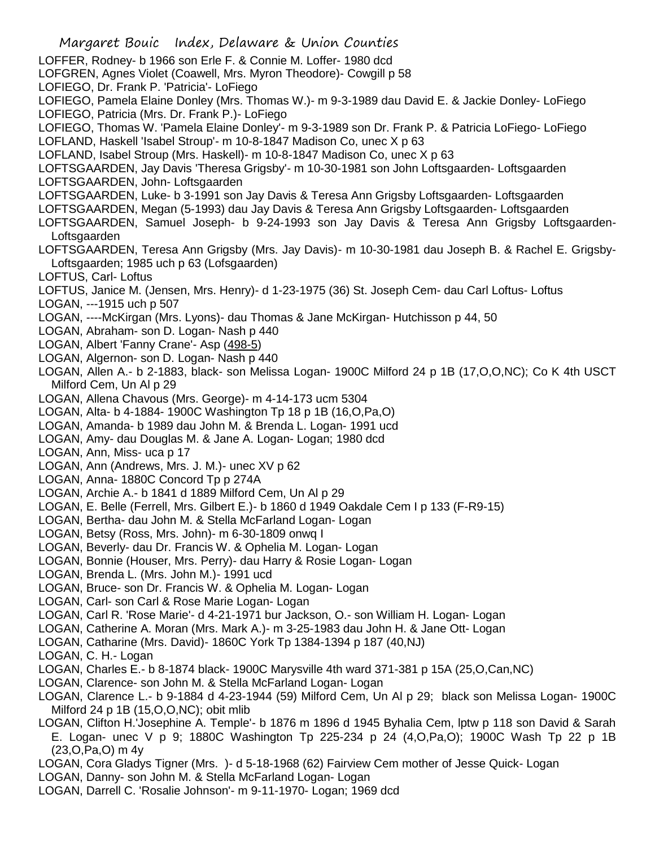- Margaret Bouic Index, Delaware & Union Counties LOFFER, Rodney- b 1966 son Erle F. & Connie M. Loffer- 1980 dcd LOFGREN, Agnes Violet (Coawell, Mrs. Myron Theodore)- Cowgill p 58 LOFIEGO, Dr. Frank P. 'Patricia'- LoFiego LOFIEGO, Pamela Elaine Donley (Mrs. Thomas W.)- m 9-3-1989 dau David E. & Jackie Donley- LoFiego LOFIEGO, Patricia (Mrs. Dr. Frank P.)- LoFiego LOFIEGO, Thomas W. 'Pamela Elaine Donley'- m 9-3-1989 son Dr. Frank P. & Patricia LoFiego- LoFiego LOFLAND, Haskell 'Isabel Stroup'- m 10-8-1847 Madison Co, unec X p 63 LOFLAND, Isabel Stroup (Mrs. Haskell)- m 10-8-1847 Madison Co, unec X p 63 LOFTSGAARDEN, Jay Davis 'Theresa Grigsby'- m 10-30-1981 son John Loftsgaarden- Loftsgaarden LOFTSGAARDEN, John- Loftsgaarden LOFTSGAARDEN, Luke- b 3-1991 son Jay Davis & Teresa Ann Grigsby Loftsgaarden- Loftsgaarden LOFTSGAARDEN, Megan (5-1993) dau Jay Davis & Teresa Ann Grigsby Loftsgaarden- Loftsgaarden LOFTSGAARDEN, Samuel Joseph- b 9-24-1993 son Jay Davis & Teresa Ann Grigsby Loftsgaarden-Loftsgaarden LOFTSGAARDEN, Teresa Ann Grigsby (Mrs. Jay Davis)- m 10-30-1981 dau Joseph B. & Rachel E. Grigsby-Loftsgaarden; 1985 uch p 63 (Lofsgaarden) LOFTUS, Carl- Loftus LOFTUS, Janice M. (Jensen, Mrs. Henry)- d 1-23-1975 (36) St. Joseph Cem- dau Carl Loftus- Loftus LOGAN, ---1915 uch p 507 LOGAN, ----McKirgan (Mrs. Lyons)- dau Thomas & Jane McKirgan- Hutchisson p 44, 50 LOGAN, Abraham- son D. Logan- Nash p 440 LOGAN, Albert 'Fanny Crane'- Asp (498-5) LOGAN, Algernon- son D. Logan- Nash p 440 LOGAN, Allen A.- b 2-1883, black- son Melissa Logan- 1900C Milford 24 p 1B (17,O,O,NC); Co K 4th USCT Milford Cem, Un Al p 29 LOGAN, Allena Chavous (Mrs. George)- m 4-14-173 ucm 5304 LOGAN, Alta- b 4-1884- 1900C Washington Tp 18 p 1B (16,O,Pa,O) LOGAN, Amanda- b 1989 dau John M. & Brenda L. Logan- 1991 ucd LOGAN, Amy- dau Douglas M. & Jane A. Logan- Logan; 1980 dcd LOGAN, Ann, Miss- uca p 17 LOGAN, Ann (Andrews, Mrs. J. M.)- unec XV p 62 LOGAN, Anna- 1880C Concord Tp p 274A LOGAN, Archie A.- b 1841 d 1889 Milford Cem, Un Al p 29 LOGAN, E. Belle (Ferrell, Mrs. Gilbert E.)- b 1860 d 1949 Oakdale Cem I p 133 (F-R9-15) LOGAN, Bertha- dau John M. & Stella McFarland Logan- Logan LOGAN, Betsy (Ross, Mrs. John)- m 6-30-1809 onwq I LOGAN, Beverly- dau Dr. Francis W. & Ophelia M. Logan- Logan LOGAN, Bonnie (Houser, Mrs. Perry)- dau Harry & Rosie Logan- Logan LOGAN, Brenda L. (Mrs. John M.)- 1991 ucd LOGAN, Bruce- son Dr. Francis W. & Ophelia M. Logan- Logan LOGAN, Carl- son Carl & Rose Marie Logan- Logan LOGAN, Carl R. 'Rose Marie'- d 4-21-1971 bur Jackson, O.- son William H. Logan- Logan LOGAN, Catherine A. Moran (Mrs. Mark A.)- m 3-25-1983 dau John H. & Jane Ott- Logan LOGAN, Catharine (Mrs. David)- 1860C York Tp 1384-1394 p 187 (40,NJ) LOGAN, C. H.- Logan LOGAN, Charles E.- b 8-1874 black- 1900C Marysville 4th ward 371-381 p 15A (25,O,Can,NC) LOGAN, Clarence- son John M. & Stella McFarland Logan- Logan LOGAN, Clarence L.- b 9-1884 d 4-23-1944 (59) Milford Cem, Un Al p 29; black son Melissa Logan- 1900C Milford 24 p 1B (15,O,O,NC); obit mlib LOGAN, Clifton H.'Josephine A. Temple'- b 1876 m 1896 d 1945 Byhalia Cem, lptw p 118 son David & Sarah E. Logan- unec V p 9; 1880C Washington Tp 225-234 p 24 (4,O,Pa,O); 1900C Wash Tp 22 p 1B (23,O,Pa,O) m 4y LOGAN, Cora Gladys Tigner (Mrs. )- d 5-18-1968 (62) Fairview Cem mother of Jesse Quick- Logan
- LOGAN, Danny- son John M. & Stella McFarland Logan- Logan
- LOGAN, Darrell C. 'Rosalie Johnson'- m 9-11-1970- Logan; 1969 dcd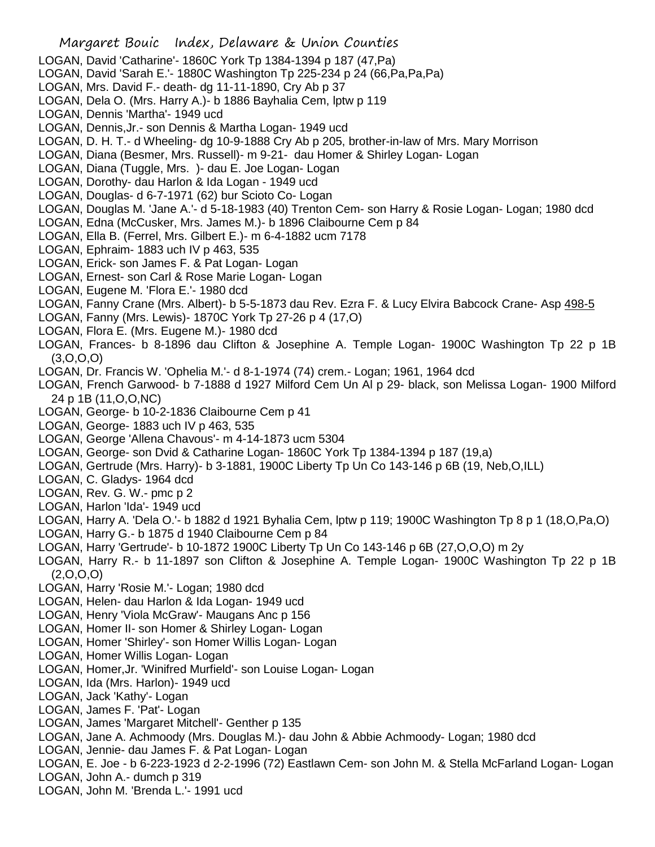- Margaret Bouic Index, Delaware & Union Counties LOGAN, David 'Catharine'- 1860C York Tp 1384-1394 p 187 (47,Pa) LOGAN, David 'Sarah E.'- 1880C Washington Tp 225-234 p 24 (66,Pa,Pa,Pa) LOGAN, Mrs. David F.- death- dg 11-11-1890, Cry Ab p 37 LOGAN, Dela O. (Mrs. Harry A.)- b 1886 Bayhalia Cem, lptw p 119 LOGAN, Dennis 'Martha'- 1949 ucd LOGAN, Dennis,Jr.- son Dennis & Martha Logan- 1949 ucd LOGAN, D. H. T.- d Wheeling- dg 10-9-1888 Cry Ab p 205, brother-in-law of Mrs. Mary Morrison LOGAN, Diana (Besmer, Mrs. Russell)- m 9-21- dau Homer & Shirley Logan- Logan LOGAN, Diana (Tuggle, Mrs. )- dau E. Joe Logan- Logan LOGAN, Dorothy- dau Harlon & Ida Logan - 1949 ucd LOGAN, Douglas- d 6-7-1971 (62) bur Scioto Co- Logan LOGAN, Douglas M. 'Jane A.'- d 5-18-1983 (40) Trenton Cem- son Harry & Rosie Logan- Logan; 1980 dcd LOGAN, Edna (McCusker, Mrs. James M.)- b 1896 Claibourne Cem p 84 LOGAN, Ella B. (Ferrel, Mrs. Gilbert E.)- m 6-4-1882 ucm 7178 LOGAN, Ephraim- 1883 uch IV p 463, 535 LOGAN, Erick- son James F. & Pat Logan- Logan LOGAN, Ernest- son Carl & Rose Marie Logan- Logan LOGAN, Eugene M. 'Flora E.'- 1980 dcd LOGAN, Fanny Crane (Mrs. Albert)- b 5-5-1873 dau Rev. Ezra F. & Lucy Elvira Babcock Crane- Asp 498-5 LOGAN, Fanny (Mrs. Lewis)- 1870C York Tp 27-26 p 4 (17,O) LOGAN, Flora E. (Mrs. Eugene M.)- 1980 dcd LOGAN, Frances- b 8-1896 dau Clifton & Josephine A. Temple Logan- 1900C Washington Tp 22 p 1B (3,O,O,O) LOGAN, Dr. Francis W. 'Ophelia M.'- d 8-1-1974 (74) crem.- Logan; 1961, 1964 dcd LOGAN, French Garwood- b 7-1888 d 1927 Milford Cem Un Al p 29- black, son Melissa Logan- 1900 Milford 24 p 1B (11,O,O,NC) LOGAN, George- b 10-2-1836 Claibourne Cem p 41 LOGAN, George- 1883 uch IV p 463, 535 LOGAN, George 'Allena Chavous'- m 4-14-1873 ucm 5304 LOGAN, George- son Dvid & Catharine Logan- 1860C York Tp 1384-1394 p 187 (19,a) LOGAN, Gertrude (Mrs. Harry)- b 3-1881, 1900C Liberty Tp Un Co 143-146 p 6B (19, Neb,O,ILL) LOGAN, C. Gladys- 1964 dcd LOGAN, Rev. G. W.- pmc p 2 LOGAN, Harlon 'Ida'- 1949 ucd LOGAN, Harry A. 'Dela O.'- b 1882 d 1921 Byhalia Cem, lptw p 119; 1900C Washington Tp 8 p 1 (18,O,Pa,O) LOGAN, Harry G.- b 1875 d 1940 Claibourne Cem p 84 LOGAN, Harry 'Gertrude'- b 10-1872 1900C Liberty Tp Un Co 143-146 p 6B (27,O,O,O) m 2y LOGAN, Harry R.- b 11-1897 son Clifton & Josephine A. Temple Logan- 1900C Washington Tp 22 p 1B  $(2,0,0,0)$ LOGAN, Harry 'Rosie M.'- Logan; 1980 dcd LOGAN, Helen- dau Harlon & Ida Logan- 1949 ucd LOGAN, Henry 'Viola McGraw'- Maugans Anc p 156 LOGAN, Homer II- son Homer & Shirley Logan- Logan LOGAN, Homer 'Shirley'- son Homer Willis Logan- Logan LOGAN, Homer Willis Logan- Logan LOGAN, Homer,Jr. 'Winifred Murfield'- son Louise Logan- Logan LOGAN, Ida (Mrs. Harlon)- 1949 ucd LOGAN, Jack 'Kathy'- Logan LOGAN, James F. 'Pat'- Logan LOGAN, James 'Margaret Mitchell'- Genther p 135 LOGAN, Jane A. Achmoody (Mrs. Douglas M.)- dau John & Abbie Achmoody- Logan; 1980 dcd LOGAN, Jennie- dau James F. & Pat Logan- Logan LOGAN, E. Joe - b 6-223-1923 d 2-2-1996 (72) Eastlawn Cem- son John M. & Stella McFarland Logan- Logan LOGAN, John A.- dumch p 319
- LOGAN, John M. 'Brenda L.'- 1991 ucd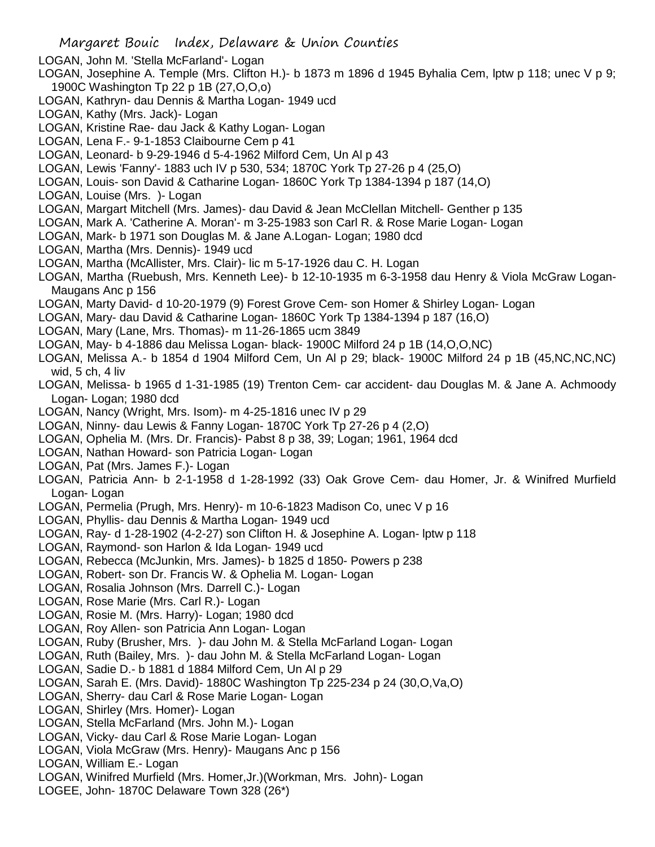- LOGAN, John M. 'Stella McFarland'- Logan
- LOGAN, Josephine A. Temple (Mrs. Clifton H.)- b 1873 m 1896 d 1945 Byhalia Cem, lptw p 118; unec V p 9; 1900C Washington Tp 22 p 1B (27,O,O,o)
- LOGAN, Kathryn- dau Dennis & Martha Logan- 1949 ucd
- LOGAN, Kathy (Mrs. Jack)- Logan
- LOGAN, Kristine Rae- dau Jack & Kathy Logan- Logan
- LOGAN, Lena F.- 9-1-1853 Claibourne Cem p 41
- LOGAN, Leonard- b 9-29-1946 d 5-4-1962 Milford Cem, Un Al p 43
- LOGAN, Lewis 'Fanny'- 1883 uch IV p 530, 534; 1870C York Tp 27-26 p 4 (25,O)
- LOGAN, Louis- son David & Catharine Logan- 1860C York Tp 1384-1394 p 187 (14,O)
- LOGAN, Louise (Mrs. )- Logan
- LOGAN, Margart Mitchell (Mrs. James)- dau David & Jean McClellan Mitchell- Genther p 135
- LOGAN, Mark A. 'Catherine A. Moran'- m 3-25-1983 son Carl R. & Rose Marie Logan- Logan
- LOGAN, Mark- b 1971 son Douglas M. & Jane A.Logan- Logan; 1980 dcd
- LOGAN, Martha (Mrs. Dennis)- 1949 ucd
- LOGAN, Martha (McAllister, Mrs. Clair)- lic m 5-17-1926 dau C. H. Logan
- LOGAN, Martha (Ruebush, Mrs. Kenneth Lee)- b 12-10-1935 m 6-3-1958 dau Henry & Viola McGraw Logan-Maugans Anc p 156
- LOGAN, Marty David- d 10-20-1979 (9) Forest Grove Cem- son Homer & Shirley Logan- Logan
- LOGAN, Mary- dau David & Catharine Logan- 1860C York Tp 1384-1394 p 187 (16,O)
- LOGAN, Mary (Lane, Mrs. Thomas)- m 11-26-1865 ucm 3849
- LOGAN, May- b 4-1886 dau Melissa Logan- black- 1900C Milford 24 p 1B (14,O,O,NC)
- LOGAN, Melissa A.- b 1854 d 1904 Milford Cem, Un Al p 29; black- 1900C Milford 24 p 1B (45,NC,NC,NC) wid, 5 ch, 4 liv
- LOGAN, Melissa- b 1965 d 1-31-1985 (19) Trenton Cem- car accident- dau Douglas M. & Jane A. Achmoody Logan- Logan; 1980 dcd
- LOGAN, Nancy (Wright, Mrs. Isom)- m 4-25-1816 unec IV p 29
- LOGAN, Ninny- dau Lewis & Fanny Logan- 1870C York Tp 27-26 p 4 (2,O)
- LOGAN, Ophelia M. (Mrs. Dr. Francis)- Pabst 8 p 38, 39; Logan; 1961, 1964 dcd
- LOGAN, Nathan Howard- son Patricia Logan- Logan
- LOGAN, Pat (Mrs. James F.)- Logan
- LOGAN, Patricia Ann- b 2-1-1958 d 1-28-1992 (33) Oak Grove Cem- dau Homer, Jr. & Winifred Murfield Logan- Logan
- LOGAN, Permelia (Prugh, Mrs. Henry)- m 10-6-1823 Madison Co, unec V p 16
- LOGAN, Phyllis- dau Dennis & Martha Logan- 1949 ucd
- LOGAN, Ray- d 1-28-1902 (4-2-27) son Clifton H. & Josephine A. Logan- lptw p 118
- LOGAN, Raymond- son Harlon & Ida Logan- 1949 ucd
- LOGAN, Rebecca (McJunkin, Mrs. James)- b 1825 d 1850- Powers p 238
- LOGAN, Robert- son Dr. Francis W. & Ophelia M. Logan- Logan
- LOGAN, Rosalia Johnson (Mrs. Darrell C.)- Logan
- LOGAN, Rose Marie (Mrs. Carl R.)- Logan
- LOGAN, Rosie M. (Mrs. Harry)- Logan; 1980 dcd
- LOGAN, Roy Allen- son Patricia Ann Logan- Logan
- LOGAN, Ruby (Brusher, Mrs. )- dau John M. & Stella McFarland Logan- Logan
- LOGAN, Ruth (Bailey, Mrs. )- dau John M. & Stella McFarland Logan- Logan
- LOGAN, Sadie D.- b 1881 d 1884 Milford Cem, Un Al p 29
- LOGAN, Sarah E. (Mrs. David)- 1880C Washington Tp 225-234 p 24 (30,O,Va,O)
- LOGAN, Sherry- dau Carl & Rose Marie Logan- Logan
- LOGAN, Shirley (Mrs. Homer)- Logan
- LOGAN, Stella McFarland (Mrs. John M.)- Logan
- LOGAN, Vicky- dau Carl & Rose Marie Logan- Logan
- LOGAN, Viola McGraw (Mrs. Henry)- Maugans Anc p 156
- LOGAN, William E.- Logan
- LOGAN, Winifred Murfield (Mrs. Homer,Jr.)(Workman, Mrs. John)- Logan
- LOGEE, John- 1870C Delaware Town 328 (26\*)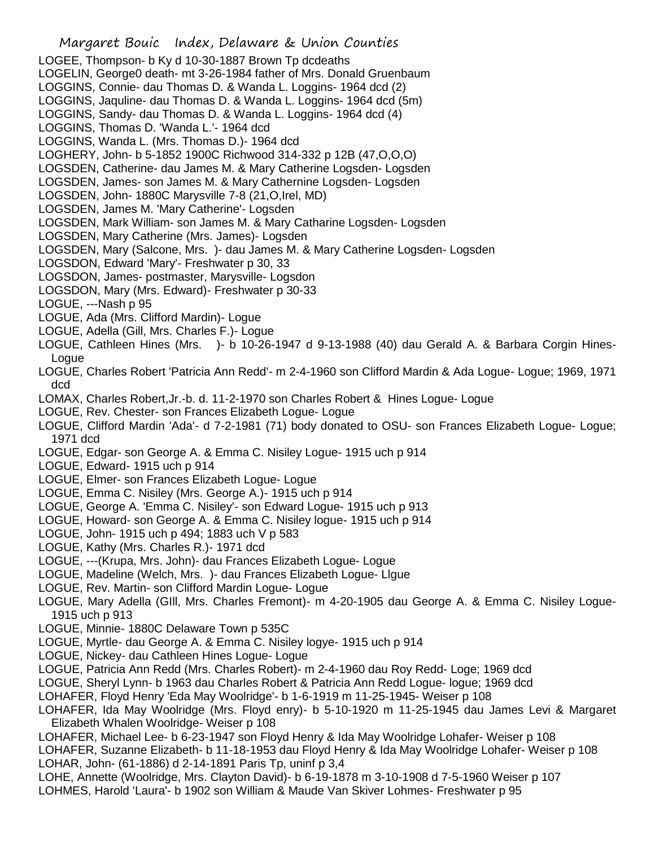LOGEE, Thompson- b Ky d 10-30-1887 Brown Tp dcdeaths LOGELIN, George0 death- mt 3-26-1984 father of Mrs. Donald Gruenbaum LOGGINS, Connie- dau Thomas D. & Wanda L. Loggins- 1964 dcd (2) LOGGINS, Jaquline- dau Thomas D. & Wanda L. Loggins- 1964 dcd (5m) LOGGINS, Sandy- dau Thomas D. & Wanda L. Loggins- 1964 dcd (4) LOGGINS, Thomas D. 'Wanda L.'- 1964 dcd LOGGINS, Wanda L. (Mrs. Thomas D.)- 1964 dcd LOGHERY, John- b 5-1852 1900C Richwood 314-332 p 12B (47,O,O,O) LOGSDEN, Catherine- dau James M. & Mary Catherine Logsden- Logsden LOGSDEN, James- son James M. & Mary Cathernine Logsden- Logsden LOGSDEN, John- 1880C Marysville 7-8 (21,O,Irel, MD) LOGSDEN, James M. 'Mary Catherine'- Logsden LOGSDEN, Mark William- son James M. & Mary Catharine Logsden- Logsden LOGSDEN, Mary Catherine (Mrs. James)- Logsden LOGSDEN, Mary (Salcone, Mrs. )- dau James M. & Mary Catherine Logsden- Logsden LOGSDON, Edward 'Mary'- Freshwater p 30, 33 LOGSDON, James- postmaster, Marysville- Logsdon LOGSDON, Mary (Mrs. Edward)- Freshwater p 30-33 LOGUE, ---Nash p 95 LOGUE, Ada (Mrs. Clifford Mardin)- Logue LOGUE, Adella (Gill, Mrs. Charles F.)- Logue LOGUE, Cathleen Hines (Mrs. )- b 10-26-1947 d 9-13-1988 (40) dau Gerald A. & Barbara Corgin Hines-Logue LOGUE, Charles Robert 'Patricia Ann Redd'- m 2-4-1960 son Clifford Mardin & Ada Logue- Logue; 1969, 1971 dcd LOMAX, Charles Robert,Jr.-b. d. 11-2-1970 son Charles Robert & Hines Logue- Logue LOGUE, Rev. Chester- son Frances Elizabeth Logue- Logue LOGUE, Clifford Mardin 'Ada'- d 7-2-1981 (71) body donated to OSU- son Frances Elizabeth Logue- Logue; 1971 dcd LOGUE, Edgar- son George A. & Emma C. Nisiley Logue- 1915 uch p 914 LOGUE, Edward- 1915 uch p 914 LOGUE, Elmer- son Frances Elizabeth Logue- Logue LOGUE, Emma C. Nisiley (Mrs. George A.)- 1915 uch p 914 LOGUE, George A. 'Emma C. Nisiley'- son Edward Logue- 1915 uch p 913 LOGUE, Howard- son George A. & Emma C. Nisiley logue- 1915 uch p 914 LOGUE, John- 1915 uch p 494; 1883 uch V p 583 LOGUE, Kathy (Mrs. Charles R.)- 1971 dcd LOGUE, ---(Krupa, Mrs. John)- dau Frances Elizabeth Logue- Logue LOGUE, Madeline (Welch, Mrs. )- dau Frances Elizabeth Logue- Llgue LOGUE, Rev. Martin- son Clifford Mardin Logue- Logue LOGUE, Mary Adella (GIll, Mrs. Charles Fremont)- m 4-20-1905 dau George A. & Emma C. Nisiley Logue-1915 uch p 913 LOGUE, Minnie- 1880C Delaware Town p 535C LOGUE, Myrtle- dau George A. & Emma C. Nisiley logye- 1915 uch p 914 LOGUE, Nickey- dau Cathleen Hines Logue- Logue LOGUE, Patricia Ann Redd (Mrs. Charles Robert)- m 2-4-1960 dau Roy Redd- Loge; 1969 dcd LOGUE, Sheryl Lynn- b 1963 dau Charles Robert & Patricia Ann Redd Logue- logue; 1969 dcd LOHAFER, Floyd Henry 'Eda May Woolridge'- b 1-6-1919 m 11-25-1945- Weiser p 108

Margaret Bouic Index, Delaware & Union Counties

- LOHAFER, Ida May Woolridge (Mrs. Floyd enry)- b 5-10-1920 m 11-25-1945 dau James Levi & Margaret Elizabeth Whalen Woolridge- Weiser p 108
- LOHAFER, Michael Lee- b 6-23-1947 son Floyd Henry & Ida May Woolridge Lohafer- Weiser p 108
- LOHAFER, Suzanne Elizabeth- b 11-18-1953 dau Floyd Henry & Ida May Woolridge Lohafer- Weiser p 108 LOHAR, John- (61-1886) d 2-14-1891 Paris Tp, uninf p 3,4
- LOHE, Annette (Woolridge, Mrs. Clayton David)- b 6-19-1878 m 3-10-1908 d 7-5-1960 Weiser p 107 LOHMES, Harold 'Laura'- b 1902 son William & Maude Van Skiver Lohmes- Freshwater p 95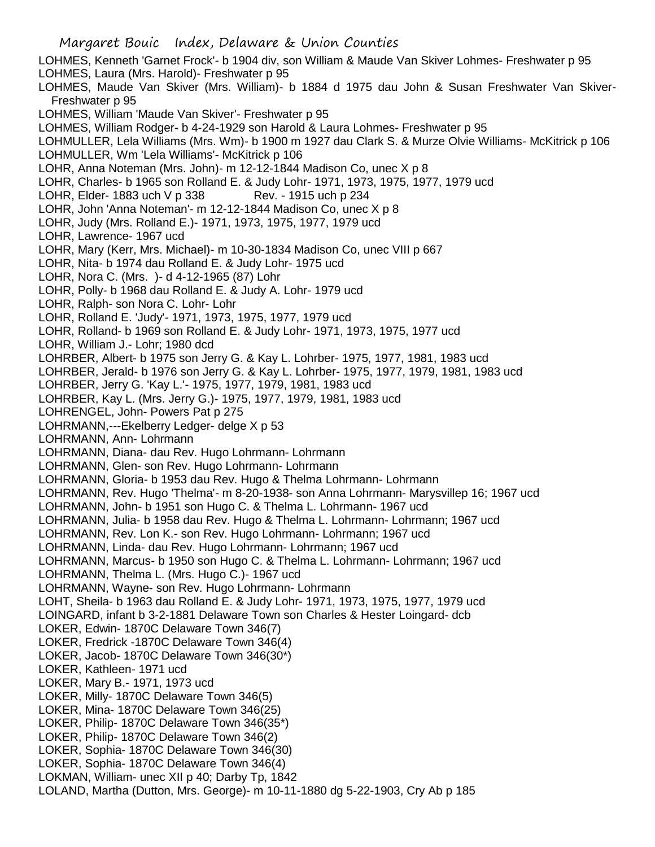LOHMES, Kenneth 'Garnet Frock'- b 1904 div, son William & Maude Van Skiver Lohmes- Freshwater p 95 LOHMES, Laura (Mrs. Harold)- Freshwater p 95

LOHMES, Maude Van Skiver (Mrs. William)- b 1884 d 1975 dau John & Susan Freshwater Van Skiver-Freshwater p 95

LOHMES, William 'Maude Van Skiver'- Freshwater p 95

LOHMES, William Rodger- b 4-24-1929 son Harold & Laura Lohmes- Freshwater p 95

LOHMULLER, Lela Williams (Mrs. Wm)- b 1900 m 1927 dau Clark S. & Murze Olvie Williams- McKitrick p 106

LOHMULLER, Wm 'Lela Williams'- McKitrick p 106

LOHR, Anna Noteman (Mrs. John)- m 12-12-1844 Madison Co, unec X p 8

LOHR, Charles- b 1965 son Rolland E. & Judy Lohr- 1971, 1973, 1975, 1977, 1979 ucd

LOHR, Elder- 1883 uch V p 338 Rev. - 1915 uch p 234

LOHR, John 'Anna Noteman'- m 12-12-1844 Madison Co, unec X p 8

LOHR, Judy (Mrs. Rolland E.)- 1971, 1973, 1975, 1977, 1979 ucd

LOHR, Lawrence- 1967 ucd

LOHR, Mary (Kerr, Mrs. Michael)- m 10-30-1834 Madison Co, unec VIII p 667

LOHR, Nita- b 1974 dau Rolland E. & Judy Lohr- 1975 ucd

LOHR, Nora C. (Mrs. )- d 4-12-1965 (87) Lohr

LOHR, Polly- b 1968 dau Rolland E. & Judy A. Lohr- 1979 ucd

LOHR, Ralph- son Nora C. Lohr- Lohr

LOHR, Rolland E. 'Judy'- 1971, 1973, 1975, 1977, 1979 ucd

LOHR, Rolland- b 1969 son Rolland E. & Judy Lohr- 1971, 1973, 1975, 1977 ucd

LOHR, William J.- Lohr; 1980 dcd

LOHRBER, Albert- b 1975 son Jerry G. & Kay L. Lohrber- 1975, 1977, 1981, 1983 ucd

LOHRBER, Jerald- b 1976 son Jerry G. & Kay L. Lohrber- 1975, 1977, 1979, 1981, 1983 ucd

LOHRBER, Jerry G. 'Kay L.'- 1975, 1977, 1979, 1981, 1983 ucd

LOHRBER, Kay L. (Mrs. Jerry G.)- 1975, 1977, 1979, 1981, 1983 ucd

LOHRENGEL, John- Powers Pat p 275

LOHRMANN,---Ekelberry Ledger- delge X p 53

LOHRMANN, Ann- Lohrmann

LOHRMANN, Diana- dau Rev. Hugo Lohrmann- Lohrmann

LOHRMANN, Glen- son Rev. Hugo Lohrmann- Lohrmann

LOHRMANN, Gloria- b 1953 dau Rev. Hugo & Thelma Lohrmann- Lohrmann

LOHRMANN, Rev. Hugo 'Thelma'- m 8-20-1938- son Anna Lohrmann- Marysvillep 16; 1967 ucd

LOHRMANN, John- b 1951 son Hugo C. & Thelma L. Lohrmann- 1967 ucd

LOHRMANN, Julia- b 1958 dau Rev. Hugo & Thelma L. Lohrmann- Lohrmann; 1967 ucd

LOHRMANN, Rev. Lon K.- son Rev. Hugo Lohrmann- Lohrmann; 1967 ucd

LOHRMANN, Linda- dau Rev. Hugo Lohrmann- Lohrmann; 1967 ucd

LOHRMANN, Marcus- b 1950 son Hugo C. & Thelma L. Lohrmann- Lohrmann; 1967 ucd

LOHRMANN, Thelma L. (Mrs. Hugo C.)- 1967 ucd

LOHRMANN, Wayne- son Rev. Hugo Lohrmann- Lohrmann

LOHT, Sheila- b 1963 dau Rolland E. & Judy Lohr- 1971, 1973, 1975, 1977, 1979 ucd

LOINGARD, infant b 3-2-1881 Delaware Town son Charles & Hester Loingard- dcb

LOKER, Edwin- 1870C Delaware Town 346(7)

LOKER, Fredrick -1870C Delaware Town 346(4)

LOKER, Jacob- 1870C Delaware Town 346(30\*)

LOKER, Kathleen- 1971 ucd

LOKER, Mary B.- 1971, 1973 ucd

LOKER, Milly- 1870C Delaware Town 346(5)

LOKER, Mina- 1870C Delaware Town 346(25)

LOKER, Philip- 1870C Delaware Town 346(35\*)

LOKER, Philip- 1870C Delaware Town 346(2)

LOKER, Sophia- 1870C Delaware Town 346(30)

LOKER, Sophia- 1870C Delaware Town 346(4)

LOKMAN, William- unec XII p 40; Darby Tp, 1842

LOLAND, Martha (Dutton, Mrs. George)- m 10-11-1880 dg 5-22-1903, Cry Ab p 185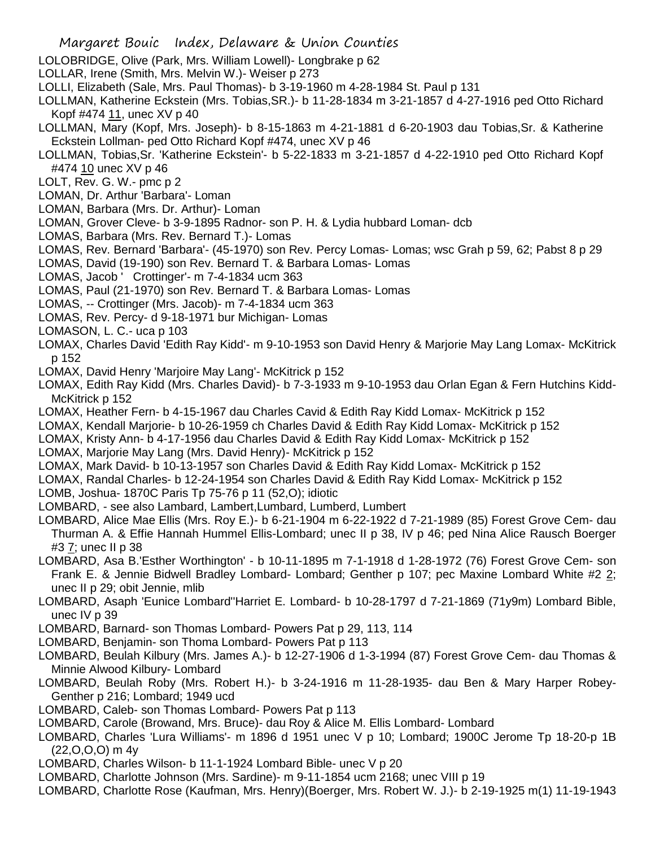- LOLOBRIDGE, Olive (Park, Mrs. William Lowell)- Longbrake p 62
- LOLLAR, Irene (Smith, Mrs. Melvin W.)- Weiser p 273
- LOLLI, Elizabeth (Sale, Mrs. Paul Thomas)- b 3-19-1960 m 4-28-1984 St. Paul p 131
- LOLLMAN, Katherine Eckstein (Mrs. Tobias,SR.)- b 11-28-1834 m 3-21-1857 d 4-27-1916 ped Otto Richard Kopf #474 11, unec XV p 40
- LOLLMAN, Mary (Kopf, Mrs. Joseph)- b 8-15-1863 m 4-21-1881 d 6-20-1903 dau Tobias,Sr. & Katherine Eckstein Lollman- ped Otto Richard Kopf #474, unec XV p 46
- LOLLMAN, Tobias,Sr. 'Katherine Eckstein'- b 5-22-1833 m 3-21-1857 d 4-22-1910 ped Otto Richard Kopf #474 10 unec XV p 46
- LOLT, Rev. G. W.- pmc p 2
- LOMAN, Dr. Arthur 'Barbara'- Loman
- LOMAN, Barbara (Mrs. Dr. Arthur)- Loman
- LOMAN, Grover Cleve- b 3-9-1895 Radnor- son P. H. & Lydia hubbard Loman- dcb
- LOMAS, Barbara (Mrs. Rev. Bernard T.)- Lomas
- LOMAS, Rev. Bernard 'Barbara'- (45-1970) son Rev. Percy Lomas- Lomas; wsc Grah p 59, 62; Pabst 8 p 29
- LOMAS, David (19-190) son Rev. Bernard T. & Barbara Lomas- Lomas
- LOMAS, Jacob ' Crottinger'- m 7-4-1834 ucm 363
- LOMAS, Paul (21-1970) son Rev. Bernard T. & Barbara Lomas- Lomas
- LOMAS, -- Crottinger (Mrs. Jacob)- m 7-4-1834 ucm 363
- LOMAS, Rev. Percy- d 9-18-1971 bur Michigan- Lomas
- LOMASON, L. C.- uca p 103
- LOMAX, Charles David 'Edith Ray Kidd'- m 9-10-1953 son David Henry & Marjorie May Lang Lomax- McKitrick p 152
- LOMAX, David Henry 'Marjoire May Lang'- McKitrick p 152
- LOMAX, Edith Ray Kidd (Mrs. Charles David)- b 7-3-1933 m 9-10-1953 dau Orlan Egan & Fern Hutchins Kidd-McKitrick p 152
- LOMAX, Heather Fern- b 4-15-1967 dau Charles Cavid & Edith Ray Kidd Lomax- McKitrick p 152
- LOMAX, Kendall Marjorie- b 10-26-1959 ch Charles David & Edith Ray Kidd Lomax- McKitrick p 152
- LOMAX, Kristy Ann- b 4-17-1956 dau Charles David & Edith Ray Kidd Lomax- McKitrick p 152
- LOMAX, Marjorie May Lang (Mrs. David Henry)- McKitrick p 152
- LOMAX, Mark David- b 10-13-1957 son Charles David & Edith Ray Kidd Lomax- McKitrick p 152
- LOMAX, Randal Charles- b 12-24-1954 son Charles David & Edith Ray Kidd Lomax- McKitrick p 152
- LOMB, Joshua- 1870C Paris Tp 75-76 p 11 (52,O); idiotic
- LOMBARD, see also Lambard, Lambert,Lumbard, Lumberd, Lumbert
- LOMBARD, Alice Mae Ellis (Mrs. Roy E.)- b 6-21-1904 m 6-22-1922 d 7-21-1989 (85) Forest Grove Cem- dau Thurman A. & Effie Hannah Hummel Ellis-Lombard; unec II p 38, IV p 46; ped Nina Alice Rausch Boerger #3 7; unec II p 38
- LOMBARD, Asa B.'Esther Worthington' b 10-11-1895 m 7-1-1918 d 1-28-1972 (76) Forest Grove Cem- son Frank E. & Jennie Bidwell Bradley Lombard- Lombard; Genther p 107; pec Maxine Lombard White #2 2; unec II p 29; obit Jennie, mlib
- LOMBARD, Asaph 'Eunice Lombard''Harriet E. Lombard- b 10-28-1797 d 7-21-1869 (71y9m) Lombard Bible, unec IV p 39
- LOMBARD, Barnard- son Thomas Lombard- Powers Pat p 29, 113, 114
- LOMBARD, Benjamin- son Thoma Lombard- Powers Pat p 113
- LOMBARD, Beulah Kilbury (Mrs. James A.)- b 12-27-1906 d 1-3-1994 (87) Forest Grove Cem- dau Thomas & Minnie Alwood Kilbury- Lombard
- LOMBARD, Beulah Roby (Mrs. Robert H.)- b 3-24-1916 m 11-28-1935- dau Ben & Mary Harper Robey-Genther p 216; Lombard; 1949 ucd
- LOMBARD, Caleb- son Thomas Lombard- Powers Pat p 113
- LOMBARD, Carole (Browand, Mrs. Bruce)- dau Roy & Alice M. Ellis Lombard- Lombard
- LOMBARD, Charles 'Lura Williams'- m 1896 d 1951 unec V p 10; Lombard; 1900C Jerome Tp 18-20-p 1B (22,O,O,O) m 4y
- LOMBARD, Charles Wilson- b 11-1-1924 Lombard Bible- unec V p 20
- LOMBARD, Charlotte Johnson (Mrs. Sardine)- m 9-11-1854 ucm 2168; unec VIII p 19
- LOMBARD, Charlotte Rose (Kaufman, Mrs. Henry)(Boerger, Mrs. Robert W. J.)- b 2-19-1925 m(1) 11-19-1943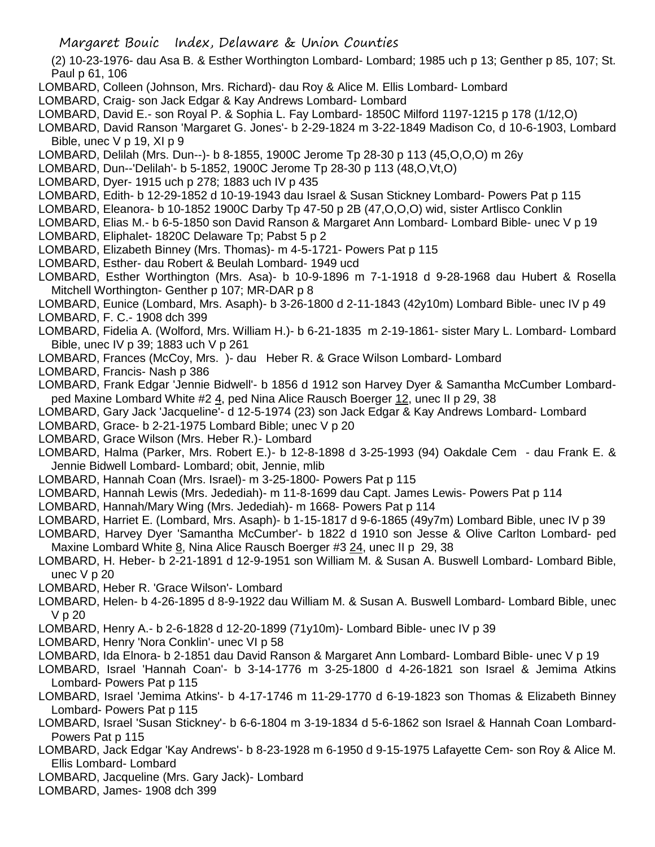- (2) 10-23-1976- dau Asa B. & Esther Worthington Lombard- Lombard; 1985 uch p 13; Genther p 85, 107; St. Paul p 61, 106
- LOMBARD, Colleen (Johnson, Mrs. Richard)- dau Roy & Alice M. Ellis Lombard- Lombard
- LOMBARD, Craig- son Jack Edgar & Kay Andrews Lombard- Lombard
- LOMBARD, David E.- son Royal P. & Sophia L. Fay Lombard- 1850C Milford 1197-1215 p 178 (1/12,O)
- LOMBARD, David Ranson 'Margaret G. Jones'- b 2-29-1824 m 3-22-1849 Madison Co, d 10-6-1903, Lombard Bible, unec V p 19, XI p 9
- LOMBARD, Delilah (Mrs. Dun--)- b 8-1855, 1900C Jerome Tp 28-30 p 113 (45,O,O,O) m 26y
- LOMBARD, Dun--'Delilah'- b 5-1852, 1900C Jerome Tp 28-30 p 113 (48,O,Vt,O)
- LOMBARD, Dyer- 1915 uch p 278; 1883 uch IV p 435
- LOMBARD, Edith- b 12-29-1852 d 10-19-1943 dau Israel & Susan Stickney Lombard- Powers Pat p 115
- LOMBARD, Eleanora- b 10-1852 1900C Darby Tp 47-50 p 2B (47,O,O,O) wid, sister Artlisco Conklin
- LOMBARD, Elias M.- b 6-5-1850 son David Ranson & Margaret Ann Lombard- Lombard Bible- unec V p 19
- LOMBARD, Eliphalet- 1820C Delaware Tp; Pabst 5 p 2
- LOMBARD, Elizabeth Binney (Mrs. Thomas)- m 4-5-1721- Powers Pat p 115
- LOMBARD, Esther- dau Robert & Beulah Lombard- 1949 ucd
- LOMBARD, Esther Worthington (Mrs. Asa)- b 10-9-1896 m 7-1-1918 d 9-28-1968 dau Hubert & Rosella Mitchell Worthington- Genther p 107; MR-DAR p 8
- LOMBARD, Eunice (Lombard, Mrs. Asaph)- b 3-26-1800 d 2-11-1843 (42y10m) Lombard Bible- unec IV p 49
- LOMBARD, F. C.- 1908 dch 399
- LOMBARD, Fidelia A. (Wolford, Mrs. William H.)- b 6-21-1835 m 2-19-1861- sister Mary L. Lombard- Lombard Bible, unec IV p 39; 1883 uch V p 261
- LOMBARD, Frances (McCoy, Mrs. )- dau Heber R. & Grace Wilson Lombard- Lombard
- LOMBARD, Francis- Nash p 386
- LOMBARD, Frank Edgar 'Jennie Bidwell'- b 1856 d 1912 son Harvey Dyer & Samantha McCumber Lombardped Maxine Lombard White #2 4, ped Nina Alice Rausch Boerger 12, unec II p 29, 38
- LOMBARD, Gary Jack 'Jacqueline'- d 12-5-1974 (23) son Jack Edgar & Kay Andrews Lombard- Lombard
- LOMBARD, Grace- b 2-21-1975 Lombard Bible; unec V p 20
- LOMBARD, Grace Wilson (Mrs. Heber R.)- Lombard
- LOMBARD, Halma (Parker, Mrs. Robert E.)- b 12-8-1898 d 3-25-1993 (94) Oakdale Cem dau Frank E. & Jennie Bidwell Lombard- Lombard; obit, Jennie, mlib
- LOMBARD, Hannah Coan (Mrs. Israel)- m 3-25-1800- Powers Pat p 115
- LOMBARD, Hannah Lewis (Mrs. Jedediah)- m 11-8-1699 dau Capt. James Lewis- Powers Pat p 114
- LOMBARD, Hannah/Mary Wing (Mrs. Jedediah)- m 1668- Powers Pat p 114
- LOMBARD, Harriet E. (Lombard, Mrs. Asaph)- b 1-15-1817 d 9-6-1865 (49y7m) Lombard Bible, unec IV p 39
- LOMBARD, Harvey Dyer 'Samantha McCumber'- b 1822 d 1910 son Jesse & Olive Carlton Lombard- ped Maxine Lombard White 8, Nina Alice Rausch Boerger #3 24, unec II p 29, 38
- LOMBARD, H. Heber- b 2-21-1891 d 12-9-1951 son William M. & Susan A. Buswell Lombard- Lombard Bible, unec V p 20
- LOMBARD, Heber R. 'Grace Wilson'- Lombard
- LOMBARD, Helen- b 4-26-1895 d 8-9-1922 dau William M. & Susan A. Buswell Lombard- Lombard Bible, unec V p 20
- LOMBARD, Henry A.- b 2-6-1828 d 12-20-1899 (71y10m)- Lombard Bible- unec IV p 39
- LOMBARD, Henry 'Nora Conklin'- unec VI p 58
- LOMBARD, Ida Elnora- b 2-1851 dau David Ranson & Margaret Ann Lombard- Lombard Bible- unec V p 19
- LOMBARD, Israel 'Hannah Coan'- b 3-14-1776 m 3-25-1800 d 4-26-1821 son Israel & Jemima Atkins Lombard- Powers Pat p 115
- LOMBARD, Israel 'Jemima Atkins'- b 4-17-1746 m 11-29-1770 d 6-19-1823 son Thomas & Elizabeth Binney Lombard- Powers Pat p 115
- LOMBARD, Israel 'Susan Stickney'- b 6-6-1804 m 3-19-1834 d 5-6-1862 son Israel & Hannah Coan Lombard-Powers Pat p 115
- LOMBARD, Jack Edgar 'Kay Andrews'- b 8-23-1928 m 6-1950 d 9-15-1975 Lafayette Cem- son Roy & Alice M. Ellis Lombard- Lombard
- LOMBARD, Jacqueline (Mrs. Gary Jack)- Lombard
- LOMBARD, James- 1908 dch 399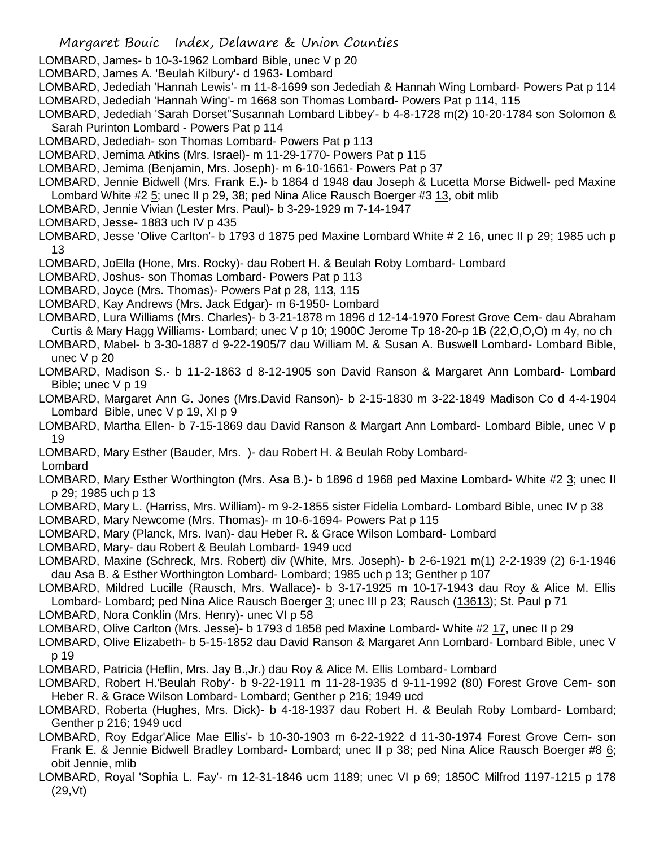- LOMBARD, James- b 10-3-1962 Lombard Bible, unec V p 20
- LOMBARD, James A. 'Beulah Kilbury'- d 1963- Lombard
- LOMBARD, Jedediah 'Hannah Lewis'- m 11-8-1699 son Jedediah & Hannah Wing Lombard- Powers Pat p 114
- LOMBARD, Jedediah 'Hannah Wing'- m 1668 son Thomas Lombard- Powers Pat p 114, 115
- LOMBARD, Jedediah 'Sarah Dorset''Susannah Lombard Libbey'- b 4-8-1728 m(2) 10-20-1784 son Solomon & Sarah Purinton Lombard - Powers Pat p 114
- LOMBARD, Jedediah- son Thomas Lombard- Powers Pat p 113
- LOMBARD, Jemima Atkins (Mrs. Israel)- m 11-29-1770- Powers Pat p 115
- LOMBARD, Jemima (Benjamin, Mrs. Joseph)- m 6-10-1661- Powers Pat p 37
- LOMBARD, Jennie Bidwell (Mrs. Frank E.)- b 1864 d 1948 dau Joseph & Lucetta Morse Bidwell- ped Maxine Lombard White #2 5; unec II p 29, 38; ped Nina Alice Rausch Boerger #3 13, obit mlib
- LOMBARD, Jennie Vivian (Lester Mrs. Paul)- b 3-29-1929 m 7-14-1947
- LOMBARD, Jesse- 1883 uch IV p 435
- LOMBARD, Jesse 'Olive Carlton'- b 1793 d 1875 ped Maxine Lombard White # 2 16, unec II p 29; 1985 uch p 13
- LOMBARD, JoElla (Hone, Mrs. Rocky)- dau Robert H. & Beulah Roby Lombard- Lombard
- LOMBARD, Joshus- son Thomas Lombard- Powers Pat p 113
- LOMBARD, Joyce (Mrs. Thomas)- Powers Pat p 28, 113, 115
- LOMBARD, Kay Andrews (Mrs. Jack Edgar)- m 6-1950- Lombard
- LOMBARD, Lura Williams (Mrs. Charles)- b 3-21-1878 m 1896 d 12-14-1970 Forest Grove Cem- dau Abraham Curtis & Mary Hagg Williams- Lombard; unec V p 10; 1900C Jerome Tp 18-20-p 1B (22,O,O,O) m 4y, no ch

LOMBARD, Mabel- b 3-30-1887 d 9-22-1905/7 dau William M. & Susan A. Buswell Lombard- Lombard Bible, unec V p 20

- LOMBARD, Madison S.- b 11-2-1863 d 8-12-1905 son David Ranson & Margaret Ann Lombard- Lombard Bible; unec V p 19
- LOMBARD, Margaret Ann G. Jones (Mrs.David Ranson)- b 2-15-1830 m 3-22-1849 Madison Co d 4-4-1904 Lombard Bible, unec V p 19, XI p 9
- LOMBARD, Martha Ellen- b 7-15-1869 dau David Ranson & Margart Ann Lombard- Lombard Bible, unec V p 19
- LOMBARD, Mary Esther (Bauder, Mrs. )- dau Robert H. & Beulah Roby Lombard-
- Lombard
- LOMBARD, Mary Esther Worthington (Mrs. Asa B.)- b 1896 d 1968 ped Maxine Lombard- White #2 3; unec II p 29; 1985 uch p 13
- LOMBARD, Mary L. (Harriss, Mrs. William)- m 9-2-1855 sister Fidelia Lombard- Lombard Bible, unec IV p 38
- LOMBARD, Mary Newcome (Mrs. Thomas)- m 10-6-1694- Powers Pat p 115
- LOMBARD, Mary (Planck, Mrs. Ivan)- dau Heber R. & Grace Wilson Lombard- Lombard
- LOMBARD, Mary- dau Robert & Beulah Lombard- 1949 ucd
- LOMBARD, Maxine (Schreck, Mrs. Robert) div (White, Mrs. Joseph)- b 2-6-1921 m(1) 2-2-1939 (2) 6-1-1946 dau Asa B. & Esther Worthington Lombard- Lombard; 1985 uch p 13; Genther p 107
- LOMBARD, Mildred Lucille (Rausch, Mrs. Wallace)- b 3-17-1925 m 10-17-1943 dau Roy & Alice M. Ellis Lombard- Lombard; ped Nina Alice Rausch Boerger 3; unec III p 23; Rausch (13613); St. Paul p 71
- LOMBARD, Nora Conklin (Mrs. Henry)- unec VI p 58
- LOMBARD, Olive Carlton (Mrs. Jesse)- b 1793 d 1858 ped Maxine Lombard- White #2 17, unec II p 29
- LOMBARD, Olive Elizabeth- b 5-15-1852 dau David Ranson & Margaret Ann Lombard- Lombard Bible, unec V p 19
- LOMBARD, Patricia (Heflin, Mrs. Jay B.,Jr.) dau Roy & Alice M. Ellis Lombard- Lombard
- LOMBARD, Robert H.'Beulah Roby'- b 9-22-1911 m 11-28-1935 d 9-11-1992 (80) Forest Grove Cem- son Heber R. & Grace Wilson Lombard- Lombard; Genther p 216; 1949 ucd
- LOMBARD, Roberta (Hughes, Mrs. Dick)- b 4-18-1937 dau Robert H. & Beulah Roby Lombard- Lombard; Genther p 216; 1949 ucd
- LOMBARD, Roy Edgar'Alice Mae Ellis'- b 10-30-1903 m 6-22-1922 d 11-30-1974 Forest Grove Cem- son Frank E. & Jennie Bidwell Bradley Lombard- Lombard; unec II p 38; ped Nina Alice Rausch Boerger #8 6; obit Jennie, mlib
- LOMBARD, Royal 'Sophia L. Fay'- m 12-31-1846 ucm 1189; unec VI p 69; 1850C Milfrod 1197-1215 p 178 (29,Vt)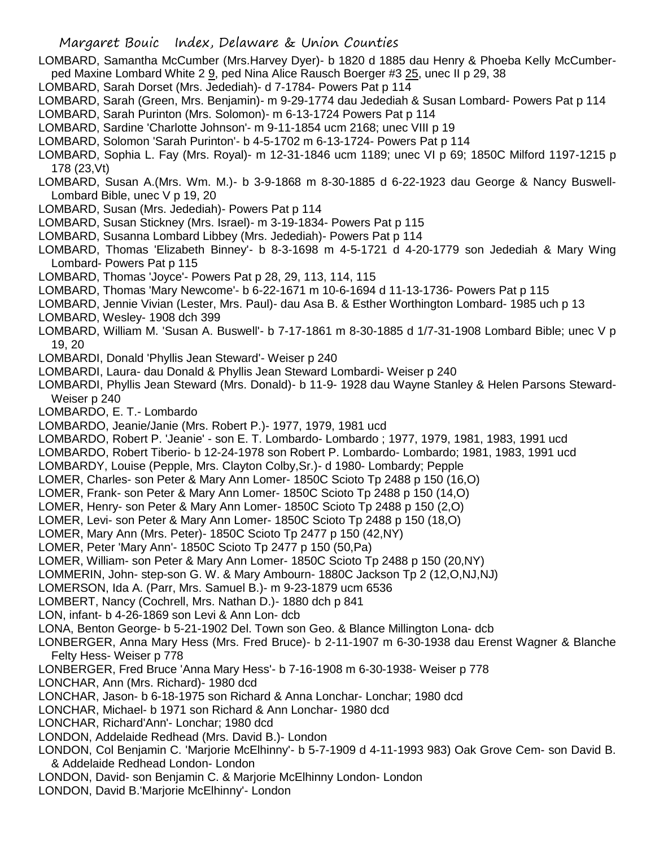- LOMBARD, Samantha McCumber (Mrs.Harvey Dyer)- b 1820 d 1885 dau Henry & Phoeba Kelly McCumberped Maxine Lombard White 2 9, ped Nina Alice Rausch Boerger #3 25, unec II p 29, 38
- LOMBARD, Sarah Dorset (Mrs. Jedediah)- d 7-1784- Powers Pat p 114
- LOMBARD, Sarah (Green, Mrs. Benjamin)- m 9-29-1774 dau Jedediah & Susan Lombard- Powers Pat p 114
- LOMBARD, Sarah Purinton (Mrs. Solomon)- m 6-13-1724 Powers Pat p 114
- LOMBARD, Sardine 'Charlotte Johnson'- m 9-11-1854 ucm 2168; unec VIII p 19
- LOMBARD, Solomon 'Sarah Purinton'- b 4-5-1702 m 6-13-1724- Powers Pat p 114
- LOMBARD, Sophia L. Fay (Mrs. Royal)- m 12-31-1846 ucm 1189; unec VI p 69; 1850C Milford 1197-1215 p 178 (23,Vt)
- LOMBARD, Susan A.(Mrs. Wm. M.)- b 3-9-1868 m 8-30-1885 d 6-22-1923 dau George & Nancy Buswell-Lombard Bible, unec V p 19, 20
- LOMBARD, Susan (Mrs. Jedediah)- Powers Pat p 114
- LOMBARD, Susan Stickney (Mrs. Israel)- m 3-19-1834- Powers Pat p 115
- LOMBARD, Susanna Lombard Libbey (Mrs. Jedediah)- Powers Pat p 114
- LOMBARD, Thomas 'Elizabeth Binney'- b 8-3-1698 m 4-5-1721 d 4-20-1779 son Jedediah & Mary Wing Lombard- Powers Pat p 115
- LOMBARD, Thomas 'Joyce'- Powers Pat p 28, 29, 113, 114, 115
- LOMBARD, Thomas 'Mary Newcome'- b 6-22-1671 m 10-6-1694 d 11-13-1736- Powers Pat p 115
- LOMBARD, Jennie Vivian (Lester, Mrs. Paul)- dau Asa B. & Esther Worthington Lombard- 1985 uch p 13 LOMBARD, Wesley- 1908 dch 399
- LOMBARD, William M. 'Susan A. Buswell'- b 7-17-1861 m 8-30-1885 d 1/7-31-1908 Lombard Bible; unec V p 19, 20
- LOMBARDI, Donald 'Phyllis Jean Steward'- Weiser p 240
- LOMBARDI, Laura- dau Donald & Phyllis Jean Steward Lombardi- Weiser p 240
- LOMBARDI, Phyllis Jean Steward (Mrs. Donald)- b 11-9- 1928 dau Wayne Stanley & Helen Parsons Steward-Weiser p 240
- LOMBARDO, E. T.- Lombardo
- LOMBARDO, Jeanie/Janie (Mrs. Robert P.)- 1977, 1979, 1981 ucd
- LOMBARDO, Robert P. 'Jeanie' son E. T. Lombardo- Lombardo ; 1977, 1979, 1981, 1983, 1991 ucd
- LOMBARDO, Robert Tiberio- b 12-24-1978 son Robert P. Lombardo- Lombardo; 1981, 1983, 1991 ucd
- LOMBARDY, Louise (Pepple, Mrs. Clayton Colby,Sr.)- d 1980- Lombardy; Pepple
- LOMER, Charles- son Peter & Mary Ann Lomer- 1850C Scioto Tp 2488 p 150 (16,O)
- LOMER, Frank- son Peter & Mary Ann Lomer- 1850C Scioto Tp 2488 p 150 (14,O)
- LOMER, Henry- son Peter & Mary Ann Lomer- 1850C Scioto Tp 2488 p 150 (2,O)
- LOMER, Levi- son Peter & Mary Ann Lomer- 1850C Scioto Tp 2488 p 150 (18,O)
- LOMER, Mary Ann (Mrs. Peter)- 1850C Scioto Tp 2477 p 150 (42,NY)
- LOMER, Peter 'Mary Ann'- 1850C Scioto Tp 2477 p 150 (50,Pa)
- LOMER, William- son Peter & Mary Ann Lomer- 1850C Scioto Tp 2488 p 150 (20,NY)
- LOMMERIN, John- step-son G. W. & Mary Ambourn- 1880C Jackson Tp 2 (12,O,NJ,NJ)
- LOMERSON, Ida A. (Parr, Mrs. Samuel B.)- m 9-23-1879 ucm 6536
- LOMBERT, Nancy (Cochrell, Mrs. Nathan D.)- 1880 dch p 841
- LON, infant- b 4-26-1869 son Levi & Ann Lon- dcb
- LONA, Benton George- b 5-21-1902 Del. Town son Geo. & Blance Millington Lona- dcb
- LONBERGER, Anna Mary Hess (Mrs. Fred Bruce)- b 2-11-1907 m 6-30-1938 dau Erenst Wagner & Blanche Felty Hess- Weiser p 778
- LONBERGER, Fred Bruce 'Anna Mary Hess'- b 7-16-1908 m 6-30-1938- Weiser p 778
- LONCHAR, Ann (Mrs. Richard)- 1980 dcd
- LONCHAR, Jason- b 6-18-1975 son Richard & Anna Lonchar- Lonchar; 1980 dcd
- LONCHAR, Michael- b 1971 son Richard & Ann Lonchar- 1980 dcd
- LONCHAR, Richard'Ann'- Lonchar; 1980 dcd
- LONDON, Addelaide Redhead (Mrs. David B.)- London
- LONDON, Col Benjamin C. 'Marjorie McElhinny'- b 5-7-1909 d 4-11-1993 983) Oak Grove Cem- son David B. & Addelaide Redhead London- London
- LONDON, David- son Benjamin C. & Marjorie McElhinny London- London
- LONDON, David B.'Marjorie McElhinny'- London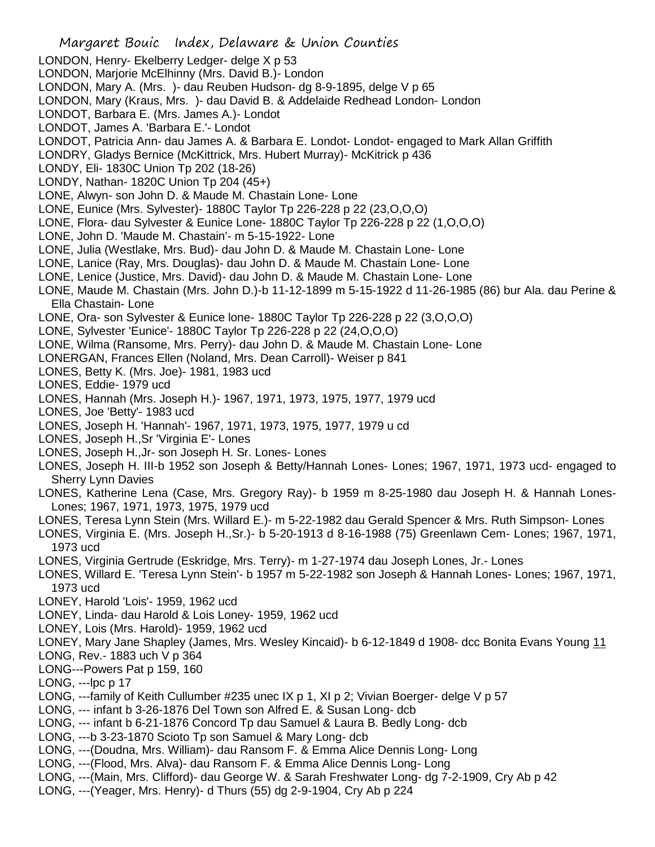- Margaret Bouic Index, Delaware & Union Counties LONDON, Henry- Ekelberry Ledger- delge X p 53 LONDON, Marjorie McElhinny (Mrs. David B.)- London LONDON, Mary A. (Mrs. )- dau Reuben Hudson- dg 8-9-1895, delge V p 65 LONDON, Mary (Kraus, Mrs. )- dau David B. & Addelaide Redhead London- London LONDOT, Barbara E. (Mrs. James A.)- Londot LONDOT, James A. 'Barbara E.'- Londot LONDOT, Patricia Ann- dau James A. & Barbara E. Londot- Londot- engaged to Mark Allan Griffith LONDRY, Gladys Bernice (McKittrick, Mrs. Hubert Murray)- McKitrick p 436 LONDY, Eli- 1830C Union Tp 202 (18-26) LONDY, Nathan- 1820C Union Tp 204 (45+) LONE, Alwyn- son John D. & Maude M. Chastain Lone- Lone LONE, Eunice (Mrs. Sylvester)- 1880C Taylor Tp 226-228 p 22 (23,O,O,O) LONE, Flora- dau Sylvester & Eunice Lone- 1880C Taylor Tp 226-228 p 22 (1,O,O,O) LONE, John D. 'Maude M. Chastain'- m 5-15-1922- Lone LONE, Julia (Westlake, Mrs. Bud)- dau John D. & Maude M. Chastain Lone- Lone LONE, Lanice (Ray, Mrs. Douglas)- dau John D. & Maude M. Chastain Lone- Lone LONE, Lenice (Justice, Mrs. David)- dau John D. & Maude M. Chastain Lone- Lone LONE, Maude M. Chastain (Mrs. John D.)-b 11-12-1899 m 5-15-1922 d 11-26-1985 (86) bur Ala. dau Perine & Ella Chastain- Lone LONE, Ora- son Sylvester & Eunice lone- 1880C Taylor Tp 226-228 p 22 (3,O,O,O) LONE, Sylvester 'Eunice'- 1880C Taylor Tp 226-228 p 22 (24,O,O,O) LONE, Wilma (Ransome, Mrs. Perry)- dau John D. & Maude M. Chastain Lone- Lone LONERGAN, Frances Ellen (Noland, Mrs. Dean Carroll)- Weiser p 841 LONES, Betty K. (Mrs. Joe)- 1981, 1983 ucd LONES, Eddie- 1979 ucd LONES, Hannah (Mrs. Joseph H.)- 1967, 1971, 1973, 1975, 1977, 1979 ucd LONES, Joe 'Betty'- 1983 ucd LONES, Joseph H. 'Hannah'- 1967, 1971, 1973, 1975, 1977, 1979 u cd LONES, Joseph H.,Sr 'Virginia E'- Lones LONES, Joseph H.,Jr- son Joseph H. Sr. Lones- Lones LONES, Joseph H. III-b 1952 son Joseph & Betty/Hannah Lones- Lones; 1967, 1971, 1973 ucd- engaged to Sherry Lynn Davies
- LONES, Katherine Lena (Case, Mrs. Gregory Ray)- b 1959 m 8-25-1980 dau Joseph H. & Hannah Lones-Lones; 1967, 1971, 1973, 1975, 1979 ucd
- LONES, Teresa Lynn Stein (Mrs. Willard E.)- m 5-22-1982 dau Gerald Spencer & Mrs. Ruth Simpson- Lones
- LONES, Virginia E. (Mrs. Joseph H.,Sr.)- b 5-20-1913 d 8-16-1988 (75) Greenlawn Cem- Lones; 1967, 1971, 1973 ucd
- LONES, Virginia Gertrude (Eskridge, Mrs. Terry)- m 1-27-1974 dau Joseph Lones, Jr.- Lones
- LONES, Willard E. 'Teresa Lynn Stein'- b 1957 m 5-22-1982 son Joseph & Hannah Lones- Lones; 1967, 1971, 1973 ucd
- LONEY, Harold 'Lois'- 1959, 1962 ucd
- LONEY, Linda- dau Harold & Lois Loney- 1959, 1962 ucd
- LONEY, Lois (Mrs. Harold)- 1959, 1962 ucd
- LONEY, Mary Jane Shapley (James, Mrs. Wesley Kincaid)- b 6-12-1849 d 1908- dcc Bonita Evans Young 11
- LONG, Rev.- 1883 uch V p 364
- LONG---Powers Pat p 159, 160
- LONG, ---lpc p 17
- LONG, ---family of Keith Cullumber #235 unec IX p 1, XI p 2; Vivian Boerger- delge V p 57
- LONG, --- infant b 3-26-1876 Del Town son Alfred E. & Susan Long- dcb
- LONG, --- infant b 6-21-1876 Concord Tp dau Samuel & Laura B. Bedly Long- dcb
- LONG, ---b 3-23-1870 Scioto Tp son Samuel & Mary Long- dcb
- LONG, ---(Doudna, Mrs. William)- dau Ransom F. & Emma Alice Dennis Long- Long
- LONG, ---(Flood, Mrs. Alva)- dau Ransom F. & Emma Alice Dennis Long- Long
- LONG, ---(Main, Mrs. Clifford)- dau George W. & Sarah Freshwater Long- dg 7-2-1909, Cry Ab p 42
- LONG, ---(Yeager, Mrs. Henry)- d Thurs (55) dg 2-9-1904, Cry Ab p 224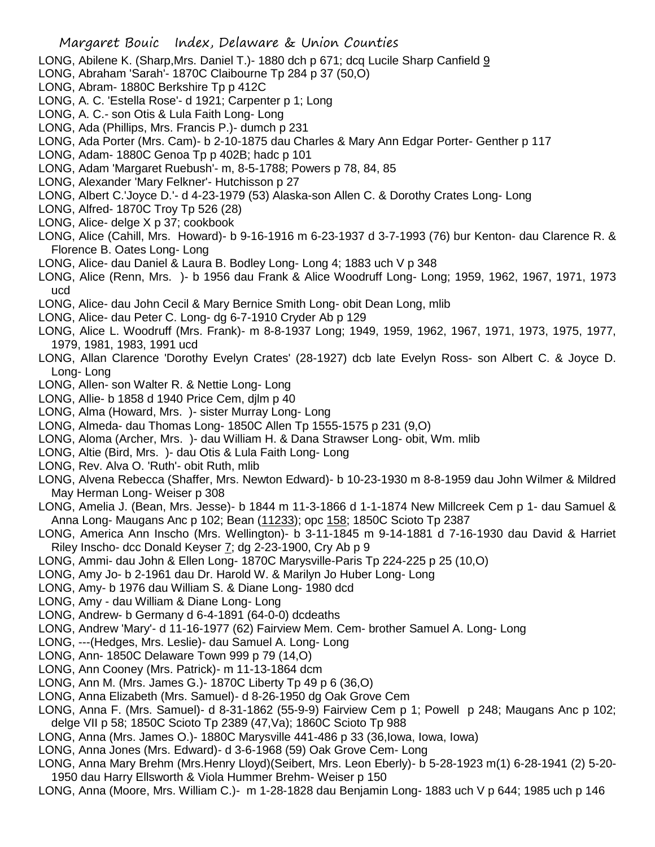- LONG, Abilene K. (Sharp,Mrs. Daniel T.)- 1880 dch p 671; dcq Lucile Sharp Canfield 9
- LONG, Abraham 'Sarah'- 1870C Claibourne Tp 284 p 37 (50,O)
- LONG, Abram- 1880C Berkshire Tp p 412C
- LONG, A. C. 'Estella Rose'- d 1921; Carpenter p 1; Long
- LONG, A. C.- son Otis & Lula Faith Long- Long
- LONG, Ada (Phillips, Mrs. Francis P.)- dumch p 231
- LONG, Ada Porter (Mrs. Cam)- b 2-10-1875 dau Charles & Mary Ann Edgar Porter- Genther p 117
- LONG, Adam- 1880C Genoa Tp p 402B; hadc p 101
- LONG, Adam 'Margaret Ruebush'- m, 8-5-1788; Powers p 78, 84, 85
- LONG, Alexander 'Mary Felkner'- Hutchisson p 27
- LONG, Albert C.'Joyce D.'- d 4-23-1979 (53) Alaska-son Allen C. & Dorothy Crates Long- Long
- LONG, Alfred- 1870C Troy Tp 526 (28)
- LONG, Alice- delge X p 37; cookbook
- LONG, Alice (Cahill, Mrs. Howard)- b 9-16-1916 m 6-23-1937 d 3-7-1993 (76) bur Kenton- dau Clarence R. & Florence B. Oates Long- Long
- LONG, Alice- dau Daniel & Laura B. Bodley Long- Long 4; 1883 uch V p 348
- LONG, Alice (Renn, Mrs. )- b 1956 dau Frank & Alice Woodruff Long- Long; 1959, 1962, 1967, 1971, 1973 ucd
- LONG, Alice- dau John Cecil & Mary Bernice Smith Long- obit Dean Long, mlib
- LONG, Alice- dau Peter C. Long- dg 6-7-1910 Cryder Ab p 129
- LONG, Alice L. Woodruff (Mrs. Frank)- m 8-8-1937 Long; 1949, 1959, 1962, 1967, 1971, 1973, 1975, 1977, 1979, 1981, 1983, 1991 ucd
- LONG, Allan Clarence 'Dorothy Evelyn Crates' (28-1927) dcb late Evelyn Ross- son Albert C. & Joyce D. Long- Long
- LONG, Allen- son Walter R. & Nettie Long- Long
- LONG, Allie- b 1858 d 1940 Price Cem, djlm p 40
- LONG, Alma (Howard, Mrs. )- sister Murray Long- Long
- LONG, Almeda- dau Thomas Long- 1850C Allen Tp 1555-1575 p 231 (9,O)
- LONG, Aloma (Archer, Mrs. )- dau William H. & Dana Strawser Long- obit, Wm. mlib
- LONG, Altie (Bird, Mrs. )- dau Otis & Lula Faith Long- Long
- LONG, Rev. Alva O. 'Ruth'- obit Ruth, mlib
- LONG, Alvena Rebecca (Shaffer, Mrs. Newton Edward)- b 10-23-1930 m 8-8-1959 dau John Wilmer & Mildred May Herman Long- Weiser p 308
- LONG, Amelia J. (Bean, Mrs. Jesse)- b 1844 m 11-3-1866 d 1-1-1874 New Millcreek Cem p 1- dau Samuel & Anna Long- Maugans Anc p 102; Bean (11233); opc 158; 1850C Scioto Tp 2387
- LONG, America Ann Inscho (Mrs. Wellington)- b 3-11-1845 m 9-14-1881 d 7-16-1930 dau David & Harriet Riley Inscho- dcc Donald Keyser 7; dg 2-23-1900, Cry Ab p 9
- LONG, Ammi- dau John & Ellen Long- 1870C Marysville-Paris Tp 224-225 p 25 (10,O)
- LONG, Amy Jo- b 2-1961 dau Dr. Harold W. & Marilyn Jo Huber Long- Long
- LONG, Amy- b 1976 dau William S. & Diane Long- 1980 dcd
- LONG, Amy dau William & Diane Long- Long
- LONG, Andrew- b Germany d 6-4-1891 (64-0-0) dcdeaths
- LONG, Andrew 'Mary'- d 11-16-1977 (62) Fairview Mem. Cem- brother Samuel A. Long- Long
- LONG, ---(Hedges, Mrs. Leslie)- dau Samuel A. Long- Long
- LONG, Ann- 1850C Delaware Town 999 p 79 (14,O)
- LONG, Ann Cooney (Mrs. Patrick)- m 11-13-1864 dcm
- LONG, Ann M. (Mrs. James G.)- 1870C Liberty Tp 49 p 6 (36,O)
- LONG, Anna Elizabeth (Mrs. Samuel)- d 8-26-1950 dg Oak Grove Cem
- LONG, Anna F. (Mrs. Samuel)- d 8-31-1862 (55-9-9) Fairview Cem p 1; Powell p 248; Maugans Anc p 102; delge VII p 58; 1850C Scioto Tp 2389 (47,Va); 1860C Scioto Tp 988
- LONG, Anna (Mrs. James O.)- 1880C Marysville 441-486 p 33 (36,Iowa, Iowa, Iowa)
- LONG, Anna Jones (Mrs. Edward)- d 3-6-1968 (59) Oak Grove Cem- Long
- LONG, Anna Mary Brehm (Mrs.Henry Lloyd)(Seibert, Mrs. Leon Eberly)- b 5-28-1923 m(1) 6-28-1941 (2) 5-20- 1950 dau Harry Ellsworth & Viola Hummer Brehm- Weiser p 150
- LONG, Anna (Moore, Mrs. William C.)- m 1-28-1828 dau Benjamin Long- 1883 uch V p 644; 1985 uch p 146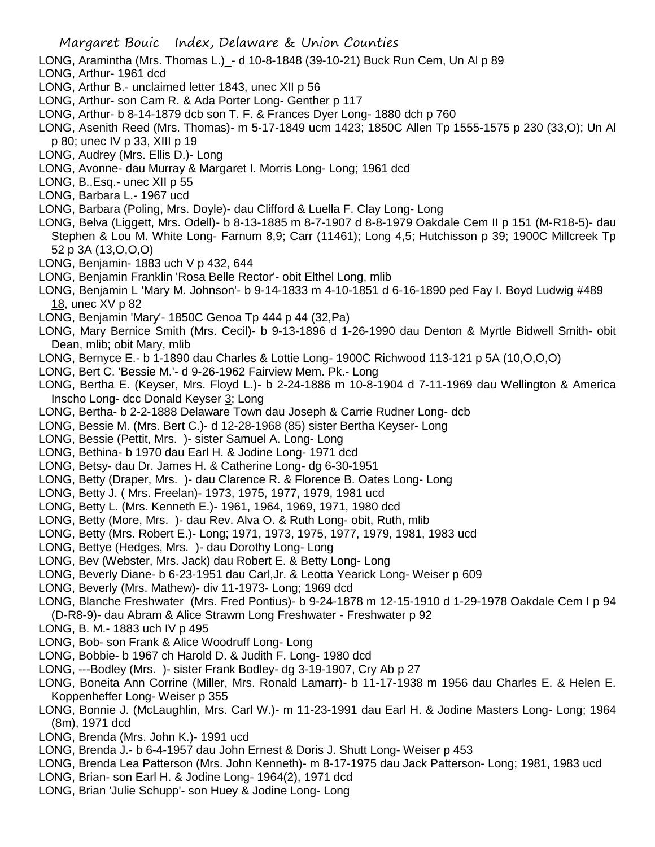- LONG, Aramintha (Mrs. Thomas L.)\_- d 10-8-1848 (39-10-21) Buck Run Cem, Un Al p 89
- LONG, Arthur- 1961 dcd
- LONG, Arthur B.- unclaimed letter 1843, unec XII p 56
- LONG, Arthur- son Cam R. & Ada Porter Long- Genther p 117
- LONG, Arthur- b 8-14-1879 dcb son T. F. & Frances Dyer Long- 1880 dch p 760
- LONG, Asenith Reed (Mrs. Thomas)- m 5-17-1849 ucm 1423; 1850C Allen Tp 1555-1575 p 230 (33,O); Un Al p 80; unec IV p 33, XIII p 19
- LONG, Audrey (Mrs. Ellis D.)- Long
- LONG, Avonne- dau Murray & Margaret I. Morris Long- Long; 1961 dcd
- LONG, B.,Esq.- unec XII p 55
- LONG, Barbara L.- 1967 ucd
- LONG, Barbara (Poling, Mrs. Doyle)- dau Clifford & Luella F. Clay Long- Long
- LONG, Belva (Liggett, Mrs. Odell)- b 8-13-1885 m 8-7-1907 d 8-8-1979 Oakdale Cem II p 151 (M-R18-5)- dau Stephen & Lou M. White Long- Farnum 8,9; Carr (11461); Long 4,5; Hutchisson p 39; 1900C Millcreek Tp 52 p 3A (13,O,O,O)
- LONG, Benjamin- 1883 uch V p 432, 644
- LONG, Benjamin Franklin 'Rosa Belle Rector'- obit Elthel Long, mlib
- LONG, Benjamin L 'Mary M. Johnson'- b 9-14-1833 m 4-10-1851 d 6-16-1890 ped Fay I. Boyd Ludwig #489 18, unec XV p 82
- LONG, Benjamin 'Mary'- 1850C Genoa Tp 444 p 44 (32,Pa)
- LONG, Mary Bernice Smith (Mrs. Cecil)- b 9-13-1896 d 1-26-1990 dau Denton & Myrtle Bidwell Smith- obit Dean, mlib; obit Mary, mlib
- LONG, Bernyce E.- b 1-1890 dau Charles & Lottie Long- 1900C Richwood 113-121 p 5A (10,O,O,O)
- LONG, Bert C. 'Bessie M.'- d 9-26-1962 Fairview Mem. Pk.- Long
- LONG, Bertha E. (Keyser, Mrs. Floyd L.)- b 2-24-1886 m 10-8-1904 d 7-11-1969 dau Wellington & America Inscho Long- dcc Donald Keyser 3; Long
- LONG, Bertha- b 2-2-1888 Delaware Town dau Joseph & Carrie Rudner Long- dcb
- LONG, Bessie M. (Mrs. Bert C.)- d 12-28-1968 (85) sister Bertha Keyser- Long
- LONG, Bessie (Pettit, Mrs. )- sister Samuel A. Long- Long
- LONG, Bethina- b 1970 dau Earl H. & Jodine Long- 1971 dcd
- LONG, Betsy- dau Dr. James H. & Catherine Long- dg 6-30-1951
- LONG, Betty (Draper, Mrs. )- dau Clarence R. & Florence B. Oates Long- Long
- LONG, Betty J. ( Mrs. Freelan)- 1973, 1975, 1977, 1979, 1981 ucd
- LONG, Betty L. (Mrs. Kenneth E.)- 1961, 1964, 1969, 1971, 1980 dcd
- LONG, Betty (More, Mrs. )- dau Rev. Alva O. & Ruth Long- obit, Ruth, mlib
- LONG, Betty (Mrs. Robert E.)- Long; 1971, 1973, 1975, 1977, 1979, 1981, 1983 ucd
- LONG, Bettye (Hedges, Mrs. )- dau Dorothy Long- Long
- LONG, Bev (Webster, Mrs. Jack) dau Robert E. & Betty Long- Long
- LONG, Beverly Diane- b 6-23-1951 dau Carl,Jr. & Leotta Yearick Long- Weiser p 609
- LONG, Beverly (Mrs. Mathew)- div 11-1973- Long; 1969 dcd
- LONG, Blanche Freshwater (Mrs. Fred Pontius)- b 9-24-1878 m 12-15-1910 d 1-29-1978 Oakdale Cem I p 94 (D-R8-9)- dau Abram & Alice Strawm Long Freshwater - Freshwater p 92
- LONG, B. M.- 1883 uch IV p 495
- LONG, Bob- son Frank & Alice Woodruff Long- Long
- LONG, Bobbie- b 1967 ch Harold D. & Judith F. Long- 1980 dcd
- LONG, ---Bodley (Mrs. )- sister Frank Bodley- dg 3-19-1907, Cry Ab p 27
- LONG, Boneita Ann Corrine (Miller, Mrs. Ronald Lamarr)- b 11-17-1938 m 1956 dau Charles E. & Helen E. Koppenheffer Long- Weiser p 355
- LONG, Bonnie J. (McLaughlin, Mrs. Carl W.)- m 11-23-1991 dau Earl H. & Jodine Masters Long- Long; 1964 (8m), 1971 dcd
- LONG, Brenda (Mrs. John K.)- 1991 ucd
- LONG, Brenda J.- b 6-4-1957 dau John Ernest & Doris J. Shutt Long- Weiser p 453
- LONG, Brenda Lea Patterson (Mrs. John Kenneth)- m 8-17-1975 dau Jack Patterson- Long; 1981, 1983 ucd
- LONG, Brian- son Earl H. & Jodine Long- 1964(2), 1971 dcd
- LONG, Brian 'Julie Schupp'- son Huey & Jodine Long- Long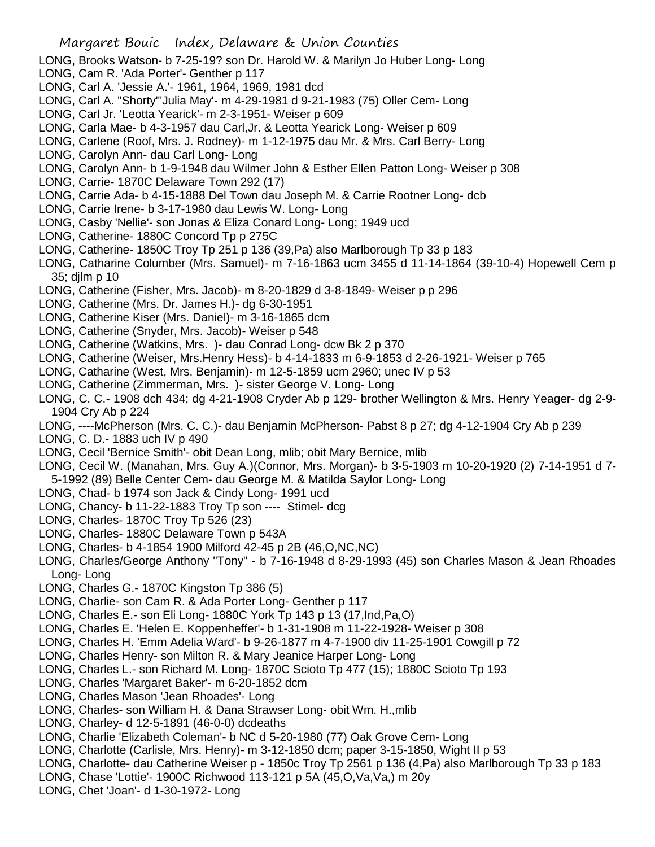- LONG, Brooks Watson- b 7-25-19? son Dr. Harold W. & Marilyn Jo Huber Long- Long
- LONG, Cam R. 'Ada Porter'- Genther p 117
- LONG, Carl A. 'Jessie A.'- 1961, 1964, 1969, 1981 dcd
- LONG, Carl A. "Shorty"'Julia May'- m 4-29-1981 d 9-21-1983 (75) Oller Cem- Long
- LONG, Carl Jr. 'Leotta Yearick'- m 2-3-1951- Weiser p 609
- LONG, Carla Mae- b 4-3-1957 dau Carl,Jr. & Leotta Yearick Long- Weiser p 609
- LONG, Carlene (Roof, Mrs. J. Rodney)- m 1-12-1975 dau Mr. & Mrs. Carl Berry- Long
- LONG, Carolyn Ann- dau Carl Long- Long
- LONG, Carolyn Ann- b 1-9-1948 dau Wilmer John & Esther Ellen Patton Long- Weiser p 308
- LONG, Carrie- 1870C Delaware Town 292 (17)
- LONG, Carrie Ada- b 4-15-1888 Del Town dau Joseph M. & Carrie Rootner Long- dcb
- LONG, Carrie Irene- b 3-17-1980 dau Lewis W. Long- Long
- LONG, Casby 'Nellie'- son Jonas & Eliza Conard Long- Long; 1949 ucd
- LONG, Catherine- 1880C Concord Tp p 275C
- LONG, Catherine- 1850C Troy Tp 251 p 136 (39,Pa) also Marlborough Tp 33 p 183
- LONG, Catharine Columber (Mrs. Samuel)- m 7-16-1863 ucm 3455 d 11-14-1864 (39-10-4) Hopewell Cem p 35; djlm p 10
- LONG, Catherine (Fisher, Mrs. Jacob)- m 8-20-1829 d 3-8-1849- Weiser p p 296
- LONG, Catherine (Mrs. Dr. James H.)- dg 6-30-1951
- LONG, Catherine Kiser (Mrs. Daniel)- m 3-16-1865 dcm
- LONG, Catherine (Snyder, Mrs. Jacob)- Weiser p 548
- LONG, Catherine (Watkins, Mrs. )- dau Conrad Long- dcw Bk 2 p 370
- LONG, Catherine (Weiser, Mrs.Henry Hess)- b 4-14-1833 m 6-9-1853 d 2-26-1921- Weiser p 765
- LONG, Catharine (West, Mrs. Benjamin)- m 12-5-1859 ucm 2960; unec IV p 53
- LONG, Catherine (Zimmerman, Mrs. )- sister George V. Long- Long
- LONG, C. C.- 1908 dch 434; dg 4-21-1908 Cryder Ab p 129- brother Wellington & Mrs. Henry Yeager- dg 2-9- 1904 Cry Ab p 224
- LONG, ----McPherson (Mrs. C. C.)- dau Benjamin McPherson- Pabst 8 p 27; dg 4-12-1904 Cry Ab p 239
- LONG, C. D.- 1883 uch IV p 490
- LONG, Cecil 'Bernice Smith'- obit Dean Long, mlib; obit Mary Bernice, mlib
- LONG, Cecil W. (Manahan, Mrs. Guy A.)(Connor, Mrs. Morgan)- b 3-5-1903 m 10-20-1920 (2) 7-14-1951 d 7- 5-1992 (89) Belle Center Cem- dau George M. & Matilda Saylor Long- Long
- LONG, Chad- b 1974 son Jack & Cindy Long- 1991 ucd
- LONG, Chancy- b 11-22-1883 Troy Tp son ---- Stimel- dcg
- LONG, Charles- 1870C Troy Tp 526 (23)
- LONG, Charles- 1880C Delaware Town p 543A
- LONG, Charles- b 4-1854 1900 Milford 42-45 p 2B (46,O,NC,NC)
- LONG, Charles/George Anthony "Tony" b 7-16-1948 d 8-29-1993 (45) son Charles Mason & Jean Rhoades Long- Long
- LONG, Charles G.- 1870C Kingston Tp 386 (5)
- LONG, Charlie- son Cam R. & Ada Porter Long- Genther p 117
- LONG, Charles E.- son Eli Long- 1880C York Tp 143 p 13 (17,Ind,Pa,O)
- LONG, Charles E. 'Helen E. Koppenheffer'- b 1-31-1908 m 11-22-1928- Weiser p 308
- LONG, Charles H. 'Emm Adelia Ward'- b 9-26-1877 m 4-7-1900 div 11-25-1901 Cowgill p 72
- LONG, Charles Henry- son Milton R. & Mary Jeanice Harper Long- Long
- LONG, Charles L.- son Richard M. Long- 1870C Scioto Tp 477 (15); 1880C Scioto Tp 193
- LONG, Charles 'Margaret Baker'- m 6-20-1852 dcm
- LONG, Charles Mason 'Jean Rhoades'- Long
- LONG, Charles- son William H. & Dana Strawser Long- obit Wm. H.,mlib
- LONG, Charley- d 12-5-1891 (46-0-0) dcdeaths
- LONG, Charlie 'Elizabeth Coleman'- b NC d 5-20-1980 (77) Oak Grove Cem- Long
- LONG, Charlotte (Carlisle, Mrs. Henry)- m 3-12-1850 dcm; paper 3-15-1850, Wight II p 53
- LONG, Charlotte- dau Catherine Weiser p 1850c Troy Tp 2561 p 136 (4,Pa) also Marlborough Tp 33 p 183
- LONG, Chase 'Lottie'- 1900C Richwood 113-121 p 5A (45,O,Va,Va,) m 20y
- LONG, Chet 'Joan'- d 1-30-1972- Long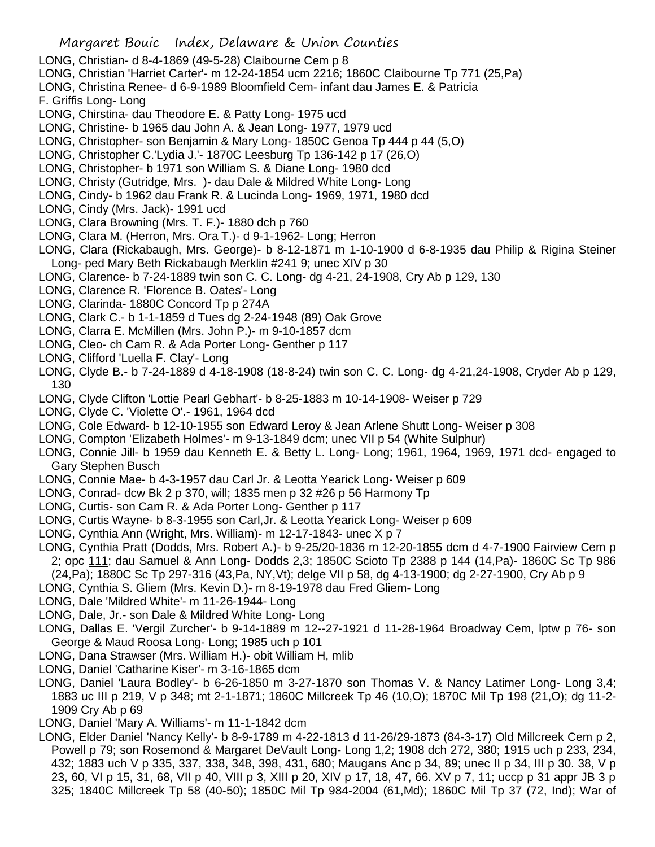- LONG, Christian- d 8-4-1869 (49-5-28) Claibourne Cem p 8
- LONG, Christian 'Harriet Carter'- m 12-24-1854 ucm 2216; 1860C Claibourne Tp 771 (25,Pa)
- LONG, Christina Renee- d 6-9-1989 Bloomfield Cem- infant dau James E. & Patricia
- F. Griffis Long- Long
- LONG, Chirstina- dau Theodore E. & Patty Long- 1975 ucd
- LONG, Christine- b 1965 dau John A. & Jean Long- 1977, 1979 ucd
- LONG, Christopher- son Benjamin & Mary Long- 1850C Genoa Tp 444 p 44 (5,O)
- LONG, Christopher C.'Lydia J.'- 1870C Leesburg Tp 136-142 p 17 (26,O)
- LONG, Christopher- b 1971 son William S. & Diane Long- 1980 dcd
- LONG, Christy (Gutridge, Mrs. )- dau Dale & Mildred White Long- Long
- LONG, Cindy- b 1962 dau Frank R. & Lucinda Long- 1969, 1971, 1980 dcd
- LONG, Cindy (Mrs. Jack)- 1991 ucd
- LONG, Clara Browning (Mrs. T. F.)- 1880 dch p 760
- LONG, Clara M. (Herron, Mrs. Ora T.)- d 9-1-1962- Long; Herron
- LONG, Clara (Rickabaugh, Mrs. George)- b 8-12-1871 m 1-10-1900 d 6-8-1935 dau Philip & Rigina Steiner Long- ped Mary Beth Rickabaugh Merklin #241 9; unec XIV p 30
- LONG, Clarence- b 7-24-1889 twin son C. C. Long- dg 4-21, 24-1908, Cry Ab p 129, 130
- LONG, Clarence R. 'Florence B. Oates'- Long
- LONG, Clarinda- 1880C Concord Tp p 274A
- LONG, Clark C.- b 1-1-1859 d Tues dg 2-24-1948 (89) Oak Grove
- LONG, Clarra E. McMillen (Mrs. John P.)- m 9-10-1857 dcm
- LONG, Cleo- ch Cam R. & Ada Porter Long- Genther p 117
- LONG, Clifford 'Luella F. Clay'- Long
- LONG, Clyde B.- b 7-24-1889 d 4-18-1908 (18-8-24) twin son C. C. Long- dg 4-21,24-1908, Cryder Ab p 129, 130
- LONG, Clyde Clifton 'Lottie Pearl Gebhart'- b 8-25-1883 m 10-14-1908- Weiser p 729
- LONG, Clyde C. 'Violette O'.- 1961, 1964 dcd
- LONG, Cole Edward- b 12-10-1955 son Edward Leroy & Jean Arlene Shutt Long- Weiser p 308
- LONG, Compton 'Elizabeth Holmes'- m 9-13-1849 dcm; unec VII p 54 (White Sulphur)
- LONG, Connie Jill- b 1959 dau Kenneth E. & Betty L. Long- Long; 1961, 1964, 1969, 1971 dcd- engaged to Gary Stephen Busch
- LONG, Connie Mae- b 4-3-1957 dau Carl Jr. & Leotta Yearick Long- Weiser p 609
- LONG, Conrad- dcw Bk 2 p 370, will; 1835 men p 32 #26 p 56 Harmony Tp
- LONG, Curtis- son Cam R. & Ada Porter Long- Genther p 117
- LONG, Curtis Wayne- b 8-3-1955 son Carl,Jr. & Leotta Yearick Long- Weiser p 609
- LONG, Cynthia Ann (Wright, Mrs. William)- m 12-17-1843- unec X p 7
- LONG, Cynthia Pratt (Dodds, Mrs. Robert A.)- b 9-25/20-1836 m 12-20-1855 dcm d 4-7-1900 Fairview Cem p 2; opc 111; dau Samuel & Ann Long- Dodds 2,3; 1850C Scioto Tp 2388 p 144 (14,Pa)- 1860C Sc Tp 986 (24,Pa); 1880C Sc Tp 297-316 (43,Pa, NY,Vt); delge VII p 58, dg 4-13-1900; dg 2-27-1900, Cry Ab p 9
- LONG, Cynthia S. Gliem (Mrs. Kevin D.)- m 8-19-1978 dau Fred Gliem- Long
- LONG, Dale 'Mildred White'- m 11-26-1944- Long
- LONG, Dale, Jr.- son Dale & Mildred White Long- Long
- LONG, Dallas E. 'Vergil Zurcher'- b 9-14-1889 m 12--27-1921 d 11-28-1964 Broadway Cem, lptw p 76- son George & Maud Roosa Long- Long; 1985 uch p 101
- LONG, Dana Strawser (Mrs. William H.)- obit William H, mlib
- LONG, Daniel 'Catharine Kiser'- m 3-16-1865 dcm
- LONG, Daniel 'Laura Bodley'- b 6-26-1850 m 3-27-1870 son Thomas V. & Nancy Latimer Long- Long 3,4; 1883 uc III p 219, V p 348; mt 2-1-1871; 1860C Millcreek Tp 46 (10,O); 1870C Mil Tp 198 (21,O); dg 11-2- 1909 Cry Ab p 69
- LONG, Daniel 'Mary A. Williams'- m 11-1-1842 dcm
- LONG, Elder Daniel 'Nancy Kelly'- b 8-9-1789 m 4-22-1813 d 11-26/29-1873 (84-3-17) Old Millcreek Cem p 2, Powell p 79; son Rosemond & Margaret DeVault Long- Long 1,2; 1908 dch 272, 380; 1915 uch p 233, 234, 432; 1883 uch V p 335, 337, 338, 348, 398, 431, 680; Maugans Anc p 34, 89; unec II p 34, III p 30. 38, V p 23, 60, VI p 15, 31, 68, VII p 40, VIII p 3, XIII p 20, XIV p 17, 18, 47, 66. XV p 7, 11; uccp p 31 appr JB 3 p 325; 1840C Millcreek Tp 58 (40-50); 1850C Mil Tp 984-2004 (61,Md); 1860C Mil Tp 37 (72, Ind); War of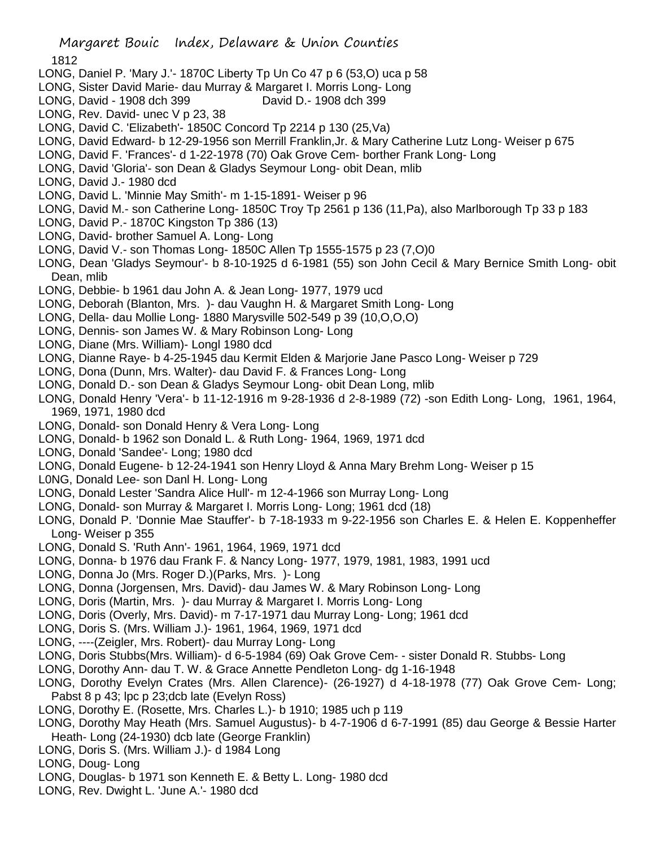- LONG, Daniel P. 'Mary J.'- 1870C Liberty Tp Un Co 47 p 6 (53,O) uca p 58
- LONG, Sister David Marie- dau Murray & Margaret I. Morris Long- Long
- LONG, David 1908 dch 399 David D.- 1908 dch 399
- LONG, Rev. David- unec V p 23, 38
- LONG, David C. 'Elizabeth'- 1850C Concord Tp 2214 p 130 (25,Va)
- LONG, David Edward- b 12-29-1956 son Merrill Franklin,Jr. & Mary Catherine Lutz Long- Weiser p 675
- LONG, David F. 'Frances'- d 1-22-1978 (70) Oak Grove Cem- borther Frank Long- Long
- LONG, David 'Gloria'- son Dean & Gladys Seymour Long- obit Dean, mlib
- LONG, David J.- 1980 dcd
- LONG, David L. 'Minnie May Smith'- m 1-15-1891- Weiser p 96
- LONG, David M.- son Catherine Long- 1850C Troy Tp 2561 p 136 (11,Pa), also Marlborough Tp 33 p 183
- LONG, David P.- 1870C Kingston Tp 386 (13)
- LONG, David- brother Samuel A. Long- Long
- LONG, David V.- son Thomas Long- 1850C Allen Tp 1555-1575 p 23 (7,O)0
- LONG, Dean 'Gladys Seymour'- b 8-10-1925 d 6-1981 (55) son John Cecil & Mary Bernice Smith Long- obit Dean, mlib
- LONG, Debbie- b 1961 dau John A. & Jean Long- 1977, 1979 ucd
- LONG, Deborah (Blanton, Mrs. )- dau Vaughn H. & Margaret Smith Long- Long
- LONG, Della- dau Mollie Long- 1880 Marysville 502-549 p 39 (10,O,O,O)
- LONG, Dennis- son James W. & Mary Robinson Long- Long
- LONG, Diane (Mrs. William)- Longl 1980 dcd
- LONG, Dianne Raye- b 4-25-1945 dau Kermit Elden & Marjorie Jane Pasco Long- Weiser p 729
- LONG, Dona (Dunn, Mrs. Walter)- dau David F. & Frances Long- Long
- LONG, Donald D.- son Dean & Gladys Seymour Long- obit Dean Long, mlib
- LONG, Donald Henry 'Vera'- b 11-12-1916 m 9-28-1936 d 2-8-1989 (72) -son Edith Long- Long, 1961, 1964, 1969, 1971, 1980 dcd
- LONG, Donald- son Donald Henry & Vera Long- Long
- LONG, Donald- b 1962 son Donald L. & Ruth Long- 1964, 1969, 1971 dcd
- LONG, Donald 'Sandee'- Long; 1980 dcd
- LONG, Donald Eugene- b 12-24-1941 son Henry Lloyd & Anna Mary Brehm Long- Weiser p 15
- L0NG, Donald Lee- son Danl H. Long- Long
- LONG, Donald Lester 'Sandra Alice Hull'- m 12-4-1966 son Murray Long- Long
- LONG, Donald- son Murray & Margaret I. Morris Long- Long; 1961 dcd (18)
- LONG, Donald P. 'Donnie Mae Stauffer'- b 7-18-1933 m 9-22-1956 son Charles E. & Helen E. Koppenheffer Long- Weiser p 355
- LONG, Donald S. 'Ruth Ann'- 1961, 1964, 1969, 1971 dcd
- LONG, Donna- b 1976 dau Frank F. & Nancy Long- 1977, 1979, 1981, 1983, 1991 ucd
- LONG, Donna Jo (Mrs. Roger D.)(Parks, Mrs. )- Long
- LONG, Donna (Jorgensen, Mrs. David)- dau James W. & Mary Robinson Long- Long
- LONG, Doris (Martin, Mrs. )- dau Murray & Margaret I. Morris Long- Long
- LONG, Doris (Overly, Mrs. David)- m 7-17-1971 dau Murray Long- Long; 1961 dcd
- LONG, Doris S. (Mrs. William J.)- 1961, 1964, 1969, 1971 dcd
- LONG, ----(Zeigler, Mrs. Robert)- dau Murray Long- Long
- LONG, Doris Stubbs(Mrs. William)- d 6-5-1984 (69) Oak Grove Cem- sister Donald R. Stubbs- Long
- LONG, Dorothy Ann- dau T. W. & Grace Annette Pendleton Long- dg 1-16-1948
- LONG, Dorothy Evelyn Crates (Mrs. Allen Clarence)- (26-1927) d 4-18-1978 (77) Oak Grove Cem- Long; Pabst 8 p 43; lpc p 23;dcb late (Evelyn Ross)
- LONG, Dorothy E. (Rosette, Mrs. Charles L.)- b 1910; 1985 uch p 119
- LONG, Dorothy May Heath (Mrs. Samuel Augustus)- b 4-7-1906 d 6-7-1991 (85) dau George & Bessie Harter Heath- Long (24-1930) dcb late (George Franklin)
- LONG, Doris S. (Mrs. William J.)- d 1984 Long
- LONG, Doug- Long
- LONG, Douglas- b 1971 son Kenneth E. & Betty L. Long- 1980 dcd
- LONG, Rev. Dwight L. 'June A.'- 1980 dcd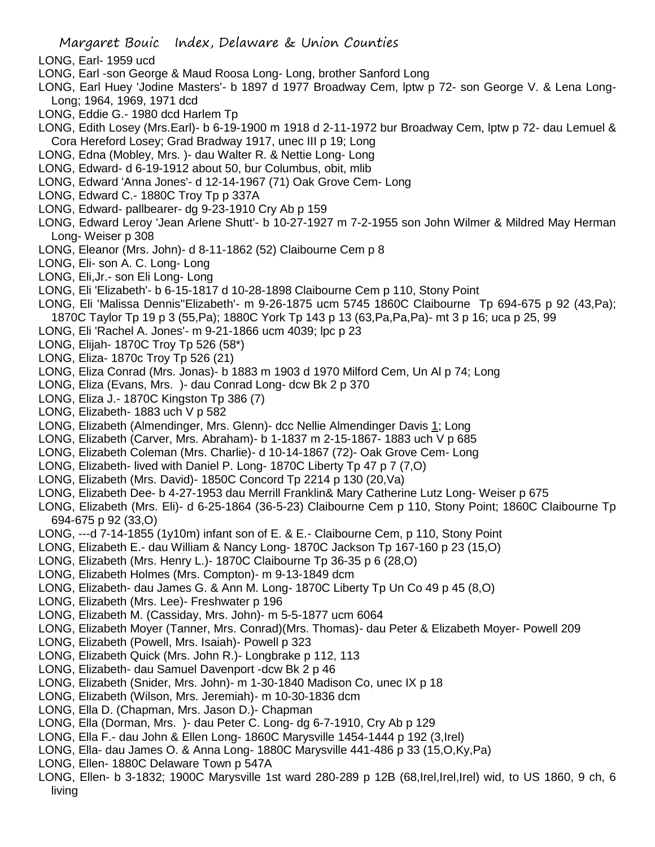- LONG, Earl- 1959 ucd
- LONG, Earl -son George & Maud Roosa Long- Long, brother Sanford Long
- LONG, Earl Huey 'Jodine Masters'- b 1897 d 1977 Broadway Cem, lptw p 72- son George V. & Lena Long-Long; 1964, 1969, 1971 dcd
- LONG, Eddie G.- 1980 dcd Harlem Tp
- LONG, Edith Losey (Mrs.Earl)- b 6-19-1900 m 1918 d 2-11-1972 bur Broadway Cem, lptw p 72- dau Lemuel & Cora Hereford Losey; Grad Bradway 1917, unec III p 19; Long
- LONG, Edna (Mobley, Mrs. )- dau Walter R. & Nettie Long- Long
- LONG, Edward- d 6-19-1912 about 50, bur Columbus, obit, mlib
- LONG, Edward 'Anna Jones'- d 12-14-1967 (71) Oak Grove Cem- Long
- LONG, Edward C.- 1880C Troy Tp p 337A
- LONG, Edward- pallbearer- dg 9-23-1910 Cry Ab p 159
- LONG, Edward Leroy 'Jean Arlene Shutt'- b 10-27-1927 m 7-2-1955 son John Wilmer & Mildred May Herman Long- Weiser p 308
- LONG, Eleanor (Mrs. John)- d 8-11-1862 (52) Claibourne Cem p 8
- LONG, Eli- son A. C. Long- Long
- LONG, Eli,Jr.- son Eli Long- Long
- LONG, Eli 'Elizabeth'- b 6-15-1817 d 10-28-1898 Claibourne Cem p 110, Stony Point
- LONG, Eli 'Malissa Dennis''Elizabeth'- m 9-26-1875 ucm 5745 1860C Claibourne Tp 694-675 p 92 (43,Pa); 1870C Taylor Tp 19 p 3 (55,Pa); 1880C York Tp 143 p 13 (63,Pa,Pa,Pa)- mt 3 p 16; uca p 25, 99
- LONG, Eli 'Rachel A. Jones'- m 9-21-1866 ucm 4039; lpc p 23
- LONG, Elijah- 1870C Troy Tp 526 (58\*)
- LONG, Eliza- 1870c Troy Tp 526 (21)
- LONG, Eliza Conrad (Mrs. Jonas)- b 1883 m 1903 d 1970 Milford Cem, Un Al p 74; Long
- LONG, Eliza (Evans, Mrs. )- dau Conrad Long- dcw Bk 2 p 370
- LONG, Eliza J.- 1870C Kingston Tp 386 (7)
- LONG, Elizabeth- 1883 uch V p 582
- LONG, Elizabeth (Almendinger, Mrs. Glenn)- dcc Nellie Almendinger Davis 1; Long
- LONG, Elizabeth (Carver, Mrs. Abraham)- b 1-1837 m 2-15-1867- 1883 uch V p 685
- LONG, Elizabeth Coleman (Mrs. Charlie)- d 10-14-1867 (72)- Oak Grove Cem- Long
- LONG, Elizabeth- lived with Daniel P. Long- 1870C Liberty Tp 47 p 7 (7,O)
- LONG, Elizabeth (Mrs. David)- 1850C Concord Tp 2214 p 130 (20,Va)
- LONG, Elizabeth Dee- b 4-27-1953 dau Merrill Franklin& Mary Catherine Lutz Long- Weiser p 675
- LONG, Elizabeth (Mrs. Eli)- d 6-25-1864 (36-5-23) Claibourne Cem p 110, Stony Point; 1860C Claibourne Tp 694-675 p 92 (33,O)
- LONG, ---d 7-14-1855 (1y10m) infant son of E. & E.- Claibourne Cem, p 110, Stony Point
- LONG, Elizabeth E.- dau William & Nancy Long- 1870C Jackson Tp 167-160 p 23 (15,O)
- LONG, Elizabeth (Mrs. Henry L.)- 1870C Claibourne Tp 36-35 p 6 (28,O)
- LONG, Elizabeth Holmes (Mrs. Compton)- m 9-13-1849 dcm
- LONG, Elizabeth- dau James G. & Ann M. Long- 1870C Liberty Tp Un Co 49 p 45 (8,O)
- LONG, Elizabeth (Mrs. Lee)- Freshwater p 196
- LONG, Elizabeth M. (Cassiday, Mrs. John)- m 5-5-1877 ucm 6064
- LONG, Elizabeth Moyer (Tanner, Mrs. Conrad)(Mrs. Thomas)- dau Peter & Elizabeth Moyer- Powell 209
- LONG, Elizabeth (Powell, Mrs. Isaiah)- Powell p 323
- LONG, Elizabeth Quick (Mrs. John R.)- Longbrake p 112, 113
- LONG, Elizabeth- dau Samuel Davenport -dcw Bk 2 p 46
- LONG, Elizabeth (Snider, Mrs. John)- m 1-30-1840 Madison Co, unec IX p 18
- LONG, Elizabeth (Wilson, Mrs. Jeremiah)- m 10-30-1836 dcm
- LONG, Ella D. (Chapman, Mrs. Jason D.)- Chapman
- LONG, Ella (Dorman, Mrs. )- dau Peter C. Long- dg 6-7-1910, Cry Ab p 129
- LONG, Ella F.- dau John & Ellen Long- 1860C Marysville 1454-1444 p 192 (3,Irel)
- LONG, Ella- dau James O. & Anna Long- 1880C Marysville 441-486 p 33 (15,O,Ky,Pa)
- LONG, Ellen- 1880C Delaware Town p 547A
- LONG, Ellen- b 3-1832; 1900C Marysville 1st ward 280-289 p 12B (68,Irel,Irel,Irel) wid, to US 1860, 9 ch, 6 living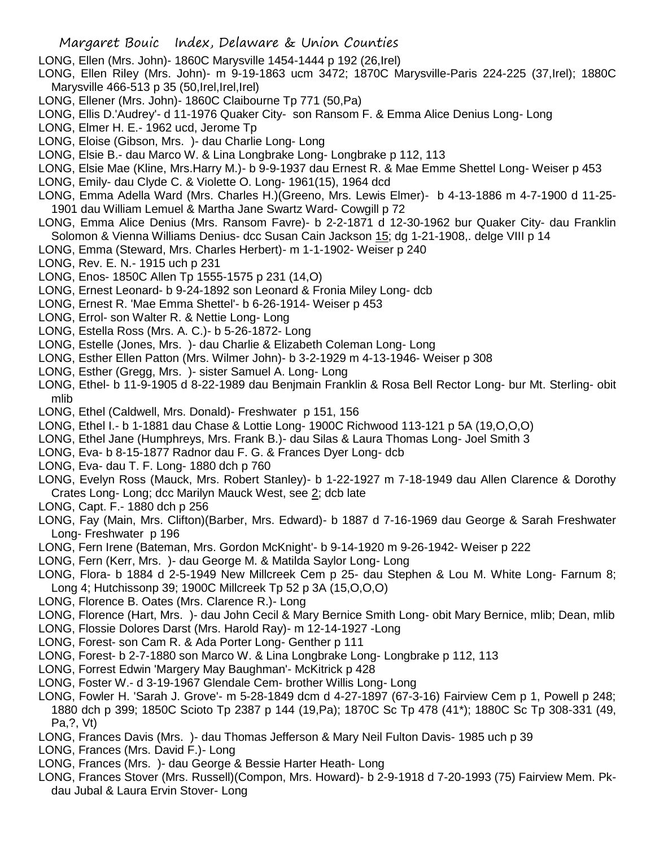LONG, Ellen (Mrs. John)- 1860C Marysville 1454-1444 p 192 (26,Irel)

- LONG, Ellen Riley (Mrs. John)- m 9-19-1863 ucm 3472; 1870C Marysville-Paris 224-225 (37,Irel); 1880C Marysville 466-513 p 35 (50, Irel, Irel, Irel)
- LONG, Ellener (Mrs. John)- 1860C Claibourne Tp 771 (50,Pa)
- LONG, Ellis D.'Audrey'- d 11-1976 Quaker City- son Ransom F. & Emma Alice Denius Long- Long
- LONG, Elmer H. E.- 1962 ucd, Jerome Tp
- LONG, Eloise (Gibson, Mrs. )- dau Charlie Long- Long
- LONG, Elsie B.- dau Marco W. & Lina Longbrake Long- Longbrake p 112, 113
- LONG, Elsie Mae (Kline, Mrs.Harry M.)- b 9-9-1937 dau Ernest R. & Mae Emme Shettel Long- Weiser p 453
- LONG, Emily- dau Clyde C. & Violette O. Long- 1961(15), 1964 dcd
- LONG, Emma Adella Ward (Mrs. Charles H.)(Greeno, Mrs. Lewis Elmer)- b 4-13-1886 m 4-7-1900 d 11-25- 1901 dau William Lemuel & Martha Jane Swartz Ward- Cowgill p 72
- LONG, Emma Alice Denius (Mrs. Ransom Favre)- b 2-2-1871 d 12-30-1962 bur Quaker City- dau Franklin Solomon & Vienna Williams Denius- dcc Susan Cain Jackson 15; dg 1-21-1908,. delge VIII p 14
- LONG, Emma (Steward, Mrs. Charles Herbert)- m 1-1-1902- Weiser p 240
- LONG, Rev. E. N.- 1915 uch p 231
- LONG, Enos- 1850C Allen Tp 1555-1575 p 231 (14,O)
- LONG, Ernest Leonard- b 9-24-1892 son Leonard & Fronia Miley Long- dcb
- LONG, Ernest R. 'Mae Emma Shettel'- b 6-26-1914- Weiser p 453
- LONG, Errol- son Walter R. & Nettie Long- Long
- LONG, Estella Ross (Mrs. A. C.)- b 5-26-1872- Long
- LONG, Estelle (Jones, Mrs. )- dau Charlie & Elizabeth Coleman Long- Long
- LONG, Esther Ellen Patton (Mrs. Wilmer John)- b 3-2-1929 m 4-13-1946- Weiser p 308
- LONG, Esther (Gregg, Mrs. )- sister Samuel A. Long- Long
- LONG, Ethel- b 11-9-1905 d 8-22-1989 dau Benjmain Franklin & Rosa Bell Rector Long- bur Mt. Sterling- obit mlib
- LONG, Ethel (Caldwell, Mrs. Donald)- Freshwater p 151, 156
- LONG, Ethel I.- b 1-1881 dau Chase & Lottie Long- 1900C Richwood 113-121 p 5A (19,O,O,O)
- LONG, Ethel Jane (Humphreys, Mrs. Frank B.)- dau Silas & Laura Thomas Long- Joel Smith 3
- LONG, Eva- b 8-15-1877 Radnor dau F. G. & Frances Dyer Long- dcb
- LONG, Eva- dau T. F. Long- 1880 dch p 760
- LONG, Evelyn Ross (Mauck, Mrs. Robert Stanley)- b 1-22-1927 m 7-18-1949 dau Allen Clarence & Dorothy Crates Long- Long; dcc Marilyn Mauck West, see 2; dcb late
- LONG, Capt. F.- 1880 dch p 256
- LONG, Fay (Main, Mrs. Clifton)(Barber, Mrs. Edward)- b 1887 d 7-16-1969 dau George & Sarah Freshwater Long- Freshwater p 196
- LONG, Fern Irene (Bateman, Mrs. Gordon McKnight'- b 9-14-1920 m 9-26-1942- Weiser p 222
- LONG, Fern (Kerr, Mrs. )- dau George M. & Matilda Saylor Long- Long
- LONG, Flora- b 1884 d 2-5-1949 New Millcreek Cem p 25- dau Stephen & Lou M. White Long- Farnum 8; Long 4; Hutchissonp 39; 1900C Millcreek Tp 52 p 3A (15,O,O,O)
- LONG, Florence B. Oates (Mrs. Clarence R.)- Long
- LONG, Florence (Hart, Mrs. )- dau John Cecil & Mary Bernice Smith Long- obit Mary Bernice, mlib; Dean, mlib
- LONG, Flossie Dolores Darst (Mrs. Harold Ray)- m 12-14-1927 -Long
- LONG, Forest- son Cam R. & Ada Porter Long- Genther p 111
- LONG, Forest- b 2-7-1880 son Marco W. & Lina Longbrake Long- Longbrake p 112, 113
- LONG, Forrest Edwin 'Margery May Baughman'- McKitrick p 428
- LONG, Foster W.- d 3-19-1967 Glendale Cem- brother Willis Long- Long
- LONG, Fowler H. 'Sarah J. Grove'- m 5-28-1849 dcm d 4-27-1897 (67-3-16) Fairview Cem p 1, Powell p 248; 1880 dch p 399; 1850C Scioto Tp 2387 p 144 (19,Pa); 1870C Sc Tp 478 (41\*); 1880C Sc Tp 308-331 (49, Pa,?, Vt)
- LONG, Frances Davis (Mrs. )- dau Thomas Jefferson & Mary Neil Fulton Davis- 1985 uch p 39
- LONG, Frances (Mrs. David F.)- Long
- LONG, Frances (Mrs. )- dau George & Bessie Harter Heath- Long
- LONG, Frances Stover (Mrs. Russell)(Compon, Mrs. Howard)- b 2-9-1918 d 7-20-1993 (75) Fairview Mem. Pkdau Jubal & Laura Ervin Stover- Long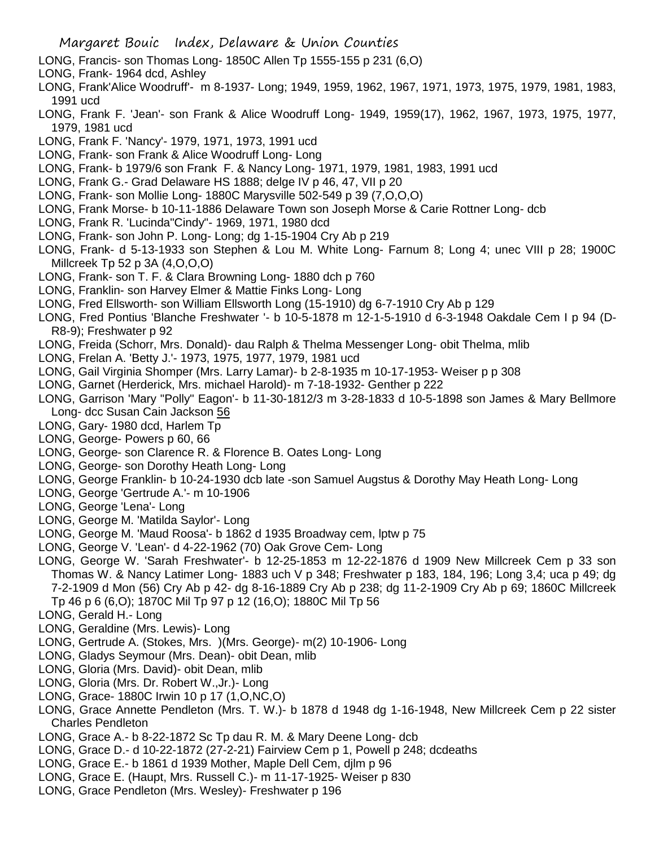- LONG, Francis- son Thomas Long- 1850C Allen Tp 1555-155 p 231 (6,O)
- LONG, Frank- 1964 dcd, Ashley
- LONG, Frank'Alice Woodruff'- m 8-1937- Long; 1949, 1959, 1962, 1967, 1971, 1973, 1975, 1979, 1981, 1983, 1991 ucd
- LONG, Frank F. 'Jean'- son Frank & Alice Woodruff Long- 1949, 1959(17), 1962, 1967, 1973, 1975, 1977, 1979, 1981 ucd
- LONG, Frank F. 'Nancy'- 1979, 1971, 1973, 1991 ucd
- LONG, Frank- son Frank & Alice Woodruff Long- Long
- LONG, Frank- b 1979/6 son Frank F. & Nancy Long- 1971, 1979, 1981, 1983, 1991 ucd
- LONG, Frank G.- Grad Delaware HS 1888; delge IV p 46, 47, VII p 20
- LONG, Frank- son Mollie Long- 1880C Marysville 502-549 p 39 (7,O,O,O)
- LONG, Frank Morse- b 10-11-1886 Delaware Town son Joseph Morse & Carie Rottner Long- dcb
- LONG, Frank R. 'Lucinda"Cindy"- 1969, 1971, 1980 dcd
- LONG, Frank- son John P. Long- Long; dg 1-15-1904 Cry Ab p 219
- LONG, Frank- d 5-13-1933 son Stephen & Lou M. White Long- Farnum 8; Long 4; unec VIII p 28; 1900C Millcreek Tp 52 p 3A (4,O,O,O)
- LONG, Frank- son T. F. & Clara Browning Long- 1880 dch p 760
- LONG, Franklin- son Harvey Elmer & Mattie Finks Long- Long
- LONG, Fred Ellsworth- son William Ellsworth Long (15-1910) dg 6-7-1910 Cry Ab p 129
- LONG, Fred Pontius 'Blanche Freshwater '- b 10-5-1878 m 12-1-5-1910 d 6-3-1948 Oakdale Cem I p 94 (D-R8-9); Freshwater p 92
- LONG, Freida (Schorr, Mrs. Donald)- dau Ralph & Thelma Messenger Long- obit Thelma, mlib
- LONG, Frelan A. 'Betty J.'- 1973, 1975, 1977, 1979, 1981 ucd
- LONG, Gail Virginia Shomper (Mrs. Larry Lamar)- b 2-8-1935 m 10-17-1953- Weiser p p 308
- LONG, Garnet (Herderick, Mrs. michael Harold)- m 7-18-1932- Genther p 222
- LONG, Garrison 'Mary "Polly" Eagon'- b 11-30-1812/3 m 3-28-1833 d 10-5-1898 son James & Mary Bellmore Long- dcc Susan Cain Jackson 56
- LONG, Gary- 1980 dcd, Harlem Tp
- LONG, George- Powers p 60, 66
- LONG, George- son Clarence R. & Florence B. Oates Long- Long
- LONG, George- son Dorothy Heath Long- Long
- LONG, George Franklin- b 10-24-1930 dcb late -son Samuel Augstus & Dorothy May Heath Long- Long
- LONG, George 'Gertrude A.'- m 10-1906
- LONG, George 'Lena'- Long
- LONG, George M. 'Matilda Saylor'- Long
- LONG, George M. 'Maud Roosa'- b 1862 d 1935 Broadway cem, lptw p 75
- LONG, George V. 'Lean'- d 4-22-1962 (70) Oak Grove Cem- Long
- LONG, George W. 'Sarah Freshwater'- b 12-25-1853 m 12-22-1876 d 1909 New Millcreek Cem p 33 son Thomas W. & Nancy Latimer Long- 1883 uch V p 348; Freshwater p 183, 184, 196; Long 3,4; uca p 49; dg 7-2-1909 d Mon (56) Cry Ab p 42- dg 8-16-1889 Cry Ab p 238; dg 11-2-1909 Cry Ab p 69; 1860C Millcreek Tp 46 p 6 (6,O); 1870C Mil Tp 97 p 12 (16,O); 1880C Mil Tp 56
- LONG, Gerald H.- Long
- LONG, Geraldine (Mrs. Lewis)- Long
- LONG, Gertrude A. (Stokes, Mrs. )(Mrs. George)- m(2) 10-1906- Long
- LONG, Gladys Seymour (Mrs. Dean)- obit Dean, mlib
- LONG, Gloria (Mrs. David)- obit Dean, mlib
- LONG, Gloria (Mrs. Dr. Robert W.,Jr.)- Long
- LONG, Grace- 1880C Irwin 10 p 17 (1,O,NC,O)
- LONG, Grace Annette Pendleton (Mrs. T. W.)- b 1878 d 1948 dg 1-16-1948, New Millcreek Cem p 22 sister Charles Pendleton
- LONG, Grace A.- b 8-22-1872 Sc Tp dau R. M. & Mary Deene Long- dcb
- LONG, Grace D.- d 10-22-1872 (27-2-21) Fairview Cem p 1, Powell p 248; dcdeaths
- LONG, Grace E.- b 1861 d 1939 Mother, Maple Dell Cem, djlm p 96
- LONG, Grace E. (Haupt, Mrs. Russell C.)- m 11-17-1925- Weiser p 830
- LONG, Grace Pendleton (Mrs. Wesley)- Freshwater p 196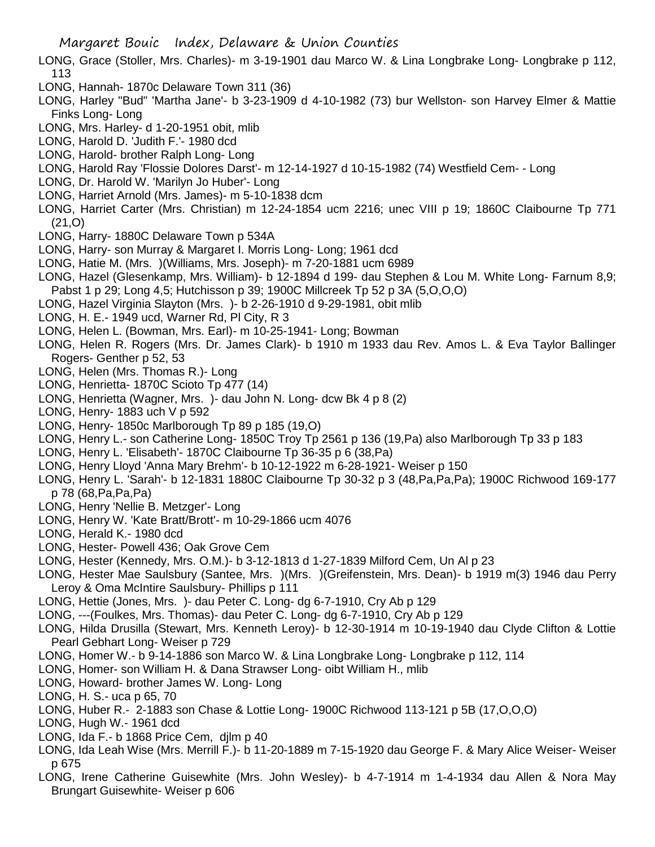- LONG, Grace (Stoller, Mrs. Charles)- m 3-19-1901 dau Marco W. & Lina Longbrake Long- Longbrake p 112, 113
- LONG, Hannah- 1870c Delaware Town 311 (36)
- LONG, Harley "Bud" 'Martha Jane'- b 3-23-1909 d 4-10-1982 (73) bur Wellston- son Harvey Elmer & Mattie Finks Long- Long
- LONG, Mrs. Harley- d 1-20-1951 obit, mlib
- LONG, Harold D. 'Judith F.'- 1980 dcd
- LONG, Harold- brother Ralph Long- Long
- LONG, Harold Ray 'Flossie Dolores Darst'- m 12-14-1927 d 10-15-1982 (74) Westfield Cem- Long
- LONG, Dr. Harold W. 'Marilyn Jo Huber'- Long
- LONG, Harriet Arnold (Mrs. James)- m 5-10-1838 dcm
- LONG, Harriet Carter (Mrs. Christian) m 12-24-1854 ucm 2216; unec VIII p 19; 1860C Claibourne Tp 771 (21,O)
- LONG, Harry- 1880C Delaware Town p 534A
- LONG, Harry- son Murray & Margaret I. Morris Long- Long; 1961 dcd
- LONG, Hatie M. (Mrs. )(Williams, Mrs. Joseph)- m 7-20-1881 ucm 6989
- LONG, Hazel (Glesenkamp, Mrs. William)- b 12-1894 d 199- dau Stephen & Lou M. White Long- Farnum 8,9; Pabst 1 p 29; Long 4,5; Hutchisson p 39; 1900C Millcreek Tp 52 p 3A (5,O,O,O)
- LONG, Hazel Virginia Slayton (Mrs. )- b 2-26-1910 d 9-29-1981, obit mlib
- LONG, H. E.- 1949 ucd, Warner Rd, Pl City, R 3
- LONG, Helen L. (Bowman, Mrs. Earl)- m 10-25-1941- Long; Bowman
- LONG, Helen R. Rogers (Mrs. Dr. James Clark)- b 1910 m 1933 dau Rev. Amos L. & Eva Taylor Ballinger Rogers- Genther p 52, 53
- LONG, Helen (Mrs. Thomas R.)- Long
- LONG, Henrietta- 1870C Scioto Tp 477 (14)
- LONG, Henrietta (Wagner, Mrs. )- dau John N. Long- dcw Bk 4 p 8 (2)
- LONG, Henry- 1883 uch V p 592
- LONG, Henry- 1850c Marlborough Tp 89 p 185 (19,O)
- LONG, Henry L.- son Catherine Long- 1850C Troy Tp 2561 p 136 (19,Pa) also Marlborough Tp 33 p 183
- LONG, Henry L. 'Elisabeth'- 1870C Claibourne Tp 36-35 p 6 (38,Pa)
- LONG, Henry Lloyd 'Anna Mary Brehm'- b 10-12-1922 m 6-28-1921- Weiser p 150
- LONG, Henry L. 'Sarah'- b 12-1831 1880C Claibourne Tp 30-32 p 3 (48,Pa,Pa,Pa); 1900C Richwood 169-177 p 78 (68,Pa,Pa,Pa)
- LONG, Henry 'Nellie B. Metzger'- Long
- LONG, Henry W. 'Kate Bratt/Brott'- m 10-29-1866 ucm 4076
- LONG, Herald K.- 1980 dcd
- LONG, Hester- Powell 436; Oak Grove Cem
- LONG, Hester (Kennedy, Mrs. O.M.)- b 3-12-1813 d 1-27-1839 Milford Cem, Un Al p 23
- LONG, Hester Mae Saulsbury (Santee, Mrs. )(Mrs. )(Greifenstein, Mrs. Dean)- b 1919 m(3) 1946 dau Perry Leroy & Oma McIntire Saulsbury- Phillips p 111
- LONG, Hettie (Jones, Mrs. )- dau Peter C. Long- dg 6-7-1910, Cry Ab p 129
- LONG, ---(Foulkes, Mrs. Thomas)- dau Peter C. Long- dg 6-7-1910, Cry Ab p 129
- LONG, Hilda Drusilla (Stewart, Mrs. Kenneth Leroy)- b 12-30-1914 m 10-19-1940 dau Clyde Clifton & Lottie Pearl Gebhart Long- Weiser p 729
- LONG, Homer W.- b 9-14-1886 son Marco W. & Lina Longbrake Long- Longbrake p 112, 114
- LONG, Homer- son William H. & Dana Strawser Long- oibt William H., mlib
- LONG, Howard- brother James W. Long- Long
- LONG, H. S.- uca p 65, 70
- LONG, Huber R.- 2-1883 son Chase & Lottie Long- 1900C Richwood 113-121 p 5B (17,O,O,O)
- LONG, Hugh W.- 1961 dcd
- LONG, Ida F.- b 1868 Price Cem, djlm p 40
- LONG, Ida Leah Wise (Mrs. Merrill F.)- b 11-20-1889 m 7-15-1920 dau George F. & Mary Alice Weiser- Weiser p 675
- LONG, Irene Catherine Guisewhite (Mrs. John Wesley)- b 4-7-1914 m 1-4-1934 dau Allen & Nora May Brungart Guisewhite- Weiser p 606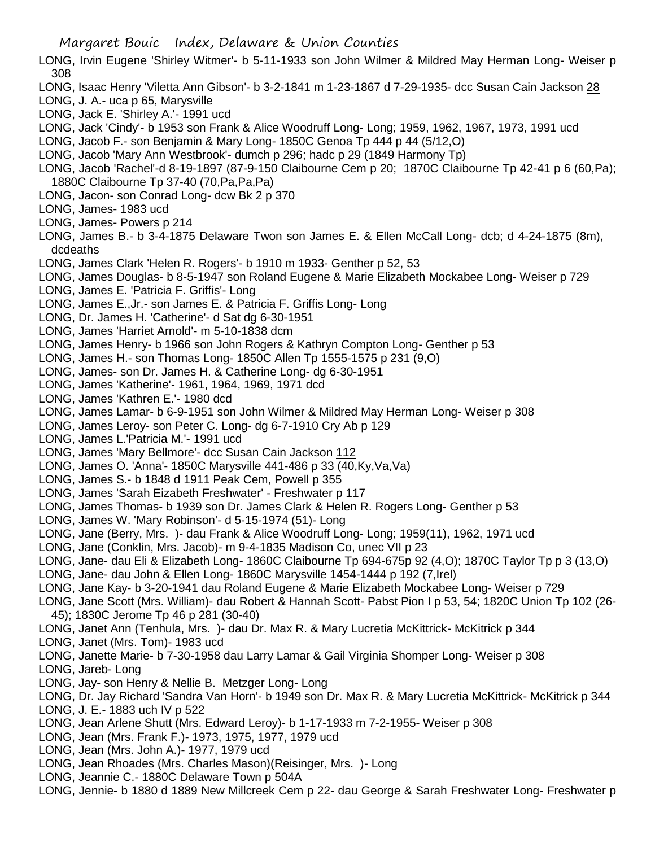- LONG, Irvin Eugene 'Shirley Witmer'- b 5-11-1933 son John Wilmer & Mildred May Herman Long- Weiser p 308
- LONG, Isaac Henry 'Viletta Ann Gibson'- b 3-2-1841 m 1-23-1867 d 7-29-1935- dcc Susan Cain Jackson 28
- LONG, J. A.- uca p 65, Marysville
- LONG, Jack E. 'Shirley A.'- 1991 ucd
- LONG, Jack 'Cindy'- b 1953 son Frank & Alice Woodruff Long- Long; 1959, 1962, 1967, 1973, 1991 ucd
- LONG, Jacob F.- son Benjamin & Mary Long- 1850C Genoa Tp 444 p 44 (5/12,O)
- LONG, Jacob 'Mary Ann Westbrook'- dumch p 296; hadc p 29 (1849 Harmony Tp)
- LONG, Jacob 'Rachel'-d 8-19-1897 (87-9-150 Claibourne Cem p 20; 1870C Claibourne Tp 42-41 p 6 (60,Pa); 1880C Claibourne Tp 37-40 (70,Pa,Pa,Pa)
- LONG, Jacon- son Conrad Long- dcw Bk 2 p 370
- LONG, James- 1983 ucd
- LONG, James- Powers p 214
- LONG, James B.- b 3-4-1875 Delaware Twon son James E. & Ellen McCall Long- dcb; d 4-24-1875 (8m), dcdeaths
- LONG, James Clark 'Helen R. Rogers'- b 1910 m 1933- Genther p 52, 53
- LONG, James Douglas- b 8-5-1947 son Roland Eugene & Marie Elizabeth Mockabee Long- Weiser p 729
- LONG, James E. 'Patricia F. Griffis'- Long
- LONG, James E.,Jr.- son James E. & Patricia F. Griffis Long- Long
- LONG, Dr. James H. 'Catherine'- d Sat dg 6-30-1951
- LONG, James 'Harriet Arnold'- m 5-10-1838 dcm
- LONG, James Henry- b 1966 son John Rogers & Kathryn Compton Long- Genther p 53
- LONG, James H.- son Thomas Long- 1850C Allen Tp 1555-1575 p 231 (9,O)
- LONG, James- son Dr. James H. & Catherine Long- dg 6-30-1951
- LONG, James 'Katherine'- 1961, 1964, 1969, 1971 dcd
- LONG, James 'Kathren E.'- 1980 dcd
- LONG, James Lamar- b 6-9-1951 son John Wilmer & Mildred May Herman Long- Weiser p 308
- LONG, James Leroy- son Peter C. Long- dg 6-7-1910 Cry Ab p 129
- LONG, James L.'Patricia M.'- 1991 ucd
- LONG, James 'Mary Bellmore'- dcc Susan Cain Jackson 112
- LONG, James O. 'Anna'- 1850C Marysville 441-486 p 33 (40,Ky,Va,Va)
- LONG, James S.- b 1848 d 1911 Peak Cem, Powell p 355
- LONG, James 'Sarah Eizabeth Freshwater' Freshwater p 117
- LONG, James Thomas- b 1939 son Dr. James Clark & Helen R. Rogers Long- Genther p 53
- LONG, James W. 'Mary Robinson'- d 5-15-1974 (51)- Long
- LONG, Jane (Berry, Mrs. )- dau Frank & Alice Woodruff Long- Long; 1959(11), 1962, 1971 ucd
- LONG, Jane (Conklin, Mrs. Jacob)- m 9-4-1835 Madison Co, unec VII p 23
- LONG, Jane- dau Eli & Elizabeth Long- 1860C Claibourne Tp 694-675p 92 (4,O); 1870C Taylor Tp p 3 (13,O)
- LONG, Jane- dau John & Ellen Long- 1860C Marysville 1454-1444 p 192 (7,Irel)
- LONG, Jane Kay- b 3-20-1941 dau Roland Eugene & Marie Elizabeth Mockabee Long- Weiser p 729
- LONG, Jane Scott (Mrs. William)- dau Robert & Hannah Scott- Pabst Pion I p 53, 54; 1820C Union Tp 102 (26- 45); 1830C Jerome Tp 46 p 281 (30-40)
- LONG, Janet Ann (Tenhula, Mrs. )- dau Dr. Max R. & Mary Lucretia McKittrick- McKitrick p 344
- LONG, Janet (Mrs. Tom)- 1983 ucd
- LONG, Janette Marie- b 7-30-1958 dau Larry Lamar & Gail Virginia Shomper Long- Weiser p 308

LONG, Jareb- Long

- LONG, Jay- son Henry & Nellie B. Metzger Long- Long
- LONG, Dr. Jay Richard 'Sandra Van Horn'- b 1949 son Dr. Max R. & Mary Lucretia McKittrick- McKitrick p 344 LONG, J. E.- 1883 uch IV p 522
- LONG, Jean Arlene Shutt (Mrs. Edward Leroy)- b 1-17-1933 m 7-2-1955- Weiser p 308
- LONG, Jean (Mrs. Frank F.)- 1973, 1975, 1977, 1979 ucd
- LONG, Jean (Mrs. John A.)- 1977, 1979 ucd
- LONG, Jean Rhoades (Mrs. Charles Mason)(Reisinger, Mrs. )- Long
- LONG, Jeannie C.- 1880C Delaware Town p 504A
- LONG, Jennie- b 1880 d 1889 New Millcreek Cem p 22- dau George & Sarah Freshwater Long- Freshwater p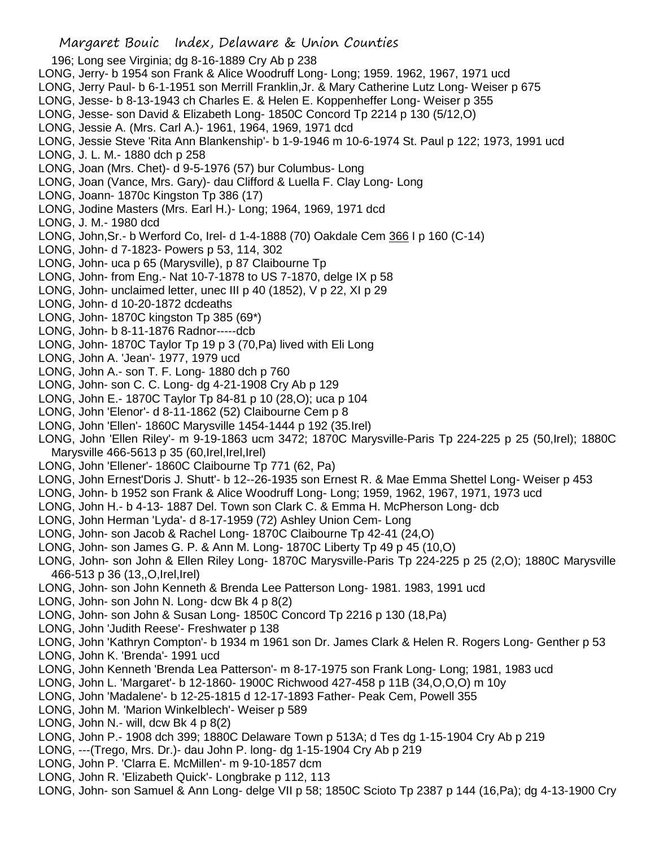- 196; Long see Virginia; dg 8-16-1889 Cry Ab p 238 LONG, Jerry- b 1954 son Frank & Alice Woodruff Long- Long; 1959. 1962, 1967, 1971 ucd LONG, Jerry Paul- b 6-1-1951 son Merrill Franklin,Jr. & Mary Catherine Lutz Long- Weiser p 675 LONG, Jesse- b 8-13-1943 ch Charles E. & Helen E. Koppenheffer Long- Weiser p 355 LONG, Jesse- son David & Elizabeth Long- 1850C Concord Tp 2214 p 130 (5/12,O) LONG, Jessie A. (Mrs. Carl A.)- 1961, 1964, 1969, 1971 dcd LONG, Jessie Steve 'Rita Ann Blankenship'- b 1-9-1946 m 10-6-1974 St. Paul p 122; 1973, 1991 ucd LONG, J. L. M.- 1880 dch p 258 LONG, Joan (Mrs. Chet)- d 9-5-1976 (57) bur Columbus- Long LONG, Joan (Vance, Mrs. Gary)- dau Clifford & Luella F. Clay Long- Long LONG, Joann- 1870c Kingston Tp 386 (17) LONG, Jodine Masters (Mrs. Earl H.)- Long; 1964, 1969, 1971 dcd LONG, J. M.- 1980 dcd LONG, John,Sr.- b Werford Co, Irel- d 1-4-1888 (70) Oakdale Cem 366 I p 160 (C-14) LONG, John- d 7-1823- Powers p 53, 114, 302 LONG, John- uca p 65 (Marysville), p 87 Claibourne Tp LONG, John- from Eng.- Nat 10-7-1878 to US 7-1870, delge IX p 58 LONG, John- unclaimed letter, unec III p 40 (1852), V p 22, XI p 29 LONG, John- d 10-20-1872 dcdeaths LONG, John- 1870C kingston Tp 385 (69\*) LONG, John- b 8-11-1876 Radnor-----dcb LONG, John- 1870C Taylor Tp 19 p 3 (70,Pa) lived with Eli Long LONG, John A. 'Jean'- 1977, 1979 ucd LONG, John A.- son T. F. Long- 1880 dch p 760 LONG, John- son C. C. Long- dg 4-21-1908 Cry Ab p 129 LONG, John E.- 1870C Taylor Tp 84-81 p 10 (28,O); uca p 104 LONG, John 'Elenor'- d 8-11-1862 (52) Claibourne Cem p 8 LONG, John 'Ellen'- 1860C Marysville 1454-1444 p 192 (35.Irel) LONG, John 'Ellen Riley'- m 9-19-1863 ucm 3472; 1870C Marysville-Paris Tp 224-225 p 25 (50,Irel); 1880C Marysville 466-5613 p 35 (60, Irel, Irel, Irel) LONG, John 'Ellener'- 1860C Claibourne Tp 771 (62, Pa) LONG, John Ernest'Doris J. Shutt'- b 12--26-1935 son Ernest R. & Mae Emma Shettel Long- Weiser p 453 LONG, John- b 1952 son Frank & Alice Woodruff Long- Long; 1959, 1962, 1967, 1971, 1973 ucd LONG, John H.- b 4-13- 1887 Del. Town son Clark C. & Emma H. McPherson Long- dcb LONG, John Herman 'Lyda'- d 8-17-1959 (72) Ashley Union Cem- Long LONG, John- son Jacob & Rachel Long- 1870C Claibourne Tp 42-41 (24,O) LONG, John- son James G. P. & Ann M. Long- 1870C Liberty Tp 49 p 45 (10,O) LONG, John- son John & Ellen Riley Long- 1870C Marysville-Paris Tp 224-225 p 25 (2,O); 1880C Marysville 466-513 p 36 (13,,O,Irel,Irel) LONG, John- son John Kenneth & Brenda Lee Patterson Long- 1981. 1983, 1991 ucd LONG, John- son John N. Long- dcw Bk 4 p 8(2) LONG, John- son John & Susan Long- 1850C Concord Tp 2216 p 130 (18,Pa) LONG, John 'Judith Reese'- Freshwater p 138 LONG, John 'Kathryn Compton'- b 1934 m 1961 son Dr. James Clark & Helen R. Rogers Long- Genther p 53 LONG, John K. 'Brenda'- 1991 ucd LONG, John Kenneth 'Brenda Lea Patterson'- m 8-17-1975 son Frank Long- Long; 1981, 1983 ucd LONG, John L. 'Margaret'- b 12-1860- 1900C Richwood 427-458 p 11B (34,O,O,O) m 10y LONG, John 'Madalene'- b 12-25-1815 d 12-17-1893 Father- Peak Cem, Powell 355
- LONG, John M. 'Marion Winkelblech'- Weiser p 589
- LONG, John N.- will, dcw Bk 4 p 8(2)
- LONG, John P.- 1908 dch 399; 1880C Delaware Town p 513A; d Tes dg 1-15-1904 Cry Ab p 219
- LONG, ---(Trego, Mrs. Dr.)- dau John P. long- dg 1-15-1904 Cry Ab p 219

- LONG, John P. 'Clarra E. McMillen'- m 9-10-1857 dcm
- LONG, John R. 'Elizabeth Quick'- Longbrake p 112, 113
- LONG, John- son Samuel & Ann Long- delge VII p 58; 1850C Scioto Tp 2387 p 144 (16,Pa); dg 4-13-1900 Cry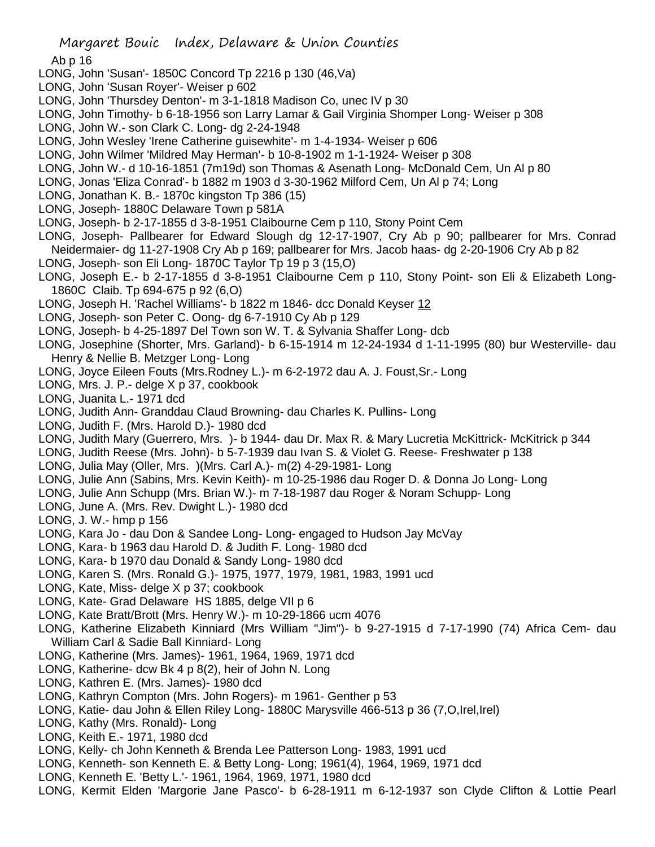Ab p 16

- LONG, John 'Susan'- 1850C Concord Tp 2216 p 130 (46,Va)
- LONG, John 'Susan Royer'- Weiser p 602
- LONG, John 'Thursdey Denton'- m 3-1-1818 Madison Co, unec IV p 30
- LONG, John Timothy- b 6-18-1956 son Larry Lamar & Gail Virginia Shomper Long- Weiser p 308
- LONG, John W.- son Clark C. Long- dg 2-24-1948
- LONG, John Wesley 'Irene Catherine guisewhite'- m 1-4-1934- Weiser p 606
- LONG, John Wilmer 'Mildred May Herman'- b 10-8-1902 m 1-1-1924- Weiser p 308
- LONG, John W.- d 10-16-1851 (7m19d) son Thomas & Asenath Long- McDonald Cem, Un Al p 80
- LONG, Jonas 'Eliza Conrad'- b 1882 m 1903 d 3-30-1962 Milford Cem, Un Al p 74; Long
- LONG, Jonathan K. B.- 1870c kingston Tp 386 (15)
- LONG, Joseph- 1880C Delaware Town p 581A
- LONG, Joseph- b 2-17-1855 d 3-8-1951 Claibourne Cem p 110, Stony Point Cem
- LONG, Joseph- Pallbearer for Edward Slough dg 12-17-1907, Cry Ab p 90; pallbearer for Mrs. Conrad Neidermaier- dg 11-27-1908 Cry Ab p 169; pallbearer for Mrs. Jacob haas- dg 2-20-1906 Cry Ab p 82
- LONG, Joseph- son Eli Long- 1870C Taylor Tp 19 p 3 (15,O)
- LONG, Joseph E.- b 2-17-1855 d 3-8-1951 Claibourne Cem p 110, Stony Point- son Eli & Elizabeth Long-1860C Claib. Tp 694-675 p 92 (6,O)
- LONG, Joseph H. 'Rachel Williams'- b 1822 m 1846- dcc Donald Keyser 12
- LONG, Joseph- son Peter C. Oong- dg 6-7-1910 Cy Ab p 129
- LONG, Joseph- b 4-25-1897 Del Town son W. T. & Sylvania Shaffer Long- dcb
- LONG, Josephine (Shorter, Mrs. Garland)- b 6-15-1914 m 12-24-1934 d 1-11-1995 (80) bur Westerville- dau Henry & Nellie B. Metzger Long- Long
- LONG, Joyce Eileen Fouts (Mrs.Rodney L.)- m 6-2-1972 dau A. J. Foust,Sr.- Long
- LONG, Mrs. J. P.- delge X p 37, cookbook
- LONG, Juanita L.- 1971 dcd
- LONG, Judith Ann- Granddau Claud Browning- dau Charles K. Pullins- Long
- LONG, Judith F. (Mrs. Harold D.)- 1980 dcd
- LONG, Judith Mary (Guerrero, Mrs. )- b 1944- dau Dr. Max R. & Mary Lucretia McKittrick- McKitrick p 344
- LONG, Judith Reese (Mrs. John)- b 5-7-1939 dau Ivan S. & Violet G. Reese- Freshwater p 138
- LONG, Julia May (Oller, Mrs. )(Mrs. Carl A.)- m(2) 4-29-1981- Long
- LONG, Julie Ann (Sabins, Mrs. Kevin Keith)- m 10-25-1986 dau Roger D. & Donna Jo Long- Long
- LONG, Julie Ann Schupp (Mrs. Brian W.)- m 7-18-1987 dau Roger & Noram Schupp- Long
- LONG, June A. (Mrs. Rev. Dwight L.)- 1980 dcd
- LONG, J. W.- hmp p 156
- LONG, Kara Jo dau Don & Sandee Long- Long- engaged to Hudson Jay McVay
- LONG, Kara- b 1963 dau Harold D. & Judith F. Long- 1980 dcd
- LONG, Kara- b 1970 dau Donald & Sandy Long- 1980 dcd
- LONG, Karen S. (Mrs. Ronald G.)- 1975, 1977, 1979, 1981, 1983, 1991 ucd
- LONG, Kate, Miss- delge X p 37; cookbook
- LONG, Kate- Grad Delaware HS 1885, delge VII p 6
- LONG, Kate Bratt/Brott (Mrs. Henry W.)- m 10-29-1866 ucm 4076
- LONG, Katherine Elizabeth Kinniard (Mrs William "Jim")- b 9-27-1915 d 7-17-1990 (74) Africa Cem- dau William Carl & Sadie Ball Kinniard- Long
- LONG, Katherine (Mrs. James)- 1961, 1964, 1969, 1971 dcd
- LONG, Katherine- dcw Bk 4 p 8(2), heir of John N. Long
- LONG, Kathren E. (Mrs. James)- 1980 dcd
- LONG, Kathryn Compton (Mrs. John Rogers)- m 1961- Genther p 53
- LONG, Katie- dau John & Ellen Riley Long- 1880C Marysville 466-513 p 36 (7,O,Irel,Irel)
- LONG, Kathy (Mrs. Ronald)- Long
- LONG, Keith E.- 1971, 1980 dcd
- LONG, Kelly- ch John Kenneth & Brenda Lee Patterson Long- 1983, 1991 ucd
- LONG, Kenneth- son Kenneth E. & Betty Long- Long; 1961(4), 1964, 1969, 1971 dcd
- LONG, Kenneth E. 'Betty L.'- 1961, 1964, 1969, 1971, 1980 dcd
- LONG, Kermit Elden 'Margorie Jane Pasco'- b 6-28-1911 m 6-12-1937 son Clyde Clifton & Lottie Pearl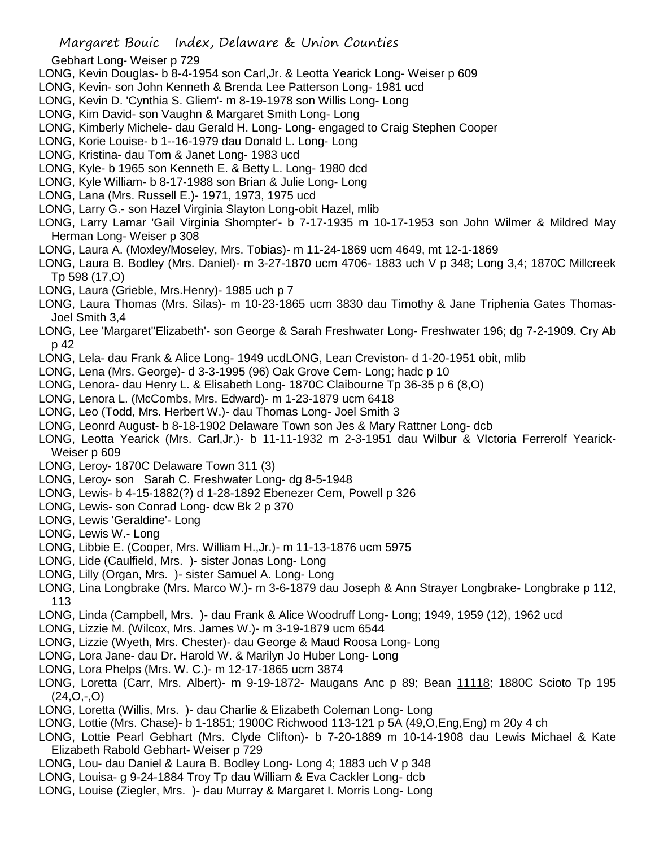- Gebhart Long- Weiser p 729
- LONG, Kevin Douglas- b 8-4-1954 son Carl,Jr. & Leotta Yearick Long- Weiser p 609
- LONG, Kevin- son John Kenneth & Brenda Lee Patterson Long- 1981 ucd
- LONG, Kevin D. 'Cynthia S. Gliem'- m 8-19-1978 son Willis Long- Long
- LONG, Kim David- son Vaughn & Margaret Smith Long- Long
- LONG, Kimberly Michele- dau Gerald H. Long- Long- engaged to Craig Stephen Cooper
- LONG, Korie Louise- b 1--16-1979 dau Donald L. Long- Long
- LONG, Kristina- dau Tom & Janet Long- 1983 ucd
- LONG, Kyle- b 1965 son Kenneth E. & Betty L. Long- 1980 dcd
- LONG, Kyle William- b 8-17-1988 son Brian & Julie Long- Long
- LONG, Lana (Mrs. Russell E.)- 1971, 1973, 1975 ucd
- LONG, Larry G.- son Hazel Virginia Slayton Long-obit Hazel, mlib
- LONG, Larry Lamar 'Gail Virginia Shompter'- b 7-17-1935 m 10-17-1953 son John Wilmer & Mildred May Herman Long- Weiser p 308
- LONG, Laura A. (Moxley/Moseley, Mrs. Tobias)- m 11-24-1869 ucm 4649, mt 12-1-1869
- LONG, Laura B. Bodley (Mrs. Daniel)- m 3-27-1870 ucm 4706- 1883 uch V p 348; Long 3,4; 1870C Millcreek Tp 598 (17,O)
- LONG, Laura (Grieble, Mrs.Henry)- 1985 uch p 7
- LONG, Laura Thomas (Mrs. Silas)- m 10-23-1865 ucm 3830 dau Timothy & Jane Triphenia Gates Thomas-Joel Smith 3,4
- LONG, Lee 'Margaret''Elizabeth'- son George & Sarah Freshwater Long- Freshwater 196; dg 7-2-1909. Cry Ab p 42
- LONG, Lela- dau Frank & Alice Long- 1949 ucdLONG, Lean Creviston- d 1-20-1951 obit, mlib
- LONG, Lena (Mrs. George)- d 3-3-1995 (96) Oak Grove Cem- Long; hadc p 10
- LONG, Lenora- dau Henry L. & Elisabeth Long- 1870C Claibourne Tp 36-35 p 6 (8,O)
- LONG, Lenora L. (McCombs, Mrs. Edward)- m 1-23-1879 ucm 6418
- LONG, Leo (Todd, Mrs. Herbert W.)- dau Thomas Long- Joel Smith 3
- LONG, Leonrd August- b 8-18-1902 Delaware Town son Jes & Mary Rattner Long- dcb
- LONG, Leotta Yearick (Mrs. Carl,Jr.)- b 11-11-1932 m 2-3-1951 dau Wilbur & VIctoria Ferrerolf Yearick-Weiser p 609
- LONG, Leroy- 1870C Delaware Town 311 (3)
- LONG, Leroy- son Sarah C. Freshwater Long- dg 8-5-1948
- LONG, Lewis- b 4-15-1882(?) d 1-28-1892 Ebenezer Cem, Powell p 326
- LONG, Lewis- son Conrad Long- dcw Bk 2 p 370
- LONG, Lewis 'Geraldine'- Long
- LONG, Lewis W.- Long
- LONG, Libbie E. (Cooper, Mrs. William H.,Jr.)- m 11-13-1876 ucm 5975
- LONG, Lide (Caulfield, Mrs. )- sister Jonas Long- Long
- LONG, Lilly (Organ, Mrs. )- sister Samuel A. Long- Long
- LONG, Lina Longbrake (Mrs. Marco W.)- m 3-6-1879 dau Joseph & Ann Strayer Longbrake- Longbrake p 112, 113
- LONG, Linda (Campbell, Mrs. )- dau Frank & Alice Woodruff Long- Long; 1949, 1959 (12), 1962 ucd
- LONG, Lizzie M. (Wilcox, Mrs. James W.)- m 3-19-1879 ucm 6544
- LONG, Lizzie (Wyeth, Mrs. Chester)- dau George & Maud Roosa Long- Long
- LONG, Lora Jane- dau Dr. Harold W. & Marilyn Jo Huber Long- Long
- LONG, Lora Phelps (Mrs. W. C.)- m 12-17-1865 ucm 3874
- LONG, Loretta (Carr, Mrs. Albert)- m 9-19-1872- Maugans Anc p 89; Bean 11118; 1880C Scioto Tp 195  $(24, 0, -0)$
- LONG, Loretta (Willis, Mrs. )- dau Charlie & Elizabeth Coleman Long- Long
- LONG, Lottie (Mrs. Chase)- b 1-1851; 1900C Richwood 113-121 p 5A (49,O,Eng,Eng) m 20y 4 ch
- LONG, Lottie Pearl Gebhart (Mrs. Clyde Clifton)- b 7-20-1889 m 10-14-1908 dau Lewis Michael & Kate Elizabeth Rabold Gebhart- Weiser p 729
- LONG, Lou- dau Daniel & Laura B. Bodley Long- Long 4; 1883 uch V p 348
- LONG, Louisa- g 9-24-1884 Troy Tp dau William & Eva Cackler Long- dcb
- LONG, Louise (Ziegler, Mrs. )- dau Murray & Margaret I. Morris Long- Long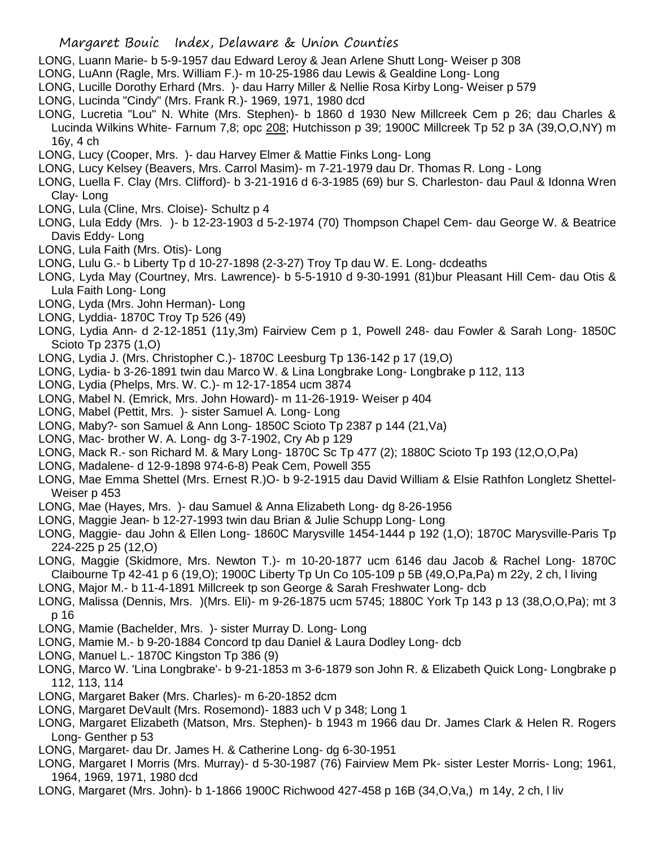- LONG, Luann Marie- b 5-9-1957 dau Edward Leroy & Jean Arlene Shutt Long- Weiser p 308
- LONG, LuAnn (Ragle, Mrs. William F.)- m 10-25-1986 dau Lewis & Gealdine Long- Long
- LONG, Lucille Dorothy Erhard (Mrs. )- dau Harry Miller & Nellie Rosa Kirby Long- Weiser p 579
- LONG, Lucinda "Cindy" (Mrs. Frank R.)- 1969, 1971, 1980 dcd
- LONG, Lucretia "Lou" N. White (Mrs. Stephen)- b 1860 d 1930 New Millcreek Cem p 26; dau Charles & Lucinda Wilkins White- Farnum 7,8; opc 208; Hutchisson p 39; 1900C Millcreek Tp 52 p 3A (39,O,O,NY) m 16y, 4 ch
- LONG, Lucy (Cooper, Mrs. )- dau Harvey Elmer & Mattie Finks Long- Long
- LONG, Lucy Kelsey (Beavers, Mrs. Carrol Masim)- m 7-21-1979 dau Dr. Thomas R. Long Long
- LONG, Luella F. Clay (Mrs. Clifford)- b 3-21-1916 d 6-3-1985 (69) bur S. Charleston- dau Paul & Idonna Wren Clay- Long
- LONG, Lula (Cline, Mrs. Cloise)- Schultz p 4
- LONG, Lula Eddy (Mrs. )- b 12-23-1903 d 5-2-1974 (70) Thompson Chapel Cem- dau George W. & Beatrice Davis Eddy- Long
- LONG, Lula Faith (Mrs. Otis)- Long
- LONG, Lulu G.- b Liberty Tp d 10-27-1898 (2-3-27) Troy Tp dau W. E. Long- dcdeaths
- LONG, Lyda May (Courtney, Mrs. Lawrence)- b 5-5-1910 d 9-30-1991 (81)bur Pleasant Hill Cem- dau Otis & Lula Faith Long- Long
- LONG, Lyda (Mrs. John Herman)- Long
- LONG, Lyddia- 1870C Troy Tp 526 (49)
- LONG, Lydia Ann- d 2-12-1851 (11y,3m) Fairview Cem p 1, Powell 248- dau Fowler & Sarah Long- 1850C Scioto Tp 2375 (1,O)
- LONG, Lydia J. (Mrs. Christopher C.)- 1870C Leesburg Tp 136-142 p 17 (19,O)
- LONG, Lydia- b 3-26-1891 twin dau Marco W. & Lina Longbrake Long- Longbrake p 112, 113
- LONG, Lydia (Phelps, Mrs. W. C.)- m 12-17-1854 ucm 3874
- LONG, Mabel N. (Emrick, Mrs. John Howard)- m 11-26-1919- Weiser p 404
- LONG, Mabel (Pettit, Mrs. )- sister Samuel A. Long- Long
- LONG, Maby?- son Samuel & Ann Long- 1850C Scioto Tp 2387 p 144 (21,Va)
- LONG, Mac- brother W. A. Long- dg 3-7-1902, Cry Ab p 129
- LONG, Mack R.- son Richard M. & Mary Long- 1870C Sc Tp 477 (2); 1880C Scioto Tp 193 (12,O,O,Pa)
- LONG, Madalene- d 12-9-1898 974-6-8) Peak Cem, Powell 355
- LONG, Mae Emma Shettel (Mrs. Ernest R.)O- b 9-2-1915 dau David William & Elsie Rathfon Longletz Shettel-Weiser p 453
- LONG, Mae (Hayes, Mrs. )- dau Samuel & Anna Elizabeth Long- dg 8-26-1956
- LONG, Maggie Jean- b 12-27-1993 twin dau Brian & Julie Schupp Long- Long
- LONG, Maggie- dau John & Ellen Long- 1860C Marysville 1454-1444 p 192 (1,O); 1870C Marysville-Paris Tp 224-225 p 25 (12,O)
- LONG, Maggie (Skidmore, Mrs. Newton T.)- m 10-20-1877 ucm 6146 dau Jacob & Rachel Long- 1870C Claibourne Tp 42-41 p 6 (19,O); 1900C Liberty Tp Un Co 105-109 p 5B (49,O,Pa,Pa) m 22y, 2 ch, l living
- LONG, Major M.- b 11-4-1891 Millcreek tp son George & Sarah Freshwater Long- dcb
- LONG, Malissa (Dennis, Mrs. )(Mrs. Eli)- m 9-26-1875 ucm 5745; 1880C York Tp 143 p 13 (38,O,O,Pa); mt 3 p 16
- LONG, Mamie (Bachelder, Mrs. )- sister Murray D. Long- Long
- LONG, Mamie M.- b 9-20-1884 Concord tp dau Daniel & Laura Dodley Long- dcb
- LONG, Manuel L.- 1870C Kingston Tp 386 (9)
- LONG, Marco W. 'Lina Longbrake'- b 9-21-1853 m 3-6-1879 son John R. & Elizabeth Quick Long- Longbrake p 112, 113, 114
- LONG, Margaret Baker (Mrs. Charles)- m 6-20-1852 dcm
- LONG, Margaret DeVault (Mrs. Rosemond)- 1883 uch V p 348; Long 1
- LONG, Margaret Elizabeth (Matson, Mrs. Stephen)- b 1943 m 1966 dau Dr. James Clark & Helen R. Rogers Long- Genther p 53
- LONG, Margaret- dau Dr. James H. & Catherine Long- dg 6-30-1951
- LONG, Margaret I Morris (Mrs. Murray)- d 5-30-1987 (76) Fairview Mem Pk- sister Lester Morris- Long; 1961, 1964, 1969, 1971, 1980 dcd
- LONG, Margaret (Mrs. John)- b 1-1866 1900C Richwood 427-458 p 16B (34,O,Va,) m 14y, 2 ch, l liv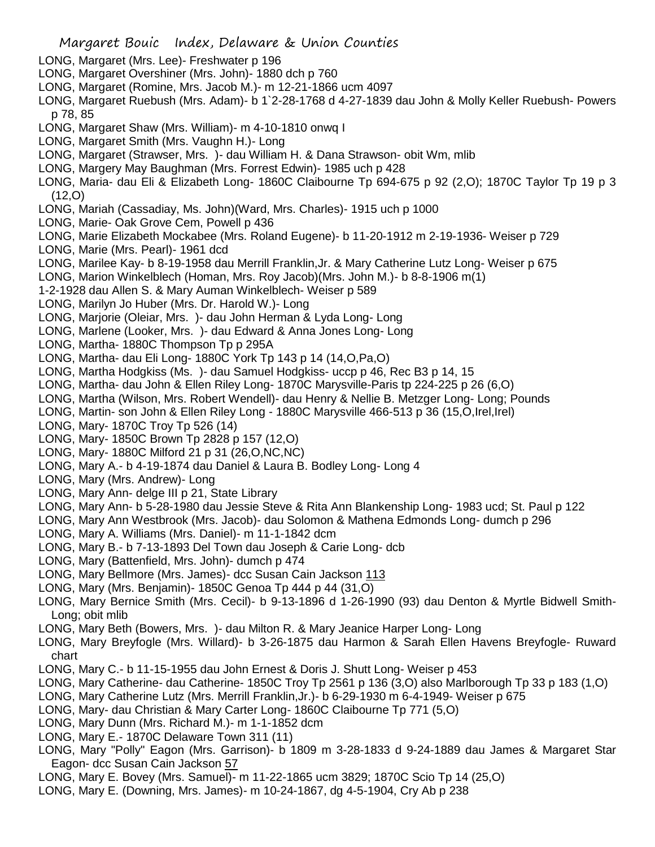- LONG, Margaret (Mrs. Lee)- Freshwater p 196
- LONG, Margaret Overshiner (Mrs. John)- 1880 dch p 760
- LONG, Margaret (Romine, Mrs. Jacob M.)- m 12-21-1866 ucm 4097
- LONG, Margaret Ruebush (Mrs. Adam)- b 1`2-28-1768 d 4-27-1839 dau John & Molly Keller Ruebush- Powers p 78, 85
- LONG, Margaret Shaw (Mrs. William)- m 4-10-1810 onwq I
- LONG, Margaret Smith (Mrs. Vaughn H.)- Long
- LONG, Margaret (Strawser, Mrs. )- dau William H. & Dana Strawson- obit Wm, mlib
- LONG, Margery May Baughman (Mrs. Forrest Edwin)- 1985 uch p 428
- LONG, Maria- dau Eli & Elizabeth Long- 1860C Claibourne Tp 694-675 p 92 (2,O); 1870C Taylor Tp 19 p 3 (12,O)
- LONG, Mariah (Cassadiay, Ms. John)(Ward, Mrs. Charles)- 1915 uch p 1000
- LONG, Marie- Oak Grove Cem, Powell p 436
- LONG, Marie Elizabeth Mockabee (Mrs. Roland Eugene)- b 11-20-1912 m 2-19-1936- Weiser p 729
- LONG, Marie (Mrs. Pearl)- 1961 dcd
- LONG, Marilee Kay- b 8-19-1958 dau Merrill Franklin,Jr. & Mary Catherine Lutz Long- Weiser p 675
- LONG, Marion Winkelblech (Homan, Mrs. Roy Jacob)(Mrs. John M.)- b 8-8-1906 m(1)
- 1-2-1928 dau Allen S. & Mary Auman Winkelblech- Weiser p 589
- LONG, Marilyn Jo Huber (Mrs. Dr. Harold W.)- Long
- LONG, Marjorie (Oleiar, Mrs. )- dau John Herman & Lyda Long- Long
- LONG, Marlene (Looker, Mrs. )- dau Edward & Anna Jones Long- Long
- LONG, Martha- 1880C Thompson Tp p 295A
- LONG, Martha- dau Eli Long- 1880C York Tp 143 p 14 (14,O,Pa,O)
- LONG, Martha Hodgkiss (Ms. )- dau Samuel Hodgkiss- uccp p 46, Rec B3 p 14, 15
- LONG, Martha- dau John & Ellen Riley Long- 1870C Marysville-Paris tp 224-225 p 26 (6,O)
- LONG, Martha (Wilson, Mrs. Robert Wendell)- dau Henry & Nellie B. Metzger Long- Long; Pounds
- LONG, Martin- son John & Ellen Riley Long 1880C Marysville 466-513 p 36 (15,O,Irel,Irel)
- LONG, Mary- 1870C Troy Tp 526 (14)
- LONG, Mary- 1850C Brown Tp 2828 p 157 (12,O)
- LONG, Mary- 1880C Milford 21 p 31 (26,O,NC,NC)
- LONG, Mary A.- b 4-19-1874 dau Daniel & Laura B. Bodley Long- Long 4
- LONG, Mary (Mrs. Andrew)- Long
- LONG, Mary Ann- delge III p 21, State Library
- LONG, Mary Ann- b 5-28-1980 dau Jessie Steve & Rita Ann Blankenship Long- 1983 ucd; St. Paul p 122
- LONG, Mary Ann Westbrook (Mrs. Jacob)- dau Solomon & Mathena Edmonds Long- dumch p 296
- LONG, Mary A. Williams (Mrs. Daniel)- m 11-1-1842 dcm
- LONG, Mary B.- b 7-13-1893 Del Town dau Joseph & Carie Long- dcb
- LONG, Mary (Battenfield, Mrs. John)- dumch p 474
- LONG, Mary Bellmore (Mrs. James)- dcc Susan Cain Jackson 113
- LONG, Mary (Mrs. Benjamin)- 1850C Genoa Tp 444 p 44 (31,O)
- LONG, Mary Bernice Smith (Mrs. Cecil)- b 9-13-1896 d 1-26-1990 (93) dau Denton & Myrtle Bidwell Smith-Long; obit mlib
- LONG, Mary Beth (Bowers, Mrs. )- dau Milton R. & Mary Jeanice Harper Long- Long
- LONG, Mary Breyfogle (Mrs. Willard)- b 3-26-1875 dau Harmon & Sarah Ellen Havens Breyfogle- Ruward chart
- LONG, Mary C.- b 11-15-1955 dau John Ernest & Doris J. Shutt Long- Weiser p 453
- LONG, Mary Catherine- dau Catherine- 1850C Troy Tp 2561 p 136 (3,O) also Marlborough Tp 33 p 183 (1,O)
- LONG, Mary Catherine Lutz (Mrs. Merrill Franklin,Jr.)- b 6-29-1930 m 6-4-1949- Weiser p 675
- LONG, Mary- dau Christian & Mary Carter Long- 1860C Claibourne Tp 771 (5,O)
- LONG, Mary Dunn (Mrs. Richard M.)- m 1-1-1852 dcm
- LONG, Mary E.- 1870C Delaware Town 311 (11)
- LONG, Mary "Polly" Eagon (Mrs. Garrison)- b 1809 m 3-28-1833 d 9-24-1889 dau James & Margaret Star Eagon- dcc Susan Cain Jackson 57
- LONG, Mary E. Bovey (Mrs. Samuel)- m 11-22-1865 ucm 3829; 1870C Scio Tp 14 (25,O)
- LONG, Mary E. (Downing, Mrs. James)- m 10-24-1867, dg 4-5-1904, Cry Ab p 238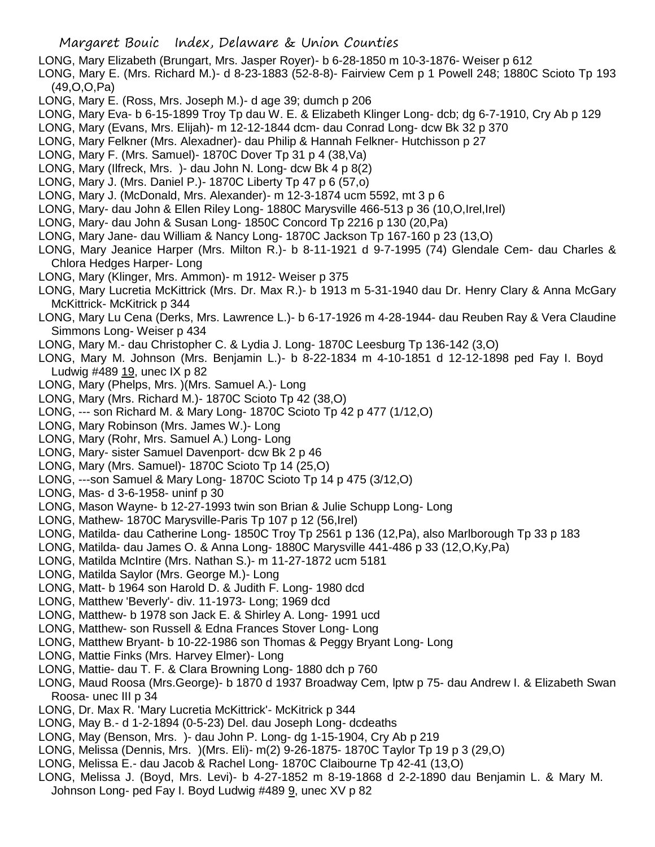- LONG, Mary Elizabeth (Brungart, Mrs. Jasper Royer)- b 6-28-1850 m 10-3-1876- Weiser p 612
- LONG, Mary E. (Mrs. Richard M.)- d 8-23-1883 (52-8-8)- Fairview Cem p 1 Powell 248; 1880C Scioto Tp 193 (49,O,O,Pa)
- LONG, Mary E. (Ross, Mrs. Joseph M.)- d age 39; dumch p 206
- LONG, Mary Eva- b 6-15-1899 Troy Tp dau W. E. & Elizabeth Klinger Long- dcb; dg 6-7-1910, Cry Ab p 129
- LONG, Mary (Evans, Mrs. Elijah)- m 12-12-1844 dcm- dau Conrad Long- dcw Bk 32 p 370
- LONG, Mary Felkner (Mrs. Alexadner)- dau Philip & Hannah Felkner- Hutchisson p 27
- LONG, Mary F. (Mrs. Samuel)- 1870C Dover Tp 31 p 4 (38,Va)
- LONG, Mary (Ilfreck, Mrs. )- dau John N. Long- dcw Bk 4 p 8(2)
- LONG, Mary J. (Mrs. Daniel P.)- 1870C Liberty Tp 47 p 6 (57,o)
- LONG, Mary J. (McDonald, Mrs. Alexander)- m 12-3-1874 ucm 5592, mt 3 p 6
- LONG, Mary- dau John & Ellen Riley Long- 1880C Marysville 466-513 p 36 (10,O,Irel,Irel)
- LONG, Mary- dau John & Susan Long- 1850C Concord Tp 2216 p 130 (20,Pa)
- LONG, Mary Jane- dau William & Nancy Long- 1870C Jackson Tp 167-160 p 23 (13,O)
- LONG, Mary Jeanice Harper (Mrs. Milton R.)- b 8-11-1921 d 9-7-1995 (74) Glendale Cem- dau Charles & Chlora Hedges Harper- Long
- LONG, Mary (Klinger, Mrs. Ammon)- m 1912- Weiser p 375
- LONG, Mary Lucretia McKittrick (Mrs. Dr. Max R.)- b 1913 m 5-31-1940 dau Dr. Henry Clary & Anna McGary McKittrick- McKitrick p 344
- LONG, Mary Lu Cena (Derks, Mrs. Lawrence L.)- b 6-17-1926 m 4-28-1944- dau Reuben Ray & Vera Claudine Simmons Long- Weiser p 434
- LONG, Mary M.- dau Christopher C. & Lydia J. Long- 1870C Leesburg Tp 136-142 (3,O)
- LONG, Mary M. Johnson (Mrs. Benjamin L.)- b 8-22-1834 m 4-10-1851 d 12-12-1898 ped Fay I. Boyd Ludwig #489 19, unec IX p 82
- LONG, Mary (Phelps, Mrs. )(Mrs. Samuel A.)- Long
- LONG, Mary (Mrs. Richard M.)- 1870C Scioto Tp 42 (38,O)
- LONG, --- son Richard M. & Mary Long- 1870C Scioto Tp 42 p 477 (1/12,O)
- LONG, Mary Robinson (Mrs. James W.)- Long
- LONG, Mary (Rohr, Mrs. Samuel A.) Long- Long
- LONG, Mary- sister Samuel Davenport- dcw Bk 2 p 46
- LONG, Mary (Mrs. Samuel)- 1870C Scioto Tp 14 (25,O)
- LONG, ---son Samuel & Mary Long- 1870C Scioto Tp 14 p 475 (3/12,O)
- LONG, Mas- d 3-6-1958- uninf p 30
- LONG, Mason Wayne- b 12-27-1993 twin son Brian & Julie Schupp Long- Long
- LONG, Mathew- 1870C Marysville-Paris Tp 107 p 12 (56,Irel)
- LONG, Matilda- dau Catherine Long- 1850C Troy Tp 2561 p 136 (12,Pa), also Marlborough Tp 33 p 183
- LONG, Matilda- dau James O. & Anna Long- 1880C Marysville 441-486 p 33 (12,O,Ky,Pa)
- LONG, Matilda McIntire (Mrs. Nathan S.)- m 11-27-1872 ucm 5181
- LONG, Matilda Saylor (Mrs. George M.)- Long
- LONG, Matt- b 1964 son Harold D. & Judith F. Long- 1980 dcd
- LONG, Matthew 'Beverly'- div. 11-1973- Long; 1969 dcd
- LONG, Matthew- b 1978 son Jack E. & Shirley A. Long- 1991 ucd
- LONG, Matthew- son Russell & Edna Frances Stover Long- Long
- LONG, Matthew Bryant- b 10-22-1986 son Thomas & Peggy Bryant Long- Long
- LONG, Mattie Finks (Mrs. Harvey Elmer)- Long
- LONG, Mattie- dau T. F. & Clara Browning Long- 1880 dch p 760
- LONG, Maud Roosa (Mrs.George)- b 1870 d 1937 Broadway Cem, lptw p 75- dau Andrew I. & Elizabeth Swan Roosa- unec III p 34
- LONG, Dr. Max R. 'Mary Lucretia McKittrick'- McKitrick p 344
- LONG, May B.- d 1-2-1894 (0-5-23) Del. dau Joseph Long- dcdeaths
- LONG, May (Benson, Mrs. )- dau John P. Long- dg 1-15-1904, Cry Ab p 219
- LONG, Melissa (Dennis, Mrs. )(Mrs. Eli)- m(2) 9-26-1875- 1870C Taylor Tp 19 p 3 (29,O)
- LONG, Melissa E.- dau Jacob & Rachel Long- 1870C Claibourne Tp 42-41 (13,O)
- LONG, Melissa J. (Boyd, Mrs. Levi)- b 4-27-1852 m 8-19-1868 d 2-2-1890 dau Benjamin L. & Mary M. Johnson Long- ped Fay I. Boyd Ludwig #489 9, unec XV p 82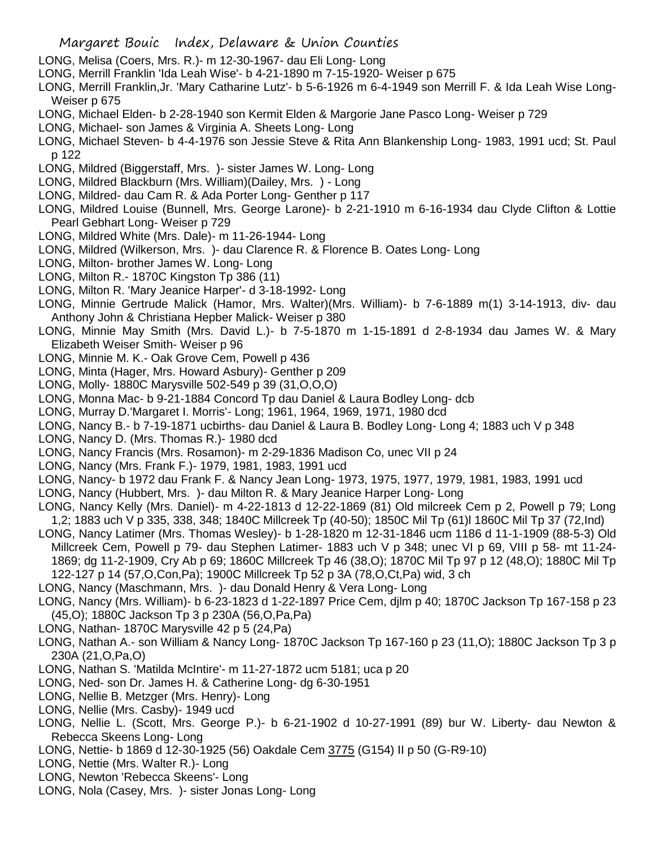- LONG, Melisa (Coers, Mrs. R.)- m 12-30-1967- dau Eli Long- Long
- LONG, Merrill Franklin 'Ida Leah Wise'- b 4-21-1890 m 7-15-1920- Weiser p 675
- LONG, Merrill Franklin,Jr. 'Mary Catharine Lutz'- b 5-6-1926 m 6-4-1949 son Merrill F. & Ida Leah Wise Long-Weiser p 675
- LONG, Michael Elden- b 2-28-1940 son Kermit Elden & Margorie Jane Pasco Long- Weiser p 729
- LONG, Michael- son James & Virginia A. Sheets Long- Long
- LONG, Michael Steven- b 4-4-1976 son Jessie Steve & Rita Ann Blankenship Long- 1983, 1991 ucd; St. Paul p 122
- LONG, Mildred (Biggerstaff, Mrs. )- sister James W. Long- Long
- LONG, Mildred Blackburn (Mrs. William)(Dailey, Mrs. ) Long
- LONG, Mildred- dau Cam R. & Ada Porter Long- Genther p 117
- LONG, Mildred Louise (Bunnell, Mrs. George Larone)- b 2-21-1910 m 6-16-1934 dau Clyde Clifton & Lottie Pearl Gebhart Long- Weiser p 729
- LONG, Mildred White (Mrs. Dale)- m 11-26-1944- Long
- LONG, Mildred (Wilkerson, Mrs. )- dau Clarence R. & Florence B. Oates Long- Long
- LONG, Milton- brother James W. Long- Long
- LONG, Milton R.- 1870C Kingston Tp 386 (11)
- LONG, Milton R. 'Mary Jeanice Harper'- d 3-18-1992- Long
- LONG, Minnie Gertrude Malick (Hamor, Mrs. Walter)(Mrs. William)- b 7-6-1889 m(1) 3-14-1913, div- dau Anthony John & Christiana Hepber Malick- Weiser p 380
- LONG, Minnie May Smith (Mrs. David L.)- b 7-5-1870 m 1-15-1891 d 2-8-1934 dau James W. & Mary Elizabeth Weiser Smith- Weiser p 96
- LONG, Minnie M. K.- Oak Grove Cem, Powell p 436
- LONG, Minta (Hager, Mrs. Howard Asbury)- Genther p 209
- LONG, Molly- 1880C Marysville 502-549 p 39 (31,O,O,O)
- LONG, Monna Mac- b 9-21-1884 Concord Tp dau Daniel & Laura Bodley Long- dcb
- LONG, Murray D.'Margaret I. Morris'- Long; 1961, 1964, 1969, 1971, 1980 dcd
- LONG, Nancy B.- b 7-19-1871 ucbirths- dau Daniel & Laura B. Bodley Long- Long 4; 1883 uch V p 348
- LONG, Nancy D. (Mrs. Thomas R.)- 1980 dcd
- LONG, Nancy Francis (Mrs. Rosamon)- m 2-29-1836 Madison Co, unec VII p 24
- LONG, Nancy (Mrs. Frank F.)- 1979, 1981, 1983, 1991 ucd
- LONG, Nancy- b 1972 dau Frank F. & Nancy Jean Long- 1973, 1975, 1977, 1979, 1981, 1983, 1991 ucd
- LONG, Nancy (Hubbert, Mrs. )- dau Milton R. & Mary Jeanice Harper Long- Long
- LONG, Nancy Kelly (Mrs. Daniel)- m 4-22-1813 d 12-22-1869 (81) Old milcreek Cem p 2, Powell p 79; Long 1,2; 1883 uch V p 335, 338, 348; 1840C Millcreek Tp (40-50); 1850C Mil Tp (61)l 1860C Mil Tp 37 (72,Ind)
- LONG, Nancy Latimer (Mrs. Thomas Wesley)- b 1-28-1820 m 12-31-1846 ucm 1186 d 11-1-1909 (88-5-3) Old Millcreek Cem, Powell p 79- dau Stephen Latimer- 1883 uch V p 348; unec VI p 69, VIII p 58- mt 11-24- 1869; dg 11-2-1909, Cry Ab p 69; 1860C Millcreek Tp 46 (38,O); 1870C Mil Tp 97 p 12 (48,O); 1880C Mil Tp 122-127 p 14 (57,O,Con,Pa); 1900C Millcreek Tp 52 p 3A (78,O,Ct,Pa) wid, 3 ch
- LONG, Nancy (Maschmann, Mrs. )- dau Donald Henry & Vera Long- Long
- LONG, Nancy (Mrs. William)- b 6-23-1823 d 1-22-1897 Price Cem, djlm p 40; 1870C Jackson Tp 167-158 p 23 (45,O); 1880C Jackson Tp 3 p 230A (56,O,Pa,Pa)
- LONG, Nathan- 1870C Marysville 42 p 5 (24,Pa)
- LONG, Nathan A.- son William & Nancy Long- 1870C Jackson Tp 167-160 p 23 (11,O); 1880C Jackson Tp 3 p 230A (21,O,Pa,O)
- LONG, Nathan S. 'Matilda McIntire'- m 11-27-1872 ucm 5181; uca p 20
- LONG, Ned- son Dr. James H. & Catherine Long- dg 6-30-1951
- LONG, Nellie B. Metzger (Mrs. Henry)- Long
- LONG, Nellie (Mrs. Casby)- 1949 ucd
- LONG, Nellie L. (Scott, Mrs. George P.)- b 6-21-1902 d 10-27-1991 (89) bur W. Liberty- dau Newton & Rebecca Skeens Long- Long
- LONG, Nettie- b 1869 d 12-30-1925 (56) Oakdale Cem 3775 (G154) II p 50 (G-R9-10)
- LONG, Nettie (Mrs. Walter R.)- Long
- LONG, Newton 'Rebecca Skeens'- Long
- LONG, Nola (Casey, Mrs. )- sister Jonas Long- Long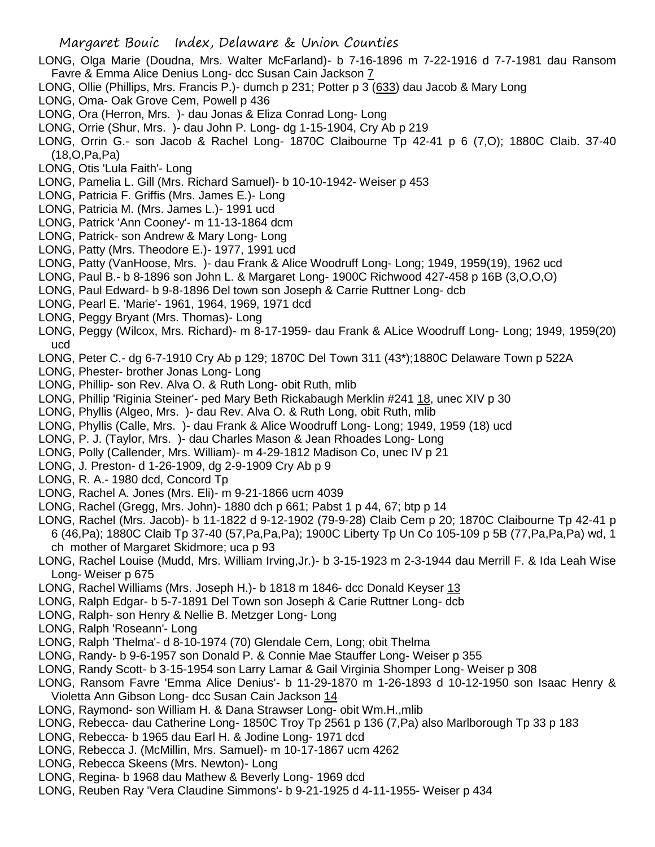- LONG, Olga Marie (Doudna, Mrs. Walter McFarland)- b 7-16-1896 m 7-22-1916 d 7-7-1981 dau Ransom Favre & Emma Alice Denius Long- dcc Susan Cain Jackson 7
- LONG, Ollie (Phillips, Mrs. Francis P.)- dumch p 231; Potter p 3 (633) dau Jacob & Mary Long
- LONG, Oma- Oak Grove Cem, Powell p 436
- LONG, Ora (Herron, Mrs. )- dau Jonas & Eliza Conrad Long- Long
- LONG, Orrie (Shur, Mrs. )- dau John P. Long- dg 1-15-1904, Cry Ab p 219
- LONG, Orrin G.- son Jacob & Rachel Long- 1870C Claibourne Tp 42-41 p 6 (7,O); 1880C Claib. 37-40 (18,O,Pa,Pa)
- LONG, Otis 'Lula Faith'- Long
- LONG, Pamelia L. Gill (Mrs. Richard Samuel)- b 10-10-1942- Weiser p 453
- LONG, Patricia F. Griffis (Mrs. James E.)- Long
- LONG, Patricia M. (Mrs. James L.)- 1991 ucd
- LONG, Patrick 'Ann Cooney'- m 11-13-1864 dcm
- LONG, Patrick- son Andrew & Mary Long- Long
- LONG, Patty (Mrs. Theodore E.)- 1977, 1991 ucd
- LONG, Patty (VanHoose, Mrs. )- dau Frank & Alice Woodruff Long- Long; 1949, 1959(19), 1962 ucd
- LONG, Paul B.- b 8-1896 son John L. & Margaret Long- 1900C Richwood 427-458 p 16B (3,O,O,O)
- LONG, Paul Edward- b 9-8-1896 Del town son Joseph & Carrie Ruttner Long- dcb
- LONG, Pearl E. 'Marie'- 1961, 1964, 1969, 1971 dcd
- LONG, Peggy Bryant (Mrs. Thomas)- Long
- LONG, Peggy (Wilcox, Mrs. Richard)- m 8-17-1959- dau Frank & ALice Woodruff Long- Long; 1949, 1959(20) ucd
- LONG, Peter C.- dg 6-7-1910 Cry Ab p 129; 1870C Del Town 311 (43\*);1880C Delaware Town p 522A
- LONG, Phester- brother Jonas Long- Long
- LONG, Phillip- son Rev. Alva O. & Ruth Long- obit Ruth, mlib
- LONG, Phillip 'Riginia Steiner'- ped Mary Beth Rickabaugh Merklin #241 18, unec XIV p 30
- LONG, Phyllis (Algeo, Mrs. )- dau Rev. Alva O. & Ruth Long, obit Ruth, mlib
- LONG, Phyllis (Calle, Mrs. )- dau Frank & Alice Woodruff Long- Long; 1949, 1959 (18) ucd
- LONG, P. J. (Taylor, Mrs. )- dau Charles Mason & Jean Rhoades Long- Long
- LONG, Polly (Callender, Mrs. William)- m 4-29-1812 Madison Co, unec IV p 21
- LONG, J. Preston- d 1-26-1909, dg 2-9-1909 Cry Ab p 9
- LONG, R. A.- 1980 dcd, Concord Tp
- LONG, Rachel A. Jones (Mrs. Eli)- m 9-21-1866 ucm 4039
- LONG, Rachel (Gregg, Mrs. John)- 1880 dch p 661; Pabst 1 p 44, 67; btp p 14
- LONG, Rachel (Mrs. Jacob)- b 11-1822 d 9-12-1902 (79-9-28) Claib Cem p 20; 1870C Claibourne Tp 42-41 p 6 (46,Pa); 1880C Claib Tp 37-40 (57,Pa,Pa,Pa); 1900C Liberty Tp Un Co 105-109 p 5B (77,Pa,Pa,Pa) wd, 1 ch mother of Margaret Skidmore; uca p 93
- LONG, Rachel Louise (Mudd, Mrs. William Irving,Jr.)- b 3-15-1923 m 2-3-1944 dau Merrill F. & Ida Leah Wise Long- Weiser p 675
- LONG, Rachel Williams (Mrs. Joseph H.)- b 1818 m 1846- dcc Donald Keyser 13
- LONG, Ralph Edgar- b 5-7-1891 Del Town son Joseph & Carie Ruttner Long- dcb
- LONG, Ralph- son Henry & Nellie B. Metzger Long- Long
- LONG, Ralph 'Roseann'- Long
- LONG, Ralph 'Thelma'- d 8-10-1974 (70) Glendale Cem, Long; obit Thelma
- LONG, Randy- b 9-6-1957 son Donald P. & Connie Mae Stauffer Long- Weiser p 355
- LONG, Randy Scott- b 3-15-1954 son Larry Lamar & Gail Virginia Shomper Long- Weiser p 308
- LONG, Ransom Favre 'Emma Alice Denius'- b 11-29-1870 m 1-26-1893 d 10-12-1950 son Isaac Henry & Violetta Ann Gibson Long- dcc Susan Cain Jackson 14
- LONG, Raymond- son William H. & Dana Strawser Long- obit Wm.H.,mlib
- LONG, Rebecca- dau Catherine Long- 1850C Troy Tp 2561 p 136 (7,Pa) also Marlborough Tp 33 p 183
- LONG, Rebecca- b 1965 dau Earl H. & Jodine Long- 1971 dcd
- LONG, Rebecca J. (McMillin, Mrs. Samuel)- m 10-17-1867 ucm 4262
- LONG, Rebecca Skeens (Mrs. Newton)- Long
- LONG, Regina- b 1968 dau Mathew & Beverly Long- 1969 dcd
- LONG, Reuben Ray 'Vera Claudine Simmons'- b 9-21-1925 d 4-11-1955- Weiser p 434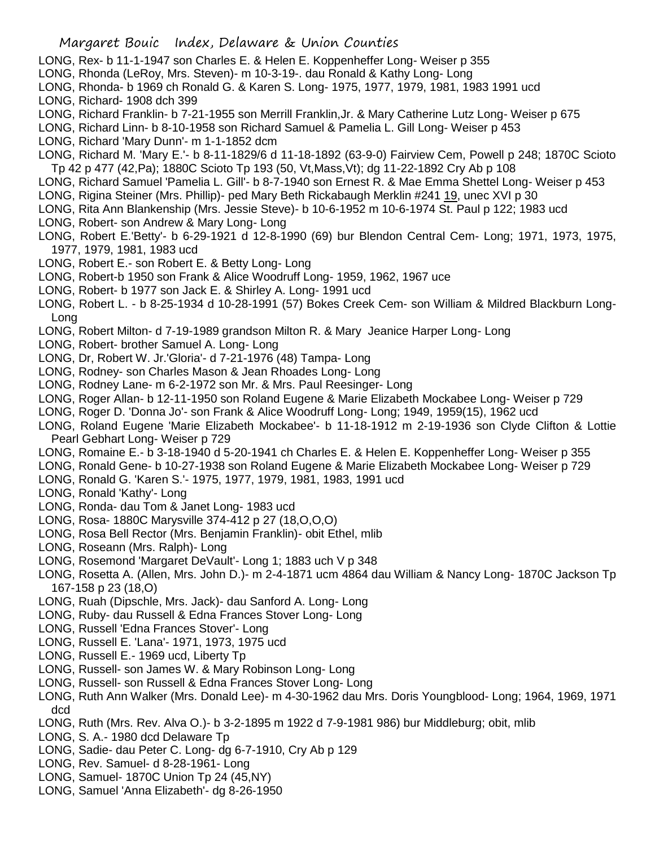- LONG, Rex- b 11-1-1947 son Charles E. & Helen E. Koppenheffer Long- Weiser p 355
- LONG, Rhonda (LeRoy, Mrs. Steven)- m 10-3-19-. dau Ronald & Kathy Long- Long
- LONG, Rhonda- b 1969 ch Ronald G. & Karen S. Long- 1975, 1977, 1979, 1981, 1983 1991 ucd
- LONG, Richard- 1908 dch 399
- LONG, Richard Franklin- b 7-21-1955 son Merrill Franklin,Jr. & Mary Catherine Lutz Long- Weiser p 675
- LONG, Richard Linn- b 8-10-1958 son Richard Samuel & Pamelia L. Gill Long- Weiser p 453
- LONG, Richard 'Mary Dunn'- m 1-1-1852 dcm
- LONG, Richard M. 'Mary E.'- b 8-11-1829/6 d 11-18-1892 (63-9-0) Fairview Cem, Powell p 248; 1870C Scioto Tp 42 p 477 (42,Pa); 1880C Scioto Tp 193 (50, Vt,Mass,Vt); dg 11-22-1892 Cry Ab p 108
- LONG, Richard Samuel 'Pamelia L. Gill'- b 8-7-1940 son Ernest R. & Mae Emma Shettel Long- Weiser p 453
- LONG, Rigina Steiner (Mrs. Phillip)- ped Mary Beth Rickabaugh Merklin #241 19, unec XVI p 30
- LONG, Rita Ann Blankenship (Mrs. Jessie Steve)- b 10-6-1952 m 10-6-1974 St. Paul p 122; 1983 ucd
- LONG, Robert- son Andrew & Mary Long- Long
- LONG, Robert E.'Betty'- b 6-29-1921 d 12-8-1990 (69) bur Blendon Central Cem- Long; 1971, 1973, 1975, 1977, 1979, 1981, 1983 ucd
- LONG, Robert E.- son Robert E. & Betty Long- Long
- LONG, Robert-b 1950 son Frank & Alice Woodruff Long- 1959, 1962, 1967 uce
- LONG, Robert- b 1977 son Jack E. & Shirley A. Long- 1991 ucd
- LONG, Robert L. b 8-25-1934 d 10-28-1991 (57) Bokes Creek Cem- son William & Mildred Blackburn Long-Long
- LONG, Robert Milton- d 7-19-1989 grandson Milton R. & Mary Jeanice Harper Long- Long
- LONG, Robert- brother Samuel A. Long- Long
- LONG, Dr, Robert W. Jr.'Gloria'- d 7-21-1976 (48) Tampa- Long
- LONG, Rodney- son Charles Mason & Jean Rhoades Long- Long
- LONG, Rodney Lane- m 6-2-1972 son Mr. & Mrs. Paul Reesinger- Long
- LONG, Roger Allan- b 12-11-1950 son Roland Eugene & Marie Elizabeth Mockabee Long- Weiser p 729
- LONG, Roger D. 'Donna Jo'- son Frank & Alice Woodruff Long- Long; 1949, 1959(15), 1962 ucd
- LONG, Roland Eugene 'Marie Elizabeth Mockabee'- b 11-18-1912 m 2-19-1936 son Clyde Clifton & Lottie Pearl Gebhart Long- Weiser p 729
- LONG, Romaine E.- b 3-18-1940 d 5-20-1941 ch Charles E. & Helen E. Koppenheffer Long- Weiser p 355
- LONG, Ronald Gene- b 10-27-1938 son Roland Eugene & Marie Elizabeth Mockabee Long- Weiser p 729
- LONG, Ronald G. 'Karen S.'- 1975, 1977, 1979, 1981, 1983, 1991 ucd
- LONG, Ronald 'Kathy'- Long
- LONG, Ronda- dau Tom & Janet Long- 1983 ucd
- LONG, Rosa- 1880C Marysville 374-412 p 27 (18,O,O,O)
- LONG, Rosa Bell Rector (Mrs. Benjamin Franklin)- obit Ethel, mlib
- LONG, Roseann (Mrs. Ralph)- Long
- LONG, Rosemond 'Margaret DeVault'- Long 1; 1883 uch V p 348
- LONG, Rosetta A. (Allen, Mrs. John D.)- m 2-4-1871 ucm 4864 dau William & Nancy Long- 1870C Jackson Tp 167-158 p 23 (18,O)
- LONG, Ruah (Dipschle, Mrs. Jack)- dau Sanford A. Long- Long
- LONG, Ruby- dau Russell & Edna Frances Stover Long- Long
- LONG, Russell 'Edna Frances Stover'- Long
- LONG, Russell E. 'Lana'- 1971, 1973, 1975 ucd
- LONG, Russell E.- 1969 ucd, Liberty Tp
- LONG, Russell- son James W. & Mary Robinson Long- Long
- LONG, Russell- son Russell & Edna Frances Stover Long- Long
- LONG, Ruth Ann Walker (Mrs. Donald Lee)- m 4-30-1962 dau Mrs. Doris Youngblood- Long; 1964, 1969, 1971 dcd
- LONG, Ruth (Mrs. Rev. Alva O.)- b 3-2-1895 m 1922 d 7-9-1981 986) bur Middleburg; obit, mlib
- LONG, S. A.- 1980 dcd Delaware Tp
- LONG, Sadie- dau Peter C. Long- dg 6-7-1910, Cry Ab p 129
- LONG, Rev. Samuel- d 8-28-1961- Long
- LONG, Samuel- 1870C Union Tp 24 (45,NY)
- LONG, Samuel 'Anna Elizabeth'- dg 8-26-1950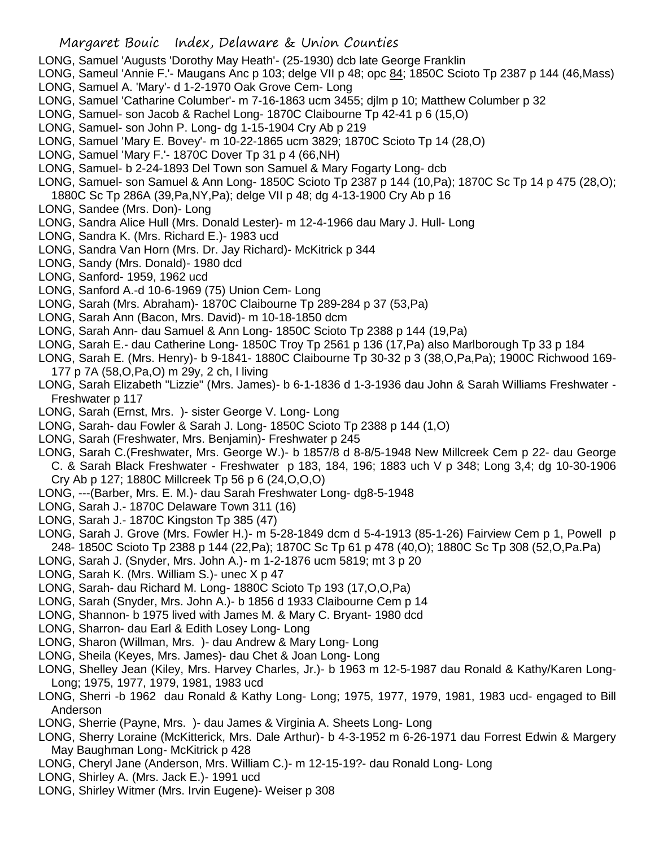- LONG, Samuel 'Augusts 'Dorothy May Heath'- (25-1930) dcb late George Franklin
- LONG, Sameul 'Annie F.'- Maugans Anc p 103; delge VII p 48; opc 84; 1850C Scioto Tp 2387 p 144 (46, Mass)
- LONG, Samuel A. 'Mary'- d 1-2-1970 Oak Grove Cem- Long
- LONG, Samuel 'Catharine Columber'- m 7-16-1863 ucm 3455; djlm p 10; Matthew Columber p 32
- LONG, Samuel- son Jacob & Rachel Long- 1870C Claibourne Tp 42-41 p 6 (15,O)
- LONG, Samuel- son John P. Long- dg 1-15-1904 Cry Ab p 219
- LONG, Samuel 'Mary E. Bovey'- m 10-22-1865 ucm 3829; 1870C Scioto Tp 14 (28,O)
- LONG, Samuel 'Mary F.'- 1870C Dover Tp 31 p 4 (66,NH)
- LONG, Samuel- b 2-24-1893 Del Town son Samuel & Mary Fogarty Long- dcb
- LONG, Samuel- son Samuel & Ann Long- 1850C Scioto Tp 2387 p 144 (10,Pa); 1870C Sc Tp 14 p 475 (28,O);
- 1880C Sc Tp 286A (39,Pa,NY,Pa); delge VII p 48; dg 4-13-1900 Cry Ab p 16
- LONG, Sandee (Mrs. Don)- Long
- LONG, Sandra Alice Hull (Mrs. Donald Lester)- m 12-4-1966 dau Mary J. Hull- Long
- LONG, Sandra K. (Mrs. Richard E.)- 1983 ucd
- LONG, Sandra Van Horn (Mrs. Dr. Jay Richard)- McKitrick p 344
- LONG, Sandy (Mrs. Donald)- 1980 dcd
- LONG, Sanford- 1959, 1962 ucd
- LONG, Sanford A.-d 10-6-1969 (75) Union Cem- Long
- LONG, Sarah (Mrs. Abraham)- 1870C Claibourne Tp 289-284 p 37 (53,Pa)
- LONG, Sarah Ann (Bacon, Mrs. David)- m 10-18-1850 dcm
- LONG, Sarah Ann- dau Samuel & Ann Long- 1850C Scioto Tp 2388 p 144 (19,Pa)
- LONG, Sarah E.- dau Catherine Long- 1850C Troy Tp 2561 p 136 (17,Pa) also Marlborough Tp 33 p 184
- LONG, Sarah E. (Mrs. Henry)- b 9-1841- 1880C Claibourne Tp 30-32 p 3 (38,O,Pa,Pa); 1900C Richwood 169- 177 p 7A (58,O,Pa,O) m 29y, 2 ch, l living
- LONG, Sarah Elizabeth "Lizzie" (Mrs. James)- b 6-1-1836 d 1-3-1936 dau John & Sarah Williams Freshwater Freshwater p 117
- LONG, Sarah (Ernst, Mrs. )- sister George V. Long- Long
- LONG, Sarah- dau Fowler & Sarah J. Long- 1850C Scioto Tp 2388 p 144 (1,O)
- LONG, Sarah (Freshwater, Mrs. Benjamin)- Freshwater p 245
- LONG, Sarah C.(Freshwater, Mrs. George W.)- b 1857/8 d 8-8/5-1948 New Millcreek Cem p 22- dau George C. & Sarah Black Freshwater - Freshwater p 183, 184, 196; 1883 uch V p 348; Long 3,4; dg 10-30-1906 Cry Ab p 127; 1880C Millcreek Tp 56 p 6 (24,O,O,O)
- LONG, ---(Barber, Mrs. E. M.)- dau Sarah Freshwater Long- dg8-5-1948
- LONG, Sarah J.- 1870C Delaware Town 311 (16)
- LONG, Sarah J.- 1870C Kingston Tp 385 (47)
- LONG, Sarah J. Grove (Mrs. Fowler H.)- m 5-28-1849 dcm d 5-4-1913 (85-1-26) Fairview Cem p 1, Powell p 248- 1850C Scioto Tp 2388 p 144 (22,Pa); 1870C Sc Tp 61 p 478 (40,O); 1880C Sc Tp 308 (52,O,Pa.Pa)
- LONG, Sarah J. (Snyder, Mrs. John A.)- m 1-2-1876 ucm 5819; mt 3 p 20
- LONG, Sarah K. (Mrs. William S.)- unec X p 47
- LONG, Sarah- dau Richard M. Long- 1880C Scioto Tp 193 (17,O,O,Pa)
- LONG, Sarah (Snyder, Mrs. John A.)- b 1856 d 1933 Claibourne Cem p 14
- LONG, Shannon- b 1975 lived with James M. & Mary C. Bryant- 1980 dcd
- LONG, Sharron- dau Earl & Edith Losey Long- Long
- LONG, Sharon (Willman, Mrs. )- dau Andrew & Mary Long- Long
- LONG, Sheila (Keyes, Mrs. James)- dau Chet & Joan Long- Long
- LONG, Shelley Jean (Kiley, Mrs. Harvey Charles, Jr.)- b 1963 m 12-5-1987 dau Ronald & Kathy/Karen Long-Long; 1975, 1977, 1979, 1981, 1983 ucd
- LONG, Sherri -b 1962 dau Ronald & Kathy Long- Long; 1975, 1977, 1979, 1981, 1983 ucd- engaged to Bill Anderson
- LONG, Sherrie (Payne, Mrs. )- dau James & Virginia A. Sheets Long- Long
- LONG, Sherry Loraine (McKitterick, Mrs. Dale Arthur)- b 4-3-1952 m 6-26-1971 dau Forrest Edwin & Margery May Baughman Long- McKitrick p 428
- LONG, Cheryl Jane (Anderson, Mrs. William C.)- m 12-15-19?- dau Ronald Long- Long
- LONG, Shirley A. (Mrs. Jack E.)- 1991 ucd
- LONG, Shirley Witmer (Mrs. Irvin Eugene)- Weiser p 308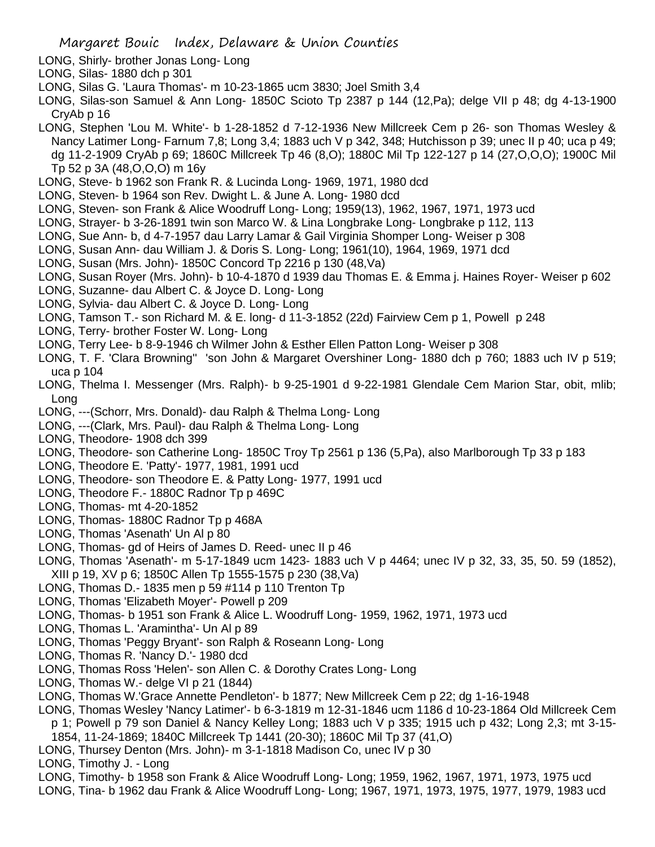LONG, Shirly- brother Jonas Long- Long

- LONG, Silas- 1880 dch p 301
- LONG, Silas G. 'Laura Thomas'- m 10-23-1865 ucm 3830; Joel Smith 3,4
- LONG, Silas-son Samuel & Ann Long- 1850C Scioto Tp 2387 p 144 (12,Pa); delge VII p 48; dg 4-13-1900 CryAb p 16
- LONG, Stephen 'Lou M. White'- b 1-28-1852 d 7-12-1936 New Millcreek Cem p 26- son Thomas Wesley & Nancy Latimer Long- Farnum 7,8; Long 3,4; 1883 uch V p 342, 348; Hutchisson p 39; unec II p 40; uca p 49; dg 11-2-1909 CryAb p 69; 1860C Millcreek Tp 46 (8,O); 1880C Mil Tp 122-127 p 14 (27,O,O,O); 1900C Mil Tp 52 p 3A (48,O,O,O) m 16y
- LONG, Steve- b 1962 son Frank R. & Lucinda Long- 1969, 1971, 1980 dcd
- LONG, Steven- b 1964 son Rev. Dwight L. & June A. Long- 1980 dcd
- LONG, Steven- son Frank & Alice Woodruff Long- Long; 1959(13), 1962, 1967, 1971, 1973 ucd
- LONG, Strayer- b 3-26-1891 twin son Marco W. & Lina Longbrake Long- Longbrake p 112, 113
- LONG, Sue Ann- b, d 4-7-1957 dau Larry Lamar & Gail Virginia Shomper Long- Weiser p 308
- LONG, Susan Ann- dau William J. & Doris S. Long- Long; 1961(10), 1964, 1969, 1971 dcd
- LONG, Susan (Mrs. John)- 1850C Concord Tp 2216 p 130 (48,Va)
- LONG, Susan Royer (Mrs. John)- b 10-4-1870 d 1939 dau Thomas E. & Emma j. Haines Royer- Weiser p 602
- LONG, Suzanne- dau Albert C. & Joyce D. Long- Long
- LONG, Sylvia- dau Albert C. & Joyce D. Long- Long
- LONG, Tamson T.- son Richard M. & E. long- d 11-3-1852 (22d) Fairview Cem p 1, Powell p 248
- LONG, Terry- brother Foster W. Long- Long
- LONG, Terry Lee- b 8-9-1946 ch Wilmer John & Esther Ellen Patton Long- Weiser p 308
- LONG, T. F. 'Clara Browning'' 'son John & Margaret Overshiner Long- 1880 dch p 760; 1883 uch IV p 519; uca p 104
- LONG, Thelma I. Messenger (Mrs. Ralph)- b 9-25-1901 d 9-22-1981 Glendale Cem Marion Star, obit, mlib; Long
- LONG, ---(Schorr, Mrs. Donald)- dau Ralph & Thelma Long- Long
- LONG, ---(Clark, Mrs. Paul)- dau Ralph & Thelma Long- Long
- LONG, Theodore- 1908 dch 399
- LONG, Theodore- son Catherine Long- 1850C Troy Tp 2561 p 136 (5,Pa), also Marlborough Tp 33 p 183
- LONG, Theodore E. 'Patty'- 1977, 1981, 1991 ucd
- LONG, Theodore- son Theodore E. & Patty Long- 1977, 1991 ucd
- LONG, Theodore F.- 1880C Radnor Tp p 469C
- LONG, Thomas- mt 4-20-1852
- LONG, Thomas- 1880C Radnor Tp p 468A
- LONG, Thomas 'Asenath' Un Al p 80
- LONG, Thomas- gd of Heirs of James D. Reed- unec II p 46
- LONG, Thomas 'Asenath'- m 5-17-1849 ucm 1423- 1883 uch V p 4464; unec IV p 32, 33, 35, 50. 59 (1852),
- XIII p 19, XV p 6; 1850C Allen Tp 1555-1575 p 230 (38,Va)
- LONG, Thomas D.- 1835 men p 59 #114 p 110 Trenton Tp
- LONG, Thomas 'Elizabeth Moyer'- Powell p 209
- LONG, Thomas- b 1951 son Frank & Alice L. Woodruff Long- 1959, 1962, 1971, 1973 ucd
- LONG, Thomas L. 'Aramintha'- Un Al p 89
- LONG, Thomas 'Peggy Bryant'- son Ralph & Roseann Long- Long
- LONG, Thomas R. 'Nancy D.'- 1980 dcd
- LONG, Thomas Ross 'Helen'- son Allen C. & Dorothy Crates Long- Long
- LONG, Thomas W.- delge VI p 21 (1844)
- LONG, Thomas W.'Grace Annette Pendleton'- b 1877; New Millcreek Cem p 22; dg 1-16-1948
- LONG, Thomas Wesley 'Nancy Latimer'- b 6-3-1819 m 12-31-1846 ucm 1186 d 10-23-1864 Old Millcreek Cem p 1; Powell p 79 son Daniel & Nancy Kelley Long; 1883 uch V p 335; 1915 uch p 432; Long 2,3; mt 3-15- 1854, 11-24-1869; 1840C Millcreek Tp 1441 (20-30); 1860C Mil Tp 37 (41,O)
- LONG, Thursey Denton (Mrs. John)- m 3-1-1818 Madison Co, unec IV p 30
- LONG, Timothy J. Long
- LONG, Timothy- b 1958 son Frank & Alice Woodruff Long- Long; 1959, 1962, 1967, 1971, 1973, 1975 ucd
- LONG, Tina- b 1962 dau Frank & Alice Woodruff Long- Long; 1967, 1971, 1973, 1975, 1977, 1979, 1983 ucd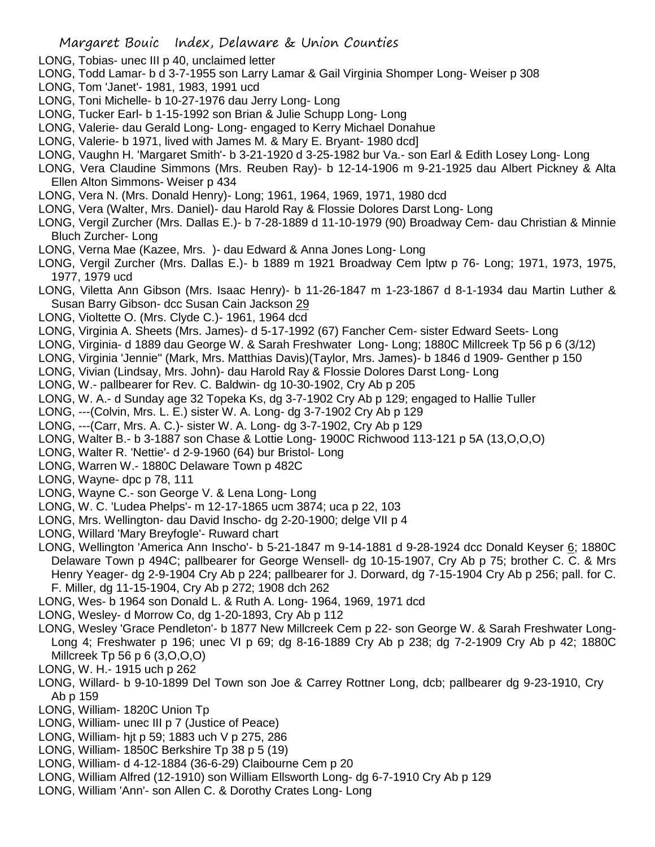- LONG, Tobias- unec III p 40, unclaimed letter
- LONG, Todd Lamar- b d 3-7-1955 son Larry Lamar & Gail Virginia Shomper Long- Weiser p 308
- LONG, Tom 'Janet'- 1981, 1983, 1991 ucd
- LONG, Toni Michelle- b 10-27-1976 dau Jerry Long- Long
- LONG, Tucker Earl- b 1-15-1992 son Brian & Julie Schupp Long- Long
- LONG, Valerie- dau Gerald Long- Long- engaged to Kerry Michael Donahue
- LONG, Valerie- b 1971, lived with James M. & Mary E. Bryant- 1980 dcd]
- LONG, Vaughn H. 'Margaret Smith'- b 3-21-1920 d 3-25-1982 bur Va.- son Earl & Edith Losey Long- Long
- LONG, Vera Claudine Simmons (Mrs. Reuben Ray)- b 12-14-1906 m 9-21-1925 dau Albert Pickney & Alta Ellen Alton Simmons- Weiser p 434
- LONG, Vera N. (Mrs. Donald Henry)- Long; 1961, 1964, 1969, 1971, 1980 dcd
- LONG, Vera (Walter, Mrs. Daniel)- dau Harold Ray & Flossie Dolores Darst Long- Long
- LONG, Vergil Zurcher (Mrs. Dallas E.)- b 7-28-1889 d 11-10-1979 (90) Broadway Cem- dau Christian & Minnie Bluch Zurcher- Long
- LONG, Verna Mae (Kazee, Mrs. )- dau Edward & Anna Jones Long- Long
- LONG, Vergil Zurcher (Mrs. Dallas E.)- b 1889 m 1921 Broadway Cem lptw p 76- Long; 1971, 1973, 1975, 1977, 1979 ucd
- LONG, Viletta Ann Gibson (Mrs. Isaac Henry)- b 11-26-1847 m 1-23-1867 d 8-1-1934 dau Martin Luther & Susan Barry Gibson- dcc Susan Cain Jackson 29
- LONG, Violtette O. (Mrs. Clyde C.)- 1961, 1964 dcd
- LONG, Virginia A. Sheets (Mrs. James)- d 5-17-1992 (67) Fancher Cem- sister Edward Seets- Long
- LONG, Virginia- d 1889 dau George W. & Sarah Freshwater Long- Long; 1880C Millcreek Tp 56 p 6 (3/12)
- LONG, Virginia 'Jennie" (Mark, Mrs. Matthias Davis)(Taylor, Mrs. James)- b 1846 d 1909- Genther p 150
- LONG, Vivian (Lindsay, Mrs. John)- dau Harold Ray & Flossie Dolores Darst Long- Long
- LONG, W.- pallbearer for Rev. C. Baldwin- dg 10-30-1902, Cry Ab p 205
- LONG, W. A.- d Sunday age 32 Topeka Ks, dg 3-7-1902 Cry Ab p 129; engaged to Hallie Tuller
- LONG, ---(Colvin, Mrs. L. E.) sister W. A. Long- dg 3-7-1902 Cry Ab p 129
- LONG, ---(Carr, Mrs. A. C.)- sister W. A. Long- dg 3-7-1902, Cry Ab p 129
- LONG, Walter B.- b 3-1887 son Chase & Lottie Long- 1900C Richwood 113-121 p 5A (13,O,O,O)
- LONG, Walter R. 'Nettie'- d 2-9-1960 (64) bur Bristol- Long
- LONG, Warren W.- 1880C Delaware Town p 482C
- LONG, Wayne- dpc p 78, 111
- LONG, Wayne C.- son George V. & Lena Long- Long
- LONG, W. C. 'Ludea Phelps'- m 12-17-1865 ucm 3874; uca p 22, 103
- LONG, Mrs. Wellington- dau David Inscho- dg 2-20-1900; delge VII p 4
- LONG, Willard 'Mary Breyfogle'- Ruward chart
- LONG, Wellington 'America Ann Inscho'- b 5-21-1847 m 9-14-1881 d 9-28-1924 dcc Donald Keyser 6; 1880C Delaware Town p 494C; pallbearer for George Wensell- dg 10-15-1907, Cry Ab p 75; brother C. C. & Mrs Henry Yeager- dg 2-9-1904 Cry Ab p 224; pallbearer for J. Dorward, dg 7-15-1904 Cry Ab p 256; pall. for C. F. Miller, dg 11-15-1904, Cry Ab p 272; 1908 dch 262
- LONG, Wes- b 1964 son Donald L. & Ruth A. Long- 1964, 1969, 1971 dcd
- LONG, Wesley- d Morrow Co, dg 1-20-1893, Cry Ab p 112
- LONG, Wesley 'Grace Pendleton'- b 1877 New Millcreek Cem p 22- son George W. & Sarah Freshwater Long-Long 4; Freshwater p 196; unec VI p 69; dg 8-16-1889 Cry Ab p 238; dg 7-2-1909 Cry Ab p 42; 1880C Millcreek Tp 56 p 6 (3,O,O,O)
- LONG, W. H.- 1915 uch p 262
- LONG, Willard- b 9-10-1899 Del Town son Joe & Carrey Rottner Long, dcb; pallbearer dg 9-23-1910, Cry Ab p 159
- LONG, William- 1820C Union Tp
- LONG, William- unec III p 7 (Justice of Peace)
- LONG, William- hjt p 59; 1883 uch V p 275, 286
- LONG, William- 1850C Berkshire Tp 38 p 5 (19)
- LONG, William- d 4-12-1884 (36-6-29) Claibourne Cem p 20
- LONG, William Alfred (12-1910) son William Ellsworth Long- dg 6-7-1910 Cry Ab p 129
- LONG, William 'Ann'- son Allen C. & Dorothy Crates Long- Long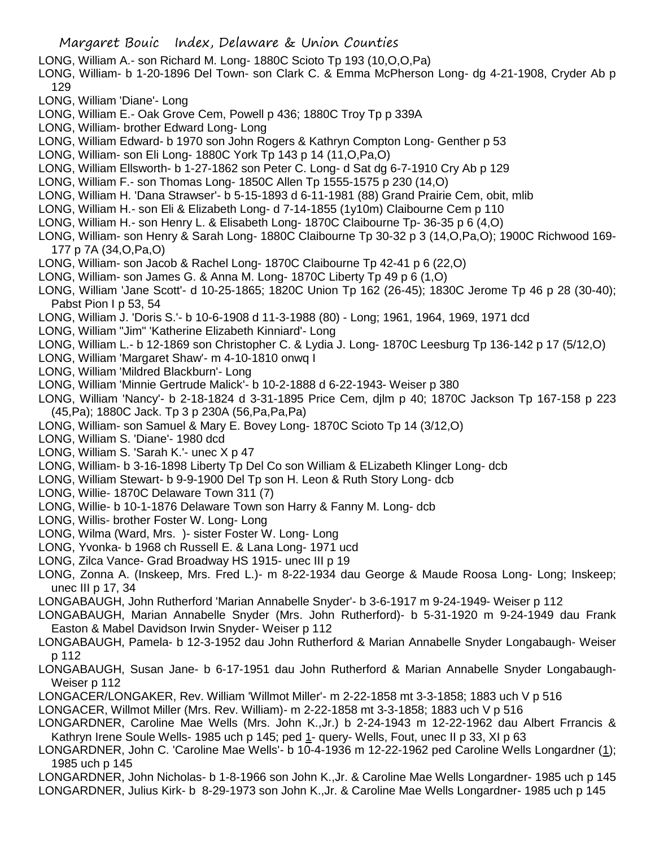- LONG, William A.- son Richard M. Long- 1880C Scioto Tp 193 (10,O,O,Pa)
- LONG, William- b 1-20-1896 Del Town- son Clark C. & Emma McPherson Long- dg 4-21-1908, Cryder Ab p 129
- LONG, William 'Diane'- Long
- LONG, William E.- Oak Grove Cem, Powell p 436; 1880C Troy Tp p 339A
- LONG, William- brother Edward Long- Long
- LONG, William Edward- b 1970 son John Rogers & Kathryn Compton Long- Genther p 53
- LONG, William- son Eli Long- 1880C York Tp 143 p 14 (11,O,Pa,O)
- LONG, William Ellsworth- b 1-27-1862 son Peter C. Long- d Sat dg 6-7-1910 Cry Ab p 129
- LONG, William F.- son Thomas Long- 1850C Allen Tp 1555-1575 p 230 (14,O)
- LONG, William H. 'Dana Strawser'- b 5-15-1893 d 6-11-1981 (88) Grand Prairie Cem, obit, mlib
- LONG, William H.- son Eli & Elizabeth Long- d 7-14-1855 (1y10m) Claibourne Cem p 110
- LONG, William H.- son Henry L. & Elisabeth Long- 1870C Claibourne Tp- 36-35 p 6 (4,O)
- LONG, William- son Henry & Sarah Long- 1880C Claibourne Tp 30-32 p 3 (14,O,Pa,O); 1900C Richwood 169- 177 p 7A (34,O,Pa,O)
- LONG, William- son Jacob & Rachel Long- 1870C Claibourne Tp 42-41 p 6 (22,O)
- LONG, William- son James G. & Anna M. Long- 1870C Liberty Tp 49 p 6 (1,O)
- LONG, William 'Jane Scott'- d 10-25-1865; 1820C Union Tp 162 (26-45); 1830C Jerome Tp 46 p 28 (30-40); Pabst Pion I p 53, 54
- LONG, William J. 'Doris S.'- b 10-6-1908 d 11-3-1988 (80) Long; 1961, 1964, 1969, 1971 dcd
- LONG, William "Jim" 'Katherine Elizabeth Kinniard'- Long
- LONG, William L.- b 12-1869 son Christopher C. & Lydia J. Long- 1870C Leesburg Tp 136-142 p 17 (5/12,O)
- LONG, William 'Margaret Shaw'- m 4-10-1810 onwq I
- LONG, William 'Mildred Blackburn'- Long
- LONG, William 'Minnie Gertrude Malick'- b 10-2-1888 d 6-22-1943- Weiser p 380
- LONG, William 'Nancy'- b 2-18-1824 d 3-31-1895 Price Cem, djlm p 40; 1870C Jackson Tp 167-158 p 223 (45,Pa); 1880C Jack. Tp 3 p 230A (56,Pa,Pa,Pa)
- LONG, William- son Samuel & Mary E. Bovey Long- 1870C Scioto Tp 14 (3/12,O)
- LONG, William S. 'Diane'- 1980 dcd
- LONG, William S. 'Sarah K.'- unec X p 47
- LONG, William- b 3-16-1898 Liberty Tp Del Co son William & ELizabeth Klinger Long- dcb
- LONG, William Stewart- b 9-9-1900 Del Tp son H. Leon & Ruth Story Long- dcb
- LONG, Willie- 1870C Delaware Town 311 (7)
- LONG, Willie- b 10-1-1876 Delaware Town son Harry & Fanny M. Long- dcb
- LONG, Willis- brother Foster W. Long- Long
- LONG, Wilma (Ward, Mrs. )- sister Foster W. Long- Long
- LONG, Yvonka- b 1968 ch Russell E. & Lana Long- 1971 ucd
- LONG, Zilca Vance- Grad Broadway HS 1915- unec III p 19
- LONG, Zonna A. (Inskeep, Mrs. Fred L.)- m 8-22-1934 dau George & Maude Roosa Long- Long; Inskeep; unec III p 17, 34
- LONGABAUGH, John Rutherford 'Marian Annabelle Snyder'- b 3-6-1917 m 9-24-1949- Weiser p 112
- LONGABAUGH, Marian Annabelle Snyder (Mrs. John Rutherford)- b 5-31-1920 m 9-24-1949 dau Frank Easton & Mabel Davidson Irwin Snyder- Weiser p 112
- LONGABAUGH, Pamela- b 12-3-1952 dau John Rutherford & Marian Annabelle Snyder Longabaugh- Weiser p 112
- LONGABAUGH, Susan Jane- b 6-17-1951 dau John Rutherford & Marian Annabelle Snyder Longabaugh-Weiser p 112
- LONGACER/LONGAKER, Rev. William 'Willmot Miller'- m 2-22-1858 mt 3-3-1858; 1883 uch V p 516
- LONGACER, Willmot Miller (Mrs. Rev. William)- m 2-22-1858 mt 3-3-1858; 1883 uch V p 516
- LONGARDNER, Caroline Mae Wells (Mrs. John K.,Jr.) b 2-24-1943 m 12-22-1962 dau Albert Frrancis & Kathryn Irene Soule Wells- 1985 uch p 145; ped 1- query- Wells, Fout, unec II p 33, XI p 63
- LONGARDNER, John C. 'Caroline Mae Wells'- b 10-4-1936 m 12-22-1962 ped Caroline Wells Longardner (1); 1985 uch p 145
- LONGARDNER, John Nicholas- b 1-8-1966 son John K.,Jr. & Caroline Mae Wells Longardner- 1985 uch p 145 LONGARDNER, Julius Kirk- b 8-29-1973 son John K.,Jr. & Caroline Mae Wells Longardner- 1985 uch p 145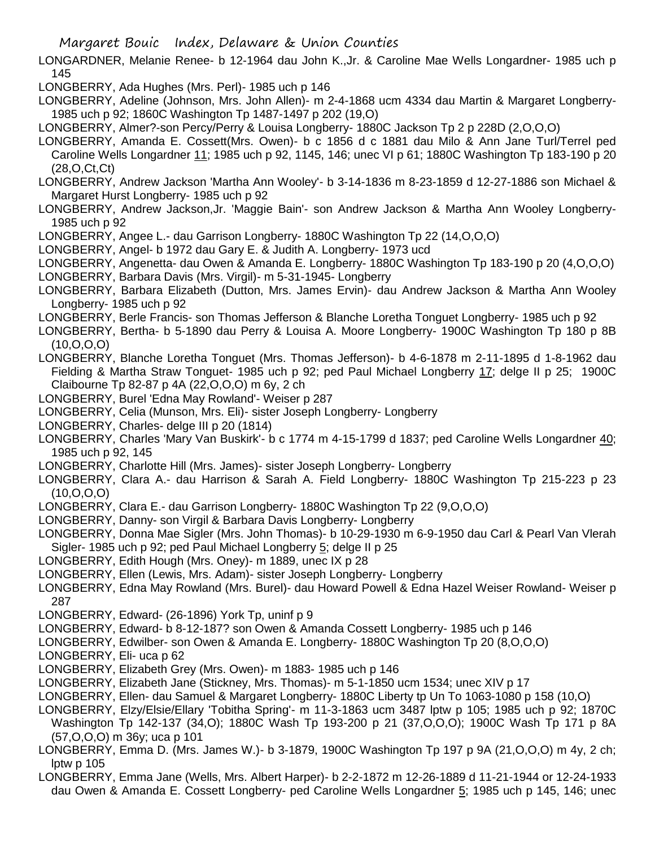LONGARDNER, Melanie Renee- b 12-1964 dau John K.,Jr. & Caroline Mae Wells Longardner- 1985 uch p 145

LONGBERRY, Ada Hughes (Mrs. Perl)- 1985 uch p 146

LONGBERRY, Adeline (Johnson, Mrs. John Allen)- m 2-4-1868 ucm 4334 dau Martin & Margaret Longberry-1985 uch p 92; 1860C Washington Tp 1487-1497 p 202 (19,O)

LONGBERRY, Almer?-son Percy/Perry & Louisa Longberry- 1880C Jackson Tp 2 p 228D (2,O,O,O)

- LONGBERRY, Amanda E. Cossett(Mrs. Owen)- b c 1856 d c 1881 dau Milo & Ann Jane Turl/Terrel ped Caroline Wells Longardner 11; 1985 uch p 92, 1145, 146; unec VI p 61; 1880C Washington Tp 183-190 p 20 (28,O,Ct,Ct)
- LONGBERRY, Andrew Jackson 'Martha Ann Wooley'- b 3-14-1836 m 8-23-1859 d 12-27-1886 son Michael & Margaret Hurst Longberry- 1985 uch p 92
- LONGBERRY, Andrew Jackson,Jr. 'Maggie Bain'- son Andrew Jackson & Martha Ann Wooley Longberry-1985 uch p 92
- LONGBERRY, Angee L.- dau Garrison Longberry- 1880C Washington Tp 22 (14,O,O,O)
- LONGBERRY, Angel- b 1972 dau Gary E. & Judith A. Longberry- 1973 ucd
- LONGBERRY, Angenetta- dau Owen & Amanda E. Longberry- 1880C Washington Tp 183-190 p 20 (4,O,O,O)
- LONGBERRY, Barbara Davis (Mrs. Virgil)- m 5-31-1945- Longberry
- LONGBERRY, Barbara Elizabeth (Dutton, Mrs. James Ervin)- dau Andrew Jackson & Martha Ann Wooley Longberry- 1985 uch p 92
- LONGBERRY, Berle Francis- son Thomas Jefferson & Blanche Loretha Tonguet Longberry- 1985 uch p 92
- LONGBERRY, Bertha- b 5-1890 dau Perry & Louisa A. Moore Longberry- 1900C Washington Tp 180 p 8B  $(10, 0, 0, 0)$
- LONGBERRY, Blanche Loretha Tonguet (Mrs. Thomas Jefferson)- b 4-6-1878 m 2-11-1895 d 1-8-1962 dau Fielding & Martha Straw Tonguet- 1985 uch p 92; ped Paul Michael Longberry 17; delge II p 25; 1900C Claibourne Tp 82-87 p 4A (22,O,O,O) m 6y, 2 ch
- LONGBERRY, Burel 'Edna May Rowland'- Weiser p 287
- LONGBERRY, Celia (Munson, Mrs. Eli)- sister Joseph Longberry- Longberry
- LONGBERRY, Charles- delge III p 20 (1814)
- LONGBERRY, Charles 'Mary Van Buskirk'- b c 1774 m 4-15-1799 d 1837; ped Caroline Wells Longardner 40; 1985 uch p 92, 145
- LONGBERRY, Charlotte Hill (Mrs. James)- sister Joseph Longberry- Longberry
- LONGBERRY, Clara A.- dau Harrison & Sarah A. Field Longberry- 1880C Washington Tp 215-223 p 23  $(10, 0, 0, 0)$
- LONGBERRY, Clara E.- dau Garrison Longberry- 1880C Washington Tp 22 (9,O,O,O)
- LONGBERRY, Danny- son Virgil & Barbara Davis Longberry- Longberry
- LONGBERRY, Donna Mae Sigler (Mrs. John Thomas)- b 10-29-1930 m 6-9-1950 dau Carl & Pearl Van Vlerah Sigler- 1985 uch p 92; ped Paul Michael Longberry 5; delge II p 25
- LONGBERRY, Edith Hough (Mrs. Oney)- m 1889, unec IX p 28
- LONGBERRY, Ellen (Lewis, Mrs. Adam)- sister Joseph Longberry- Longberry
- LONGBERRY, Edna May Rowland (Mrs. Burel)- dau Howard Powell & Edna Hazel Weiser Rowland- Weiser p 287
- LONGBERRY, Edward- (26-1896) York Tp, uninf p 9
- LONGBERRY, Edward- b 8-12-187? son Owen & Amanda Cossett Longberry- 1985 uch p 146
- LONGBERRY, Edwilber- son Owen & Amanda E. Longberry- 1880C Washington Tp 20 (8,O,O,O)
- LONGBERRY, Eli- uca p 62
- LONGBERRY, Elizabeth Grey (Mrs. Owen)- m 1883- 1985 uch p 146
- LONGBERRY, Elizabeth Jane (Stickney, Mrs. Thomas)- m 5-1-1850 ucm 1534; unec XIV p 17
- LONGBERRY, Ellen- dau Samuel & Margaret Longberry- 1880C Liberty tp Un To 1063-1080 p 158 (10,O)
- LONGBERRY, Elzy/Elsie/Ellary 'Tobitha Spring'- m 11-3-1863 ucm 3487 lptw p 105; 1985 uch p 92; 1870C Washington Tp 142-137 (34,O); 1880C Wash Tp 193-200 p 21 (37,O,O,O); 1900C Wash Tp 171 p 8A (57,O,O,O) m 36y; uca p 101
- LONGBERRY, Emma D. (Mrs. James W.)- b 3-1879, 1900C Washington Tp 197 p 9A (21,O,O,O) m 4y, 2 ch; lptw p 105
- LONGBERRY, Emma Jane (Wells, Mrs. Albert Harper)- b 2-2-1872 m 12-26-1889 d 11-21-1944 or 12-24-1933 dau Owen & Amanda E. Cossett Longberry- ped Caroline Wells Longardner 5; 1985 uch p 145, 146; unec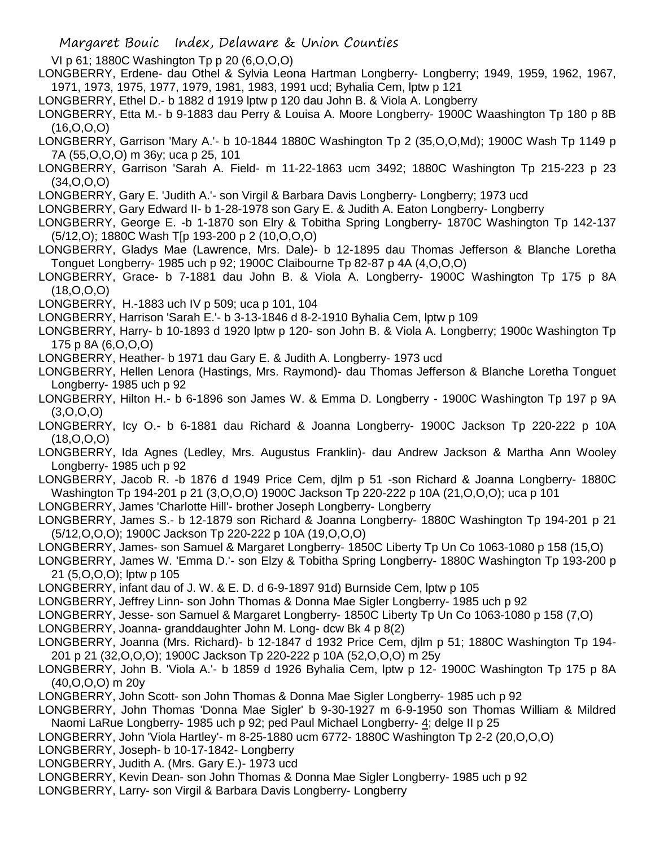VI p 61; 1880C Washington Tp p 20 (6,O,O,O)

LONGBERRY, Erdene- dau Othel & Sylvia Leona Hartman Longberry- Longberry; 1949, 1959, 1962, 1967, 1971, 1973, 1975, 1977, 1979, 1981, 1983, 1991 ucd; Byhalia Cem, lptw p 121

LONGBERRY, Ethel D.- b 1882 d 1919 lptw p 120 dau John B. & Viola A. Longberry

LONGBERRY, Etta M.- b 9-1883 dau Perry & Louisa A. Moore Longberry- 1900C Waashington Tp 180 p 8B (16,O,O,O)

LONGBERRY, Garrison 'Mary A.'- b 10-1844 1880C Washington Tp 2 (35,O,O,Md); 1900C Wash Tp 1149 p 7A (55,O,O,O) m 36y; uca p 25, 101

LONGBERRY, Garrison 'Sarah A. Field- m 11-22-1863 ucm 3492; 1880C Washington Tp 215-223 p 23 (34,O,O,O)

LONGBERRY, Gary E. 'Judith A.'- son Virgil & Barbara Davis Longberry- Longberry; 1973 ucd

LONGBERRY, Gary Edward II- b 1-28-1978 son Gary E. & Judith A. Eaton Longberry- Longberry

LONGBERRY, George E. -b 1-1870 son Elry & Tobitha Spring Longberry- 1870C Washington Tp 142-137 (5/12,O); 1880C Wash T[p 193-200 p 2 (10,O,O,O)

LONGBERRY, Gladys Mae (Lawrence, Mrs. Dale)- b 12-1895 dau Thomas Jefferson & Blanche Loretha Tonguet Longberry- 1985 uch p 92; 1900C Claibourne Tp 82-87 p 4A (4,O,O,O)

LONGBERRY, Grace- b 7-1881 dau John B. & Viola A. Longberry- 1900C Washington Tp 175 p 8A  $(18, 0.0, 0)$ 

LONGBERRY, H.-1883 uch IV p 509; uca p 101, 104

LONGBERRY, Harrison 'Sarah E.'- b 3-13-1846 d 8-2-1910 Byhalia Cem, lptw p 109

LONGBERRY, Harry- b 10-1893 d 1920 lptw p 120- son John B. & Viola A. Longberry; 1900c Washington Tp 175 p 8A (6,O,O,O)

LONGBERRY, Heather- b 1971 dau Gary E. & Judith A. Longberry- 1973 ucd

LONGBERRY, Hellen Lenora (Hastings, Mrs. Raymond)- dau Thomas Jefferson & Blanche Loretha Tonguet Longberry- 1985 uch p 92

- LONGBERRY, Hilton H.- b 6-1896 son James W. & Emma D. Longberry 1900C Washington Tp 197 p 9A (3,O,O,O)
- LONGBERRY, Icy O.- b 6-1881 dau Richard & Joanna Longberry- 1900C Jackson Tp 220-222 p 10A (18,O,O,O)
- LONGBERRY, Ida Agnes (Ledley, Mrs. Augustus Franklin)- dau Andrew Jackson & Martha Ann Wooley Longberry- 1985 uch p 92

LONGBERRY, Jacob R. -b 1876 d 1949 Price Cem, djlm p 51 -son Richard & Joanna Longberry- 1880C Washington Tp 194-201 p 21 (3,O,O,O) 1900C Jackson Tp 220-222 p 10A (21,O,O,O); uca p 101

LONGBERRY, James 'Charlotte Hill'- brother Joseph Longberry- Longberry

LONGBERRY, James S.- b 12-1879 son Richard & Joanna Longberry- 1880C Washington Tp 194-201 p 21 (5/12,O,O,O); 1900C Jackson Tp 220-222 p 10A (19,O,O,O)

LONGBERRY, James- son Samuel & Margaret Longberry- 1850C Liberty Tp Un Co 1063-1080 p 158 (15,O)

LONGBERRY, James W. 'Emma D.'- son Elzy & Tobitha Spring Longberry- 1880C Washington Tp 193-200 p 21 (5,O,O,O); lptw p 105

LONGBERRY, infant dau of J. W. & E. D. d 6-9-1897 91d) Burnside Cem, lptw p 105

LONGBERRY, Jeffrey Linn- son John Thomas & Donna Mae Sigler Longberry- 1985 uch p 92

LONGBERRY, Jesse- son Samuel & Margaret Longberry- 1850C Liberty Tp Un Co 1063-1080 p 158 (7,O)

LONGBERRY, Joanna- granddaughter John M. Long- dcw Bk 4 p 8(2)

LONGBERRY, Joanna (Mrs. Richard)- b 12-1847 d 1932 Price Cem, djlm p 51; 1880C Washington Tp 194- 201 p 21 (32,O,O,O); 1900C Jackson Tp 220-222 p 10A (52,O,O,O) m 25y

LONGBERRY, John B. 'Viola A.'- b 1859 d 1926 Byhalia Cem, lptw p 12- 1900C Washington Tp 175 p 8A (40,O,O,O) m 20y

LONGBERRY, John Scott- son John Thomas & Donna Mae Sigler Longberry- 1985 uch p 92

LONGBERRY, John Thomas 'Donna Mae Sigler' b 9-30-1927 m 6-9-1950 son Thomas William & Mildred Naomi LaRue Longberry- 1985 uch p 92; ped Paul Michael Longberry- 4; delge II p 25

LONGBERRY, John 'Viola Hartley'- m 8-25-1880 ucm 6772- 1880C Washington Tp 2-2 (20,O,O,O)

LONGBERRY, Joseph- b 10-17-1842- Longberry

LONGBERRY, Judith A. (Mrs. Gary E.)- 1973 ucd

LONGBERRY, Kevin Dean- son John Thomas & Donna Mae Sigler Longberry- 1985 uch p 92

LONGBERRY, Larry- son Virgil & Barbara Davis Longberry- Longberry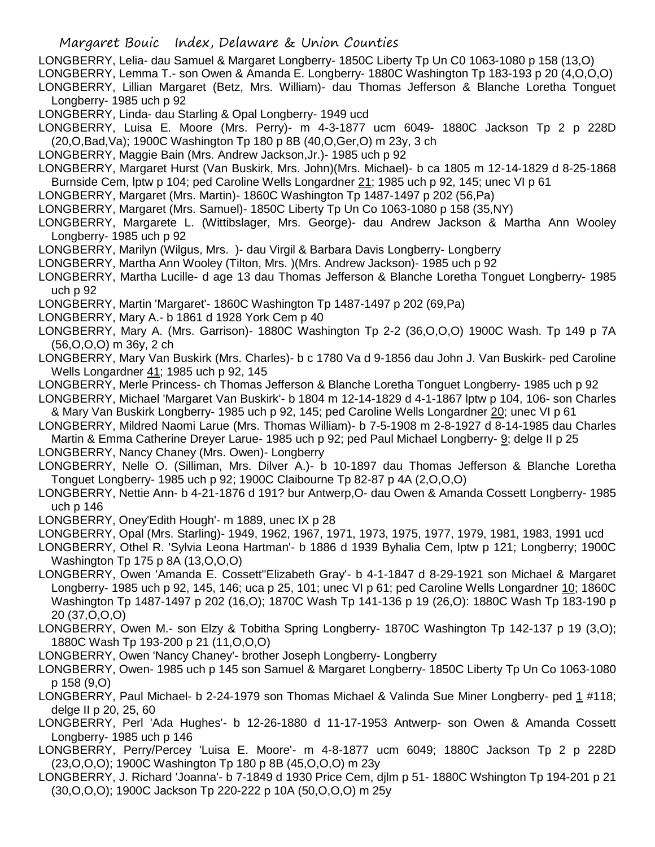LONGBERRY, Lelia- dau Samuel & Margaret Longberry- 1850C Liberty Tp Un C0 1063-1080 p 158 (13,O)

LONGBERRY, Lemma T.- son Owen & Amanda E. Longberry- 1880C Washington Tp 183-193 p 20 (4,O,O,O)

LONGBERRY, Lillian Margaret (Betz, Mrs. William)- dau Thomas Jefferson & Blanche Loretha Tonguet Longberry- 1985 uch p 92

LONGBERRY, Linda- dau Starling & Opal Longberry- 1949 ucd

LONGBERRY, Luisa E. Moore (Mrs. Perry)- m 4-3-1877 ucm 6049- 1880C Jackson Tp 2 p 228D (20,O,Bad,Va); 1900C Washington Tp 180 p 8B (40,O,Ger,O) m 23y, 3 ch

LONGBERRY, Maggie Bain (Mrs. Andrew Jackson,Jr.)- 1985 uch p 92

LONGBERRY, Margaret Hurst (Van Buskirk, Mrs. John)(Mrs. Michael)- b ca 1805 m 12-14-1829 d 8-25-1868 Burnside Cem, lptw p 104; ped Caroline Wells Longardner 21; 1985 uch p 92, 145; unec VI p 61

LONGBERRY, Margaret (Mrs. Martin)- 1860C Washington Tp 1487-1497 p 202 (56,Pa)

LONGBERRY, Margaret (Mrs. Samuel)- 1850C Liberty Tp Un Co 1063-1080 p 158 (35,NY)

LONGBERRY, Margarete L. (Wittibslager, Mrs. George)- dau Andrew Jackson & Martha Ann Wooley Longberry- 1985 uch p 92

LONGBERRY, Marilyn (Wilgus, Mrs. )- dau Virgil & Barbara Davis Longberry- Longberry

LONGBERRY, Martha Ann Wooley (Tilton, Mrs. )(Mrs. Andrew Jackson)- 1985 uch p 92

LONGBERRY, Martha Lucille- d age 13 dau Thomas Jefferson & Blanche Loretha Tonguet Longberry- 1985 uch p 92

LONGBERRY, Martin 'Margaret'- 1860C Washington Tp 1487-1497 p 202 (69,Pa)

- LONGBERRY, Mary A.- b 1861 d 1928 York Cem p 40
- LONGBERRY, Mary A. (Mrs. Garrison)- 1880C Washington Tp 2-2 (36,O,O,O) 1900C Wash. Tp 149 p 7A (56,O,O,O) m 36y, 2 ch
- LONGBERRY, Mary Van Buskirk (Mrs. Charles)- b c 1780 Va d 9-1856 dau John J. Van Buskirk- ped Caroline Wells Longardner 41; 1985 uch p 92, 145
- LONGBERRY, Merle Princess- ch Thomas Jefferson & Blanche Loretha Tonguet Longberry- 1985 uch p 92

LONGBERRY, Michael 'Margaret Van Buskirk'- b 1804 m 12-14-1829 d 4-1-1867 lptw p 104, 106- son Charles & Mary Van Buskirk Longberry- 1985 uch p 92, 145; ped Caroline Wells Longardner 20; unec VI p 61

LONGBERRY, Mildred Naomi Larue (Mrs. Thomas William)- b 7-5-1908 m 2-8-1927 d 8-14-1985 dau Charles Martin & Emma Catherine Dreyer Larue- 1985 uch p 92; ped Paul Michael Longberry- 9; delge II p 25

LONGBERRY, Nancy Chaney (Mrs. Owen)- Longberry

LONGBERRY, Nelle O. (Silliman, Mrs. Dilver A.)- b 10-1897 dau Thomas Jefferson & Blanche Loretha Tonguet Longberry- 1985 uch p 92; 1900C Claibourne Tp 82-87 p 4A (2,O,O,O)

LONGBERRY, Nettie Ann- b 4-21-1876 d 191? bur Antwerp,O- dau Owen & Amanda Cossett Longberry- 1985 uch p 146

LONGBERRY, Oney'Edith Hough'- m 1889, unec IX p 28

LONGBERRY, Opal (Mrs. Starling)- 1949, 1962, 1967, 1971, 1973, 1975, 1977, 1979, 1981, 1983, 1991 ucd

LONGBERRY, Othel R. 'Sylvia Leona Hartman'- b 1886 d 1939 Byhalia Cem, lptw p 121; Longberry; 1900C Washington Tp 175 p 8A (13,O,O,O)

LONGBERRY, Owen 'Amanda E. Cossett''Elizabeth Gray'- b 4-1-1847 d 8-29-1921 son Michael & Margaret Longberry- 1985 uch p 92, 145, 146; uca p 25, 101; unec VI p 61; ped Caroline Wells Longardner 10; 1860C Washington Tp 1487-1497 p 202 (16,O); 1870C Wash Tp 141-136 p 19 (26,O): 1880C Wash Tp 183-190 p 20 (37,O,O,O)

LONGBERRY, Owen M.- son Elzy & Tobitha Spring Longberry- 1870C Washington Tp 142-137 p 19 (3,O); 1880C Wash Tp 193-200 p 21 (11,O,O,O)

LONGBERRY, Owen 'Nancy Chaney'- brother Joseph Longberry- Longberry

LONGBERRY, Owen- 1985 uch p 145 son Samuel & Margaret Longberry- 1850C Liberty Tp Un Co 1063-1080 p 158 (9,O)

- LONGBERRY, Paul Michael- b 2-24-1979 son Thomas Michael & Valinda Sue Miner Longberry- ped 1 #118; delge II p 20, 25, 60
- LONGBERRY, Perl 'Ada Hughes'- b 12-26-1880 d 11-17-1953 Antwerp- son Owen & Amanda Cossett Longberry- 1985 uch p 146

LONGBERRY, Perry/Percey 'Luisa E. Moore'- m 4-8-1877 ucm 6049; 1880C Jackson Tp 2 p 228D (23,O,O,O); 1900C Washington Tp 180 p 8B (45,O,O,O) m 23y

LONGBERRY, J. Richard 'Joanna'- b 7-1849 d 1930 Price Cem, djlm p 51- 1880C Wshington Tp 194-201 p 21 (30,O,O,O); 1900C Jackson Tp 220-222 p 10A (50,O,O,O) m 25y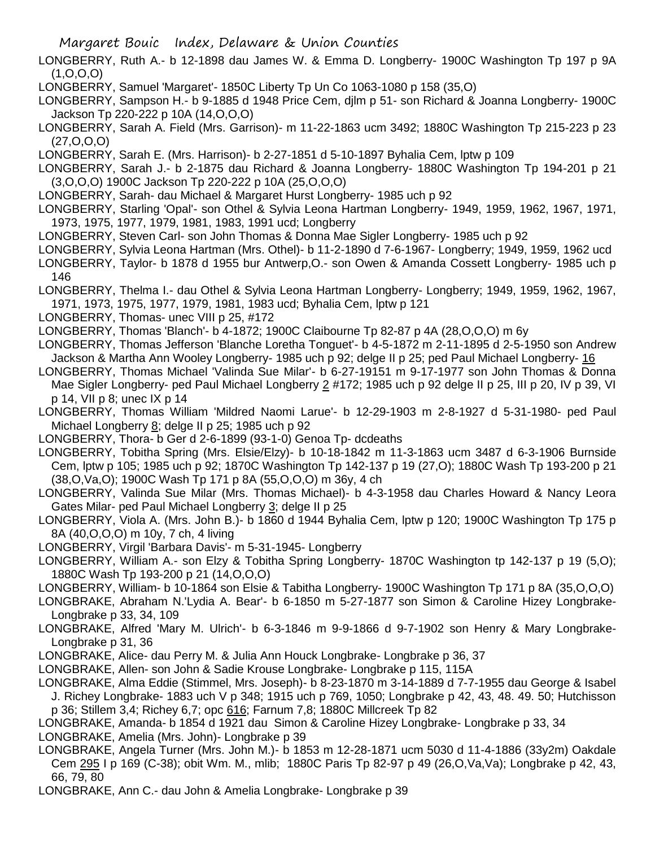- LONGBERRY, Ruth A.- b 12-1898 dau James W. & Emma D. Longberry- 1900C Washington Tp 197 p 9A (1,O,O,O)
- LONGBERRY, Samuel 'Margaret'- 1850C Liberty Tp Un Co 1063-1080 p 158 (35,O)
- LONGBERRY, Sampson H.- b 9-1885 d 1948 Price Cem, djlm p 51- son Richard & Joanna Longberry- 1900C Jackson Tp 220-222 p 10A (14,O,O,O)
- LONGBERRY, Sarah A. Field (Mrs. Garrison)- m 11-22-1863 ucm 3492; 1880C Washington Tp 215-223 p 23 (27,O,O,O)
- LONGBERRY, Sarah E. (Mrs. Harrison)- b 2-27-1851 d 5-10-1897 Byhalia Cem, lptw p 109
- LONGBERRY, Sarah J.- b 2-1875 dau Richard & Joanna Longberry- 1880C Washington Tp 194-201 p 21 (3,O,O,O) 1900C Jackson Tp 220-222 p 10A (25,O,O,O)
- LONGBERRY, Sarah- dau Michael & Margaret Hurst Longberry- 1985 uch p 92
- LONGBERRY, Starling 'Opal'- son Othel & Sylvia Leona Hartman Longberry- 1949, 1959, 1962, 1967, 1971, 1973, 1975, 1977, 1979, 1981, 1983, 1991 ucd; Longberry
- LONGBERRY, Steven Carl- son John Thomas & Donna Mae Sigler Longberry- 1985 uch p 92
- LONGBERRY, Sylvia Leona Hartman (Mrs. Othel)- b 11-2-1890 d 7-6-1967- Longberry; 1949, 1959, 1962 ucd
- LONGBERRY, Taylor- b 1878 d 1955 bur Antwerp,O.- son Owen & Amanda Cossett Longberry- 1985 uch p 146
- LONGBERRY, Thelma I.- dau Othel & Sylvia Leona Hartman Longberry- Longberry; 1949, 1959, 1962, 1967, 1971, 1973, 1975, 1977, 1979, 1981, 1983 ucd; Byhalia Cem, lptw p 121
- LONGBERRY, Thomas- unec VIII p 25, #172
- LONGBERRY, Thomas 'Blanch'- b 4-1872; 1900C Claibourne Tp 82-87 p 4A (28,O,O,O) m 6y
- LONGBERRY, Thomas Jefferson 'Blanche Loretha Tonguet'- b 4-5-1872 m 2-11-1895 d 2-5-1950 son Andrew Jackson & Martha Ann Wooley Longberry- 1985 uch p 92; delge II p 25; ped Paul Michael Longberry- 16
- LONGBERRY, Thomas Michael 'Valinda Sue Milar'- b 6-27-19151 m 9-17-1977 son John Thomas & Donna Mae Sigler Longberry- ped Paul Michael Longberry 2 #172; 1985 uch p 92 delge II p 25, III p 20, IV p 39, VI p 14, VII p 8; unec IX p 14
- LONGBERRY, Thomas William 'Mildred Naomi Larue'- b 12-29-1903 m 2-8-1927 d 5-31-1980- ped Paul Michael Longberry 8; delge II p 25; 1985 uch p 92
- LONGBERRY, Thora- b Ger d 2-6-1899 (93-1-0) Genoa Tp- dcdeaths
- LONGBERRY, Tobitha Spring (Mrs. Elsie/Elzy)- b 10-18-1842 m 11-3-1863 ucm 3487 d 6-3-1906 Burnside Cem, lptw p 105; 1985 uch p 92; 1870C Washington Tp 142-137 p 19 (27,O); 1880C Wash Tp 193-200 p 21 (38,O,Va,O); 1900C Wash Tp 171 p 8A (55,O,O,O) m 36y, 4 ch
- LONGBERRY, Valinda Sue Milar (Mrs. Thomas Michael)- b 4-3-1958 dau Charles Howard & Nancy Leora Gates Milar- ped Paul Michael Longberry 3; delge II p 25
- LONGBERRY, Viola A. (Mrs. John B.)- b 1860 d 1944 Byhalia Cem, lptw p 120; 1900C Washington Tp 175 p 8A (40,O,O,O) m 10y, 7 ch, 4 living
- LONGBERRY, Virgil 'Barbara Davis'- m 5-31-1945- Longberry
- LONGBERRY, William A.- son Elzy & Tobitha Spring Longberry- 1870C Washington tp 142-137 p 19 (5,O); 1880C Wash Tp 193-200 p 21 (14,O,O,O)
- LONGBERRY, William- b 10-1864 son Elsie & Tabitha Longberry- 1900C Washington Tp 171 p 8A (35,O,O,O)
- LONGBRAKE, Abraham N.'Lydia A. Bear'- b 6-1850 m 5-27-1877 son Simon & Caroline Hizey Longbrake-Longbrake p 33, 34, 109
- LONGBRAKE, Alfred 'Mary M. Ulrich'- b 6-3-1846 m 9-9-1866 d 9-7-1902 son Henry & Mary Longbrake-Longbrake p 31, 36
- LONGBRAKE, Alice- dau Perry M. & Julia Ann Houck Longbrake- Longbrake p 36, 37
- LONGBRAKE, Allen- son John & Sadie Krouse Longbrake- Longbrake p 115, 115A
- LONGBRAKE, Alma Eddie (Stimmel, Mrs. Joseph)- b 8-23-1870 m 3-14-1889 d 7-7-1955 dau George & Isabel J. Richey Longbrake- 1883 uch V p 348; 1915 uch p 769, 1050; Longbrake p 42, 43, 48. 49. 50; Hutchisson p 36; Stillem 3,4; Richey 6,7; opc 616; Farnum 7,8; 1880C Millcreek Tp 82
- LONGBRAKE, Amanda- b 1854 d 1921 dau Simon & Caroline Hizey Longbrake- Longbrake p 33, 34
- LONGBRAKE, Amelia (Mrs. John)- Longbrake p 39
- LONGBRAKE, Angela Turner (Mrs. John M.)- b 1853 m 12-28-1871 ucm 5030 d 11-4-1886 (33y2m) Oakdale Cem 295 I p 169 (C-38); obit Wm. M., mlib; 1880C Paris Tp 82-97 p 49 (26,O,Va,Va); Longbrake p 42, 43, 66, 79, 80
- LONGBRAKE, Ann C.- dau John & Amelia Longbrake- Longbrake p 39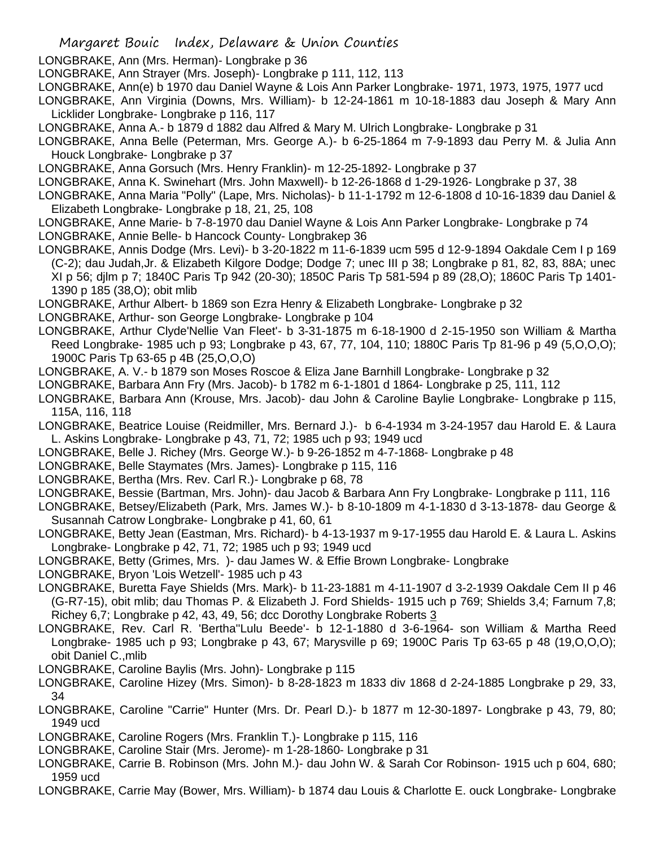- Margaret Bouic Index, Delaware & Union Counties
- LONGBRAKE, Ann (Mrs. Herman)- Longbrake p 36
- LONGBRAKE, Ann Strayer (Mrs. Joseph)- Longbrake p 111, 112, 113
- LONGBRAKE, Ann(e) b 1970 dau Daniel Wayne & Lois Ann Parker Longbrake- 1971, 1973, 1975, 1977 ucd
- LONGBRAKE, Ann Virginia (Downs, Mrs. William)- b 12-24-1861 m 10-18-1883 dau Joseph & Mary Ann Licklider Longbrake- Longbrake p 116, 117
- LONGBRAKE, Anna A.- b 1879 d 1882 dau Alfred & Mary M. Ulrich Longbrake- Longbrake p 31
- LONGBRAKE, Anna Belle (Peterman, Mrs. George A.)- b 6-25-1864 m 7-9-1893 dau Perry M. & Julia Ann Houck Longbrake- Longbrake p 37
- LONGBRAKE, Anna Gorsuch (Mrs. Henry Franklin)- m 12-25-1892- Longbrake p 37
- LONGBRAKE, Anna K. Swinehart (Mrs. John Maxwell)- b 12-26-1868 d 1-29-1926- Longbrake p 37, 38
- LONGBRAKE, Anna Maria "Polly" (Lape, Mrs. Nicholas)- b 11-1-1792 m 12-6-1808 d 10-16-1839 dau Daniel & Elizabeth Longbrake- Longbrake p 18, 21, 25, 108
- LONGBRAKE, Anne Marie- b 7-8-1970 dau Daniel Wayne & Lois Ann Parker Longbrake- Longbrake p 74 LONGBRAKE, Annie Belle- b Hancock County- Longbrakep 36
- LONGBRAKE, Annis Dodge (Mrs. Levi)- b 3-20-1822 m 11-6-1839 ucm 595 d 12-9-1894 Oakdale Cem I p 169 (C-2); dau Judah,Jr. & Elizabeth Kilgore Dodge; Dodge 7; unec III p 38; Longbrake p 81, 82, 83, 88A; unec XI p 56; djlm p 7; 1840C Paris Tp 942 (20-30); 1850C Paris Tp 581-594 p 89 (28,O); 1860C Paris Tp 1401- 1390 p 185 (38,O); obit mlib
- LONGBRAKE, Arthur Albert- b 1869 son Ezra Henry & Elizabeth Longbrake- Longbrake p 32
- LONGBRAKE, Arthur- son George Longbrake- Longbrake p 104
- LONGBRAKE, Arthur Clyde'Nellie Van Fleet'- b 3-31-1875 m 6-18-1900 d 2-15-1950 son William & Martha Reed Longbrake- 1985 uch p 93; Longbrake p 43, 67, 77, 104, 110; 1880C Paris Tp 81-96 p 49 (5,O,O,O); 1900C Paris Tp 63-65 p 4B (25,O,O,O)
- LONGBRAKE, A. V.- b 1879 son Moses Roscoe & Eliza Jane Barnhill Longbrake- Longbrake p 32
- LONGBRAKE, Barbara Ann Fry (Mrs. Jacob)- b 1782 m 6-1-1801 d 1864- Longbrake p 25, 111, 112
- LONGBRAKE, Barbara Ann (Krouse, Mrs. Jacob)- dau John & Caroline Baylie Longbrake- Longbrake p 115, 115A, 116, 118
- LONGBRAKE, Beatrice Louise (Reidmiller, Mrs. Bernard J.)- b 6-4-1934 m 3-24-1957 dau Harold E. & Laura L. Askins Longbrake- Longbrake p 43, 71, 72; 1985 uch p 93; 1949 ucd
- LONGBRAKE, Belle J. Richey (Mrs. George W.)- b 9-26-1852 m 4-7-1868- Longbrake p 48
- LONGBRAKE, Belle Staymates (Mrs. James)- Longbrake p 115, 116
- LONGBRAKE, Bertha (Mrs. Rev. Carl R.)- Longbrake p 68, 78
- LONGBRAKE, Bessie (Bartman, Mrs. John)- dau Jacob & Barbara Ann Fry Longbrake- Longbrake p 111, 116
- LONGBRAKE, Betsey/Elizabeth (Park, Mrs. James W.)- b 8-10-1809 m 4-1-1830 d 3-13-1878- dau George & Susannah Catrow Longbrake- Longbrake p 41, 60, 61
- LONGBRAKE, Betty Jean (Eastman, Mrs. Richard)- b 4-13-1937 m 9-17-1955 dau Harold E. & Laura L. Askins Longbrake- Longbrake p 42, 71, 72; 1985 uch p 93; 1949 ucd
- LONGBRAKE, Betty (Grimes, Mrs. )- dau James W. & Effie Brown Longbrake- Longbrake
- LONGBRAKE, Bryon 'Lois Wetzell'- 1985 uch p 43
- LONGBRAKE, Buretta Faye Shields (Mrs. Mark)- b 11-23-1881 m 4-11-1907 d 3-2-1939 Oakdale Cem II p 46 (G-R7-15), obit mlib; dau Thomas P. & Elizabeth J. Ford Shields- 1915 uch p 769; Shields 3,4; Farnum 7,8; Richey 6,7; Longbrake p 42, 43, 49, 56; dcc Dorothy Longbrake Roberts 3
- LONGBRAKE, Rev. Carl R. 'Bertha''Lulu Beede'- b 12-1-1880 d 3-6-1964- son William & Martha Reed Longbrake- 1985 uch p 93; Longbrake p 43, 67; Marysville p 69; 1900C Paris Tp 63-65 p 48 (19,O,O,O); obit Daniel C.,mlib
- LONGBRAKE, Caroline Baylis (Mrs. John)- Longbrake p 115
- LONGBRAKE, Caroline Hizey (Mrs. Simon)- b 8-28-1823 m 1833 div 1868 d 2-24-1885 Longbrake p 29, 33, 34
- LONGBRAKE, Caroline "Carrie" Hunter (Mrs. Dr. Pearl D.)- b 1877 m 12-30-1897- Longbrake p 43, 79, 80; 1949 ucd
- LONGBRAKE, Caroline Rogers (Mrs. Franklin T.)- Longbrake p 115, 116
- LONGBRAKE, Caroline Stair (Mrs. Jerome)- m 1-28-1860- Longbrake p 31
- LONGBRAKE, Carrie B. Robinson (Mrs. John M.)- dau John W. & Sarah Cor Robinson- 1915 uch p 604, 680; 1959 ucd
- LONGBRAKE, Carrie May (Bower, Mrs. William)- b 1874 dau Louis & Charlotte E. ouck Longbrake- Longbrake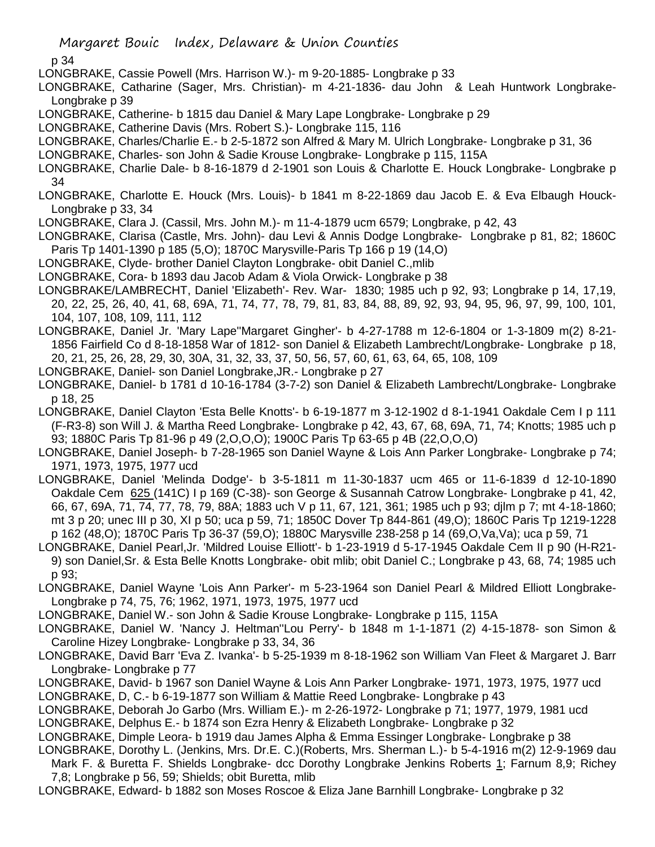- LONGBRAKE, Cassie Powell (Mrs. Harrison W.)- m 9-20-1885- Longbrake p 33
- LONGBRAKE, Catharine (Sager, Mrs. Christian)- m 4-21-1836- dau John & Leah Huntwork Longbrake-Longbrake p 39
- LONGBRAKE, Catherine- b 1815 dau Daniel & Mary Lape Longbrake- Longbrake p 29
- LONGBRAKE, Catherine Davis (Mrs. Robert S.)- Longbrake 115, 116
- LONGBRAKE, Charles/Charlie E.- b 2-5-1872 son Alfred & Mary M. Ulrich Longbrake- Longbrake p 31, 36
- LONGBRAKE, Charles- son John & Sadie Krouse Longbrake- Longbrake p 115, 115A
- LONGBRAKE, Charlie Dale- b 8-16-1879 d 2-1901 son Louis & Charlotte E. Houck Longbrake- Longbrake p 34
- LONGBRAKE, Charlotte E. Houck (Mrs. Louis)- b 1841 m 8-22-1869 dau Jacob E. & Eva Elbaugh Houck-Longbrake p 33, 34
- LONGBRAKE, Clara J. (Cassil, Mrs. John M.)- m 11-4-1879 ucm 6579; Longbrake, p 42, 43
- LONGBRAKE, Clarisa (Castle, Mrs. John)- dau Levi & Annis Dodge Longbrake- Longbrake p 81, 82; 1860C Paris Tp 1401-1390 p 185 (5,O); 1870C Marysville-Paris Tp 166 p 19 (14,O)
- LONGBRAKE, Clyde- brother Daniel Clayton Longbrake- obit Daniel C.,mlib
- LONGBRAKE, Cora- b 1893 dau Jacob Adam & Viola Orwick- Longbrake p 38
- LONGBRAKE/LAMBRECHT, Daniel 'Elizabeth'- Rev. War- 1830; 1985 uch p 92, 93; Longbrake p 14, 17,19, 20, 22, 25, 26, 40, 41, 68, 69A, 71, 74, 77, 78, 79, 81, 83, 84, 88, 89, 92, 93, 94, 95, 96, 97, 99, 100, 101, 104, 107, 108, 109, 111, 112
- LONGBRAKE, Daniel Jr. 'Mary Lape''Margaret Gingher'- b 4-27-1788 m 12-6-1804 or 1-3-1809 m(2) 8-21- 1856 Fairfield Co d 8-18-1858 War of 1812- son Daniel & Elizabeth Lambrecht/Longbrake- Longbrake p 18, 20, 21, 25, 26, 28, 29, 30, 30A, 31, 32, 33, 37, 50, 56, 57, 60, 61, 63, 64, 65, 108, 109
- LONGBRAKE, Daniel- son Daniel Longbrake,JR.- Longbrake p 27
- LONGBRAKE, Daniel- b 1781 d 10-16-1784 (3-7-2) son Daniel & Elizabeth Lambrecht/Longbrake- Longbrake p 18, 25
- LONGBRAKE, Daniel Clayton 'Esta Belle Knotts'- b 6-19-1877 m 3-12-1902 d 8-1-1941 Oakdale Cem I p 111 (F-R3-8) son Will J. & Martha Reed Longbrake- Longbrake p 42, 43, 67, 68, 69A, 71, 74; Knotts; 1985 uch p 93; 1880C Paris Tp 81-96 p 49 (2,O,O,O); 1900C Paris Tp 63-65 p 4B (22,O,O,O)
- LONGBRAKE, Daniel Joseph- b 7-28-1965 son Daniel Wayne & Lois Ann Parker Longbrake- Longbrake p 74; 1971, 1973, 1975, 1977 ucd
- LONGBRAKE, Daniel 'Melinda Dodge'- b 3-5-1811 m 11-30-1837 ucm 465 or 11-6-1839 d 12-10-1890 Oakdale Cem 625 (141C) I p 169 (C-38)- son George & Susannah Catrow Longbrake- Longbrake p 41, 42, 66, 67, 69A, 71, 74, 77, 78, 79, 88A; 1883 uch V p 11, 67, 121, 361; 1985 uch p 93; djlm p 7; mt 4-18-1860; mt 3 p 20; unec III p 30, XI p 50; uca p 59, 71; 1850C Dover Tp 844-861 (49,O); 1860C Paris Tp 1219-1228 p 162 (48,O); 1870C Paris Tp 36-37 (59,O); 1880C Marysville 238-258 p 14 (69,O,Va,Va); uca p 59, 71
- LONGBRAKE, Daniel Pearl,Jr. 'Mildred Louise Elliott'- b 1-23-1919 d 5-17-1945 Oakdale Cem II p 90 (H-R21- 9) son Daniel,Sr. & Esta Belle Knotts Longbrake- obit mlib; obit Daniel C.; Longbrake p 43, 68, 74; 1985 uch p 93;
- LONGBRAKE, Daniel Wayne 'Lois Ann Parker'- m 5-23-1964 son Daniel Pearl & Mildred Elliott Longbrake-Longbrake p 74, 75, 76; 1962, 1971, 1973, 1975, 1977 ucd
- LONGBRAKE, Daniel W.- son John & Sadie Krouse Longbrake- Longbrake p 115, 115A
- LONGBRAKE, Daniel W. 'Nancy J. Heltman''Lou Perry'- b 1848 m 1-1-1871 (2) 4-15-1878- son Simon & Caroline Hizey Longbrake- Longbrake p 33, 34, 36
- LONGBRAKE, David Barr 'Eva Z. Ivanka'- b 5-25-1939 m 8-18-1962 son William Van Fleet & Margaret J. Barr Longbrake- Longbrake p 77
- LONGBRAKE, David- b 1967 son Daniel Wayne & Lois Ann Parker Longbrake- 1971, 1973, 1975, 1977 ucd
- LONGBRAKE, D, C.- b 6-19-1877 son William & Mattie Reed Longbrake- Longbrake p 43
- LONGBRAKE, Deborah Jo Garbo (Mrs. William E.)- m 2-26-1972- Longbrake p 71; 1977, 1979, 1981 ucd
- LONGBRAKE, Delphus E.- b 1874 son Ezra Henry & Elizabeth Longbrake- Longbrake p 32
- LONGBRAKE, Dimple Leora- b 1919 dau James Alpha & Emma Essinger Longbrake- Longbrake p 38
- LONGBRAKE, Dorothy L. (Jenkins, Mrs. Dr.E. C.)(Roberts, Mrs. Sherman L.)- b 5-4-1916 m(2) 12-9-1969 dau Mark F. & Buretta F. Shields Longbrake- dcc Dorothy Longbrake Jenkins Roberts 1; Farnum 8,9; Richey 7,8; Longbrake p 56, 59; Shields; obit Buretta, mlib
- LONGBRAKE, Edward- b 1882 son Moses Roscoe & Eliza Jane Barnhill Longbrake- Longbrake p 32

Margaret Bouic Index, Delaware & Union Counties

p 34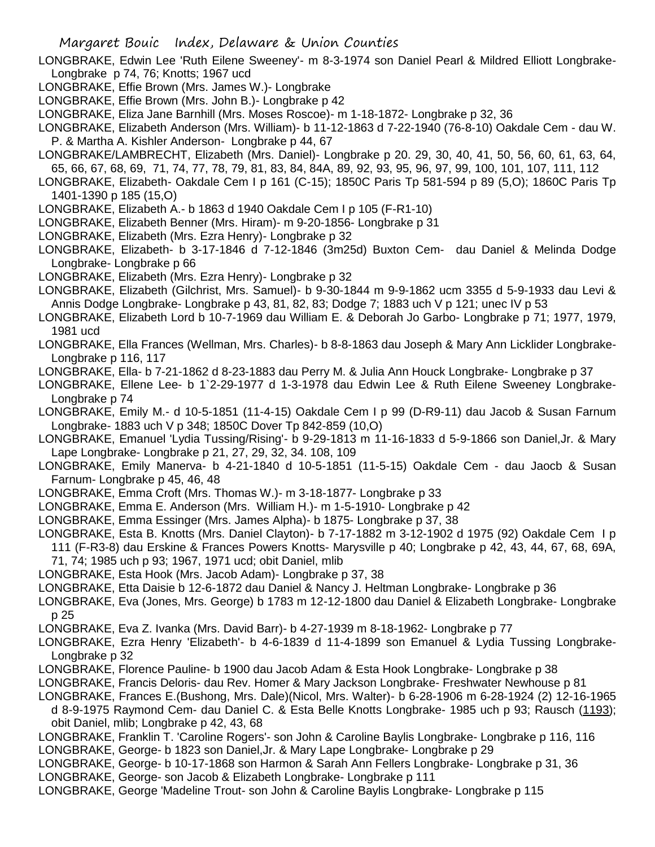LONGBRAKE, Edwin Lee 'Ruth Eilene Sweeney'- m 8-3-1974 son Daniel Pearl & Mildred Elliott Longbrake-Longbrake p 74, 76; Knotts; 1967 ucd

- LONGBRAKE, Effie Brown (Mrs. James W.)- Longbrake
- LONGBRAKE, Effie Brown (Mrs. John B.)- Longbrake p 42
- LONGBRAKE, Eliza Jane Barnhill (Mrs. Moses Roscoe)- m 1-18-1872- Longbrake p 32, 36

LONGBRAKE, Elizabeth Anderson (Mrs. William)- b 11-12-1863 d 7-22-1940 (76-8-10) Oakdale Cem - dau W. P. & Martha A. Kishler Anderson- Longbrake p 44, 67

LONGBRAKE/LAMBRECHT, Elizabeth (Mrs. Daniel)- Longbrake p 20. 29, 30, 40, 41, 50, 56, 60, 61, 63, 64, 65, 66, 67, 68, 69, 71, 74, 77, 78, 79, 81, 83, 84, 84A, 89, 92, 93, 95, 96, 97, 99, 100, 101, 107, 111, 112

LONGBRAKE, Elizabeth- Oakdale Cem I p 161 (C-15); 1850C Paris Tp 581-594 p 89 (5,O); 1860C Paris Tp 1401-1390 p 185 (15,O)

- LONGBRAKE, Elizabeth A.- b 1863 d 1940 Oakdale Cem I p 105 (F-R1-10)
- LONGBRAKE, Elizabeth Benner (Mrs. Hiram)- m 9-20-1856- Longbrake p 31
- LONGBRAKE, Elizabeth (Mrs. Ezra Henry)- Longbrake p 32
- LONGBRAKE, Elizabeth- b 3-17-1846 d 7-12-1846 (3m25d) Buxton Cem- dau Daniel & Melinda Dodge Longbrake- Longbrake p 66
- LONGBRAKE, Elizabeth (Mrs. Ezra Henry)- Longbrake p 32
- LONGBRAKE, Elizabeth (Gilchrist, Mrs. Samuel)- b 9-30-1844 m 9-9-1862 ucm 3355 d 5-9-1933 dau Levi & Annis Dodge Longbrake- Longbrake p 43, 81, 82, 83; Dodge 7; 1883 uch V p 121; unec IV p 53
- LONGBRAKE, Elizabeth Lord b 10-7-1969 dau William E. & Deborah Jo Garbo- Longbrake p 71; 1977, 1979, 1981 ucd
- LONGBRAKE, Ella Frances (Wellman, Mrs. Charles)- b 8-8-1863 dau Joseph & Mary Ann Licklider Longbrake-Longbrake p 116, 117
- LONGBRAKE, Ella- b 7-21-1862 d 8-23-1883 dau Perry M. & Julia Ann Houck Longbrake- Longbrake p 37
- LONGBRAKE, Ellene Lee- b 1`2-29-1977 d 1-3-1978 dau Edwin Lee & Ruth Eilene Sweeney Longbrake-Longbrake p 74
- LONGBRAKE, Emily M.- d 10-5-1851 (11-4-15) Oakdale Cem I p 99 (D-R9-11) dau Jacob & Susan Farnum Longbrake- 1883 uch V p 348; 1850C Dover Tp 842-859 (10,O)
- LONGBRAKE, Emanuel 'Lydia Tussing/Rising'- b 9-29-1813 m 11-16-1833 d 5-9-1866 son Daniel,Jr. & Mary Lape Longbrake- Longbrake p 21, 27, 29, 32, 34. 108, 109
- LONGBRAKE, Emily Manerva- b 4-21-1840 d 10-5-1851 (11-5-15) Oakdale Cem dau Jaocb & Susan Farnum- Longbrake p 45, 46, 48
- LONGBRAKE, Emma Croft (Mrs. Thomas W.)- m 3-18-1877- Longbrake p 33
- LONGBRAKE, Emma E. Anderson (Mrs. William H.)- m 1-5-1910- Longbrake p 42
- LONGBRAKE, Emma Essinger (Mrs. James Alpha)- b 1875- Longbrake p 37, 38
- LONGBRAKE, Esta B. Knotts (Mrs. Daniel Clayton)- b 7-17-1882 m 3-12-1902 d 1975 (92) Oakdale Cem I p 111 (F-R3-8) dau Erskine & Frances Powers Knotts- Marysville p 40; Longbrake p 42, 43, 44, 67, 68, 69A, 71, 74; 1985 uch p 93; 1967, 1971 ucd; obit Daniel, mlib
- LONGBRAKE, Esta Hook (Mrs. Jacob Adam)- Longbrake p 37, 38
- LONGBRAKE, Etta Daisie b 12-6-1872 dau Daniel & Nancy J. Heltman Longbrake- Longbrake p 36
- LONGBRAKE, Eva (Jones, Mrs. George) b 1783 m 12-12-1800 dau Daniel & Elizabeth Longbrake- Longbrake p 25
- LONGBRAKE, Eva Z. Ivanka (Mrs. David Barr)- b 4-27-1939 m 8-18-1962- Longbrake p 77
- LONGBRAKE, Ezra Henry 'Elizabeth'- b 4-6-1839 d 11-4-1899 son Emanuel & Lydia Tussing Longbrake-Longbrake p 32
- LONGBRAKE, Florence Pauline- b 1900 dau Jacob Adam & Esta Hook Longbrake- Longbrake p 38
- LONGBRAKE, Francis Deloris- dau Rev. Homer & Mary Jackson Longbrake- Freshwater Newhouse p 81
- LONGBRAKE, Frances E.(Bushong, Mrs. Dale)(Nicol, Mrs. Walter)- b 6-28-1906 m 6-28-1924 (2) 12-16-1965
- d 8-9-1975 Raymond Cem- dau Daniel C. & Esta Belle Knotts Longbrake- 1985 uch p 93; Rausch (1193); obit Daniel, mlib; Longbrake p 42, 43, 68
- LONGBRAKE, Franklin T. 'Caroline Rogers'- son John & Caroline Baylis Longbrake- Longbrake p 116, 116
- LONGBRAKE, George- b 1823 son Daniel,Jr. & Mary Lape Longbrake- Longbrake p 29
- LONGBRAKE, George- b 10-17-1868 son Harmon & Sarah Ann Fellers Longbrake- Longbrake p 31, 36
- LONGBRAKE, George- son Jacob & Elizabeth Longbrake- Longbrake p 111
- LONGBRAKE, George 'Madeline Trout- son John & Caroline Baylis Longbrake- Longbrake p 115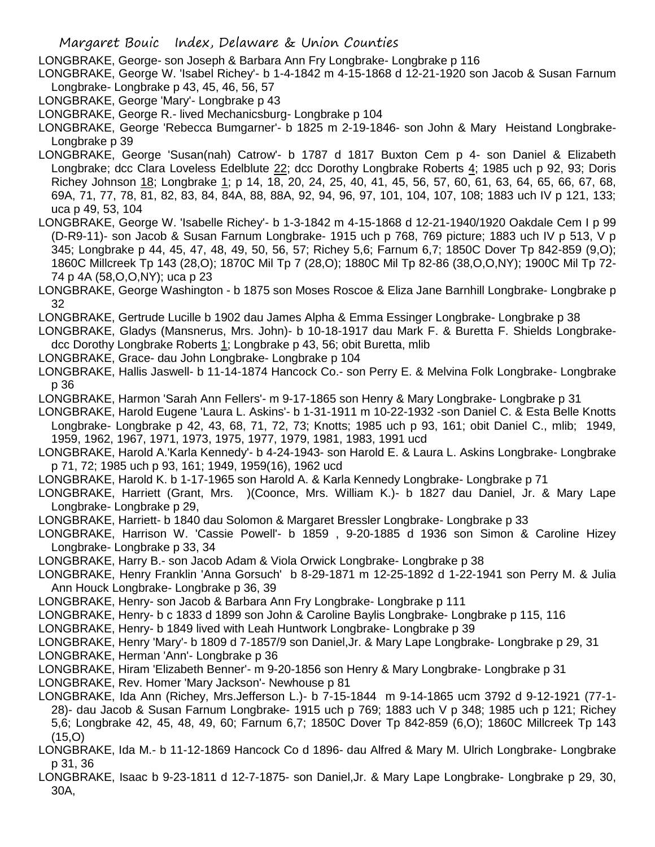LONGBRAKE, George- son Joseph & Barbara Ann Fry Longbrake- Longbrake p 116

- LONGBRAKE, George W. 'Isabel Richey'- b 1-4-1842 m 4-15-1868 d 12-21-1920 son Jacob & Susan Farnum Longbrake- Longbrake p 43, 45, 46, 56, 57
- LONGBRAKE, George 'Mary'- Longbrake p 43
- LONGBRAKE, George R.- lived Mechanicsburg- Longbrake p 104
- LONGBRAKE, George 'Rebecca Bumgarner'- b 1825 m 2-19-1846- son John & Mary Heistand Longbrake-Longbrake p 39
- LONGBRAKE, George 'Susan(nah) Catrow'- b 1787 d 1817 Buxton Cem p 4- son Daniel & Elizabeth Longbrake; dcc Clara Loveless Edelblute 22; dcc Dorothy Longbrake Roberts 4; 1985 uch p 92, 93; Doris Richey Johnson 18; Longbrake 1; p 14, 18, 20, 24, 25, 40, 41, 45, 56, 57, 60, 61, 63, 64, 65, 66, 67, 68, 69A, 71, 77, 78, 81, 82, 83, 84, 84A, 88, 88A, 92, 94, 96, 97, 101, 104, 107, 108; 1883 uch IV p 121, 133; uca p 49, 53, 104
- LONGBRAKE, George W. 'Isabelle Richey'- b 1-3-1842 m 4-15-1868 d 12-21-1940/1920 Oakdale Cem I p 99 (D-R9-11)- son Jacob & Susan Farnum Longbrake- 1915 uch p 768, 769 picture; 1883 uch IV p 513, V p 345; Longbrake p 44, 45, 47, 48, 49, 50, 56, 57; Richey 5,6; Farnum 6,7; 1850C Dover Tp 842-859 (9,O); 1860C Millcreek Tp 143 (28,O); 1870C Mil Tp 7 (28,O); 1880C Mil Tp 82-86 (38,O,O,NY); 1900C Mil Tp 72- 74 p 4A (58,O,O,NY); uca p 23
- LONGBRAKE, George Washington b 1875 son Moses Roscoe & Eliza Jane Barnhill Longbrake- Longbrake p 32
- LONGBRAKE, Gertrude Lucille b 1902 dau James Alpha & Emma Essinger Longbrake- Longbrake p 38
- LONGBRAKE, Gladys (Mansnerus, Mrs. John)- b 10-18-1917 dau Mark F. & Buretta F. Shields Longbrakedcc Dorothy Longbrake Roberts 1; Longbrake p 43, 56; obit Buretta, mlib
- LONGBRAKE, Grace- dau John Longbrake- Longbrake p 104
- LONGBRAKE, Hallis Jaswell- b 11-14-1874 Hancock Co.- son Perry E. & Melvina Folk Longbrake- Longbrake p 36
- LONGBRAKE, Harmon 'Sarah Ann Fellers'- m 9-17-1865 son Henry & Mary Longbrake- Longbrake p 31
- LONGBRAKE, Harold Eugene 'Laura L. Askins'- b 1-31-1911 m 10-22-1932 -son Daniel C. & Esta Belle Knotts Longbrake- Longbrake p 42, 43, 68, 71, 72, 73; Knotts; 1985 uch p 93, 161; obit Daniel C., mlib; 1949, 1959, 1962, 1967, 1971, 1973, 1975, 1977, 1979, 1981, 1983, 1991 ucd
- LONGBRAKE, Harold A.'Karla Kennedy'- b 4-24-1943- son Harold E. & Laura L. Askins Longbrake- Longbrake p 71, 72; 1985 uch p 93, 161; 1949, 1959(16), 1962 ucd
- LONGBRAKE, Harold K. b 1-17-1965 son Harold A. & Karla Kennedy Longbrake- Longbrake p 71
- LONGBRAKE, Harriett (Grant, Mrs. )(Coonce, Mrs. William K.)- b 1827 dau Daniel, Jr. & Mary Lape Longbrake- Longbrake p 29,
- LONGBRAKE, Harriett- b 1840 dau Solomon & Margaret Bressler Longbrake- Longbrake p 33
- LONGBRAKE, Harrison W. 'Cassie Powell'- b 1859 , 9-20-1885 d 1936 son Simon & Caroline Hizey Longbrake- Longbrake p 33, 34
- LONGBRAKE, Harry B.- son Jacob Adam & Viola Orwick Longbrake- Longbrake p 38
- LONGBRAKE, Henry Franklin 'Anna Gorsuch' b 8-29-1871 m 12-25-1892 d 1-22-1941 son Perry M. & Julia Ann Houck Longbrake- Longbrake p 36, 39
- LONGBRAKE, Henry- son Jacob & Barbara Ann Fry Longbrake- Longbrake p 111
- LONGBRAKE, Henry- b c 1833 d 1899 son John & Caroline Baylis Longbrake- Longbrake p 115, 116
- LONGBRAKE, Henry- b 1849 lived with Leah Huntwork Longbrake- Longbrake p 39
- LONGBRAKE, Henry 'Mary'- b 1809 d 7-1857/9 son Daniel,Jr. & Mary Lape Longbrake- Longbrake p 29, 31 LONGBRAKE, Herman 'Ann'- Longbrake p 36
- LONGBRAKE, Hiram 'Elizabeth Benner'- m 9-20-1856 son Henry & Mary Longbrake- Longbrake p 31
- LONGBRAKE, Rev. Homer 'Mary Jackson'- Newhouse p 81
- LONGBRAKE, Ida Ann (Richey, Mrs.Jefferson L.)- b 7-15-1844 m 9-14-1865 ucm 3792 d 9-12-1921 (77-1- 28)- dau Jacob & Susan Farnum Longbrake- 1915 uch p 769; 1883 uch V p 348; 1985 uch p 121; Richey 5,6; Longbrake 42, 45, 48, 49, 60; Farnum 6,7; 1850C Dover Tp 842-859 (6,O); 1860C Millcreek Tp 143 (15,O)
- LONGBRAKE, Ida M.- b 11-12-1869 Hancock Co d 1896- dau Alfred & Mary M. Ulrich Longbrake- Longbrake p 31, 36
- LONGBRAKE, Isaac b 9-23-1811 d 12-7-1875- son Daniel,Jr. & Mary Lape Longbrake- Longbrake p 29, 30, 30A,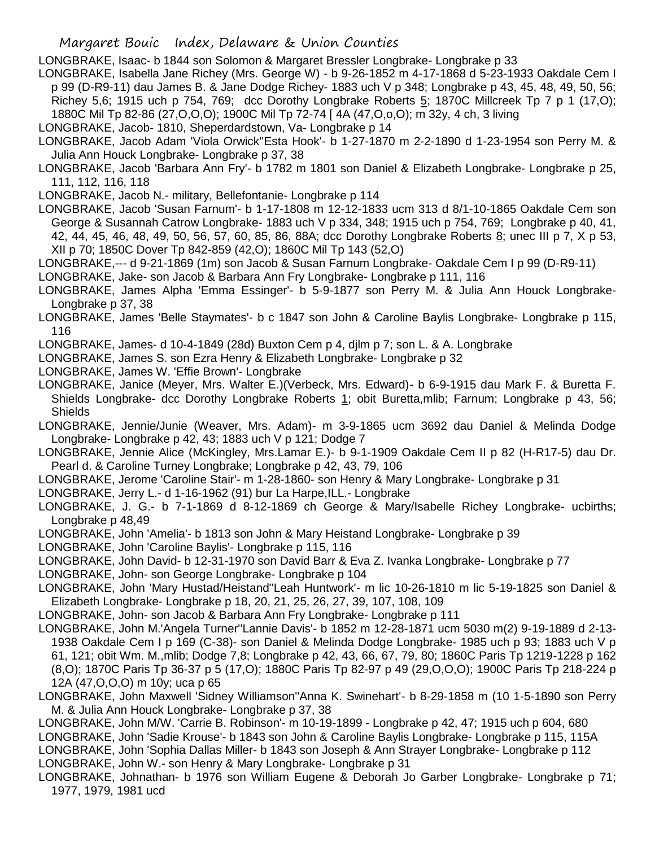LONGBRAKE, Isaac- b 1844 son Solomon & Margaret Bressler Longbrake- Longbrake p 33

LONGBRAKE, Isabella Jane Richey (Mrs. George W) - b 9-26-1852 m 4-17-1868 d 5-23-1933 Oakdale Cem I p 99 (D-R9-11) dau James B. & Jane Dodge Richey- 1883 uch V p 348; Longbrake p 43, 45, 48, 49, 50, 56; Richev 5.6: 1915 uch p 754, 769; dcc Dorothy Longbrake Roberts  $5$ ; 1870C Millcreek Tp 7 p 1 (17,0); 1880C Mil Tp 82-86 (27,O,O,O); 1900C Mil Tp 72-74 [ 4A (47,O,o,O); m 32y, 4 ch, 3 living

- LONGBRAKE, Jacob- 1810, Sheperdardstown, Va- Longbrake p 14
- LONGBRAKE, Jacob Adam 'Viola Orwick''Esta Hook'- b 1-27-1870 m 2-2-1890 d 1-23-1954 son Perry M. & Julia Ann Houck Longbrake- Longbrake p 37, 38
- LONGBRAKE, Jacob 'Barbara Ann Fry'- b 1782 m 1801 son Daniel & Elizabeth Longbrake- Longbrake p 25, 111, 112, 116, 118

LONGBRAKE, Jacob N.- military, Bellefontanie- Longbrake p 114

- LONGBRAKE, Jacob 'Susan Farnum'- b 1-17-1808 m 12-12-1833 ucm 313 d 8/1-10-1865 Oakdale Cem son George & Susannah Catrow Longbrake- 1883 uch V p 334, 348; 1915 uch p 754, 769; Longbrake p 40, 41, 42, 44, 45, 46, 48, 49, 50, 56, 57, 60, 85, 86, 88A; dcc Dorothy Longbrake Roberts 8; unec III p 7, X p 53, XII p 70; 1850C Dover Tp 842-859 (42,O); 1860C Mil Tp 143 (52,O)
- LONGBRAKE,--- d 9-21-1869 (1m) son Jacob & Susan Farnum Longbrake- Oakdale Cem I p 99 (D-R9-11)
- LONGBRAKE, Jake- son Jacob & Barbara Ann Fry Longbrake- Longbrake p 111, 116
- LONGBRAKE, James Alpha 'Emma Essinger'- b 5-9-1877 son Perry M. & Julia Ann Houck Longbrake-Longbrake p 37, 38
- LONGBRAKE, James 'Belle Staymates'- b c 1847 son John & Caroline Baylis Longbrake- Longbrake p 115, 116
- LONGBRAKE, James- d 10-4-1849 (28d) Buxton Cem p 4, djlm p 7; son L. & A. Longbrake
- LONGBRAKE, James S. son Ezra Henry & Elizabeth Longbrake- Longbrake p 32
- LONGBRAKE, James W. 'Effie Brown'- Longbrake
- LONGBRAKE, Janice (Meyer, Mrs. Walter E.)(Verbeck, Mrs. Edward)- b 6-9-1915 dau Mark F. & Buretta F. Shields Longbrake- dcc Dorothy Longbrake Roberts 1; obit Buretta, mlib; Farnum; Longbrake p 43, 56; **Shields**
- LONGBRAKE, Jennie/Junie (Weaver, Mrs. Adam)- m 3-9-1865 ucm 3692 dau Daniel & Melinda Dodge Longbrake- Longbrake p 42, 43; 1883 uch V p 121; Dodge 7
- LONGBRAKE, Jennie Alice (McKingley, Mrs.Lamar E.)- b 9-1-1909 Oakdale Cem II p 82 (H-R17-5) dau Dr. Pearl d. & Caroline Turney Longbrake; Longbrake p 42, 43, 79, 106
- LONGBRAKE, Jerome 'Caroline Stair'- m 1-28-1860- son Henry & Mary Longbrake- Longbrake p 31
- LONGBRAKE, Jerry L.- d 1-16-1962 (91) bur La Harpe,ILL.- Longbrake
- LONGBRAKE, J. G.- b 7-1-1869 d 8-12-1869 ch George & Mary/Isabelle Richey Longbrake- ucbirths; Longbrake p 48,49
- LONGBRAKE, John 'Amelia'- b 1813 son John & Mary Heistand Longbrake- Longbrake p 39
- LONGBRAKE, John 'Caroline Baylis'- Longbrake p 115, 116
- LONGBRAKE, John David- b 12-31-1970 son David Barr & Eva Z. Ivanka Longbrake- Longbrake p 77
- LONGBRAKE, John- son George Longbrake- Longbrake p 104
- LONGBRAKE, John 'Mary Hustad/Heistand''Leah Huntwork'- m lic 10-26-1810 m lic 5-19-1825 son Daniel & Elizabeth Longbrake- Longbrake p 18, 20, 21, 25, 26, 27, 39, 107, 108, 109
- LONGBRAKE, John- son Jacob & Barbara Ann Fry Longbrake- Longbrake p 111
- LONGBRAKE, John M.'Angela Turner''Lannie Davis'- b 1852 m 12-28-1871 ucm 5030 m(2) 9-19-1889 d 2-13- 1938 Oakdale Cem I p 169 (C-38)- son Daniel & Melinda Dodge Longbrake- 1985 uch p 93; 1883 uch V p 61, 121; obit Wm. M.,mlib; Dodge 7,8; Longbrake p 42, 43, 66, 67, 79, 80; 1860C Paris Tp 1219-1228 p 162 (8,O); 1870C Paris Tp 36-37 p 5 (17,O); 1880C Paris Tp 82-97 p 49 (29,O,O,O); 1900C Paris Tp 218-224 p 12A (47,O,O,O) m 10y; uca p 65
- LONGBRAKE, John Maxwell 'Sidney Williamson''Anna K. Swinehart'- b 8-29-1858 m (10 1-5-1890 son Perry M. & Julia Ann Houck Longbrake- Longbrake p 37, 38
- LONGBRAKE, John M/W. 'Carrie B. Robinson'- m 10-19-1899 Longbrake p 42, 47; 1915 uch p 604, 680 LONGBRAKE, John 'Sadie Krouse'- b 1843 son John & Caroline Baylis Longbrake- Longbrake p 115, 115A
- LONGBRAKE, John 'Sophia Dallas Miller- b 1843 son Joseph & Ann Strayer Longbrake- Longbrake p 112 LONGBRAKE, John W.- son Henry & Mary Longbrake- Longbrake p 31
- LONGBRAKE, Johnathan- b 1976 son William Eugene & Deborah Jo Garber Longbrake- Longbrake p 71; 1977, 1979, 1981 ucd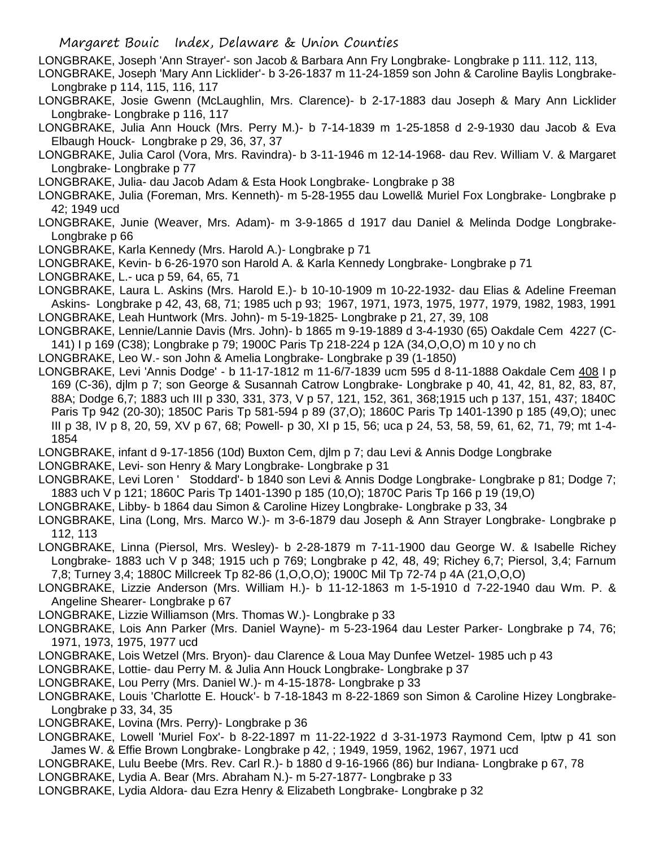- LONGBRAKE, Joseph 'Ann Strayer'- son Jacob & Barbara Ann Fry Longbrake- Longbrake p 111. 112, 113,
- LONGBRAKE, Joseph 'Mary Ann Licklider'- b 3-26-1837 m 11-24-1859 son John & Caroline Baylis Longbrake-Longbrake p 114, 115, 116, 117
- LONGBRAKE, Josie Gwenn (McLaughlin, Mrs. Clarence)- b 2-17-1883 dau Joseph & Mary Ann Licklider Longbrake- Longbrake p 116, 117
- LONGBRAKE, Julia Ann Houck (Mrs. Perry M.)- b 7-14-1839 m 1-25-1858 d 2-9-1930 dau Jacob & Eva Elbaugh Houck- Longbrake p 29, 36, 37, 37
- LONGBRAKE, Julia Carol (Vora, Mrs. Ravindra)- b 3-11-1946 m 12-14-1968- dau Rev. William V. & Margaret Longbrake- Longbrake p 77
- LONGBRAKE, Julia- dau Jacob Adam & Esta Hook Longbrake- Longbrake p 38
- LONGBRAKE, Julia (Foreman, Mrs. Kenneth)- m 5-28-1955 dau Lowell& Muriel Fox Longbrake- Longbrake p 42; 1949 ucd
- LONGBRAKE, Junie (Weaver, Mrs. Adam)- m 3-9-1865 d 1917 dau Daniel & Melinda Dodge Longbrake-Longbrake p 66
- LONGBRAKE, Karla Kennedy (Mrs. Harold A.)- Longbrake p 71
- LONGBRAKE, Kevin- b 6-26-1970 son Harold A. & Karla Kennedy Longbrake- Longbrake p 71
- LONGBRAKE, L.- uca p 59, 64, 65, 71
- LONGBRAKE, Laura L. Askins (Mrs. Harold E.)- b 10-10-1909 m 10-22-1932- dau Elias & Adeline Freeman Askins- Longbrake p 42, 43, 68, 71; 1985 uch p 93; 1967, 1971, 1973, 1975, 1977, 1979, 1982, 1983, 1991 LONGBRAKE, Leah Huntwork (Mrs. John)- m 5-19-1825- Longbrake p 21, 27, 39, 108
- LONGBRAKE, Lennie/Lannie Davis (Mrs. John)- b 1865 m 9-19-1889 d 3-4-1930 (65) Oakdale Cem 4227 (C-141) I p 169 (C38); Longbrake p 79; 1900C Paris Tp 218-224 p 12A (34,O,O,O) m 10 y no ch
- LONGBRAKE, Leo W.- son John & Amelia Longbrake- Longbrake p 39 (1-1850)
- LONGBRAKE, Levi 'Annis Dodge' b 11-17-1812 m 11-6/7-1839 ucm 595 d 8-11-1888 Oakdale Cem 408 I p 169 (C-36), djlm p 7; son George & Susannah Catrow Longbrake- Longbrake p 40, 41, 42, 81, 82, 83, 87, 88A; Dodge 6,7; 1883 uch III p 330, 331, 373, V p 57, 121, 152, 361, 368;1915 uch p 137, 151, 437; 1840C Paris Tp 942 (20-30); 1850C Paris Tp 581-594 p 89 (37,O); 1860C Paris Tp 1401-1390 p 185 (49,O); unec III p 38, IV p 8, 20, 59, XV p 67, 68; Powell- p 30, XI p 15, 56; uca p 24, 53, 58, 59, 61, 62, 71, 79; mt 1-4- 1854
- LONGBRAKE, infant d 9-17-1856 (10d) Buxton Cem, djlm p 7; dau Levi & Annis Dodge Longbrake
- LONGBRAKE, Levi- son Henry & Mary Longbrake- Longbrake p 31
- LONGBRAKE, Levi Loren ' Stoddard'- b 1840 son Levi & Annis Dodge Longbrake- Longbrake p 81; Dodge 7; 1883 uch V p 121; 1860C Paris Tp 1401-1390 p 185 (10,O); 1870C Paris Tp 166 p 19 (19,O)
- LONGBRAKE, Libby- b 1864 dau Simon & Caroline Hizey Longbrake- Longbrake p 33, 34
- LONGBRAKE, Lina (Long, Mrs. Marco W.)- m 3-6-1879 dau Joseph & Ann Strayer Longbrake- Longbrake p 112, 113
- LONGBRAKE, Linna (Piersol, Mrs. Wesley)- b 2-28-1879 m 7-11-1900 dau George W. & Isabelle Richey Longbrake- 1883 uch V p 348; 1915 uch p 769; Longbrake p 42, 48, 49; Richey 6,7; Piersol, 3,4; Farnum 7,8; Turney 3,4; 1880C Millcreek Tp 82-86 (1,O,O,O); 1900C Mil Tp 72-74 p 4A (21,O,O,O)
- LONGBRAKE, Lizzie Anderson (Mrs. William H.)- b 11-12-1863 m 1-5-1910 d 7-22-1940 dau Wm. P. & Angeline Shearer- Longbrake p 67
- LONGBRAKE, Lizzie Williamson (Mrs. Thomas W.)- Longbrake p 33
- LONGBRAKE, Lois Ann Parker (Mrs. Daniel Wayne)- m 5-23-1964 dau Lester Parker- Longbrake p 74, 76; 1971, 1973, 1975, 1977 ucd
- LONGBRAKE, Lois Wetzel (Mrs. Bryon)- dau Clarence & Loua May Dunfee Wetzel- 1985 uch p 43
- LONGBRAKE, Lottie- dau Perry M. & Julia Ann Houck Longbrake- Longbrake p 37
- LONGBRAKE, Lou Perry (Mrs. Daniel W.)- m 4-15-1878- Longbrake p 33
- LONGBRAKE, Louis 'Charlotte E. Houck'- b 7-18-1843 m 8-22-1869 son Simon & Caroline Hizey Longbrake-Longbrake p 33, 34, 35
- LONGBRAKE, Lovina (Mrs. Perry)- Longbrake p 36
- LONGBRAKE, Lowell 'Muriel Fox'- b 8-22-1897 m 11-22-1922 d 3-31-1973 Raymond Cem, lptw p 41 son James W. & Effie Brown Longbrake- Longbrake p 42, ; 1949, 1959, 1962, 1967, 1971 ucd
- LONGBRAKE, Lulu Beebe (Mrs. Rev. Carl R.)- b 1880 d 9-16-1966 (86) bur Indiana- Longbrake p 67, 78
- LONGBRAKE, Lydia A. Bear (Mrs. Abraham N.)- m 5-27-1877- Longbrake p 33
- LONGBRAKE, Lydia Aldora- dau Ezra Henry & Elizabeth Longbrake- Longbrake p 32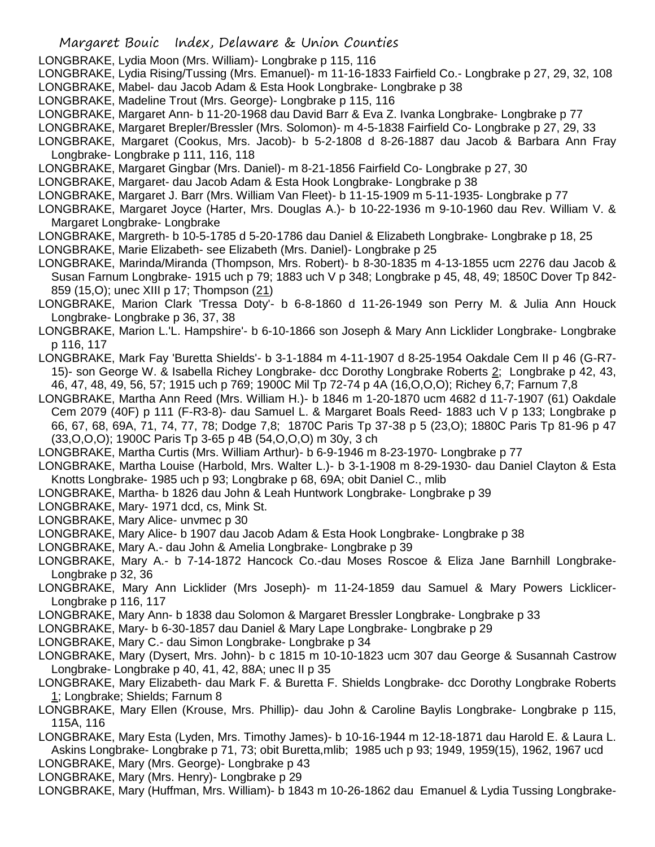- LONGBRAKE, Lydia Moon (Mrs. William)- Longbrake p 115, 116
- LONGBRAKE, Lydia Rising/Tussing (Mrs. Emanuel)- m 11-16-1833 Fairfield Co.- Longbrake p 27, 29, 32, 108
- LONGBRAKE, Mabel- dau Jacob Adam & Esta Hook Longbrake- Longbrake p 38
- LONGBRAKE, Madeline Trout (Mrs. George)- Longbrake p 115, 116
- LONGBRAKE, Margaret Ann- b 11-20-1968 dau David Barr & Eva Z. Ivanka Longbrake- Longbrake p 77
- LONGBRAKE, Margaret Brepler/Bressler (Mrs. Solomon)- m 4-5-1838 Fairfield Co- Longbrake p 27, 29, 33
- LONGBRAKE, Margaret (Cookus, Mrs. Jacob)- b 5-2-1808 d 8-26-1887 dau Jacob & Barbara Ann Fray Longbrake- Longbrake p 111, 116, 118
- LONGBRAKE, Margaret Gingbar (Mrs. Daniel)- m 8-21-1856 Fairfield Co- Longbrake p 27, 30
- LONGBRAKE, Margaret- dau Jacob Adam & Esta Hook Longbrake- Longbrake p 38
- LONGBRAKE, Margaret J. Barr (Mrs. William Van Fleet)- b 11-15-1909 m 5-11-1935- Longbrake p 77
- LONGBRAKE, Margaret Joyce (Harter, Mrs. Douglas A.)- b 10-22-1936 m 9-10-1960 dau Rev. William V. & Margaret Longbrake- Longbrake
- LONGBRAKE, Margreth- b 10-5-1785 d 5-20-1786 dau Daniel & Elizabeth Longbrake- Longbrake p 18, 25
- LONGBRAKE, Marie Elizabeth- see Elizabeth (Mrs. Daniel)- Longbrake p 25
- LONGBRAKE, Marinda/Miranda (Thompson, Mrs. Robert)- b 8-30-1835 m 4-13-1855 ucm 2276 dau Jacob & Susan Farnum Longbrake- 1915 uch p 79; 1883 uch V p 348; Longbrake p 45, 48, 49; 1850C Dover Tp 842- 859 (15,O); unec XIII p 17; Thompson (21)
- LONGBRAKE, Marion Clark 'Tressa Doty'- b 6-8-1860 d 11-26-1949 son Perry M. & Julia Ann Houck Longbrake- Longbrake p 36, 37, 38
- LONGBRAKE, Marion L.'L. Hampshire'- b 6-10-1866 son Joseph & Mary Ann Licklider Longbrake- Longbrake p 116, 117
- LONGBRAKE, Mark Fay 'Buretta Shields'- b 3-1-1884 m 4-11-1907 d 8-25-1954 Oakdale Cem II p 46 (G-R7- 15)- son George W. & Isabella Richey Longbrake- dcc Dorothy Longbrake Roberts 2; Longbrake p 42, 43, 46, 47, 48, 49, 56, 57; 1915 uch p 769; 1900C Mil Tp 72-74 p 4A (16,O,O,O); Richey 6,7; Farnum 7,8
- LONGBRAKE, Martha Ann Reed (Mrs. William H.)- b 1846 m 1-20-1870 ucm 4682 d 11-7-1907 (61) Oakdale Cem 2079 (40F) p 111 (F-R3-8)- dau Samuel L. & Margaret Boals Reed- 1883 uch V p 133; Longbrake p 66, 67, 68, 69A, 71, 74, 77, 78; Dodge 7,8; 1870C Paris Tp 37-38 p 5 (23,O); 1880C Paris Tp 81-96 p 47 (33,O,O,O); 1900C Paris Tp 3-65 p 4B (54,O,O,O) m 30y, 3 ch
- LONGBRAKE, Martha Curtis (Mrs. William Arthur)- b 6-9-1946 m 8-23-1970- Longbrake p 77
- LONGBRAKE, Martha Louise (Harbold, Mrs. Walter L.)- b 3-1-1908 m 8-29-1930- dau Daniel Clayton & Esta Knotts Longbrake- 1985 uch p 93; Longbrake p 68, 69A; obit Daniel C., mlib
- LONGBRAKE, Martha- b 1826 dau John & Leah Huntwork Longbrake- Longbrake p 39
- LONGBRAKE, Mary- 1971 dcd, cs, Mink St.
- LONGBRAKE, Mary Alice- unvmec p 30
- LONGBRAKE, Mary Alice- b 1907 dau Jacob Adam & Esta Hook Longbrake- Longbrake p 38
- LONGBRAKE, Mary A.- dau John & Amelia Longbrake- Longbrake p 39
- LONGBRAKE, Mary A.- b 7-14-1872 Hancock Co.-dau Moses Roscoe & Eliza Jane Barnhill Longbrake-Longbrake p 32, 36
- LONGBRAKE, Mary Ann Licklider (Mrs Joseph)- m 11-24-1859 dau Samuel & Mary Powers Licklicer-Longbrake p 116, 117
- LONGBRAKE, Mary Ann- b 1838 dau Solomon & Margaret Bressler Longbrake- Longbrake p 33
- LONGBRAKE, Mary- b 6-30-1857 dau Daniel & Mary Lape Longbrake- Longbrake p 29
- LONGBRAKE, Mary C.- dau Simon Longbrake- Longbrake p 34
- LONGBRAKE, Mary (Dysert, Mrs. John)- b c 1815 m 10-10-1823 ucm 307 dau George & Susannah Castrow Longbrake- Longbrake p 40, 41, 42, 88A; unec II p 35
- LONGBRAKE, Mary Elizabeth- dau Mark F. & Buretta F. Shields Longbrake- dcc Dorothy Longbrake Roberts 1; Longbrake; Shields; Farnum 8
- LONGBRAKE, Mary Ellen (Krouse, Mrs. Phillip)- dau John & Caroline Baylis Longbrake- Longbrake p 115, 115A, 116
- LONGBRAKE, Mary Esta (Lyden, Mrs. Timothy James)- b 10-16-1944 m 12-18-1871 dau Harold E. & Laura L. Askins Longbrake- Longbrake p 71, 73; obit Buretta,mlib; 1985 uch p 93; 1949, 1959(15), 1962, 1967 ucd LONGBRAKE, Mary (Mrs. George)- Longbrake p 43
- LONGBRAKE, Mary (Mrs. Henry)- Longbrake p 29
- LONGBRAKE, Mary (Huffman, Mrs. William)- b 1843 m 10-26-1862 dau Emanuel & Lydia Tussing Longbrake-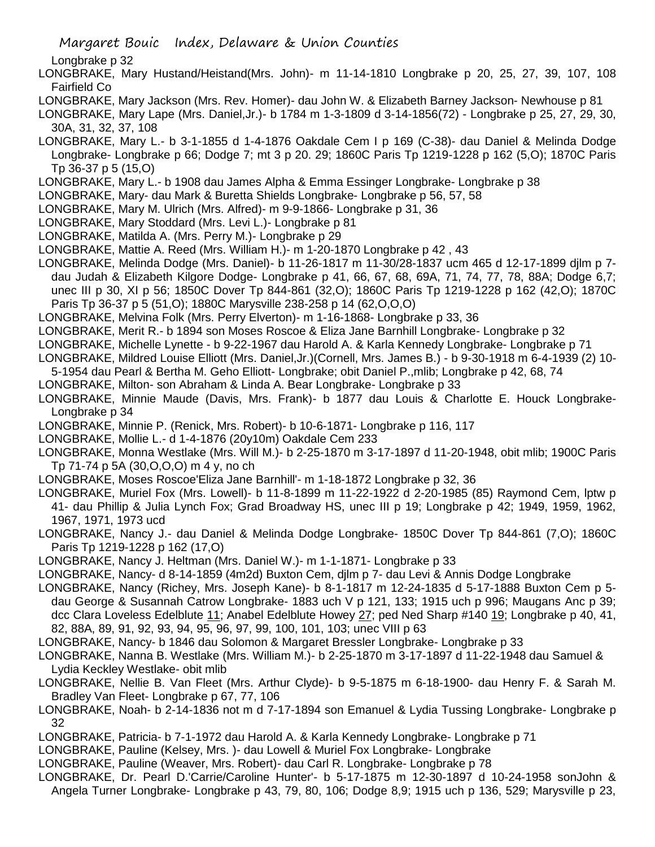Longbrake p 32

- LONGBRAKE, Mary Hustand/Heistand(Mrs. John)- m 11-14-1810 Longbrake p 20, 25, 27, 39, 107, 108 Fairfield Co
- LONGBRAKE, Mary Jackson (Mrs. Rev. Homer)- dau John W. & Elizabeth Barney Jackson- Newhouse p 81
- LONGBRAKE, Mary Lape (Mrs. Daniel,Jr.)- b 1784 m 1-3-1809 d 3-14-1856(72) Longbrake p 25, 27, 29, 30, 30A, 31, 32, 37, 108
- LONGBRAKE, Mary L.- b 3-1-1855 d 1-4-1876 Oakdale Cem I p 169 (C-38)- dau Daniel & Melinda Dodge Longbrake- Longbrake p 66; Dodge 7; mt 3 p 20. 29; 1860C Paris Tp 1219-1228 p 162 (5,O); 1870C Paris Tp 36-37 p 5 (15,O)
- LONGBRAKE, Mary L.- b 1908 dau James Alpha & Emma Essinger Longbrake- Longbrake p 38
- LONGBRAKE, Mary- dau Mark & Buretta Shields Longbrake- Longbrake p 56, 57, 58
- LONGBRAKE, Mary M. Ulrich (Mrs. Alfred)- m 9-9-1866- Longbrake p 31, 36
- LONGBRAKE, Mary Stoddard (Mrs. Levi L.)- Longbrake p 81
- LONGBRAKE, Matilda A. (Mrs. Perry M.)- Longbrake p 29
- LONGBRAKE, Mattie A. Reed (Mrs. William H.)- m 1-20-1870 Longbrake p 42 , 43
- LONGBRAKE, Melinda Dodge (Mrs. Daniel)- b 11-26-1817 m 11-30/28-1837 ucm 465 d 12-17-1899 djlm p 7-
- dau Judah & Elizabeth Kilgore Dodge- Longbrake p 41, 66, 67, 68, 69A, 71, 74, 77, 78, 88A; Dodge 6,7; unec III p 30, XI p 56; 1850C Dover Tp 844-861 (32,O); 1860C Paris Tp 1219-1228 p 162 (42,O); 1870C Paris Tp 36-37 p 5 (51,O); 1880C Marysville 238-258 p 14 (62,O,O,O)
- LONGBRAKE, Melvina Folk (Mrs. Perry Elverton)- m 1-16-1868- Longbrake p 33, 36
- LONGBRAKE, Merit R.- b 1894 son Moses Roscoe & Eliza Jane Barnhill Longbrake- Longbrake p 32
- LONGBRAKE, Michelle Lynette b 9-22-1967 dau Harold A. & Karla Kennedy Longbrake- Longbrake p 71
- LONGBRAKE, Mildred Louise Elliott (Mrs. Daniel,Jr.)(Cornell, Mrs. James B.) b 9-30-1918 m 6-4-1939 (2) 10-
- 5-1954 dau Pearl & Bertha M. Geho Elliott- Longbrake; obit Daniel P.,mlib; Longbrake p 42, 68, 74
- LONGBRAKE, Milton- son Abraham & Linda A. Bear Longbrake- Longbrake p 33
- LONGBRAKE, Minnie Maude (Davis, Mrs. Frank)- b 1877 dau Louis & Charlotte E. Houck Longbrake-Longbrake p 34
- LONGBRAKE, Minnie P. (Renick, Mrs. Robert)- b 10-6-1871- Longbrake p 116, 117
- LONGBRAKE, Mollie L.- d 1-4-1876 (20y10m) Oakdale Cem 233
- LONGBRAKE, Monna Westlake (Mrs. Will M.)- b 2-25-1870 m 3-17-1897 d 11-20-1948, obit mlib; 1900C Paris Tp 71-74 p 5A (30,O,O,O) m 4 y, no ch
- LONGBRAKE, Moses Roscoe'Eliza Jane Barnhill'- m 1-18-1872 Longbrake p 32, 36
- LONGBRAKE, Muriel Fox (Mrs. Lowell)- b 11-8-1899 m 11-22-1922 d 2-20-1985 (85) Raymond Cem, lptw p 41- dau Phillip & Julia Lynch Fox; Grad Broadway HS, unec III p 19; Longbrake p 42; 1949, 1959, 1962, 1967, 1971, 1973 ucd
- LONGBRAKE, Nancy J.- dau Daniel & Melinda Dodge Longbrake- 1850C Dover Tp 844-861 (7,O); 1860C Paris Tp 1219-1228 p 162 (17,O)
- LONGBRAKE, Nancy J. Heltman (Mrs. Daniel W.)- m 1-1-1871- Longbrake p 33
- LONGBRAKE, Nancy- d 8-14-1859 (4m2d) Buxton Cem, djlm p 7- dau Levi & Annis Dodge Longbrake
- LONGBRAKE, Nancy (Richey, Mrs. Joseph Kane)- b 8-1-1817 m 12-24-1835 d 5-17-1888 Buxton Cem p 5 dau George & Susannah Catrow Longbrake- 1883 uch V p 121, 133; 1915 uch p 996; Maugans Anc p 39; dcc Clara Loveless Edelblute 11; Anabel Edelblute Howey 27; ped Ned Sharp #140 19; Longbrake p 40, 41, 82, 88A, 89, 91, 92, 93, 94, 95, 96, 97, 99, 100, 101, 103; unec VIII p 63
- LONGBRAKE, Nancy- b 1846 dau Solomon & Margaret Bressler Longbrake- Longbrake p 33
- LONGBRAKE, Nanna B. Westlake (Mrs. William M.)- b 2-25-1870 m 3-17-1897 d 11-22-1948 dau Samuel & Lydia Keckley Westlake- obit mlib
- LONGBRAKE, Nellie B. Van Fleet (Mrs. Arthur Clyde)- b 9-5-1875 m 6-18-1900- dau Henry F. & Sarah M. Bradley Van Fleet- Longbrake p 67, 77, 106
- LONGBRAKE, Noah- b 2-14-1836 not m d 7-17-1894 son Emanuel & Lydia Tussing Longbrake- Longbrake p 32
- LONGBRAKE, Patricia- b 7-1-1972 dau Harold A. & Karla Kennedy Longbrake- Longbrake p 71
- LONGBRAKE, Pauline (Kelsey, Mrs. )- dau Lowell & Muriel Fox Longbrake- Longbrake
- LONGBRAKE, Pauline (Weaver, Mrs. Robert)- dau Carl R. Longbrake- Longbrake p 78
- LONGBRAKE, Dr. Pearl D.'Carrie/Caroline Hunter'- b 5-17-1875 m 12-30-1897 d 10-24-1958 sonJohn & Angela Turner Longbrake- Longbrake p 43, 79, 80, 106; Dodge 8,9; 1915 uch p 136, 529; Marysville p 23,

Margaret Bouic Index, Delaware & Union Counties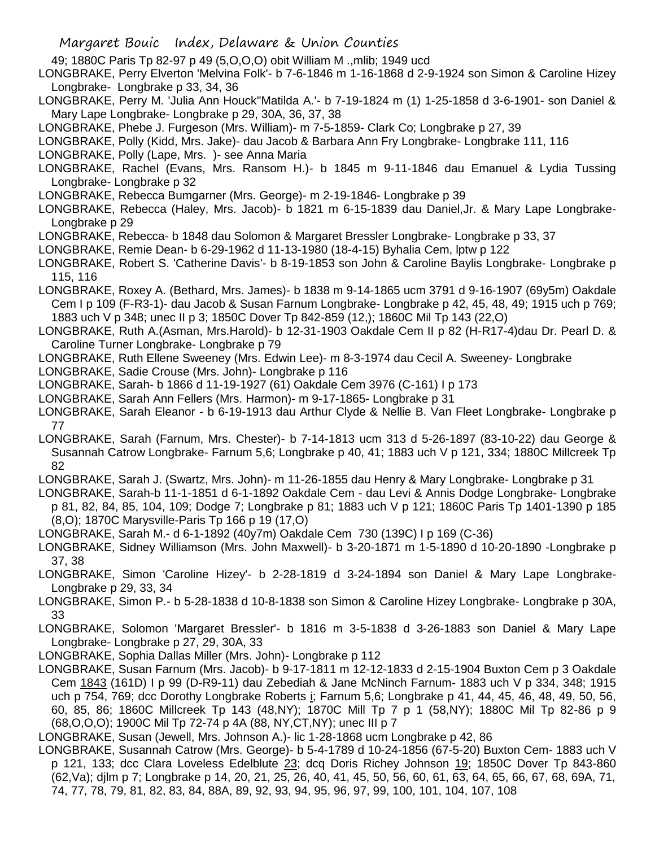49; 1880C Paris Tp 82-97 p 49 (5,O,O,O) obit William M .,mlib; 1949 ucd

LONGBRAKE, Perry Elverton 'Melvina Folk'- b 7-6-1846 m 1-16-1868 d 2-9-1924 son Simon & Caroline Hizey Longbrake- Longbrake p 33, 34, 36

LONGBRAKE, Perry M. 'Julia Ann Houck''Matilda A.'- b 7-19-1824 m (1) 1-25-1858 d 3-6-1901- son Daniel & Mary Lape Longbrake- Longbrake p 29, 30A, 36, 37, 38

LONGBRAKE, Phebe J. Furgeson (Mrs. William)- m 7-5-1859- Clark Co; Longbrake p 27, 39

LONGBRAKE, Polly (Kidd, Mrs. Jake)- dau Jacob & Barbara Ann Fry Longbrake- Longbrake 111, 116

LONGBRAKE, Polly (Lape, Mrs. )- see Anna Maria

LONGBRAKE, Rachel (Evans, Mrs. Ransom H.)- b 1845 m 9-11-1846 dau Emanuel & Lydia Tussing Longbrake- Longbrake p 32

LONGBRAKE, Rebecca Bumgarner (Mrs. George)- m 2-19-1846- Longbrake p 39

LONGBRAKE, Rebecca (Haley, Mrs. Jacob)- b 1821 m 6-15-1839 dau Daniel,Jr. & Mary Lape Longbrake-Longbrake p 29

LONGBRAKE, Rebecca- b 1848 dau Solomon & Margaret Bressler Longbrake- Longbrake p 33, 37

LONGBRAKE, Remie Dean- b 6-29-1962 d 11-13-1980 (18-4-15) Byhalia Cem, lptw p 122

LONGBRAKE, Robert S. 'Catherine Davis'- b 8-19-1853 son John & Caroline Baylis Longbrake- Longbrake p 115, 116

LONGBRAKE, Roxey A. (Bethard, Mrs. James)- b 1838 m 9-14-1865 ucm 3791 d 9-16-1907 (69y5m) Oakdale Cem I p 109 (F-R3-1)- dau Jacob & Susan Farnum Longbrake- Longbrake p 42, 45, 48, 49; 1915 uch p 769; 1883 uch V p 348; unec II p 3; 1850C Dover Tp 842-859 (12,); 1860C Mil Tp 143 (22,O)

LONGBRAKE, Ruth A.(Asman, Mrs.Harold)- b 12-31-1903 Oakdale Cem II p 82 (H-R17-4)dau Dr. Pearl D. & Caroline Turner Longbrake- Longbrake p 79

LONGBRAKE, Ruth Ellene Sweeney (Mrs. Edwin Lee)- m 8-3-1974 dau Cecil A. Sweeney- Longbrake

LONGBRAKE, Sadie Crouse (Mrs. John)- Longbrake p 116

LONGBRAKE, Sarah- b 1866 d 11-19-1927 (61) Oakdale Cem 3976 (C-161) I p 173

LONGBRAKE, Sarah Ann Fellers (Mrs. Harmon)- m 9-17-1865- Longbrake p 31

LONGBRAKE, Sarah Eleanor - b 6-19-1913 dau Arthur Clyde & Nellie B. Van Fleet Longbrake- Longbrake p 77

LONGBRAKE, Sarah (Farnum, Mrs. Chester)- b 7-14-1813 ucm 313 d 5-26-1897 (83-10-22) dau George & Susannah Catrow Longbrake- Farnum 5,6; Longbrake p 40, 41; 1883 uch V p 121, 334; 1880C Millcreek Tp 82

LONGBRAKE, Sarah J. (Swartz, Mrs. John)- m 11-26-1855 dau Henry & Mary Longbrake- Longbrake p 31

LONGBRAKE, Sarah-b 11-1-1851 d 6-1-1892 Oakdale Cem - dau Levi & Annis Dodge Longbrake- Longbrake p 81, 82, 84, 85, 104, 109; Dodge 7; Longbrake p 81; 1883 uch V p 121; 1860C Paris Tp 1401-1390 p 185 (8,O); 1870C Marysville-Paris Tp 166 p 19 (17,O)

LONGBRAKE, Sarah M.- d 6-1-1892 (40y7m) Oakdale Cem 730 (139C) I p 169 (C-36)

LONGBRAKE, Sidney Williamson (Mrs. John Maxwell)- b 3-20-1871 m 1-5-1890 d 10-20-1890 -Longbrake p 37, 38

LONGBRAKE, Simon 'Caroline Hizey'- b 2-28-1819 d 3-24-1894 son Daniel & Mary Lape Longbrake-Longbrake p 29, 33, 34

LONGBRAKE, Simon P.- b 5-28-1838 d 10-8-1838 son Simon & Caroline Hizey Longbrake- Longbrake p 30A, 33

LONGBRAKE, Solomon 'Margaret Bressler'- b 1816 m 3-5-1838 d 3-26-1883 son Daniel & Mary Lape Longbrake- Longbrake p 27, 29, 30A, 33

LONGBRAKE, Sophia Dallas Miller (Mrs. John)- Longbrake p 112

LONGBRAKE, Susan Farnum (Mrs. Jacob)- b 9-17-1811 m 12-12-1833 d 2-15-1904 Buxton Cem p 3 Oakdale Cem 1843 (161D) I p 99 (D-R9-11) dau Zebediah & Jane McNinch Farnum- 1883 uch V p 334, 348; 1915 uch p 754, 769; dcc Dorothy Longbrake Roberts i; Farnum 5,6; Longbrake p 41, 44, 45, 46, 48, 49, 50, 56, 60, 85, 86; 1860C Millcreek Tp 143 (48,NY); 1870C Mill Tp 7 p 1 (58,NY); 1880C Mil Tp 82-86 p 9 (68,O,O,O); 1900C Mil Tp 72-74 p 4A (88, NY,CT,NY); unec III p 7

LONGBRAKE, Susan (Jewell, Mrs. Johnson A.)- lic 1-28-1868 ucm Longbrake p 42, 86

LONGBRAKE, Susannah Catrow (Mrs. George)- b 5-4-1789 d 10-24-1856 (67-5-20) Buxton Cem- 1883 uch V p 121, 133; dcc Clara Loveless Edelblute 23; dcq Doris Richey Johnson 19; 1850C Dover Tp 843-860 (62,Va); djlm p 7; Longbrake p 14, 20, 21, 25, 26, 40, 41, 45, 50, 56, 60, 61, 63, 64, 65, 66, 67, 68, 69A, 71, 74, 77, 78, 79, 81, 82, 83, 84, 88A, 89, 92, 93, 94, 95, 96, 97, 99, 100, 101, 104, 107, 108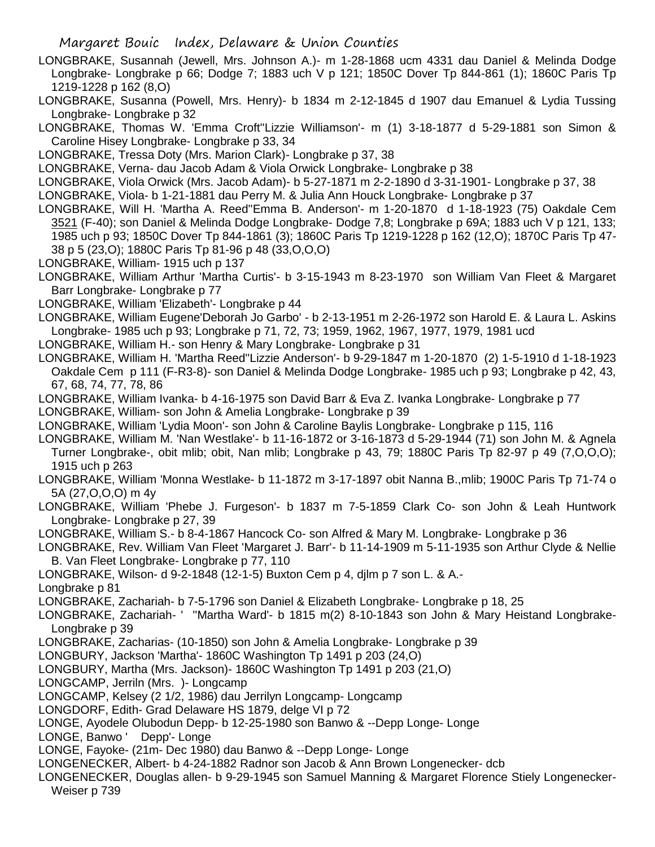- LONGBRAKE, Susannah (Jewell, Mrs. Johnson A.)- m 1-28-1868 ucm 4331 dau Daniel & Melinda Dodge Longbrake- Longbrake p 66; Dodge 7; 1883 uch V p 121; 1850C Dover Tp 844-861 (1); 1860C Paris Tp 1219-1228 p 162 (8,O)
- LONGBRAKE, Susanna (Powell, Mrs. Henry)- b 1834 m 2-12-1845 d 1907 dau Emanuel & Lydia Tussing Longbrake- Longbrake p 32
- LONGBRAKE, Thomas W. 'Emma Croft''Lizzie Williamson'- m (1) 3-18-1877 d 5-29-1881 son Simon & Caroline Hisey Longbrake- Longbrake p 33, 34
- LONGBRAKE, Tressa Doty (Mrs. Marion Clark)- Longbrake p 37, 38
- LONGBRAKE, Verna- dau Jacob Adam & Viola Orwick Longbrake- Longbrake p 38
- LONGBRAKE, Viola Orwick (Mrs. Jacob Adam)- b 5-27-1871 m 2-2-1890 d 3-31-1901- Longbrake p 37, 38
- LONGBRAKE, Viola- b 1-21-1881 dau Perry M. & Julia Ann Houck Longbrake- Longbrake p 37
- LONGBRAKE, Will H. 'Martha A. Reed''Emma B. Anderson'- m 1-20-1870 d 1-18-1923 (75) Oakdale Cem 3521 (F-40); son Daniel & Melinda Dodge Longbrake- Dodge 7,8; Longbrake p 69A; 1883 uch V p 121, 133; 1985 uch p 93; 1850C Dover Tp 844-1861 (3); 1860C Paris Tp 1219-1228 p 162 (12,O); 1870C Paris Tp 47- 38 p 5 (23,O); 1880C Paris Tp 81-96 p 48 (33,O,O,O)
- LONGBRAKE, William- 1915 uch p 137
- LONGBRAKE, William Arthur 'Martha Curtis'- b 3-15-1943 m 8-23-1970 son William Van Fleet & Margaret Barr Longbrake- Longbrake p 77
- LONGBRAKE, William 'Elizabeth'- Longbrake p 44
- LONGBRAKE, William Eugene'Deborah Jo Garbo' b 2-13-1951 m 2-26-1972 son Harold E. & Laura L. Askins Longbrake- 1985 uch p 93; Longbrake p 71, 72, 73; 1959, 1962, 1967, 1977, 1979, 1981 ucd
- LONGBRAKE, William H.- son Henry & Mary Longbrake- Longbrake p 31
- LONGBRAKE, William H. 'Martha Reed''Lizzie Anderson'- b 9-29-1847 m 1-20-1870 (2) 1-5-1910 d 1-18-1923 Oakdale Cem p 111 (F-R3-8)- son Daniel & Melinda Dodge Longbrake- 1985 uch p 93; Longbrake p 42, 43, 67, 68, 74, 77, 78, 86
- LONGBRAKE, William Ivanka- b 4-16-1975 son David Barr & Eva Z. Ivanka Longbrake- Longbrake p 77
- LONGBRAKE, William- son John & Amelia Longbrake- Longbrake p 39
- LONGBRAKE, William 'Lydia Moon'- son John & Caroline Baylis Longbrake- Longbrake p 115, 116
- LONGBRAKE, William M. 'Nan Westlake'- b 11-16-1872 or 3-16-1873 d 5-29-1944 (71) son John M. & Agnela Turner Longbrake-, obit mlib; obit, Nan mlib; Longbrake p 43, 79; 1880C Paris Tp 82-97 p 49 (7,O,O,O); 1915 uch p 263
- LONGBRAKE, William 'Monna Westlake- b 11-1872 m 3-17-1897 obit Nanna B.,mlib; 1900C Paris Tp 71-74 o 5A (27,O,O,O) m 4y
- LONGBRAKE, William 'Phebe J. Furgeson'- b 1837 m 7-5-1859 Clark Co- son John & Leah Huntwork Longbrake- Longbrake p 27, 39
- LONGBRAKE, William S.- b 8-4-1867 Hancock Co- son Alfred & Mary M. Longbrake- Longbrake p 36
- LONGBRAKE, Rev. William Van Fleet 'Margaret J. Barr'- b 11-14-1909 m 5-11-1935 son Arthur Clyde & Nellie B. Van Fleet Longbrake- Longbrake p 77, 110
- LONGBRAKE, Wilson- d 9-2-1848 (12-1-5) Buxton Cem p 4, djlm p 7 son L. & A.-
- Longbrake p 81
- LONGBRAKE, Zachariah- b 7-5-1796 son Daniel & Elizabeth Longbrake- Longbrake p 18, 25
- LONGBRAKE, Zachariah- ' ''Martha Ward'- b 1815 m(2) 8-10-1843 son John & Mary Heistand Longbrake-Longbrake p 39
- LONGBRAKE, Zacharias- (10-1850) son John & Amelia Longbrake- Longbrake p 39
- LONGBURY, Jackson 'Martha'- 1860C Washington Tp 1491 p 203 (24,O)
- LONGBURY, Martha (Mrs. Jackson)- 1860C Washington Tp 1491 p 203 (21,O)
- LONGCAMP, Jerriln (Mrs. )- Longcamp
- LONGCAMP, Kelsey (2 1/2, 1986) dau Jerrilyn Longcamp- Longcamp
- LONGDORF, Edith- Grad Delaware HS 1879, delge VI p 72
- LONGE, Ayodele Olubodun Depp- b 12-25-1980 son Banwo & --Depp Longe- Longe
- LONGE, Banwo ' Depp'- Longe
- LONGE, Fayoke- (21m- Dec 1980) dau Banwo & --Depp Longe- Longe
- LONGENECKER, Albert- b 4-24-1882 Radnor son Jacob & Ann Brown Longenecker- dcb
- LONGENECKER, Douglas allen- b 9-29-1945 son Samuel Manning & Margaret Florence Stiely Longenecker-Weiser p 739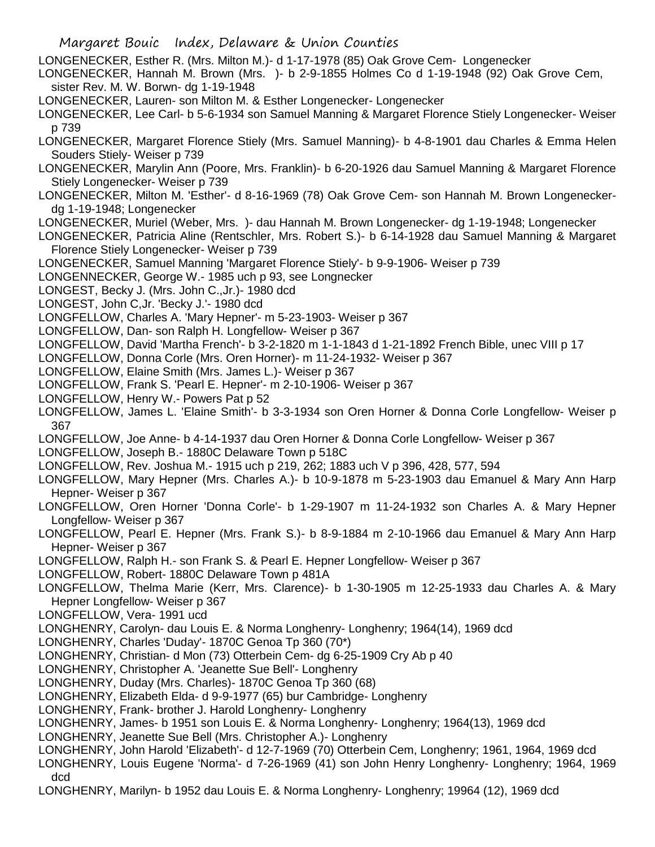- LONGENECKER, Esther R. (Mrs. Milton M.)- d 1-17-1978 (85) Oak Grove Cem- Longenecker
- LONGENECKER, Hannah M. Brown (Mrs. )- b 2-9-1855 Holmes Co d 1-19-1948 (92) Oak Grove Cem, sister Rev. M. W. Borwn- dg 1-19-1948
- LONGENECKER, Lauren- son Milton M. & Esther Longenecker- Longenecker
- LONGENECKER, Lee Carl- b 5-6-1934 son Samuel Manning & Margaret Florence Stiely Longenecker- Weiser p 739
- LONGENECKER, Margaret Florence Stiely (Mrs. Samuel Manning)- b 4-8-1901 dau Charles & Emma Helen Souders Stiely- Weiser p 739
- LONGENECKER, Marylin Ann (Poore, Mrs. Franklin)- b 6-20-1926 dau Samuel Manning & Margaret Florence Stiely Longenecker- Weiser p 739
- LONGENECKER, Milton M. 'Esther'- d 8-16-1969 (78) Oak Grove Cem- son Hannah M. Brown Longeneckerdg 1-19-1948; Longenecker
- LONGENECKER, Muriel (Weber, Mrs. )- dau Hannah M. Brown Longenecker- dg 1-19-1948; Longenecker
- LONGENECKER, Patricia Aline (Rentschler, Mrs. Robert S.)- b 6-14-1928 dau Samuel Manning & Margaret Florence Stiely Longenecker- Weiser p 739
- LONGENECKER, Samuel Manning 'Margaret Florence Stiely'- b 9-9-1906- Weiser p 739
- LONGENNECKER, George W.- 1985 uch p 93, see Longnecker
- LONGEST, Becky J. (Mrs. John C.,Jr.)- 1980 dcd
- LONGEST, John C,Jr. 'Becky J.'- 1980 dcd
- LONGFELLOW, Charles A. 'Mary Hepner'- m 5-23-1903- Weiser p 367
- LONGFELLOW, Dan- son Ralph H. Longfellow- Weiser p 367
- LONGFELLOW, David 'Martha French'- b 3-2-1820 m 1-1-1843 d 1-21-1892 French Bible, unec VIII p 17
- LONGFELLOW, Donna Corle (Mrs. Oren Horner)- m 11-24-1932- Weiser p 367
- LONGFELLOW, Elaine Smith (Mrs. James L.)- Weiser p 367
- LONGFELLOW, Frank S. 'Pearl E. Hepner'- m 2-10-1906- Weiser p 367
- LONGFELLOW, Henry W.- Powers Pat p 52
- LONGFELLOW, James L. 'Elaine Smith'- b 3-3-1934 son Oren Horner & Donna Corle Longfellow- Weiser p 367
- LONGFELLOW, Joe Anne- b 4-14-1937 dau Oren Horner & Donna Corle Longfellow- Weiser p 367
- LONGFELLOW, Joseph B.- 1880C Delaware Town p 518C
- LONGFELLOW, Rev. Joshua M.- 1915 uch p 219, 262; 1883 uch V p 396, 428, 577, 594
- LONGFELLOW, Mary Hepner (Mrs. Charles A.)- b 10-9-1878 m 5-23-1903 dau Emanuel & Mary Ann Harp Hepner- Weiser p 367
- LONGFELLOW, Oren Horner 'Donna Corle'- b 1-29-1907 m 11-24-1932 son Charles A. & Mary Hepner Longfellow- Weiser p 367
- LONGFELLOW, Pearl E. Hepner (Mrs. Frank S.)- b 8-9-1884 m 2-10-1966 dau Emanuel & Mary Ann Harp Hepner- Weiser p 367
- LONGFELLOW, Ralph H.- son Frank S. & Pearl E. Hepner Longfellow- Weiser p 367
- LONGFELLOW, Robert- 1880C Delaware Town p 481A
- LONGFELLOW, Thelma Marie (Kerr, Mrs. Clarence)- b 1-30-1905 m 12-25-1933 dau Charles A. & Mary Hepner Longfellow- Weiser p 367
- LONGFELLOW, Vera- 1991 ucd
- LONGHENRY, Carolyn- dau Louis E. & Norma Longhenry- Longhenry; 1964(14), 1969 dcd
- LONGHENRY, Charles 'Duday'- 1870C Genoa Tp 360 (70\*)
- LONGHENRY, Christian- d Mon (73) Otterbein Cem- dg 6-25-1909 Cry Ab p 40
- LONGHENRY, Christopher A. 'Jeanette Sue Bell'- Longhenry
- LONGHENRY, Duday (Mrs. Charles)- 1870C Genoa Tp 360 (68)
- LONGHENRY, Elizabeth Elda- d 9-9-1977 (65) bur Cambridge- Longhenry
- LONGHENRY, Frank- brother J. Harold Longhenry- Longhenry
- LONGHENRY, James- b 1951 son Louis E. & Norma Longhenry- Longhenry; 1964(13), 1969 dcd
- LONGHENRY, Jeanette Sue Bell (Mrs. Christopher A.)- Longhenry
- LONGHENRY, John Harold 'Elizabeth'- d 12-7-1969 (70) Otterbein Cem, Longhenry; 1961, 1964, 1969 dcd
- LONGHENRY, Louis Eugene 'Norma'- d 7-26-1969 (41) son John Henry Longhenry- Longhenry; 1964, 1969 dcd
- LONGHENRY, Marilyn- b 1952 dau Louis E. & Norma Longhenry- Longhenry; 19964 (12), 1969 dcd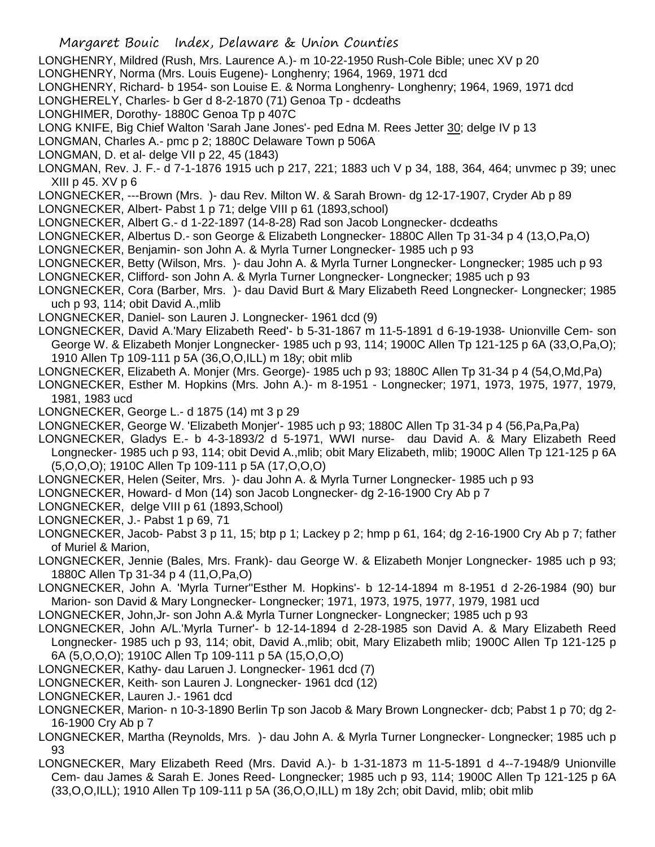- Margaret Bouic Index, Delaware & Union Counties LONGHENRY, Mildred (Rush, Mrs. Laurence A.)- m 10-22-1950 Rush-Cole Bible; unec XV p 20 LONGHENRY, Norma (Mrs. Louis Eugene)- Longhenry; 1964, 1969, 1971 dcd LONGHENRY, Richard- b 1954- son Louise E. & Norma Longhenry- Longhenry; 1964, 1969, 1971 dcd LONGHERELY, Charles- b Ger d 8-2-1870 (71) Genoa Tp - dcdeaths LONGHIMER, Dorothy- 1880C Genoa Tp p 407C LONG KNIFE, Big Chief Walton 'Sarah Jane Jones'- ped Edna M. Rees Jetter 30; delge IV p 13 LONGMAN, Charles A.- pmc p 2; 1880C Delaware Town p 506A LONGMAN, D. et al- delge VII p 22, 45 (1843) LONGMAN, Rev. J. F.- d 7-1-1876 1915 uch p 217, 221; 1883 uch V p 34, 188, 364, 464; unvmec p 39; unec XIII p 45. XV p 6 LONGNECKER, ---Brown (Mrs. )- dau Rev. Milton W. & Sarah Brown- dg 12-17-1907, Cryder Ab p 89 LONGNECKER, Albert- Pabst 1 p 71; delge VIII p 61 (1893,school) LONGNECKER, Albert G.- d 1-22-1897 (14-8-28) Rad son Jacob Longnecker- dcdeaths LONGNECKER, Albertus D.- son George & Elizabeth Longnecker- 1880C Allen Tp 31-34 p 4 (13,O,Pa,O) LONGNECKER, Benjamin- son John A. & Myrla Turner Longnecker- 1985 uch p 93 LONGNECKER, Betty (Wilson, Mrs. )- dau John A. & Myrla Turner Longnecker- Longnecker; 1985 uch p 93 LONGNECKER, Clifford- son John A. & Myrla Turner Longnecker- Longnecker; 1985 uch p 93 LONGNECKER, Cora (Barber, Mrs. )- dau David Burt & Mary Elizabeth Reed Longnecker- Longnecker; 1985 uch p 93, 114; obit David A.,mlib LONGNECKER, Daniel- son Lauren J. Longnecker- 1961 dcd (9) LONGNECKER, David A.'Mary Elizabeth Reed'- b 5-31-1867 m 11-5-1891 d 6-19-1938- Unionville Cem- son George W. & Elizabeth Monjer Longnecker- 1985 uch p 93, 114; 1900C Allen Tp 121-125 p 6A (33,O,Pa,O); 1910 Allen Tp 109-111 p 5A (36,O,O,ILL) m 18y; obit mlib LONGNECKER, Elizabeth A. Monjer (Mrs. George)- 1985 uch p 93; 1880C Allen Tp 31-34 p 4 (54,O,Md,Pa) LONGNECKER, Esther M. Hopkins (Mrs. John A.)- m 8-1951 - Longnecker; 1971, 1973, 1975, 1977, 1979, 1981, 1983 ucd LONGNECKER, George L.- d 1875 (14) mt 3 p 29 LONGNECKER, George W. 'Elizabeth Monjer'- 1985 uch p 93; 1880C Allen Tp 31-34 p 4 (56,Pa,Pa,Pa) LONGNECKER, Gladys E.- b 4-3-1893/2 d 5-1971, WWI nurse- dau David A. & Mary Elizabeth Reed Longnecker- 1985 uch p 93, 114; obit Devid A.,mlib; obit Mary Elizabeth, mlib; 1900C Allen Tp 121-125 p 6A (5,O,O,O); 1910C Allen Tp 109-111 p 5A (17,O,O,O) LONGNECKER, Helen (Seiter, Mrs. )- dau John A. & Myrla Turner Longnecker- 1985 uch p 93 LONGNECKER, Howard- d Mon (14) son Jacob Longnecker- dg 2-16-1900 Cry Ab p 7 LONGNECKER, delge VIII p 61 (1893, School) LONGNECKER, J.- Pabst 1 p 69, 71 LONGNECKER, Jacob- Pabst 3 p 11, 15; btp p 1; Lackey p 2; hmp p 61, 164; dg 2-16-1900 Cry Ab p 7; father of Muriel & Marion, LONGNECKER, Jennie (Bales, Mrs. Frank)- dau George W. & Elizabeth Monjer Longnecker- 1985 uch p 93; 1880C Allen Tp 31-34 p 4 (11,O,Pa,O) LONGNECKER, John A. 'Myrla Turner''Esther M. Hopkins'- b 12-14-1894 m 8-1951 d 2-26-1984 (90) bur Marion- son David & Mary Longnecker- Longnecker; 1971, 1973, 1975, 1977, 1979, 1981 ucd LONGNECKER, John,Jr- son John A.& Myrla Turner Longnecker- Longnecker; 1985 uch p 93 LONGNECKER, John A/L.'Myrla Turner'- b 12-14-1894 d 2-28-1985 son David A. & Mary Elizabeth Reed Longnecker- 1985 uch p 93, 114; obit, David A.,mlib; obit, Mary Elizabeth mlib; 1900C Allen Tp 121-125 p 6A (5,O,O,O); 1910C Allen Tp 109-111 p 5A (15,O,O,O) LONGNECKER, Kathy- dau Laruen J. Longnecker- 1961 dcd (7) LONGNECKER, Keith- son Lauren J. Longnecker- 1961 dcd (12) LONGNECKER, Lauren J.- 1961 dcd LONGNECKER, Marion- n 10-3-1890 Berlin Tp son Jacob & Mary Brown Longnecker- dcb; Pabst 1 p 70; dg 2-
- 16-1900 Cry Ab p 7 LONGNECKER, Martha (Reynolds, Mrs. )- dau John A. & Myrla Turner Longnecker- Longnecker; 1985 uch p 93
- LONGNECKER, Mary Elizabeth Reed (Mrs. David A.)- b 1-31-1873 m 11-5-1891 d 4--7-1948/9 Unionville Cem- dau James & Sarah E. Jones Reed- Longnecker; 1985 uch p 93, 114; 1900C Allen Tp 121-125 p 6A (33,O,O,ILL); 1910 Allen Tp 109-111 p 5A (36,O,O,ILL) m 18y 2ch; obit David, mlib; obit mlib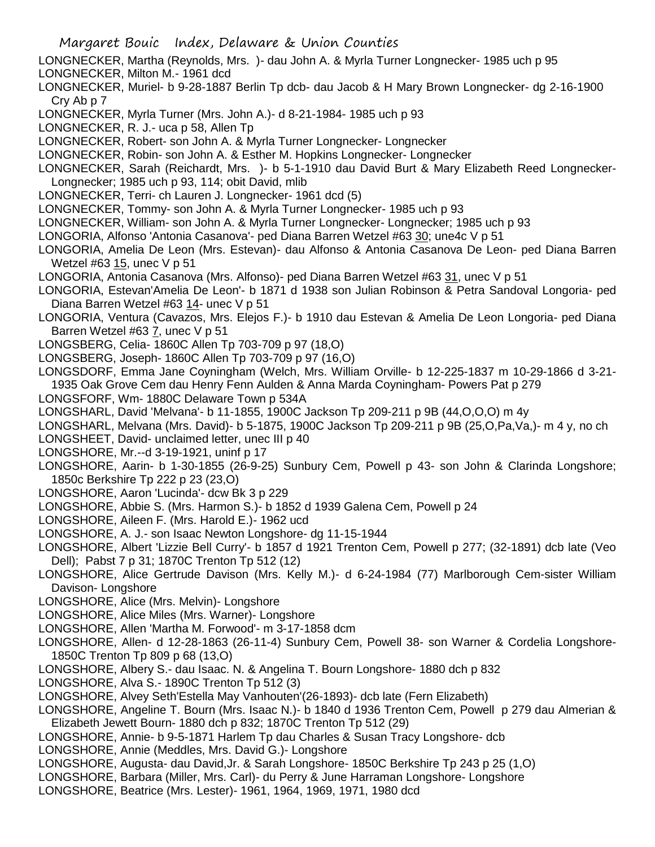- LONGNECKER, Martha (Reynolds, Mrs. )- dau John A. & Myrla Turner Longnecker- 1985 uch p 95
- LONGNECKER, Milton M.- 1961 dcd
- LONGNECKER, Muriel- b 9-28-1887 Berlin Tp dcb- dau Jacob & H Mary Brown Longnecker- dg 2-16-1900 Cry Ab p 7
- LONGNECKER, Myrla Turner (Mrs. John A.)- d 8-21-1984- 1985 uch p 93
- LONGNECKER, R. J.- uca p 58, Allen Tp
- LONGNECKER, Robert- son John A. & Myrla Turner Longnecker- Longnecker
- LONGNECKER, Robin- son John A. & Esther M. Hopkins Longnecker- Longnecker
- LONGNECKER, Sarah (Reichardt, Mrs. )- b 5-1-1910 dau David Burt & Mary Elizabeth Reed Longnecker-Longnecker; 1985 uch p 93, 114; obit David, mlib
- LONGNECKER, Terri- ch Lauren J. Longnecker- 1961 dcd (5)
- LONGNECKER, Tommy- son John A. & Myrla Turner Longnecker- 1985 uch p 93
- LONGNECKER, William- son John A. & Myrla Turner Longnecker- Longnecker; 1985 uch p 93
- LONGORIA, Alfonso 'Antonia Casanova'- ped Diana Barren Wetzel #63 30; une4c V p 51
- LONGORIA, Amelia De Leon (Mrs. Estevan)- dau Alfonso & Antonia Casanova De Leon- ped Diana Barren Wetzel #63 15, unec V p 51
- LONGORIA, Antonia Casanova (Mrs. Alfonso)- ped Diana Barren Wetzel #63 31, unec V p 51
- LONGORIA, Estevan'Amelia De Leon'- b 1871 d 1938 son Julian Robinson & Petra Sandoval Longoria- ped Diana Barren Wetzel #63 14- unec V p 51
- LONGORIA, Ventura (Cavazos, Mrs. Elejos F.)- b 1910 dau Estevan & Amelia De Leon Longoria- ped Diana Barren Wetzel #63 7, unec V p 51
- LONGSBERG, Celia- 1860C Allen Tp 703-709 p 97 (18,O)
- LONGSBERG, Joseph- 1860C Allen Tp 703-709 p 97 (16,O)
- LONGSDORF, Emma Jane Coyningham (Welch, Mrs. William Orville- b 12-225-1837 m 10-29-1866 d 3-21- 1935 Oak Grove Cem dau Henry Fenn Aulden & Anna Marda Coyningham- Powers Pat p 279
- LONGSFORF, Wm- 1880C Delaware Town p 534A
- LONGSHARL, David 'Melvana'- b 11-1855, 1900C Jackson Tp 209-211 p 9B (44,O,O,O) m 4y
- LONGSHARL, Melvana (Mrs. David)- b 5-1875, 1900C Jackson Tp 209-211 p 9B (25,O,Pa,Va,)- m 4 y, no ch
- LONGSHEET, David- unclaimed letter, unec III p 40
- LONGSHORE, Mr.--d 3-19-1921, uninf p 17
- LONGSHORE, Aarin- b 1-30-1855 (26-9-25) Sunbury Cem, Powell p 43- son John & Clarinda Longshore; 1850c Berkshire Tp 222 p 23 (23,O)
- LONGSHORE, Aaron 'Lucinda'- dcw Bk 3 p 229
- LONGSHORE, Abbie S. (Mrs. Harmon S.)- b 1852 d 1939 Galena Cem, Powell p 24
- LONGSHORE, Aileen F. (Mrs. Harold E.)- 1962 ucd
- LONGSHORE, A. J.- son Isaac Newton Longshore- dg 11-15-1944
- LONGSHORE, Albert 'Lizzie Bell Curry'- b 1857 d 1921 Trenton Cem, Powell p 277; (32-1891) dcb late (Veo Dell); Pabst 7 p 31; 1870C Trenton Tp 512 (12)
- LONGSHORE, Alice Gertrude Davison (Mrs. Kelly M.)- d 6-24-1984 (77) Marlborough Cem-sister William Davison- Longshore
- LONGSHORE, Alice (Mrs. Melvin)- Longshore
- LONGSHORE, Alice Miles (Mrs. Warner)- Longshore
- LONGSHORE, Allen 'Martha M. Forwood'- m 3-17-1858 dcm
- LONGSHORE, Allen- d 12-28-1863 (26-11-4) Sunbury Cem, Powell 38- son Warner & Cordelia Longshore-1850C Trenton Tp 809 p 68 (13,O)
- LONGSHORE, Albery S.- dau Isaac. N. & Angelina T. Bourn Longshore- 1880 dch p 832
- LONGSHORE, Alva S.- 1890C Trenton Tp 512 (3)
- LONGSHORE, Alvey Seth'Estella May Vanhouten'(26-1893)- dcb late (Fern Elizabeth)
- LONGSHORE, Angeline T. Bourn (Mrs. Isaac N.)- b 1840 d 1936 Trenton Cem, Powell p 279 dau Almerian & Elizabeth Jewett Bourn- 1880 dch p 832; 1870C Trenton Tp 512 (29)
- LONGSHORE, Annie- b 9-5-1871 Harlem Tp dau Charles & Susan Tracy Longshore- dcb
- LONGSHORE, Annie (Meddles, Mrs. David G.)- Longshore
- LONGSHORE, Augusta- dau David,Jr. & Sarah Longshore- 1850C Berkshire Tp 243 p 25 (1,O)
- LONGSHORE, Barbara (Miller, Mrs. Carl)- du Perry & June Harraman Longshore- Longshore
- LONGSHORE, Beatrice (Mrs. Lester)- 1961, 1964, 1969, 1971, 1980 dcd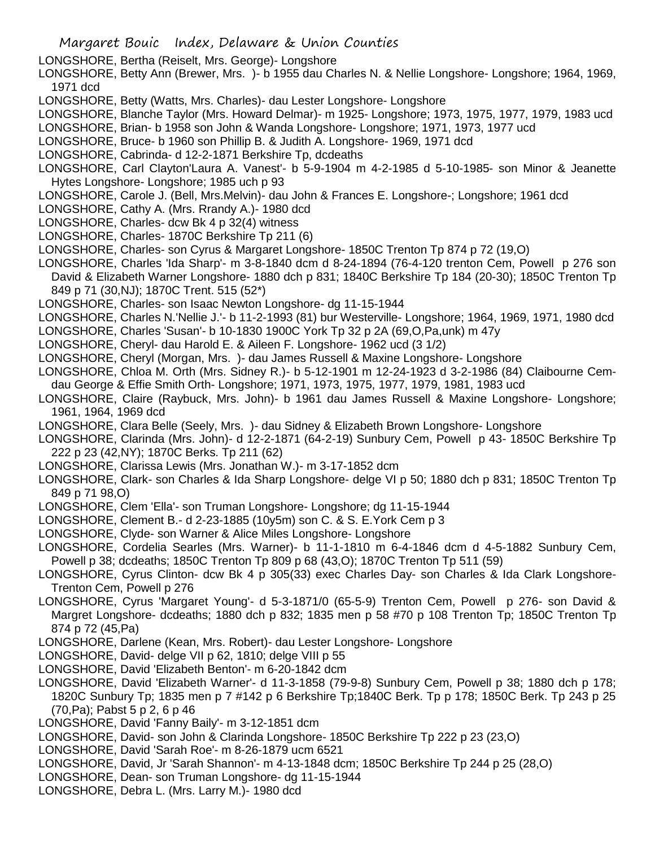- LONGSHORE, Bertha (Reiselt, Mrs. George)- Longshore
- LONGSHORE, Betty Ann (Brewer, Mrs. )- b 1955 dau Charles N. & Nellie Longshore- Longshore; 1964, 1969, 1971 dcd
- LONGSHORE, Betty (Watts, Mrs. Charles)- dau Lester Longshore- Longshore
- LONGSHORE, Blanche Taylor (Mrs. Howard Delmar)- m 1925- Longshore; 1973, 1975, 1977, 1979, 1983 ucd
- LONGSHORE, Brian- b 1958 son John & Wanda Longshore- Longshore; 1971, 1973, 1977 ucd
- LONGSHORE, Bruce- b 1960 son Phillip B. & Judith A. Longshore- 1969, 1971 dcd
- LONGSHORE, Cabrinda- d 12-2-1871 Berkshire Tp, dcdeaths
- LONGSHORE, Carl Clayton'Laura A. Vanest'- b 5-9-1904 m 4-2-1985 d 5-10-1985- son Minor & Jeanette Hytes Longshore- Longshore; 1985 uch p 93
- LONGSHORE, Carole J. (Bell, Mrs.Melvin)- dau John & Frances E. Longshore-; Longshore; 1961 dcd
- LONGSHORE, Cathy A. (Mrs. Rrandy A.)- 1980 dcd
- LONGSHORE, Charles- dcw Bk 4 p 32(4) witness
- LONGSHORE, Charles- 1870C Berkshire Tp 211 (6)
- LONGSHORE, Charles- son Cyrus & Margaret Longshore- 1850C Trenton Tp 874 p 72 (19,O)
- LONGSHORE, Charles 'Ida Sharp'- m 3-8-1840 dcm d 8-24-1894 (76-4-120 trenton Cem, Powell p 276 son David & Elizabeth Warner Longshore- 1880 dch p 831; 1840C Berkshire Tp 184 (20-30); 1850C Trenton Tp 849 p 71 (30,NJ); 1870C Trent. 515 (52\*)
- LONGSHORE, Charles- son Isaac Newton Longshore- dg 11-15-1944
- LONGSHORE, Charles N.'Nellie J.'- b 11-2-1993 (81) bur Westerville- Longshore; 1964, 1969, 1971, 1980 dcd
- LONGSHORE, Charles 'Susan'- b 10-1830 1900C York Tp 32 p 2A (69,O,Pa,unk) m 47y
- LONGSHORE, Cheryl- dau Harold E. & Aileen F. Longshore- 1962 ucd (3 1/2)
- LONGSHORE, Cheryl (Morgan, Mrs. )- dau James Russell & Maxine Longshore- Longshore
- LONGSHORE, Chloa M. Orth (Mrs. Sidney R.)- b 5-12-1901 m 12-24-1923 d 3-2-1986 (84) Claibourne Cemdau George & Effie Smith Orth- Longshore; 1971, 1973, 1975, 1977, 1979, 1981, 1983 ucd
- LONGSHORE, Claire (Raybuck, Mrs. John)- b 1961 dau James Russell & Maxine Longshore- Longshore; 1961, 1964, 1969 dcd
- LONGSHORE, Clara Belle (Seely, Mrs. )- dau Sidney & Elizabeth Brown Longshore- Longshore
- LONGSHORE, Clarinda (Mrs. John)- d 12-2-1871 (64-2-19) Sunbury Cem, Powell p 43- 1850C Berkshire Tp 222 p 23 (42,NY); 1870C Berks. Tp 211 (62)
- LONGSHORE, Clarissa Lewis (Mrs. Jonathan W.)- m 3-17-1852 dcm
- LONGSHORE, Clark- son Charles & Ida Sharp Longshore- delge VI p 50; 1880 dch p 831; 1850C Trenton Tp 849 p 71 98,O)
- LONGSHORE, Clem 'Ella'- son Truman Longshore- Longshore; dg 11-15-1944
- LONGSHORE, Clement B.- d 2-23-1885 (10y5m) son C. & S. E.York Cem p 3
- LONGSHORE, Clyde- son Warner & Alice Miles Longshore- Longshore
- LONGSHORE, Cordelia Searles (Mrs. Warner)- b 11-1-1810 m 6-4-1846 dcm d 4-5-1882 Sunbury Cem, Powell p 38; dcdeaths; 1850C Trenton Tp 809 p 68 (43,O); 1870C Trenton Tp 511 (59)
- LONGSHORE, Cyrus Clinton- dcw Bk 4 p 305(33) exec Charles Day- son Charles & Ida Clark Longshore-Trenton Cem, Powell p 276
- LONGSHORE, Cyrus 'Margaret Young'- d 5-3-1871/0 (65-5-9) Trenton Cem, Powell p 276- son David & Margret Longshore- dcdeaths; 1880 dch p 832; 1835 men p 58 #70 p 108 Trenton Tp; 1850C Trenton Tp 874 p 72 (45,Pa)
- LONGSHORE, Darlene (Kean, Mrs. Robert)- dau Lester Longshore- Longshore
- LONGSHORE, David- delge VII p 62, 1810; delge VIII p 55
- LONGSHORE, David 'Elizabeth Benton'- m 6-20-1842 dcm
- LONGSHORE, David 'Elizabeth Warner'- d 11-3-1858 (79-9-8) Sunbury Cem, Powell p 38; 1880 dch p 178; 1820C Sunbury Tp; 1835 men p 7 #142 p 6 Berkshire Tp;1840C Berk. Tp p 178; 1850C Berk. Tp 243 p 25 (70,Pa); Pabst 5 p 2, 6 p 46
- LONGSHORE, David 'Fanny Baily'- m 3-12-1851 dcm
- LONGSHORE, David- son John & Clarinda Longshore- 1850C Berkshire Tp 222 p 23 (23,O)
- LONGSHORE, David 'Sarah Roe'- m 8-26-1879 ucm 6521
- LONGSHORE, David, Jr 'Sarah Shannon'- m 4-13-1848 dcm; 1850C Berkshire Tp 244 p 25 (28,O)
- LONGSHORE, Dean- son Truman Longshore- dg 11-15-1944
- LONGSHORE, Debra L. (Mrs. Larry M.)- 1980 dcd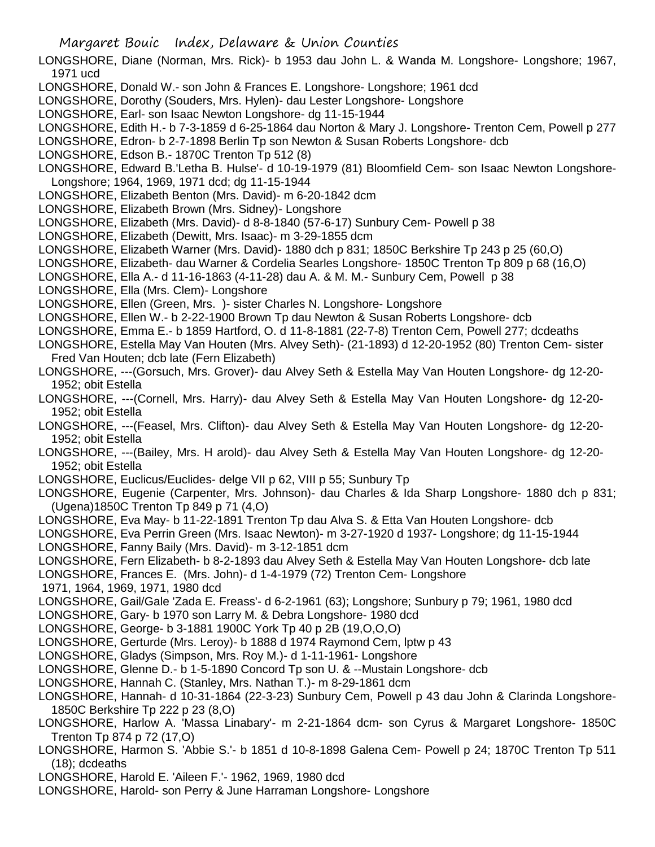- LONGSHORE, Diane (Norman, Mrs. Rick)- b 1953 dau John L. & Wanda M. Longshore- Longshore; 1967, 1971 ucd
- LONGSHORE, Donald W.- son John & Frances E. Longshore- Longshore; 1961 dcd
- LONGSHORE, Dorothy (Souders, Mrs. Hylen)- dau Lester Longshore- Longshore
- LONGSHORE, Earl- son Isaac Newton Longshore- dg 11-15-1944
- LONGSHORE, Edith H.- b 7-3-1859 d 6-25-1864 dau Norton & Mary J. Longshore- Trenton Cem, Powell p 277
- LONGSHORE, Edron- b 2-7-1898 Berlin Tp son Newton & Susan Roberts Longshore- dcb
- LONGSHORE, Edson B.- 1870C Trenton Tp 512 (8)

LONGSHORE, Edward B.'Letha B. Hulse'- d 10-19-1979 (81) Bloomfield Cem- son Isaac Newton Longshore-Longshore; 1964, 1969, 1971 dcd; dg 11-15-1944

- LONGSHORE, Elizabeth Benton (Mrs. David)- m 6-20-1842 dcm
- LONGSHORE, Elizabeth Brown (Mrs. Sidney)- Longshore
- LONGSHORE, Elizabeth (Mrs. David)- d 8-8-1840 (57-6-17) Sunbury Cem- Powell p 38
- LONGSHORE, Elizabeth (Dewitt, Mrs. Isaac)- m 3-29-1855 dcm
- LONGSHORE, Elizabeth Warner (Mrs. David)- 1880 dch p 831; 1850C Berkshire Tp 243 p 25 (60,O)
- LONGSHORE, Elizabeth- dau Warner & Cordelia Searles Longshore- 1850C Trenton Tp 809 p 68 (16,O)
- LONGSHORE, Ella A.- d 11-16-1863 (4-11-28) dau A. & M. M.- Sunbury Cem, Powell p 38
- LONGSHORE, Ella (Mrs. Clem)- Longshore
- LONGSHORE, Ellen (Green, Mrs. )- sister Charles N. Longshore- Longshore
- LONGSHORE, Ellen W.- b 2-22-1900 Brown Tp dau Newton & Susan Roberts Longshore- dcb
- LONGSHORE, Emma E.- b 1859 Hartford, O. d 11-8-1881 (22-7-8) Trenton Cem, Powell 277; dcdeaths
- LONGSHORE, Estella May Van Houten (Mrs. Alvey Seth)- (21-1893) d 12-20-1952 (80) Trenton Cem- sister Fred Van Houten; dcb late (Fern Elizabeth)
- LONGSHORE, ---(Gorsuch, Mrs. Grover)- dau Alvey Seth & Estella May Van Houten Longshore- dg 12-20- 1952; obit Estella
- LONGSHORE, ---(Cornell, Mrs. Harry)- dau Alvey Seth & Estella May Van Houten Longshore- dg 12-20- 1952; obit Estella
- LONGSHORE, ---(Feasel, Mrs. Clifton)- dau Alvey Seth & Estella May Van Houten Longshore- dg 12-20- 1952; obit Estella
- LONGSHORE, ---(Bailey, Mrs. H arold)- dau Alvey Seth & Estella May Van Houten Longshore- dg 12-20- 1952; obit Estella
- LONGSHORE, Euclicus/Euclides- delge VII p 62, VIII p 55; Sunbury Tp
- LONGSHORE, Eugenie (Carpenter, Mrs. Johnson)- dau Charles & Ida Sharp Longshore- 1880 dch p 831; (Ugena)1850C Trenton Tp 849 p 71 (4,O)
- LONGSHORE, Eva May- b 11-22-1891 Trenton Tp dau Alva S. & Etta Van Houten Longshore- dcb
- LONGSHORE, Eva Perrin Green (Mrs. Isaac Newton)- m 3-27-1920 d 1937- Longshore; dg 11-15-1944
- LONGSHORE, Fanny Baily (Mrs. David)- m 3-12-1851 dcm
- LONGSHORE, Fern Elizabeth- b 8-2-1893 dau Alvey Seth & Estella May Van Houten Longshore- dcb late
- LONGSHORE, Frances E. (Mrs. John)- d 1-4-1979 (72) Trenton Cem- Longshore
- 1971, 1964, 1969, 1971, 1980 dcd
- LONGSHORE, Gail/Gale 'Zada E. Freass'- d 6-2-1961 (63); Longshore; Sunbury p 79; 1961, 1980 dcd
- LONGSHORE, Gary- b 1970 son Larry M. & Debra Longshore- 1980 dcd
- LONGSHORE, George- b 3-1881 1900C York Tp 40 p 2B (19,O,O,O)
- LONGSHORE, Gerturde (Mrs. Leroy)- b 1888 d 1974 Raymond Cem, lptw p 43
- LONGSHORE, Gladys (Simpson, Mrs. Roy M.)- d 1-11-1961- Longshore
- LONGSHORE, Glenne D.- b 1-5-1890 Concord Tp son U. & --Mustain Longshore- dcb
- LONGSHORE, Hannah C. (Stanley, Mrs. Nathan T.)- m 8-29-1861 dcm
- LONGSHORE, Hannah- d 10-31-1864 (22-3-23) Sunbury Cem, Powell p 43 dau John & Clarinda Longshore-1850C Berkshire Tp 222 p 23 (8,O)
- LONGSHORE, Harlow A. 'Massa Linabary'- m 2-21-1864 dcm- son Cyrus & Margaret Longshore- 1850C Trenton Tp 874 p 72 (17,O)
- LONGSHORE, Harmon S. 'Abbie S.'- b 1851 d 10-8-1898 Galena Cem- Powell p 24; 1870C Trenton Tp 511 (18); dcdeaths
- LONGSHORE, Harold E. 'Aileen F.'- 1962, 1969, 1980 dcd
- LONGSHORE, Harold- son Perry & June Harraman Longshore- Longshore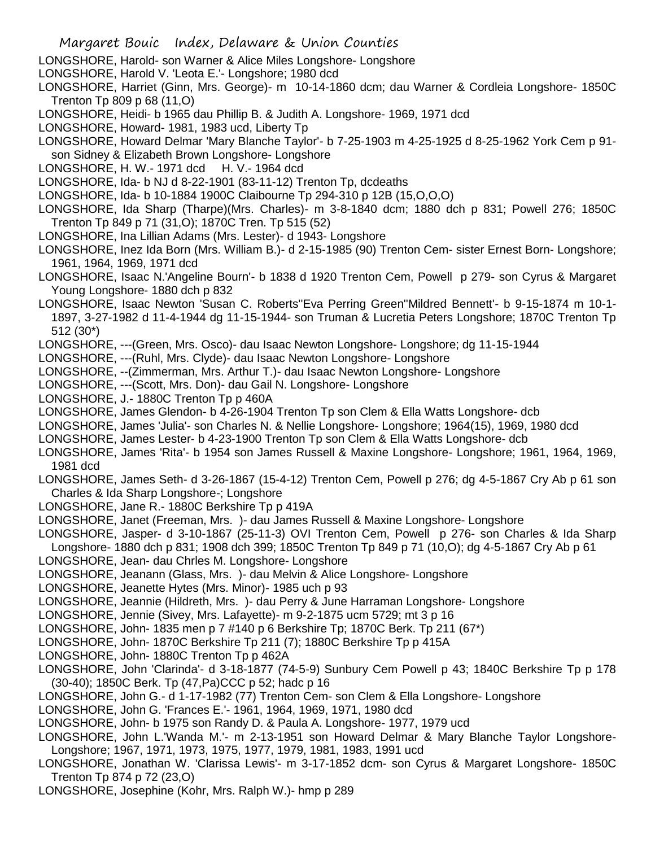- LONGSHORE, Harold- son Warner & Alice Miles Longshore- Longshore
- LONGSHORE, Harold V. 'Leota E.'- Longshore; 1980 dcd
- LONGSHORE, Harriet (Ginn, Mrs. George)- m 10-14-1860 dcm; dau Warner & Cordleia Longshore- 1850C Trenton Tp 809 p 68 (11,O)
- LONGSHORE, Heidi- b 1965 dau Phillip B. & Judith A. Longshore- 1969, 1971 dcd
- LONGSHORE, Howard- 1981, 1983 ucd, Liberty Tp
- LONGSHORE, Howard Delmar 'Mary Blanche Taylor'- b 7-25-1903 m 4-25-1925 d 8-25-1962 York Cem p 91 son Sidney & Elizabeth Brown Longshore- Longshore
- LONGSHORE, H. W.- 1971 dcd H. V.- 1964 dcd
- LONGSHORE, Ida- b NJ d 8-22-1901 (83-11-12) Trenton Tp, dcdeaths
- LONGSHORE, Ida- b 10-1884 1900C Claibourne Tp 294-310 p 12B (15,O,O,O)
- LONGSHORE, Ida Sharp (Tharpe)(Mrs. Charles)- m 3-8-1840 dcm; 1880 dch p 831; Powell 276; 1850C Trenton Tp 849 p 71 (31,O); 1870C Tren. Tp 515 (52)
- LONGSHORE, Ina Lillian Adams (Mrs. Lester)- d 1943- Longshore
- LONGSHORE, Inez Ida Born (Mrs. William B.)- d 2-15-1985 (90) Trenton Cem- sister Ernest Born- Longshore; 1961, 1964, 1969, 1971 dcd
- LONGSHORE, Isaac N.'Angeline Bourn'- b 1838 d 1920 Trenton Cem, Powell p 279- son Cyrus & Margaret Young Longshore- 1880 dch p 832
- LONGSHORE, Isaac Newton 'Susan C. Roberts''Eva Perring Green''Mildred Bennett'- b 9-15-1874 m 10-1- 1897, 3-27-1982 d 11-4-1944 dg 11-15-1944- son Truman & Lucretia Peters Longshore; 1870C Trenton Tp 512 (30\*)
- LONGSHORE, ---(Green, Mrs. Osco)- dau Isaac Newton Longshore- Longshore; dg 11-15-1944
- LONGSHORE, ---(Ruhl, Mrs. Clyde)- dau Isaac Newton Longshore- Longshore
- LONGSHORE, --(Zimmerman, Mrs. Arthur T.)- dau Isaac Newton Longshore- Longshore
- LONGSHORE, ---(Scott, Mrs. Don)- dau Gail N. Longshore- Longshore
- LONGSHORE, J.- 1880C Trenton Tp p 460A
- LONGSHORE, James Glendon- b 4-26-1904 Trenton Tp son Clem & Ella Watts Longshore- dcb
- LONGSHORE, James 'Julia'- son Charles N. & Nellie Longshore- Longshore; 1964(15), 1969, 1980 dcd
- LONGSHORE, James Lester- b 4-23-1900 Trenton Tp son Clem & Ella Watts Longshore- dcb
- LONGSHORE, James 'Rita'- b 1954 son James Russell & Maxine Longshore- Longshore; 1961, 1964, 1969, 1981 dcd
- LONGSHORE, James Seth- d 3-26-1867 (15-4-12) Trenton Cem, Powell p 276; dg 4-5-1867 Cry Ab p 61 son Charles & Ida Sharp Longshore-; Longshore
- LONGSHORE, Jane R.- 1880C Berkshire Tp p 419A
- LONGSHORE, Janet (Freeman, Mrs. )- dau James Russell & Maxine Longshore- Longshore
- LONGSHORE, Jasper- d 3-10-1867 (25-11-3) OVI Trenton Cem, Powell p 276- son Charles & Ida Sharp Longshore- 1880 dch p 831; 1908 dch 399; 1850C Trenton Tp 849 p 71 (10,O); dg 4-5-1867 Cry Ab p 61
- LONGSHORE, Jean- dau Chrles M. Longshore- Longshore
- LONGSHORE, Jeanann (Glass, Mrs. )- dau Melvin & Alice Longshore- Longshore
- LONGSHORE, Jeanette Hytes (Mrs. Minor)- 1985 uch p 93
- LONGSHORE, Jeannie (Hildreth, Mrs. )- dau Perry & June Harraman Longshore- Longshore
- LONGSHORE, Jennie (Sivey, Mrs. Lafayette)- m 9-2-1875 ucm 5729; mt 3 p 16
- LONGSHORE, John- 1835 men p 7 #140 p 6 Berkshire Tp; 1870C Berk. Tp 211 (67\*)
- LONGSHORE, John- 1870C Berkshire Tp 211 (7); 1880C Berkshire Tp p 415A
- LONGSHORE, John- 1880C Trenton Tp p 462A
- LONGSHORE, John 'Clarinda'- d 3-18-1877 (74-5-9) Sunbury Cem Powell p 43; 1840C Berkshire Tp p 178 (30-40); 1850C Berk. Tp (47,Pa)CCC p 52; hadc p 16
- LONGSHORE, John G.- d 1-17-1982 (77) Trenton Cem- son Clem & Ella Longshore- Longshore
- LONGSHORE, John G. 'Frances E.'- 1961, 1964, 1969, 1971, 1980 dcd
- LONGSHORE, John- b 1975 son Randy D. & Paula A. Longshore- 1977, 1979 ucd
- LONGSHORE, John L.'Wanda M.'- m 2-13-1951 son Howard Delmar & Mary Blanche Taylor Longshore-Longshore; 1967, 1971, 1973, 1975, 1977, 1979, 1981, 1983, 1991 ucd
- LONGSHORE, Jonathan W. 'Clarissa Lewis'- m 3-17-1852 dcm- son Cyrus & Margaret Longshore- 1850C Trenton Tp 874 p 72 (23,O)
- LONGSHORE, Josephine (Kohr, Mrs. Ralph W.)- hmp p 289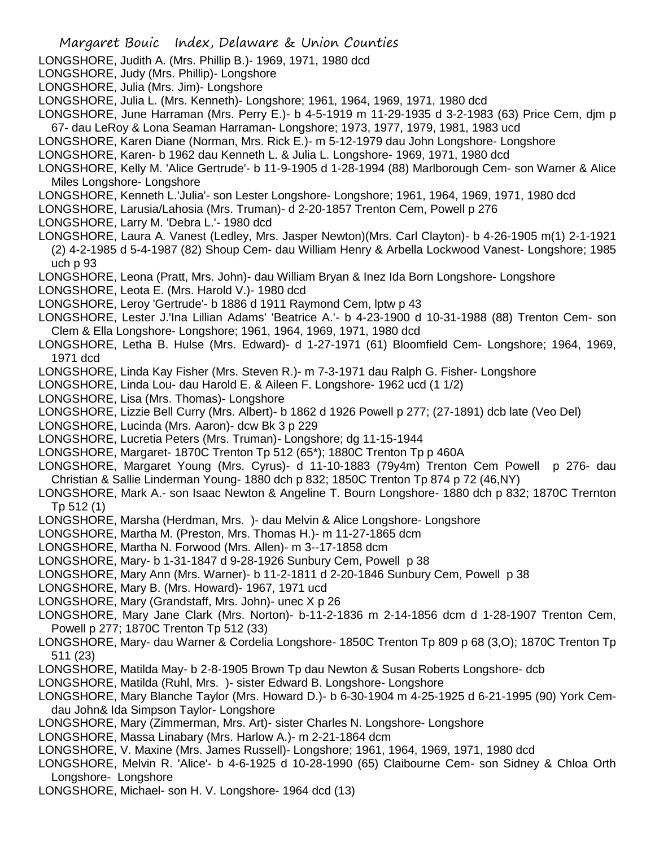- Margaret Bouic Index, Delaware & Union Counties LONGSHORE, Judith A. (Mrs. Phillip B.)- 1969, 1971, 1980 dcd LONGSHORE, Judy (Mrs. Phillip)- Longshore LONGSHORE, Julia (Mrs. Jim)- Longshore LONGSHORE, Julia L. (Mrs. Kenneth)- Longshore; 1961, 1964, 1969, 1971, 1980 dcd LONGSHORE, June Harraman (Mrs. Perry E.)- b 4-5-1919 m 11-29-1935 d 3-2-1983 (63) Price Cem, djm p 67- dau LeRoy & Lona Seaman Harraman- Longshore; 1973, 1977, 1979, 1981, 1983 ucd LONGSHORE, Karen Diane (Norman, Mrs. Rick E.)- m 5-12-1979 dau John Longshore- Longshore LONGSHORE, Karen- b 1962 dau Kenneth L. & Julia L. Longshore- 1969, 1971, 1980 dcd LONGSHORE, Kelly M. 'Alice Gertrude'- b 11-9-1905 d 1-28-1994 (88) Marlborough Cem- son Warner & Alice Miles Longshore- Longshore LONGSHORE, Kenneth L.'Julia'- son Lester Longshore- Longshore; 1961, 1964, 1969, 1971, 1980 dcd LONGSHORE, Larusia/Lahosia (Mrs. Truman)- d 2-20-1857 Trenton Cem, Powell p 276 LONGSHORE, Larry M. 'Debra L.'- 1980 dcd LONGSHORE, Laura A. Vanest (Ledley, Mrs. Jasper Newton)(Mrs. Carl Clayton)- b 4-26-1905 m(1) 2-1-1921 (2) 4-2-1985 d 5-4-1987 (82) Shoup Cem- dau William Henry & Arbella Lockwood Vanest- Longshore; 1985 uch p 93 LONGSHORE, Leona (Pratt, Mrs. John)- dau William Bryan & Inez Ida Born Longshore- Longshore LONGSHORE, Leota E. (Mrs. Harold V.)- 1980 dcd LONGSHORE, Leroy 'Gertrude'- b 1886 d 1911 Raymond Cem, lptw p 43 LONGSHORE, Lester J.'Ina Lillian Adams' 'Beatrice A.'- b 4-23-1900 d 10-31-1988 (88) Trenton Cem- son Clem & Ella Longshore- Longshore; 1961, 1964, 1969, 1971, 1980 dcd LONGSHORE, Letha B. Hulse (Mrs. Edward)- d 1-27-1971 (61) Bloomfield Cem- Longshore; 1964, 1969, 1971 dcd LONGSHORE, Linda Kay Fisher (Mrs. Steven R.)- m 7-3-1971 dau Ralph G. Fisher- Longshore LONGSHORE, Linda Lou- dau Harold E. & Aileen F. Longshore- 1962 ucd (1 1/2) LONGSHORE, Lisa (Mrs. Thomas)- Longshore LONGSHORE, Lizzie Bell Curry (Mrs. Albert)- b 1862 d 1926 Powell p 277; (27-1891) dcb late (Veo Del) LONGSHORE, Lucinda (Mrs. Aaron)- dcw Bk 3 p 229 LONGSHORE, Lucretia Peters (Mrs. Truman)- Longshore; dg 11-15-1944 LONGSHORE, Margaret- 1870C Trenton Tp 512 (65\*); 1880C Trenton Tp p 460A LONGSHORE, Margaret Young (Mrs. Cyrus)- d 11-10-1883 (79y4m) Trenton Cem Powell p 276- dau Christian & Sallie Linderman Young- 1880 dch p 832; 1850C Trenton Tp 874 p 72 (46,NY) LONGSHORE, Mark A.- son Isaac Newton & Angeline T. Bourn Longshore- 1880 dch p 832; 1870C Trernton Tp 512 (1) LONGSHORE, Marsha (Herdman, Mrs. )- dau Melvin & Alice Longshore- Longshore LONGSHORE, Martha M. (Preston, Mrs. Thomas H.)- m 11-27-1865 dcm LONGSHORE, Martha N. Forwood (Mrs. Allen)- m 3--17-1858 dcm LONGSHORE, Mary- b 1-31-1847 d 9-28-1926 Sunbury Cem, Powell p 38 LONGSHORE, Mary Ann (Mrs. Warner)- b 11-2-1811 d 2-20-1846 Sunbury Cem, Powell p 38 LONGSHORE, Mary B. (Mrs. Howard)- 1967, 1971 ucd LONGSHORE, Mary (Grandstaff, Mrs. John)- unec X p 26 LONGSHORE, Mary Jane Clark (Mrs. Norton)- b-11-2-1836 m 2-14-1856 dcm d 1-28-1907 Trenton Cem, Powell p 277; 1870C Trenton Tp 512 (33)
- LONGSHORE, Mary- dau Warner & Cordelia Longshore- 1850C Trenton Tp 809 p 68 (3,O); 1870C Trenton Tp 511 (23)
- LONGSHORE, Matilda May- b 2-8-1905 Brown Tp dau Newton & Susan Roberts Longshore- dcb
- LONGSHORE, Matilda (Ruhl, Mrs. )- sister Edward B. Longshore- Longshore
- LONGSHORE, Mary Blanche Taylor (Mrs. Howard D.)- b 6-30-1904 m 4-25-1925 d 6-21-1995 (90) York Cemdau John& Ida Simpson Taylor- Longshore
- LONGSHORE, Mary (Zimmerman, Mrs. Art)- sister Charles N. Longshore- Longshore
- LONGSHORE, Massa Linabary (Mrs. Harlow A.)- m 2-21-1864 dcm
- LONGSHORE, V. Maxine (Mrs. James Russell)- Longshore; 1961, 1964, 1969, 1971, 1980 dcd
- LONGSHORE, Melvin R. 'Alice'- b 4-6-1925 d 10-28-1990 (65) Claibourne Cem- son Sidney & Chloa Orth Longshore- Longshore
- LONGSHORE, Michael- son H. V. Longshore- 1964 dcd (13)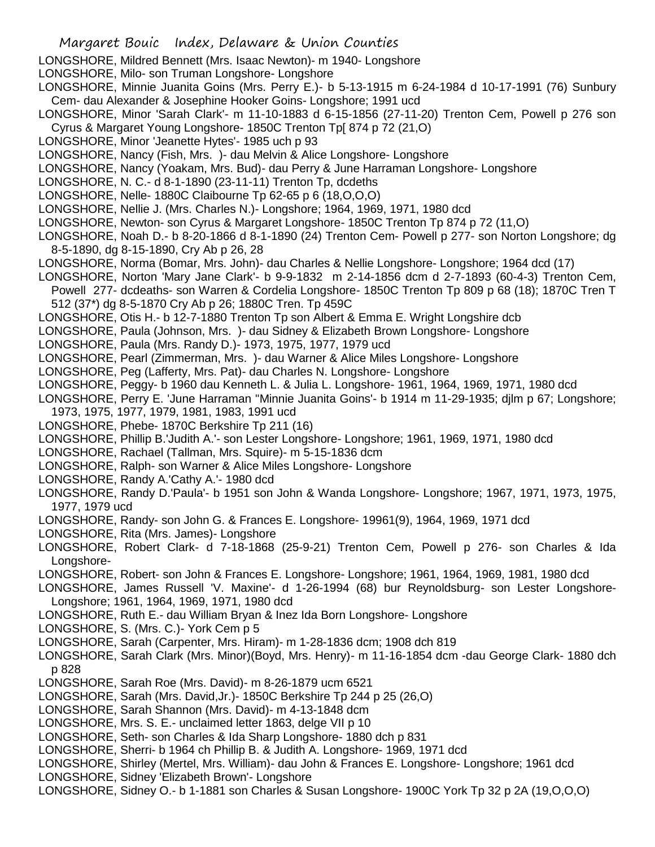- LONGSHORE, Mildred Bennett (Mrs. Isaac Newton)- m 1940- Longshore
- LONGSHORE, Milo- son Truman Longshore- Longshore
- LONGSHORE, Minnie Juanita Goins (Mrs. Perry E.)- b 5-13-1915 m 6-24-1984 d 10-17-1991 (76) Sunbury Cem- dau Alexander & Josephine Hooker Goins- Longshore; 1991 ucd
- LONGSHORE, Minor 'Sarah Clark'- m 11-10-1883 d 6-15-1856 (27-11-20) Trenton Cem, Powell p 276 son Cyrus & Margaret Young Longshore- 1850C Trenton Tp[ 874 p 72 (21,O)
- LONGSHORE, Minor 'Jeanette Hytes'- 1985 uch p 93
- LONGSHORE, Nancy (Fish, Mrs. )- dau Melvin & Alice Longshore- Longshore
- LONGSHORE, Nancy (Yoakam, Mrs. Bud)- dau Perry & June Harraman Longshore- Longshore
- LONGSHORE, N. C.- d 8-1-1890 (23-11-11) Trenton Tp, dcdeths
- LONGSHORE, Nelle- 1880C Claibourne Tp 62-65 p 6 (18,O,O,O)
- LONGSHORE, Nellie J. (Mrs. Charles N.)- Longshore; 1964, 1969, 1971, 1980 dcd
- LONGSHORE, Newton- son Cyrus & Margaret Longshore- 1850C Trenton Tp 874 p 72 (11,O)
- LONGSHORE, Noah D.- b 8-20-1866 d 8-1-1890 (24) Trenton Cem- Powell p 277- son Norton Longshore; dg 8-5-1890, dg 8-15-1890, Cry Ab p 26, 28
- LONGSHORE, Norma (Bomar, Mrs. John)- dau Charles & Nellie Longshore- Longshore; 1964 dcd (17)
- LONGSHORE, Norton 'Mary Jane Clark'- b 9-9-1832 m 2-14-1856 dcm d 2-7-1893 (60-4-3) Trenton Cem,
- Powell 277- dcdeaths- son Warren & Cordelia Longshore- 1850C Trenton Tp 809 p 68 (18); 1870C Tren T 512 (37\*) dg 8-5-1870 Cry Ab p 26; 1880C Tren. Tp 459C
- LONGSHORE, Otis H.- b 12-7-1880 Trenton Tp son Albert & Emma E. Wright Longshire dcb
- LONGSHORE, Paula (Johnson, Mrs. )- dau Sidney & Elizabeth Brown Longshore- Longshore
- LONGSHORE, Paula (Mrs. Randy D.)- 1973, 1975, 1977, 1979 ucd
- LONGSHORE, Pearl (Zimmerman, Mrs. )- dau Warner & Alice Miles Longshore- Longshore
- LONGSHORE, Peg (Lafferty, Mrs. Pat)- dau Charles N. Longshore- Longshore
- LONGSHORE, Peggy- b 1960 dau Kenneth L. & Julia L. Longshore- 1961, 1964, 1969, 1971, 1980 dcd
- LONGSHORE, Perry E. 'June Harraman ''Minnie Juanita Goins'- b 1914 m 11-29-1935; djlm p 67; Longshore; 1973, 1975, 1977, 1979, 1981, 1983, 1991 ucd
- LONGSHORE, Phebe- 1870C Berkshire Tp 211 (16)
- LONGSHORE, Phillip B.'Judith A.'- son Lester Longshore- Longshore; 1961, 1969, 1971, 1980 dcd
- LONGSHORE, Rachael (Tallman, Mrs. Squire)- m 5-15-1836 dcm
- LONGSHORE, Ralph- son Warner & Alice Miles Longshore- Longshore
- LONGSHORE, Randy A.'Cathy A.'- 1980 dcd
- LONGSHORE, Randy D.'Paula'- b 1951 son John & Wanda Longshore- Longshore; 1967, 1971, 1973, 1975, 1977, 1979 ucd
- LONGSHORE, Randy- son John G. & Frances E. Longshore- 19961(9), 1964, 1969, 1971 dcd
- LONGSHORE, Rita (Mrs. James)- Longshore
- LONGSHORE, Robert Clark- d 7-18-1868 (25-9-21) Trenton Cem, Powell p 276- son Charles & Ida Longshore-
- LONGSHORE, Robert- son John & Frances E. Longshore- Longshore; 1961, 1964, 1969, 1981, 1980 dcd
- LONGSHORE, James Russell 'V. Maxine'- d 1-26-1994 (68) bur Reynoldsburg- son Lester Longshore-Longshore; 1961, 1964, 1969, 1971, 1980 dcd
- LONGSHORE, Ruth E.- dau William Bryan & Inez Ida Born Longshore- Longshore
- LONGSHORE, S. (Mrs. C.)- York Cem p 5
- LONGSHORE, Sarah (Carpenter, Mrs. Hiram)- m 1-28-1836 dcm; 1908 dch 819
- LONGSHORE, Sarah Clark (Mrs. Minor)(Boyd, Mrs. Henry)- m 11-16-1854 dcm -dau George Clark- 1880 dch p 828
- LONGSHORE, Sarah Roe (Mrs. David)- m 8-26-1879 ucm 6521
- LONGSHORE, Sarah (Mrs. David,Jr.)- 1850C Berkshire Tp 244 p 25 (26,O)
- LONGSHORE, Sarah Shannon (Mrs. David)- m 4-13-1848 dcm
- LONGSHORE, Mrs. S. E.- unclaimed letter 1863, delge VII p 10
- LONGSHORE, Seth- son Charles & Ida Sharp Longshore- 1880 dch p 831
- LONGSHORE, Sherri- b 1964 ch Phillip B. & Judith A. Longshore- 1969, 1971 dcd
- LONGSHORE, Shirley (Mertel, Mrs. William)- dau John & Frances E. Longshore- Longshore; 1961 dcd
- LONGSHORE, Sidney 'Elizabeth Brown'- Longshore
- LONGSHORE, Sidney O.- b 1-1881 son Charles & Susan Longshore- 1900C York Tp 32 p 2A (19,O,O,O)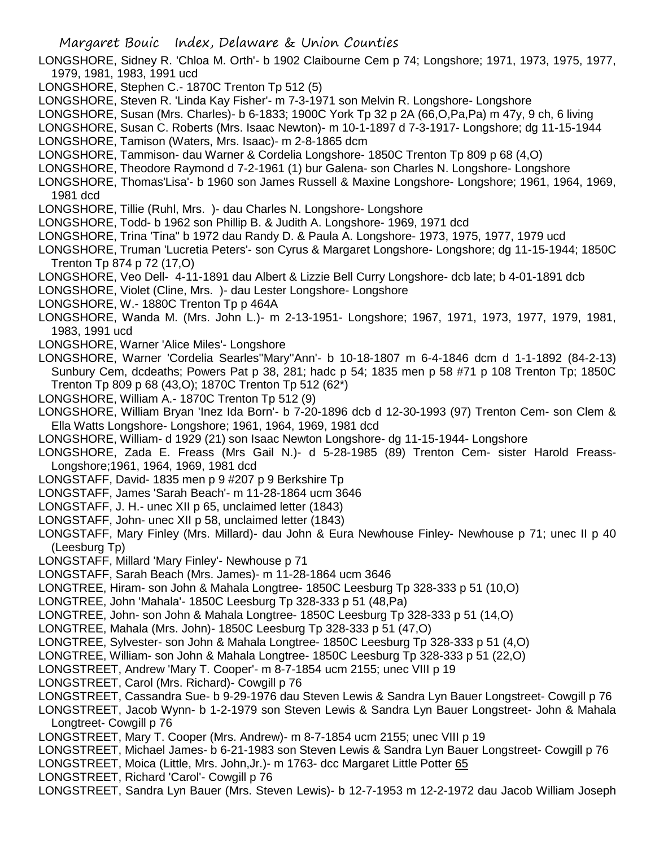- LONGSHORE, Sidney R. 'Chloa M. Orth'- b 1902 Claibourne Cem p 74; Longshore; 1971, 1973, 1975, 1977, 1979, 1981, 1983, 1991 ucd
- LONGSHORE, Stephen C.- 1870C Trenton Tp 512 (5)
- LONGSHORE, Steven R. 'Linda Kay Fisher'- m 7-3-1971 son Melvin R. Longshore- Longshore
- LONGSHORE, Susan (Mrs. Charles)- b 6-1833; 1900C York Tp 32 p 2A (66,O,Pa,Pa) m 47y, 9 ch, 6 living
- LONGSHORE, Susan C. Roberts (Mrs. Isaac Newton)- m 10-1-1897 d 7-3-1917- Longshore; dg 11-15-1944
- LONGSHORE, Tamison (Waters, Mrs. Isaac)- m 2-8-1865 dcm
- LONGSHORE, Tammison- dau Warner & Cordelia Longshore- 1850C Trenton Tp 809 p 68 (4,O)
- LONGSHORE, Theodore Raymond d 7-2-1961 (1) bur Galena- son Charles N. Longshore- Longshore
- LONGSHORE, Thomas'Lisa'- b 1960 son James Russell & Maxine Longshore- Longshore; 1961, 1964, 1969, 1981 dcd
- LONGSHORE, Tillie (Ruhl, Mrs. )- dau Charles N. Longshore- Longshore
- LONGSHORE, Todd- b 1962 son Phillip B. & Judith A. Longshore- 1969, 1971 dcd
- LONGSHORE, Trina 'Tina" b 1972 dau Randy D. & Paula A. Longshore- 1973, 1975, 1977, 1979 ucd
- LONGSHORE, Truman 'Lucretia Peters'- son Cyrus & Margaret Longshore- Longshore; dg 11-15-1944; 1850C Trenton Tp 874 p 72 (17,O)
- LONGSHORE, Veo Dell- 4-11-1891 dau Albert & Lizzie Bell Curry Longshore- dcb late; b 4-01-1891 dcb
- LONGSHORE, Violet (Cline, Mrs. )- dau Lester Longshore- Longshore
- LONGSHORE, W.- 1880C Trenton Tp p 464A
- LONGSHORE, Wanda M. (Mrs. John L.)- m 2-13-1951- Longshore; 1967, 1971, 1973, 1977, 1979, 1981, 1983, 1991 ucd
- LONGSHORE, Warner 'Alice Miles'- Longshore
- LONGSHORE, Warner 'Cordelia Searles''Mary''Ann'- b 10-18-1807 m 6-4-1846 dcm d 1-1-1892 (84-2-13) Sunbury Cem, dcdeaths; Powers Pat p 38, 281; hadc p 54; 1835 men p 58 #71 p 108 Trenton Tp; 1850C Trenton Tp 809 p 68 (43,O); 1870C Trenton Tp 512 (62\*)
- LONGSHORE, William A.- 1870C Trenton Tp 512 (9)
- LONGSHORE, William Bryan 'Inez Ida Born'- b 7-20-1896 dcb d 12-30-1993 (97) Trenton Cem- son Clem & Ella Watts Longshore- Longshore; 1961, 1964, 1969, 1981 dcd
- LONGSHORE, William- d 1929 (21) son Isaac Newton Longshore- dg 11-15-1944- Longshore
- LONGSHORE, Zada E. Freass (Mrs Gail N.)- d 5-28-1985 (89) Trenton Cem- sister Harold Freass-Longshore;1961, 1964, 1969, 1981 dcd
- LONGSTAFF, David- 1835 men p 9 #207 p 9 Berkshire Tp
- LONGSTAFF, James 'Sarah Beach'- m 11-28-1864 ucm 3646
- LONGSTAFF, J. H.- unec XII p 65, unclaimed letter (1843)
- LONGSTAFF, John- unec XII p 58, unclaimed letter (1843)
- LONGSTAFF, Mary Finley (Mrs. Millard)- dau John & Eura Newhouse Finley- Newhouse p 71; unec II p 40 (Leesburg Tp)
- LONGSTAFF, Millard 'Mary Finley'- Newhouse p 71
- LONGSTAFF, Sarah Beach (Mrs. James)- m 11-28-1864 ucm 3646
- LONGTREE, Hiram- son John & Mahala Longtree- 1850C Leesburg Tp 328-333 p 51 (10,O)
- LONGTREE, John 'Mahala'- 1850C Leesburg Tp 328-333 p 51 (48,Pa)
- LONGTREE, John- son John & Mahala Longtree- 1850C Leesburg Tp 328-333 p 51 (14,O)
- LONGTREE, Mahala (Mrs. John)- 1850C Leesburg Tp 328-333 p 51 (47,O)
- LONGTREE, Sylvester- son John & Mahala Longtree- 1850C Leesburg Tp 328-333 p 51 (4,O)
- LONGTREE, William- son John & Mahala Longtree- 1850C Leesburg Tp 328-333 p 51 (22,O)
- LONGSTREET, Andrew 'Mary T. Cooper'- m 8-7-1854 ucm 2155; unec VIII p 19
- LONGSTREET, Carol (Mrs. Richard)- Cowgill p 76
- LONGSTREET, Cassandra Sue- b 9-29-1976 dau Steven Lewis & Sandra Lyn Bauer Longstreet- Cowgill p 76
- LONGSTREET, Jacob Wynn- b 1-2-1979 son Steven Lewis & Sandra Lyn Bauer Longstreet- John & Mahala Longtreet- Cowgill p 76
- LONGSTREET, Mary T. Cooper (Mrs. Andrew)- m 8-7-1854 ucm 2155; unec VIII p 19
- LONGSTREET, Michael James- b 6-21-1983 son Steven Lewis & Sandra Lyn Bauer Longstreet- Cowgill p 76
- LONGSTREET, Moica (Little, Mrs. John,Jr.)- m 1763- dcc Margaret Little Potter 65
- LONGSTREET, Richard 'Carol'- Cowgill p 76
- LONGSTREET, Sandra Lyn Bauer (Mrs. Steven Lewis)- b 12-7-1953 m 12-2-1972 dau Jacob William Joseph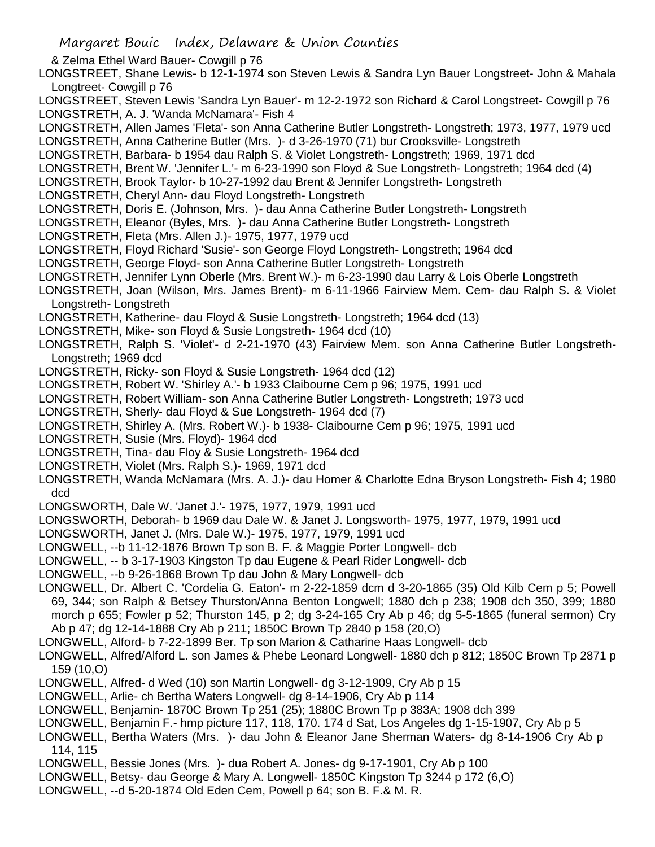- & Zelma Ethel Ward Bauer- Cowgill p 76
- LONGSTREET, Shane Lewis- b 12-1-1974 son Steven Lewis & Sandra Lyn Bauer Longstreet- John & Mahala Longtreet- Cowgill p 76
- LONGSTREET, Steven Lewis 'Sandra Lyn Bauer'- m 12-2-1972 son Richard & Carol Longstreet- Cowgill p 76 LONGSTRETH, A. J. 'Wanda McNamara'- Fish 4
- LONGSTRETH, Allen James 'Fleta'- son Anna Catherine Butler Longstreth- Longstreth; 1973, 1977, 1979 ucd
- LONGSTRETH, Anna Catherine Butler (Mrs. )- d 3-26-1970 (71) bur Crooksville- Longstreth
- LONGSTRETH, Barbara- b 1954 dau Ralph S. & Violet Longstreth- Longstreth; 1969, 1971 dcd
- LONGSTRETH, Brent W. 'Jennifer L.'- m 6-23-1990 son Floyd & Sue Longstreth- Longstreth; 1964 dcd (4)
- LONGSTRETH, Brook Taylor- b 10-27-1992 dau Brent & Jennifer Longstreth- Longstreth
- LONGSTRETH, Cheryl Ann- dau Floyd Longstreth- Longstreth
- LONGSTRETH, Doris E. (Johnson, Mrs. )- dau Anna Catherine Butler Longstreth- Longstreth
- LONGSTRETH, Eleanor (Byles, Mrs. )- dau Anna Catherine Butler Longstreth- Longstreth
- LONGSTRETH, Fleta (Mrs. Allen J.)- 1975, 1977, 1979 ucd
- LONGSTRETH, Floyd Richard 'Susie'- son George Floyd Longstreth- Longstreth; 1964 dcd
- LONGSTRETH, George Floyd- son Anna Catherine Butler Longstreth- Longstreth
- LONGSTRETH, Jennifer Lynn Oberle (Mrs. Brent W.)- m 6-23-1990 dau Larry & Lois Oberle Longstreth
- LONGSTRETH, Joan (Wilson, Mrs. James Brent)- m 6-11-1966 Fairview Mem. Cem- dau Ralph S. & Violet Longstreth- Longstreth
- LONGSTRETH, Katherine- dau Floyd & Susie Longstreth- Longstreth; 1964 dcd (13)
- LONGSTRETH, Mike- son Floyd & Susie Longstreth- 1964 dcd (10)
- LONGSTRETH, Ralph S. 'Violet'- d 2-21-1970 (43) Fairview Mem. son Anna Catherine Butler Longstreth-Longstreth; 1969 dcd
- LONGSTRETH, Ricky- son Floyd & Susie Longstreth- 1964 dcd (12)
- LONGSTRETH, Robert W. 'Shirley A.'- b 1933 Claibourne Cem p 96; 1975, 1991 ucd
- LONGSTRETH, Robert William- son Anna Catherine Butler Longstreth- Longstreth; 1973 ucd
- LONGSTRETH, Sherly- dau Floyd & Sue Longstreth- 1964 dcd (7)
- LONGSTRETH, Shirley A. (Mrs. Robert W.)- b 1938- Claibourne Cem p 96; 1975, 1991 ucd
- LONGSTRETH, Susie (Mrs. Floyd)- 1964 dcd
- LONGSTRETH, Tina- dau Floy & Susie Longstreth- 1964 dcd
- LONGSTRETH, Violet (Mrs. Ralph S.)- 1969, 1971 dcd
- LONGSTRETH, Wanda McNamara (Mrs. A. J.)- dau Homer & Charlotte Edna Bryson Longstreth- Fish 4; 1980 dcd
- LONGSWORTH, Dale W. 'Janet J.'- 1975, 1977, 1979, 1991 ucd
- LONGSWORTH, Deborah- b 1969 dau Dale W. & Janet J. Longsworth- 1975, 1977, 1979, 1991 ucd
- LONGSWORTH, Janet J. (Mrs. Dale W.)- 1975, 1977, 1979, 1991 ucd
- LONGWELL, --b 11-12-1876 Brown Tp son B. F. & Maggie Porter Longwell- dcb
- LONGWELL, -- b 3-17-1903 Kingston Tp dau Eugene & Pearl Rider Longwell- dcb
- LONGWELL, --b 9-26-1868 Brown Tp dau John & Mary Longwell- dcb
- LONGWELL, Dr. Albert C. 'Cordelia G. Eaton'- m 2-22-1859 dcm d 3-20-1865 (35) Old Kilb Cem p 5; Powell 69, 344; son Ralph & Betsey Thurston/Anna Benton Longwell; 1880 dch p 238; 1908 dch 350, 399; 1880 morch p 655; Fowler p 52; Thurston 145, p 2; dg 3-24-165 Cry Ab p 46; dg 5-5-1865 (funeral sermon) Cry Ab p 47; dg 12-14-1888 Cry Ab p 211; 1850C Brown Tp 2840 p 158 (20,O)
- LONGWELL, Alford- b 7-22-1899 Ber. Tp son Marion & Catharine Haas Longwell- dcb
- LONGWELL, Alfred/Alford L. son James & Phebe Leonard Longwell- 1880 dch p 812; 1850C Brown Tp 2871 p 159 (10,O)
- LONGWELL, Alfred- d Wed (10) son Martin Longwell- dg 3-12-1909, Cry Ab p 15
- LONGWELL, Arlie- ch Bertha Waters Longwell- dg 8-14-1906, Cry Ab p 114
- LONGWELL, Benjamin- 1870C Brown Tp 251 (25); 1880C Brown Tp p 383A; 1908 dch 399
- LONGWELL, Benjamin F.- hmp picture 117, 118, 170. 174 d Sat, Los Angeles dg 1-15-1907, Cry Ab p 5
- LONGWELL, Bertha Waters (Mrs. )- dau John & Eleanor Jane Sherman Waters- dg 8-14-1906 Cry Ab p 114, 115
- LONGWELL, Bessie Jones (Mrs. )- dua Robert A. Jones- dg 9-17-1901, Cry Ab p 100
- LONGWELL, Betsy- dau George & Mary A. Longwell- 1850C Kingston Tp 3244 p 172 (6,O)
- LONGWELL, --d 5-20-1874 Old Eden Cem, Powell p 64; son B. F.& M. R.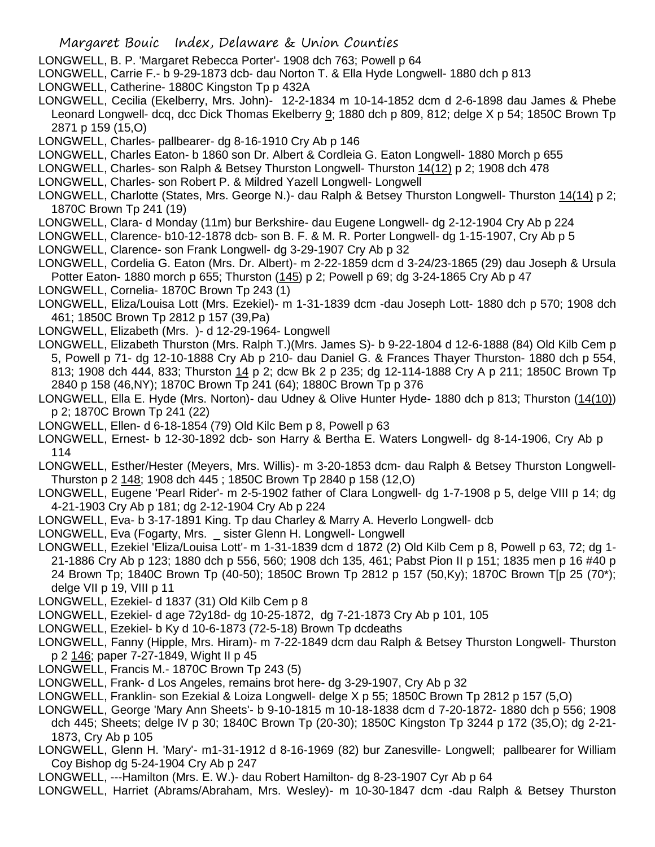- LONGWELL, B. P. 'Margaret Rebecca Porter'- 1908 dch 763; Powell p 64
- LONGWELL, Carrie F.- b 9-29-1873 dcb- dau Norton T. & Ella Hyde Longwell- 1880 dch p 813
- LONGWELL, Catherine- 1880C Kingston Tp p 432A
- LONGWELL, Cecilia (Ekelberry, Mrs. John)- 12-2-1834 m 10-14-1852 dcm d 2-6-1898 dau James & Phebe Leonard Longwell- dcq, dcc Dick Thomas Ekelberry 9; 1880 dch p 809, 812; delge X p 54; 1850C Brown Tp 2871 p 159 (15,O)
- LONGWELL, Charles- pallbearer- dg 8-16-1910 Cry Ab p 146
- LONGWELL, Charles Eaton- b 1860 son Dr. Albert & Cordleia G. Eaton Longwell- 1880 Morch p 655
- LONGWELL, Charles- son Ralph & Betsey Thurston Longwell- Thurston 14(12) p 2; 1908 dch 478
- LONGWELL, Charles- son Robert P. & Mildred Yazell Longwell- Longwell
- LONGWELL, Charlotte (States, Mrs. George N.)- dau Ralph & Betsey Thurston Longwell- Thurston 14(14) p 2; 1870C Brown Tp 241 (19)
- LONGWELL, Clara- d Monday (11m) bur Berkshire- dau Eugene Longwell- dg 2-12-1904 Cry Ab p 224
- LONGWELL, Clarence- b10-12-1878 dcb- son B. F. & M. R. Porter Longwell- dg 1-15-1907, Cry Ab p 5
- LONGWELL, Clarence- son Frank Longwell- dg 3-29-1907 Cry Ab p 32
- LONGWELL, Cordelia G. Eaton (Mrs. Dr. Albert)- m 2-22-1859 dcm d 3-24/23-1865 (29) dau Joseph & Ursula Potter Eaton- 1880 morch p 655; Thurston (145) p 2; Powell p 69; dg 3-24-1865 Cry Ab p 47
- LONGWELL, Cornelia-1870C Brown Tp 243 (1)
- LONGWELL, Eliza/Louisa Lott (Mrs. Ezekiel)- m 1-31-1839 dcm -dau Joseph Lott- 1880 dch p 570; 1908 dch 461; 1850C Brown Tp 2812 p 157 (39,Pa)
- LONGWELL, Elizabeth (Mrs. )- d 12-29-1964- Longwell
- LONGWELL, Elizabeth Thurston (Mrs. Ralph T.)(Mrs. James S)- b 9-22-1804 d 12-6-1888 (84) Old Kilb Cem p 5, Powell p 71- dg 12-10-1888 Cry Ab p 210- dau Daniel G. & Frances Thayer Thurston- 1880 dch p 554, 813; 1908 dch 444, 833; Thurston 14 p 2; dcw Bk 2 p 235; dg 12-114-1888 Cry A p 211; 1850C Brown Tp 2840 p 158 (46,NY); 1870C Brown Tp 241 (64); 1880C Brown Tp p 376
- LONGWELL, Ella E. Hyde (Mrs. Norton)- dau Udney & Olive Hunter Hyde- 1880 dch p 813; Thurston (14(10)) p 2; 1870C Brown Tp 241 (22)
- LONGWELL, Ellen- d 6-18-1854 (79) Old Kilc Bem p 8, Powell p 63
- LONGWELL, Ernest- b 12-30-1892 dcb- son Harry & Bertha E. Waters Longwell- dg 8-14-1906, Cry Ab p 114
- LONGWELL, Esther/Hester (Meyers, Mrs. Willis)- m 3-20-1853 dcm- dau Ralph & Betsey Thurston Longwell-Thurston p 2 148; 1908 dch 445 ; 1850C Brown Tp 2840 p 158 (12,O)
- LONGWELL, Eugene 'Pearl Rider'- m 2-5-1902 father of Clara Longwell- dg 1-7-1908 p 5, delge VIII p 14; dg 4-21-1903 Cry Ab p 181; dg 2-12-1904 Cry Ab p 224
- LONGWELL, Eva- b 3-17-1891 King. Tp dau Charley & Marry A. Heverlo Longwell- dcb
- LONGWELL, Eva (Fogarty, Mrs. \_ sister Glenn H. Longwell- Longwell
- LONGWELL, Ezekiel 'Eliza/Louisa Lott'- m 1-31-1839 dcm d 1872 (2) Old Kilb Cem p 8, Powell p 63, 72; dg 1- 21-1886 Cry Ab p 123; 1880 dch p 556, 560; 1908 dch 135, 461; Pabst Pion II p 151; 1835 men p 16 #40 p 24 Brown Tp; 1840C Brown Tp (40-50); 1850C Brown Tp 2812 p 157 (50,Ky); 1870C Brown T[p 25 (70\*); delge VII p 19, VIII p 11
- LONGWELL, Ezekiel- d 1837 (31) Old Kilb Cem p 8
- LONGWELL, Ezekiel- d age 72y18d- dg 10-25-1872, dg 7-21-1873 Cry Ab p 101, 105
- LONGWELL, Ezekiel- b Ky d 10-6-1873 (72-5-18) Brown Tp dcdeaths
- LONGWELL, Fanny (Hipple, Mrs. Hiram)- m 7-22-1849 dcm dau Ralph & Betsey Thurston Longwell- Thurston p 2 146; paper 7-27-1849, Wight II p 45
- LONGWELL, Francis M.- 1870C Brown Tp 243 (5)
- LONGWELL, Frank- d Los Angeles, remains brot here- dg 3-29-1907, Cry Ab p 32
- LONGWELL, Franklin- son Ezekial & Loiza Longwell- delge X p 55; 1850C Brown Tp 2812 p 157 (5,O)
- LONGWELL, George 'Mary Ann Sheets'- b 9-10-1815 m 10-18-1838 dcm d 7-20-1872- 1880 dch p 556; 1908 dch 445; Sheets; delge IV p 30; 1840C Brown Tp (20-30); 1850C Kingston Tp 3244 p 172 (35,O); dg 2-21- 1873, Cry Ab p 105
- LONGWELL, Glenn H. 'Mary'- m1-31-1912 d 8-16-1969 (82) bur Zanesville- Longwell; pallbearer for William Coy Bishop dg 5-24-1904 Cry Ab p 247
- LONGWELL, ---Hamilton (Mrs. E. W.)- dau Robert Hamilton- dg 8-23-1907 Cyr Ab p 64
- LONGWELL, Harriet (Abrams/Abraham, Mrs. Wesley)- m 10-30-1847 dcm -dau Ralph & Betsey Thurston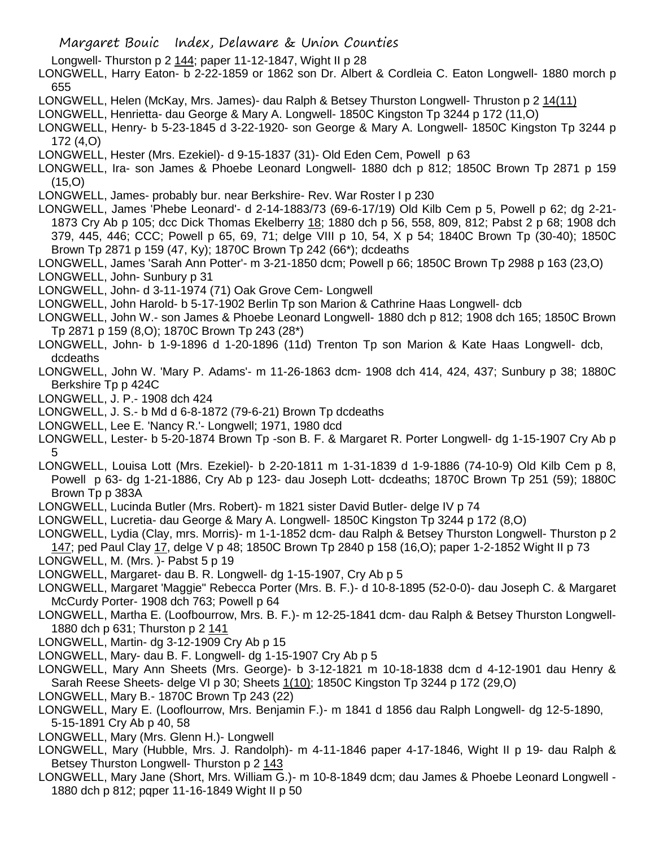- Longwell- Thurston p 2 144; paper 11-12-1847, Wight II p 28
- LONGWELL, Harry Eaton- b 2-22-1859 or 1862 son Dr. Albert & Cordleia C. Eaton Longwell- 1880 morch p 655
- LONGWELL, Helen (McKay, Mrs. James)- dau Ralph & Betsey Thurston Longwell- Thruston p 2 14(11)
- LONGWELL, Henrietta- dau George & Mary A. Longwell- 1850C Kingston Tp 3244 p 172 (11,O)
- LONGWELL, Henry- b 5-23-1845 d 3-22-1920- son George & Mary A. Longwell- 1850C Kingston Tp 3244 p 172 (4,O)
- LONGWELL, Hester (Mrs. Ezekiel)- d 9-15-1837 (31)- Old Eden Cem, Powell p 63
- LONGWELL, Ira- son James & Phoebe Leonard Longwell- 1880 dch p 812; 1850C Brown Tp 2871 p 159 (15,O)
- LONGWELL, James- probably bur. near Berkshire- Rev. War Roster I p 230
- LONGWELL, James 'Phebe Leonard'- d 2-14-1883/73 (69-6-17/19) Old Kilb Cem p 5, Powell p 62; dg 2-21- 1873 Cry Ab p 105; dcc Dick Thomas Ekelberry 18; 1880 dch p 56, 558, 809, 812; Pabst 2 p 68; 1908 dch 379, 445, 446; CCC; Powell p 65, 69, 71; delge VIII p 10, 54, X p 54; 1840C Brown Tp (30-40); 1850C Brown Tp 2871 p 159 (47, Ky); 1870C Brown Tp 242 (66\*); dcdeaths
- LONGWELL, James 'Sarah Ann Potter'- m 3-21-1850 dcm; Powell p 66; 1850C Brown Tp 2988 p 163 (23,O) LONGWELL, John- Sunbury p 31
- LONGWELL, John- d 3-11-1974 (71) Oak Grove Cem- Longwell
- LONGWELL, John Harold- b 5-17-1902 Berlin Tp son Marion & Cathrine Haas Longwell- dcb
- LONGWELL, John W.- son James & Phoebe Leonard Longwell- 1880 dch p 812; 1908 dch 165; 1850C Brown Tp 2871 p 159 (8,O); 1870C Brown Tp 243 (28\*)
- LONGWELL, John- b 1-9-1896 d 1-20-1896 (11d) Trenton Tp son Marion & Kate Haas Longwell- dcb, dcdeaths
- LONGWELL, John W. 'Mary P. Adams'- m 11-26-1863 dcm- 1908 dch 414, 424, 437; Sunbury p 38; 1880C Berkshire Tp p 424C
- LONGWELL, J. P.- 1908 dch 424
- LONGWELL, J. S.- b Md d 6-8-1872 (79-6-21) Brown Tp dcdeaths
- LONGWELL, Lee E. 'Nancy R.'- Longwell; 1971, 1980 dcd
- LONGWELL, Lester- b 5-20-1874 Brown Tp -son B. F. & Margaret R. Porter Longwell- dg 1-15-1907 Cry Ab p 5
- LONGWELL, Louisa Lott (Mrs. Ezekiel)- b 2-20-1811 m 1-31-1839 d 1-9-1886 (74-10-9) Old Kilb Cem p 8, Powell p 63- dg 1-21-1886, Cry Ab p 123- dau Joseph Lott- dcdeaths; 1870C Brown Tp 251 (59); 1880C Brown Tp p 383A
- LONGWELL, Lucinda Butler (Mrs. Robert)- m 1821 sister David Butler- delge IV p 74
- LONGWELL, Lucretia- dau George & Mary A. Longwell- 1850C Kingston Tp 3244 p 172 (8,O)
- LONGWELL, Lydia (Clay, mrs. Morris)- m 1-1-1852 dcm- dau Ralph & Betsey Thurston Longwell- Thurston p 2 147; ped Paul Clay 17, delge V p 48; 1850C Brown Tp 2840 p 158 (16,O); paper 1-2-1852 Wight II p 73
- LONGWELL, M. (Mrs. )- Pabst 5 p 19
- LONGWELL, Margaret- dau B. R. Longwell- dg 1-15-1907, Cry Ab p 5
- LONGWELL, Margaret 'Maggie" Rebecca Porter (Mrs. B. F.)- d 10-8-1895 (52-0-0)- dau Joseph C. & Margaret McCurdy Porter- 1908 dch 763; Powell p 64
- LONGWELL, Martha E. (Loofbourrow, Mrs. B. F.)- m 12-25-1841 dcm- dau Ralph & Betsey Thurston Longwell-1880 dch p 631; Thurston p 2 141
- LONGWELL, Martin- dg 3-12-1909 Cry Ab p 15
- LONGWELL, Mary- dau B. F. Longwell- dg 1-15-1907 Cry Ab p 5
- LONGWELL, Mary Ann Sheets (Mrs. George)- b 3-12-1821 m 10-18-1838 dcm d 4-12-1901 dau Henry & Sarah Reese Sheets- delge VI p 30; Sheets 1(10); 1850C Kingston Tp 3244 p 172 (29,0)
- LONGWELL, Mary B.- 1870C Brown Tp 243 (22)
- LONGWELL, Mary E. (Looflourrow, Mrs. Benjamin F.)- m 1841 d 1856 dau Ralph Longwell- dg 12-5-1890, 5-15-1891 Cry Ab p 40, 58
- LONGWELL, Mary (Mrs. Glenn H.)- Longwell
- LONGWELL, Mary (Hubble, Mrs. J. Randolph)- m 4-11-1846 paper 4-17-1846, Wight II p 19- dau Ralph & Betsey Thurston Longwell- Thurston p 2 143
- LONGWELL, Mary Jane (Short, Mrs. William G.)- m 10-8-1849 dcm; dau James & Phoebe Leonard Longwell 1880 dch p 812; pqper 11-16-1849 Wight II p 50

Margaret Bouic Index, Delaware & Union Counties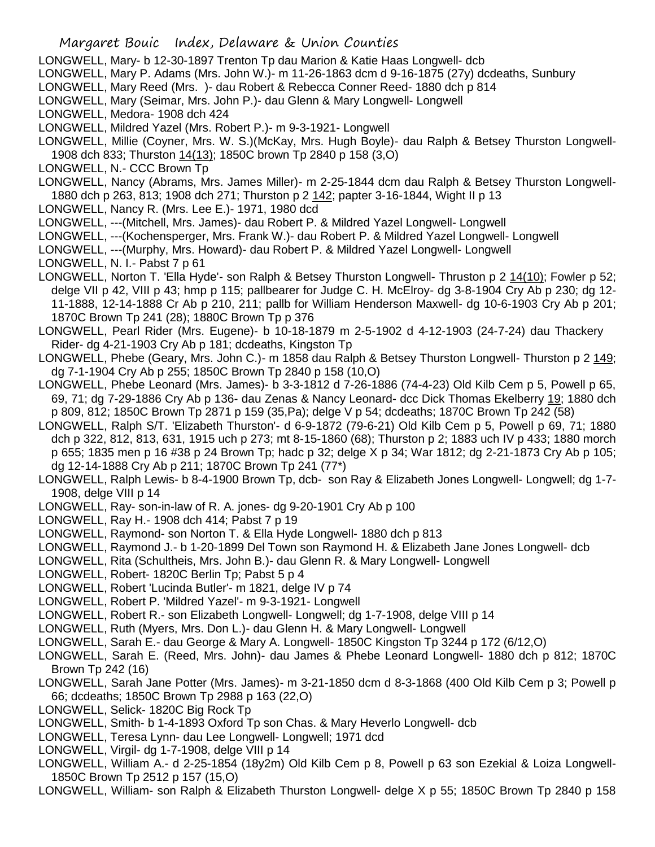- LONGWELL, Mary- b 12-30-1897 Trenton Tp dau Marion & Katie Haas Longwell- dcb
- LONGWELL, Mary P. Adams (Mrs. John W.)- m 11-26-1863 dcm d 9-16-1875 (27y) dcdeaths, Sunbury
- LONGWELL, Mary Reed (Mrs. )- dau Robert & Rebecca Conner Reed- 1880 dch p 814
- LONGWELL, Mary (Seimar, Mrs. John P.)- dau Glenn & Mary Longwell- Longwell
- LONGWELL, Medora- 1908 dch 424
- LONGWELL, Mildred Yazel (Mrs. Robert P.)- m 9-3-1921- Longwell
- LONGWELL, Millie (Coyner, Mrs. W. S.)(McKay, Mrs. Hugh Boyle)- dau Ralph & Betsey Thurston Longwell-1908 dch 833; Thurston 14(13); 1850C brown Tp 2840 p 158 (3,O)
- LONGWELL, N.- CCC Brown Tp
- LONGWELL, Nancy (Abrams, Mrs. James Miller)- m 2-25-1844 dcm dau Ralph & Betsey Thurston Longwell-1880 dch p 263, 813; 1908 dch 271; Thurston p 2 142; papter 3-16-1844, Wight II p 13
- LONGWELL, Nancy R. (Mrs. Lee E.)- 1971, 1980 dcd
- LONGWELL, ---(Mitchell, Mrs. James)- dau Robert P. & Mildred Yazel Longwell- Longwell
- LONGWELL, ---(Kochensperger, Mrs. Frank W.)- dau Robert P. & Mildred Yazel Longwell- Longwell
- LONGWELL, ---(Murphy, Mrs. Howard)- dau Robert P. & Mildred Yazel Longwell- Longwell
- LONGWELL, N. I.- Pabst 7 p 61
- LONGWELL, Norton T. 'Ella Hyde'- son Ralph & Betsey Thurston Longwell- Thruston p 2 14(10); Fowler p 52; delge VII p 42, VIII p 43; hmp p 115; pallbearer for Judge C. H. McElroy- dg 3-8-1904 Cry Ab p 230: dg 12-11-1888, 12-14-1888 Cr Ab p 210, 211; pallb for William Henderson Maxwell- dg 10-6-1903 Cry Ab p 201; 1870C Brown Tp 241 (28); 1880C Brown Tp p 376
- LONGWELL, Pearl Rider (Mrs. Eugene)- b 10-18-1879 m 2-5-1902 d 4-12-1903 (24-7-24) dau Thackery Rider- dg 4-21-1903 Cry Ab p 181; dcdeaths, Kingston Tp
- LONGWELL, Phebe (Geary, Mrs. John C.)- m 1858 dau Ralph & Betsey Thurston Longwell- Thurston p 2 149; dg 7-1-1904 Cry Ab p 255; 1850C Brown Tp 2840 p 158 (10,O)
- LONGWELL, Phebe Leonard (Mrs. James)- b 3-3-1812 d 7-26-1886 (74-4-23) Old Kilb Cem p 5, Powell p 65, 69, 71; dg 7-29-1886 Cry Ab p 136- dau Zenas & Nancy Leonard- dcc Dick Thomas Ekelberry 19; 1880 dch p 809, 812; 1850C Brown Tp 2871 p 159 (35,Pa); delge V p 54; dcdeaths; 1870C Brown Tp 242 (58)
- LONGWELL, Ralph S/T. 'Elizabeth Thurston'- d 6-9-1872 (79-6-21) Old Kilb Cem p 5, Powell p 69, 71; 1880 dch p 322, 812, 813, 631, 1915 uch p 273; mt 8-15-1860 (68); Thurston p 2; 1883 uch IV p 433; 1880 morch p 655; 1835 men p 16 #38 p 24 Brown Tp; hadc p 32; delge X p 34; War 1812; dg 2-21-1873 Cry Ab p 105; dg 12-14-1888 Cry Ab p 211; 1870C Brown Tp 241 (77\*)
- LONGWELL, Ralph Lewis- b 8-4-1900 Brown Tp, dcb- son Ray & Elizabeth Jones Longwell- Longwell; dg 1-7- 1908, delge VIII p 14
- LONGWELL, Ray- son-in-law of R. A. jones- dg 9-20-1901 Cry Ab p 100
- LONGWELL, Ray H.- 1908 dch 414; Pabst 7 p 19
- LONGWELL, Raymond- son Norton T. & Ella Hyde Longwell- 1880 dch p 813
- LONGWELL, Raymond J.- b 1-20-1899 Del Town son Raymond H. & Elizabeth Jane Jones Longwell- dcb
- LONGWELL, Rita (Schultheis, Mrs. John B.)- dau Glenn R. & Mary Longwell- Longwell
- LONGWELL, Robert- 1820C Berlin Tp; Pabst 5 p 4
- LONGWELL, Robert 'Lucinda Butler'- m 1821, delge IV p 74
- LONGWELL, Robert P. 'Mildred Yazel'- m 9-3-1921- Longwell
- LONGWELL, Robert R.- son Elizabeth Longwell- Longwell; dg 1-7-1908, delge VIII p 14
- LONGWELL, Ruth (Myers, Mrs. Don L.)- dau Glenn H. & Mary Longwell- Longwell
- LONGWELL, Sarah E.- dau George & Mary A. Longwell- 1850C Kingston Tp 3244 p 172 (6/12,O)
- LONGWELL, Sarah E. (Reed, Mrs. John)- dau James & Phebe Leonard Longwell- 1880 dch p 812; 1870C Brown Tp 242 (16)
- LONGWELL, Sarah Jane Potter (Mrs. James)- m 3-21-1850 dcm d 8-3-1868 (400 Old Kilb Cem p 3; Powell p 66; dcdeaths; 1850C Brown Tp 2988 p 163 (22,O)
- LONGWELL, Selick- 1820C Big Rock Tp
- LONGWELL, Smith- b 1-4-1893 Oxford Tp son Chas. & Mary Heverlo Longwell- dcb
- LONGWELL, Teresa Lynn- dau Lee Longwell- Longwell; 1971 dcd
- LONGWELL, Virgil- dg 1-7-1908, delge VIII p 14
- LONGWELL, William A.- d 2-25-1854 (18y2m) Old Kilb Cem p 8, Powell p 63 son Ezekial & Loiza Longwell-1850C Brown Tp 2512 p 157 (15,O)
- LONGWELL, William- son Ralph & Elizabeth Thurston Longwell- delge X p 55; 1850C Brown Tp 2840 p 158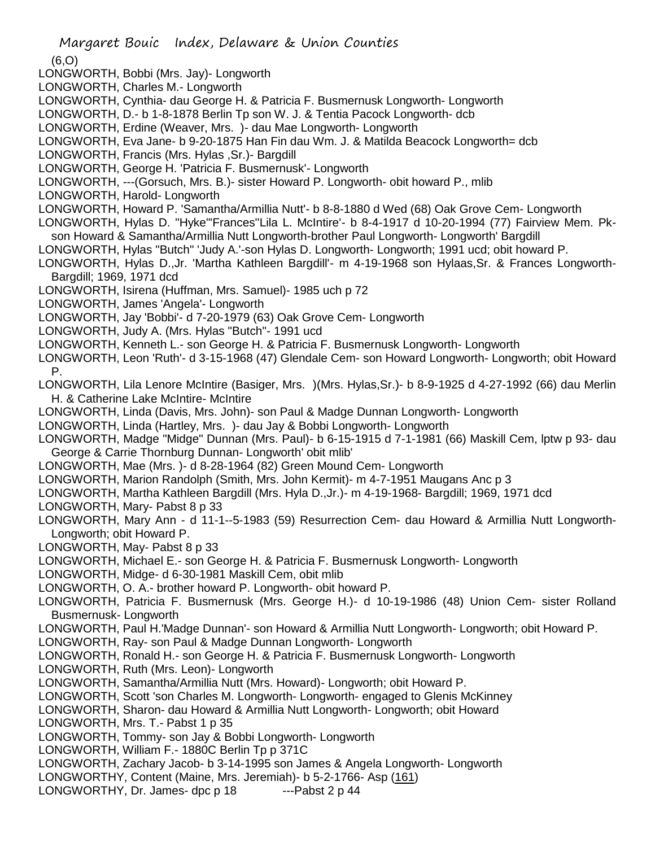(6,O)

- LONGWORTH, Bobbi (Mrs. Jay)- Longworth
- LONGWORTH, Charles M.- Longworth
- LONGWORTH, Cynthia- dau George H. & Patricia F. Busmernusk Longworth- Longworth
- LONGWORTH, D.- b 1-8-1878 Berlin Tp son W. J. & Tentia Pacock Longworth- dcb
- LONGWORTH, Erdine (Weaver, Mrs. )- dau Mae Longworth- Longworth
- LONGWORTH, Eva Jane- b 9-20-1875 Han Fin dau Wm. J. & Matilda Beacock Longworth= dcb
- LONGWORTH, Francis (Mrs. Hylas ,Sr.)- Bargdill
- LONGWORTH, George H. 'Patricia F. Busmernusk'- Longworth
- LONGWORTH, ---(Gorsuch, Mrs. B.)- sister Howard P. Longworth- obit howard P., mlib
- LONGWORTH, Harold- Longworth
- LONGWORTH, Howard P. 'Samantha/Armillia Nutt'- b 8-8-1880 d Wed (68) Oak Grove Cem- Longworth
- LONGWORTH, Hylas D. "Hyke"'Frances''Lila L. McIntire'- b 8-4-1917 d 10-20-1994 (77) Fairview Mem. Pkson Howard & Samantha/Armillia Nutt Longworth-brother Paul Longworth- Longworth' Bargdill
- LONGWORTH, Hylas "Butch" 'Judy A.'-son Hylas D. Longworth- Longworth; 1991 ucd; obit howard P.
- LONGWORTH, Hylas D.,Jr. 'Martha Kathleen Bargdill'- m 4-19-1968 son Hylaas,Sr. & Frances Longworth-Bargdill; 1969, 1971 dcd
- LONGWORTH, Isirena (Huffman, Mrs. Samuel)- 1985 uch p 72
- LONGWORTH, James 'Angela'- Longworth
- LONGWORTH, Jay 'Bobbi'- d 7-20-1979 (63) Oak Grove Cem- Longworth
- LONGWORTH, Judy A. (Mrs. Hylas "Butch"- 1991 ucd
- LONGWORTH, Kenneth L.- son George H. & Patricia F. Busmernusk Longworth- Longworth
- LONGWORTH, Leon 'Ruth'- d 3-15-1968 (47) Glendale Cem- son Howard Longworth- Longworth; obit Howard P.
- LONGWORTH, Lila Lenore McIntire (Basiger, Mrs. )(Mrs. Hylas,Sr.)- b 8-9-1925 d 4-27-1992 (66) dau Merlin H. & Catherine Lake McIntire- McIntire
- LONGWORTH, Linda (Davis, Mrs. John)- son Paul & Madge Dunnan Longworth- Longworth
- LONGWORTH, Linda (Hartley, Mrs. )- dau Jay & Bobbi Longworth- Longworth
- LONGWORTH, Madge "Midge" Dunnan (Mrs. Paul)- b 6-15-1915 d 7-1-1981 (66) Maskill Cem, lptw p 93- dau George & Carrie Thornburg Dunnan- Longworth' obit mlib'
- LONGWORTH, Mae (Mrs. )- d 8-28-1964 (82) Green Mound Cem- Longworth
- LONGWORTH, Marion Randolph (Smith, Mrs. John Kermit)- m 4-7-1951 Maugans Anc p 3
- LONGWORTH, Martha Kathleen Bargdill (Mrs. Hyla D.,Jr.)- m 4-19-1968- Bargdill; 1969, 1971 dcd
- LONGWORTH, Mary- Pabst 8 p 33
- LONGWORTH, Mary Ann d 11-1--5-1983 (59) Resurrection Cem- dau Howard & Armillia Nutt Longworth-Longworth; obit Howard P.
- LONGWORTH, May- Pabst 8 p 33
- LONGWORTH, Michael E.- son George H. & Patricia F. Busmernusk Longworth- Longworth
- LONGWORTH, Midge- d 6-30-1981 Maskill Cem, obit mlib
- LONGWORTH, O. A.- brother howard P. Longworth- obit howard P.
- LONGWORTH, Patricia F. Busmernusk (Mrs. George H.)- d 10-19-1986 (48) Union Cem- sister Rolland Busmernusk- Longworth
- LONGWORTH, Paul H.'Madge Dunnan'- son Howard & Armillia Nutt Longworth- Longworth; obit Howard P.
- LONGWORTH, Ray- son Paul & Madge Dunnan Longworth- Longworth
- LONGWORTH, Ronald H.- son George H. & Patricia F. Busmernusk Longworth- Longworth
- LONGWORTH, Ruth (Mrs. Leon)- Longworth
- LONGWORTH, Samantha/Armillia Nutt (Mrs. Howard)- Longworth; obit Howard P.
- LONGWORTH, Scott 'son Charles M. Longworth- Longworth- engaged to Glenis McKinney
- LONGWORTH, Sharon- dau Howard & Armillia Nutt Longworth- Longworth; obit Howard
- LONGWORTH, Mrs. T.- Pabst 1 p 35
- LONGWORTH, Tommy- son Jay & Bobbi Longworth- Longworth
- LONGWORTH, William F.- 1880C Berlin Tp p 371C
- LONGWORTH, Zachary Jacob- b 3-14-1995 son James & Angela Longworth- Longworth
- LONGWORTHY, Content (Maine, Mrs. Jeremiah)- b 5-2-1766- Asp (161)
- LONGWORTHY, Dr. James- dpc p 18 ---Pabst 2 p 44